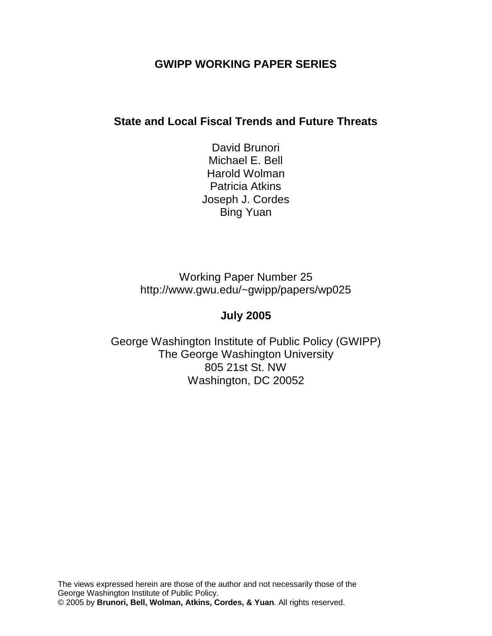## **GWIPP WORKING PAPER SERIES**

## **State and Local Fiscal Trends and Future Threats**

David Brunori Michael E. Bell Harold Wolman Patricia Atkins Joseph J. Cordes Bing Yuan

Working Paper Number 25 [http://www.gwu.edu/~gwipp/papers/wp02](http://www.gwu.edu/~gwipp/papers/wp025)5

# **July 2005**

George Washington Institute of Public Policy (GWIPP) The George Washington University 805 21st St. NW Washington, DC 20052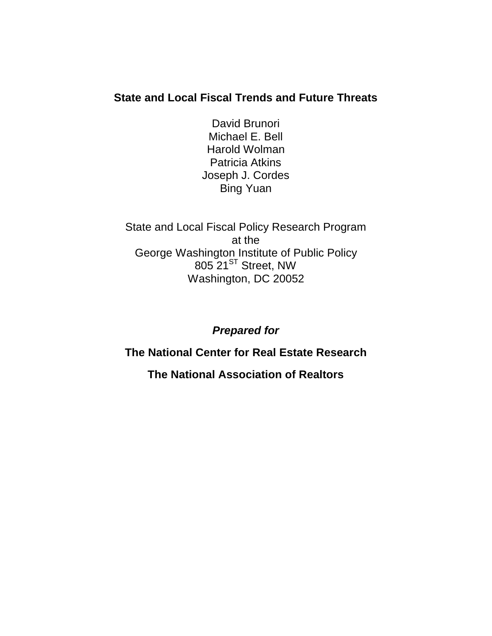# **State and Local Fiscal Trends and Future Threats**

David Brunori Michael E. Bell Harold Wolman Patricia Atkins Joseph J. Cordes Bing Yuan

State and Local Fiscal Policy Research Program at the George Washington Institute of Public Policy  $805$   $21^{ST}$  Street, NW Washington, DC 20052

*Prepared for*

**The National Center for Real Estate Research**

**The National Association of Realtors**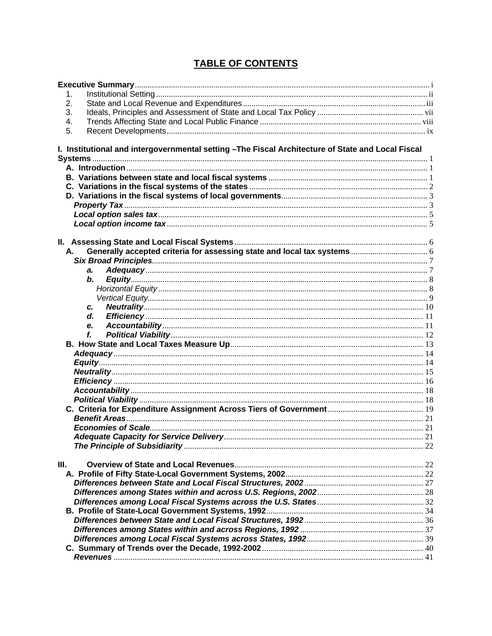## **TABLE OF CONTENTS**

| 1.                                                                                                |  |
|---------------------------------------------------------------------------------------------------|--|
| 2.                                                                                                |  |
| 3.                                                                                                |  |
| 4.                                                                                                |  |
| 5.                                                                                                |  |
| I. Institutional and intergovernmental setting -The Fiscal Architecture of State and Local Fiscal |  |
|                                                                                                   |  |
|                                                                                                   |  |
|                                                                                                   |  |
|                                                                                                   |  |
|                                                                                                   |  |
|                                                                                                   |  |
|                                                                                                   |  |
|                                                                                                   |  |
|                                                                                                   |  |
|                                                                                                   |  |
| А.                                                                                                |  |
|                                                                                                   |  |
| a.                                                                                                |  |
| b.                                                                                                |  |
|                                                                                                   |  |
| C.                                                                                                |  |
| d.                                                                                                |  |
| е.                                                                                                |  |
| f.                                                                                                |  |
|                                                                                                   |  |
|                                                                                                   |  |
|                                                                                                   |  |
|                                                                                                   |  |
|                                                                                                   |  |
|                                                                                                   |  |
|                                                                                                   |  |
|                                                                                                   |  |
|                                                                                                   |  |
|                                                                                                   |  |
| <b>Adequate Capacity for Service Deliverv</b>                                                     |  |
|                                                                                                   |  |
|                                                                                                   |  |
| Ш.                                                                                                |  |
|                                                                                                   |  |
|                                                                                                   |  |
|                                                                                                   |  |
|                                                                                                   |  |
|                                                                                                   |  |
|                                                                                                   |  |
|                                                                                                   |  |
|                                                                                                   |  |
|                                                                                                   |  |
|                                                                                                   |  |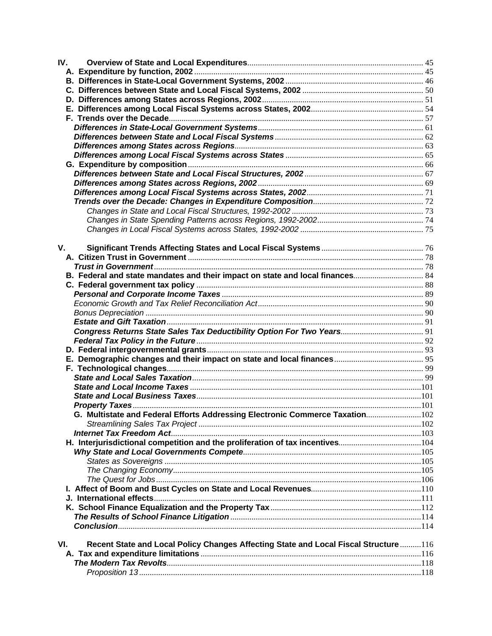| IV.                                                                                        |  |
|--------------------------------------------------------------------------------------------|--|
|                                                                                            |  |
|                                                                                            |  |
|                                                                                            |  |
|                                                                                            |  |
|                                                                                            |  |
|                                                                                            |  |
|                                                                                            |  |
|                                                                                            |  |
|                                                                                            |  |
|                                                                                            |  |
|                                                                                            |  |
|                                                                                            |  |
|                                                                                            |  |
|                                                                                            |  |
|                                                                                            |  |
|                                                                                            |  |
|                                                                                            |  |
|                                                                                            |  |
|                                                                                            |  |
| V.                                                                                         |  |
|                                                                                            |  |
|                                                                                            |  |
|                                                                                            |  |
|                                                                                            |  |
|                                                                                            |  |
|                                                                                            |  |
|                                                                                            |  |
|                                                                                            |  |
|                                                                                            |  |
|                                                                                            |  |
|                                                                                            |  |
|                                                                                            |  |
|                                                                                            |  |
|                                                                                            |  |
|                                                                                            |  |
|                                                                                            |  |
| G. Multistate and Federal Efforts Addressing Electronic Commerce Taxation102               |  |
|                                                                                            |  |
|                                                                                            |  |
| H. Interjurisdictional competition and the proliferation of tax incentives104              |  |
|                                                                                            |  |
|                                                                                            |  |
|                                                                                            |  |
|                                                                                            |  |
|                                                                                            |  |
|                                                                                            |  |
|                                                                                            |  |
|                                                                                            |  |
|                                                                                            |  |
|                                                                                            |  |
| VI.<br>Recent State and Local Policy Changes Affecting State and Local Fiscal Structure116 |  |
|                                                                                            |  |
|                                                                                            |  |
|                                                                                            |  |
|                                                                                            |  |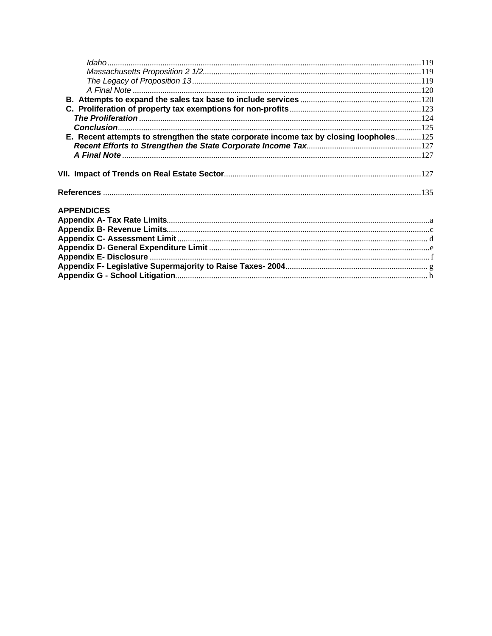| E. Recent attempts to strengthen the state corporate income tax by closing loopholes125 |  |
|-----------------------------------------------------------------------------------------|--|
|                                                                                         |  |
|                                                                                         |  |
|                                                                                         |  |
|                                                                                         |  |
| <b>APPENDICES</b>                                                                       |  |
|                                                                                         |  |
|                                                                                         |  |
|                                                                                         |  |
|                                                                                         |  |
|                                                                                         |  |
|                                                                                         |  |
|                                                                                         |  |
|                                                                                         |  |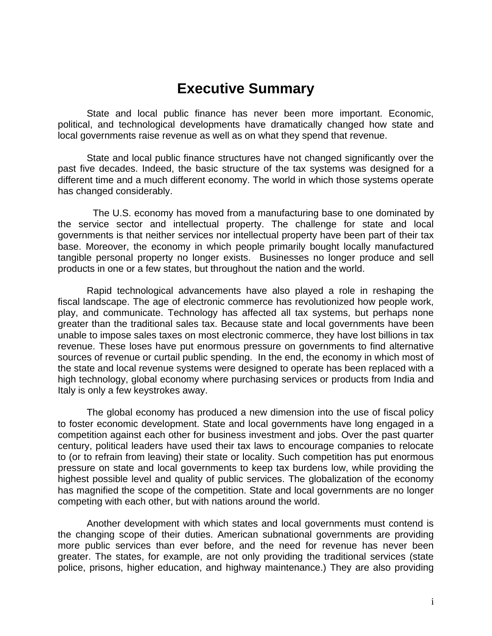# **Executive Summary**

State and local public finance has never been more important. Economic, political, and technological developments have dramatically changed how state and local governments raise revenue as well as on what they spend that revenue.

State and local public finance structures have not changed significantly over the past five decades. Indeed, the basic structure of the tax systems was designed for a different time and a much different economy. The world in which those systems operate has changed considerably.

 The U.S. economy has moved from a manufacturing base to one dominated by the service sector and intellectual property. The challenge for state and local governments is that neither services nor intellectual property have been part of their tax base. Moreover, the economy in which people primarily bought locally manufactured tangible personal property no longer exists. Businesses no longer produce and sell products in one or a few states, but throughout the nation and the world.

Rapid technological advancements have also played a role in reshaping the fiscal landscape. The age of electronic commerce has revolutionized how people work, play, and communicate. Technology has affected all tax systems, but perhaps none greater than the traditional sales tax. Because state and local governments have been unable to impose sales taxes on most electronic commerce, they have lost billions in tax revenue. These loses have put enormous pressure on governments to find alternative sources of revenue or curtail public spending. In the end, the economy in which most of the state and local revenue systems were designed to operate has been replaced with a high technology, global economy where purchasing services or products from India and Italy is only a few keystrokes away.

The global economy has produced a new dimension into the use of fiscal policy to foster economic development. State and local governments have long engaged in a competition against each other for business investment and jobs. Over the past quarter century, political leaders have used their tax laws to encourage companies to relocate to (or to refrain from leaving) their state or locality. Such competition has put enormous pressure on state and local governments to keep tax burdens low, while providing the highest possible level and quality of public services. The globalization of the economy has magnified the scope of the competition. State and local governments are no longer competing with each other, but with nations around the world.

Another development with which states and local governments must contend is the changing scope of their duties. American subnational governments are providing more public services than ever before, and the need for revenue has never been greater. The states, for example, are not only providing the traditional services (state police, prisons, higher education, and highway maintenance.) They are also providing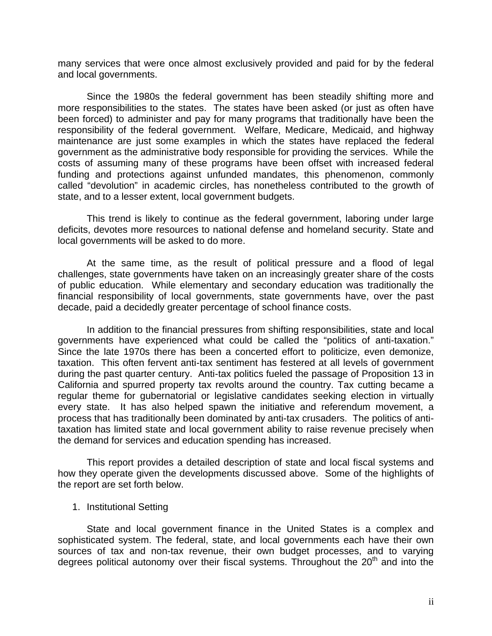many services that were once almost exclusively provided and paid for by the federal and local governments.

Since the 1980s the federal government has been steadily shifting more and more responsibilities to the states. The states have been asked (or just as often have been forced) to administer and pay for many programs that traditionally have been the responsibility of the federal government. Welfare, Medicare, Medicaid, and highway maintenance are just some examples in which the states have replaced the federal government as the administrative body responsible for providing the services. While the costs of assuming many of these programs have been offset with increased federal funding and protections against unfunded mandates, this phenomenon, commonly called "devolution" in academic circles, has nonetheless contributed to the growth of state, and to a lesser extent, local government budgets.

This trend is likely to continue as the federal government, laboring under large deficits, devotes more resources to national defense and homeland security. State and local governments will be asked to do more.

At the same time, as the result of political pressure and a flood of legal challenges, state governments have taken on an increasingly greater share of the costs of public education. While elementary and secondary education was traditionally the financial responsibility of local governments, state governments have, over the past decade, paid a decidedly greater percentage of school finance costs.

In addition to the financial pressures from shifting responsibilities, state and local governments have experienced what could be called the "politics of anti-taxation." Since the late 1970s there has been a concerted effort to politicize, even demonize, taxation. This often fervent anti-tax sentiment has festered at all levels of government during the past quarter century. Anti-tax politics fueled the passage of Proposition 13 in California and spurred property tax revolts around the country. Tax cutting became a regular theme for gubernatorial or legislative candidates seeking election in virtually every state. It has also helped spawn the initiative and referendum movement, a process that has traditionally been dominated by anti-tax crusaders. The politics of antitaxation has limited state and local government ability to raise revenue precisely when the demand for services and education spending has increased.

This report provides a detailed description of state and local fiscal systems and how they operate given the developments discussed above. Some of the highlights of the report are set forth below.

1. Institutional Setting

State and local government finance in the United States is a complex and sophisticated system. The federal, state, and local governments each have their own sources of tax and non-tax revenue, their own budget processes, and to varying degrees political autonomy over their fiscal systems. Throughout the  $20<sup>th</sup>$  and into the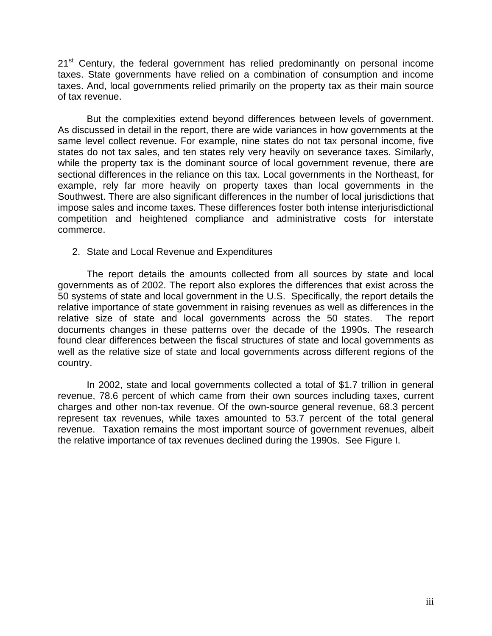21<sup>st</sup> Century, the federal government has relied predominantly on personal income taxes. State governments have relied on a combination of consumption and income taxes. And, local governments relied primarily on the property tax as their main source of tax revenue.

But the complexities extend beyond differences between levels of government. As discussed in detail in the report, there are wide variances in how governments at the same level collect revenue. For example, nine states do not tax personal income, five states do not tax sales, and ten states rely very heavily on severance taxes. Similarly, while the property tax is the dominant source of local government revenue, there are sectional differences in the reliance on this tax. Local governments in the Northeast, for example, rely far more heavily on property taxes than local governments in the Southwest. There are also significant differences in the number of local jurisdictions that impose sales and income taxes. These differences foster both intense interjurisdictional competition and heightened compliance and administrative costs for interstate commerce.

2. State and Local Revenue and Expenditures

The report details the amounts collected from all sources by state and local governments as of 2002. The report also explores the differences that exist across the 50 systems of state and local government in the U.S. Specifically, the report details the relative importance of state government in raising revenues as well as differences in the relative size of state and local governments across the 50 states. The report documents changes in these patterns over the decade of the 1990s. The research found clear differences between the fiscal structures of state and local governments as well as the relative size of state and local governments across different regions of the country.

In 2002, state and local governments collected a total of \$1.7 trillion in general revenue, 78.6 percent of which came from their own sources including taxes, current charges and other non-tax revenue. Of the own-source general revenue, 68.3 percent represent tax revenues, while taxes amounted to 53.7 percent of the total general revenue. Taxation remains the most important source of government revenues, albeit the relative importance of tax revenues declined during the 1990s. See Figure I.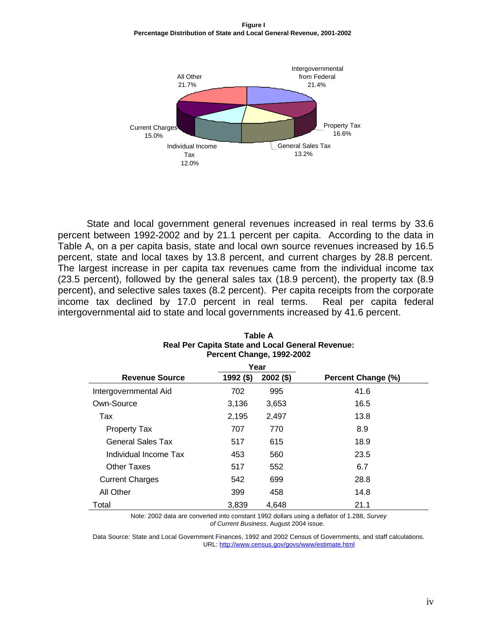**Figure I Percentage Distribution of State and Local General Revenue, 2001-2002**



State and local government general revenues increased in real terms by 33.6 percent between 1992-2002 and by 21.1 percent per capita. According to the data in Table A, on a per capita basis, state and local own source revenues increased by 16.5 percent, state and local taxes by 13.8 percent, and current charges by 28.8 percent. The largest increase in per capita tax revenues came from the individual income tax (23.5 percent), followed by the general sales tax (18.9 percent), the property tax (8.9 percent), and selective sales taxes (8.2 percent). Per capita receipts from the corporate income tax declined by 17.0 percent in real terms. Real per capita federal intergovernmental aid to state and local governments increased by 41.6 percent.

|                          |           | Year        |                    |
|--------------------------|-----------|-------------|--------------------|
| <b>Revenue Source</b>    | 1992 (\$) | $2002($ \$) | Percent Change (%) |
| Intergovernmental Aid    | 702       | 995         | 41.6               |
| Own-Source               | 3,136     | 3,653       | 16.5               |
| Tax                      | 2,195     | 2,497       | 13.8               |
| <b>Property Tax</b>      | 707       | 770         | 8.9                |
| <b>General Sales Tax</b> | 517       | 615         | 18.9               |
| Individual Income Tax    | 453       | 560         | 23.5               |
| <b>Other Taxes</b>       | 517       | 552         | 6.7                |
| <b>Current Charges</b>   | 542       | 699         | 28.8               |
| All Other                | 399       | 458         | 14.8               |
| Total                    | 3,839     | 4.648       | 21.1               |

#### **Table A Real Per Capita State and Local General Revenue: Percent Change, 1992-2002**

Note: 2002 data are converted into constant 1992 dollars using a deflator of 1.288, *Survey of Current Business*, August 2004 issue.

Data Source: State and Local Government Finances, 1992 and 2002 Census of Governments, and staff calculations. URL:<http://www.census.gov/govs/www/estimate.html>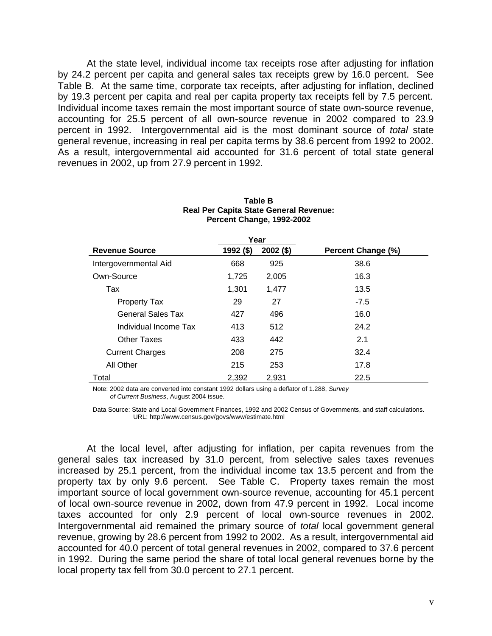At the state level, individual income tax receipts rose after adjusting for inflation by 24.2 percent per capita and general sales tax receipts grew by 16.0 percent. See Table B. At the same time, corporate tax receipts, after adjusting for inflation, declined by 19.3 percent per capita and real per capita property tax receipts fell by 7.5 percent. Individual income taxes remain the most important source of state own-source revenue, accounting for 25.5 percent of all own-source revenue in 2002 compared to 23.9 percent in 1992. Intergovernmental aid is the most dominant source of *total* state general revenue, increasing in real per capita terms by 38.6 percent from 1992 to 2002. As a result, intergovernmental aid accounted for 31.6 percent of total state general revenues in 2002, up from 27.9 percent in 1992.

|                          |           | Year        |                    |
|--------------------------|-----------|-------------|--------------------|
| <b>Revenue Source</b>    | 1992 (\$) | $2002($ \$) | Percent Change (%) |
| Intergovernmental Aid    | 668       | 925         | 38.6               |
| Own-Source               | 1,725     | 2,005       | 16.3               |
| Tax                      | 1.301     | 1,477       | 13.5               |
| <b>Property Tax</b>      | 29        | 27          | $-7.5$             |
| <b>General Sales Tax</b> | 427       | 496         | 16.0               |
| Individual Income Tax    | 413       | 512         | 24.2               |
| Other Taxes              | 433       | 442         | 2.1                |
| <b>Current Charges</b>   | 208       | 275         | 32.4               |
| All Other                | 215       | 253         | 17.8               |
| Total                    | 2,392     | 2,931       | 22.5               |

#### **Table B Real Per Capita State General Revenue: Percent Change, 1992-2002**

Note: 2002 data are converted into constant 1992 dollars using a deflator of 1.288, *Survey of Current Business*, August 2004 issue.

Data Source: State and Local Government Finances, 1992 and 2002 Census of Governments, and staff calculations. URL: http://www.census.gov/govs/www/estimate.html

At the local level, after adjusting for inflation, per capita revenues from the general sales tax increased by 31.0 percent, from selective sales taxes revenues increased by 25.1 percent, from the individual income tax 13.5 percent and from the property tax by only 9.6 percent. See Table C. Property taxes remain the most important source of local government own-source revenue, accounting for 45.1 percent of local own-source revenue in 2002, down from 47.9 percent in 1992. Local income taxes accounted for only 2.9 percent of local own-source revenues in 2002. Intergovernmental aid remained the primary source of *total* local government general revenue, growing by 28.6 percent from 1992 to 2002. As a result, intergovernmental aid accounted for 40.0 percent of total general revenues in 2002, compared to 37.6 percent in 1992. During the same period the share of total local general revenues borne by the local property tax fell from 30.0 percent to 27.1 percent.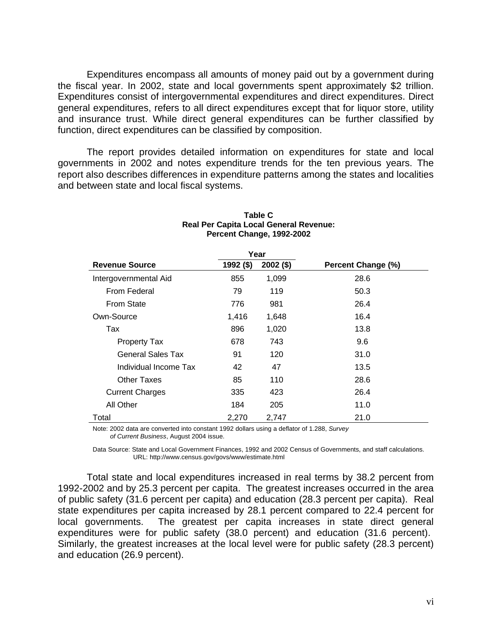Expenditures encompass all amounts of money paid out by a government during the fiscal year. In 2002, state and local governments spent approximately \$2 trillion. Expenditures consist of intergovernmental expenditures and direct expenditures. Direct general expenditures, refers to all direct expenditures except that for liquor store, utility and insurance trust. While direct general expenditures can be further classified by function, direct expenditures can be classified by composition.

The report provides detailed information on expenditures for state and local governments in 2002 and notes expenditure trends for the ten previous years. The report also describes differences in expenditure patterns among the states and localities and between state and local fiscal systems.

| <b>Revenue Source</b>  | 1992 (\$) | $2002($ \$) | Percent Change (%) |
|------------------------|-----------|-------------|--------------------|
| Intergovernmental Aid  | 855       | 1,099       | 28.6               |
| From Federal           | 79        | 119         | 50.3               |
| <b>From State</b>      | 776       | 981         | 26.4               |
| Own-Source             | 1,416     | 1,648       | 16.4               |
| Tax                    | 896       | 1,020       | 13.8               |
| <b>Property Tax</b>    | 678       | 743         | 9.6                |
| General Sales Tax      | 91        | 120         | 31.0               |
| Individual Income Tax  | 42        | 47          | 13.5               |
| Other Taxes            | 85        | 110         | 28.6               |
| <b>Current Charges</b> | 335       | 423         | 26.4               |
| All Other              | 184       | 205         | 11.0               |
| Total                  | 2,270     | 2,747       | 21.0               |

#### **Table C Real Per Capita Local General Revenue: Percent Change, 1992-2002**

Note: 2002 data are converted into constant 1992 dollars using a deflator of 1.288, *Survey of Current Business*, August 2004 issue.

Data Source: State and Local Government Finances, 1992 and 2002 Census of Governments, and staff calculations. URL: http://www.census.gov/govs/www/estimate.html

Total state and local expenditures increased in real terms by 38.2 percent from 1992-2002 and by 25.3 percent per capita. The greatest increases occurred in the area of public safety (31.6 percent per capita) and education (28.3 percent per capita). Real state expenditures per capita increased by 28.1 percent compared to 22.4 percent for local governments. The greatest per capita increases in state direct general expenditures were for public safety (38.0 percent) and education (31.6 percent). Similarly, the greatest increases at the local level were for public safety (28.3 percent) and education (26.9 percent).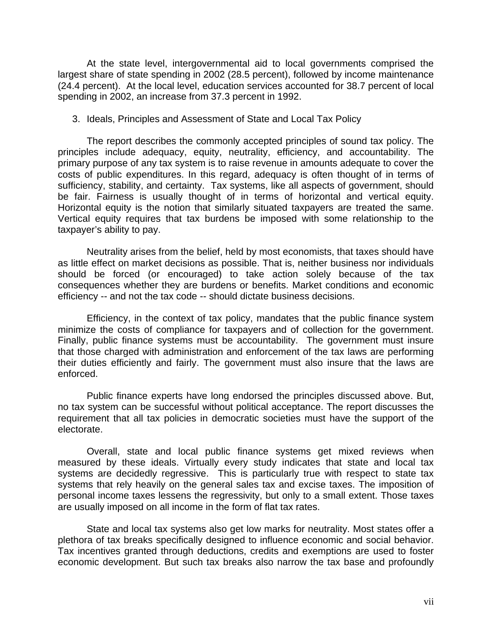At the state level, intergovernmental aid to local governments comprised the largest share of state spending in 2002 (28.5 percent), followed by income maintenance (24.4 percent). At the local level, education services accounted for 38.7 percent of local spending in 2002, an increase from 37.3 percent in 1992.

3. Ideals, Principles and Assessment of State and Local Tax Policy

The report describes the commonly accepted principles of sound tax policy. The principles include adequacy, equity, neutrality, efficiency, and accountability. The primary purpose of any tax system is to raise revenue in amounts adequate to cover the costs of public expenditures. In this regard, adequacy is often thought of in terms of sufficiency, stability, and certainty. Tax systems, like all aspects of government, should be fair. Fairness is usually thought of in terms of horizontal and vertical equity. Horizontal equity is the notion that similarly situated taxpayers are treated the same. Vertical equity requires that tax burdens be imposed with some relationship to the taxpayer's ability to pay.

Neutrality arises from the belief, held by most economists, that taxes should have as little effect on market decisions as possible. That is, neither business nor individuals should be forced (or encouraged) to take action solely because of the tax consequences whether they are burdens or benefits. Market conditions and economic efficiency -- and not the tax code -- should dictate business decisions.

Efficiency, in the context of tax policy, mandates that the public finance system minimize the costs of compliance for taxpayers and of collection for the government. Finally, public finance systems must be accountability. The government must insure that those charged with administration and enforcement of the tax laws are performing their duties efficiently and fairly. The government must also insure that the laws are enforced.

Public finance experts have long endorsed the principles discussed above. But, no tax system can be successful without political acceptance. The report discusses the requirement that all tax policies in democratic societies must have the support of the electorate.

Overall, state and local public finance systems get mixed reviews when measured by these ideals. Virtually every study indicates that state and local tax systems are decidedly regressive. This is particularly true with respect to state tax systems that rely heavily on the general sales tax and excise taxes. The imposition of personal income taxes lessens the regressivity, but only to a small extent. Those taxes are usually imposed on all income in the form of flat tax rates.

State and local tax systems also get low marks for neutrality. Most states offer a plethora of tax breaks specifically designed to influence economic and social behavior. Tax incentives granted through deductions, credits and exemptions are used to foster economic development. But such tax breaks also narrow the tax base and profoundly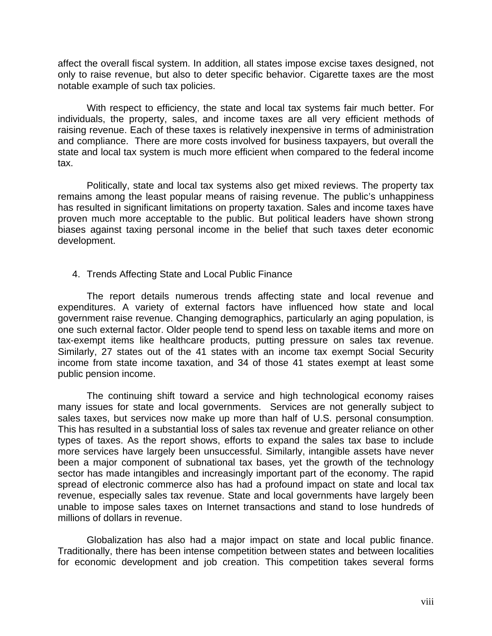affect the overall fiscal system. In addition, all states impose excise taxes designed, not only to raise revenue, but also to deter specific behavior. Cigarette taxes are the most notable example of such tax policies.

With respect to efficiency, the state and local tax systems fair much better. For individuals, the property, sales, and income taxes are all very efficient methods of raising revenue. Each of these taxes is relatively inexpensive in terms of administration and compliance. There are more costs involved for business taxpayers, but overall the state and local tax system is much more efficient when compared to the federal income tax.

Politically, state and local tax systems also get mixed reviews. The property tax remains among the least popular means of raising revenue. The public's unhappiness has resulted in significant limitations on property taxation. Sales and income taxes have proven much more acceptable to the public. But political leaders have shown strong biases against taxing personal income in the belief that such taxes deter economic development.

4. Trends Affecting State and Local Public Finance

The report details numerous trends affecting state and local revenue and expenditures. A variety of external factors have influenced how state and local government raise revenue. Changing demographics, particularly an aging population, is one such external factor. Older people tend to spend less on taxable items and more on tax-exempt items like healthcare products, putting pressure on sales tax revenue. Similarly, 27 states out of the 41 states with an income tax exempt Social Security income from state income taxation, and 34 of those 41 states exempt at least some public pension income.

The continuing shift toward a service and high technological economy raises many issues for state and local governments. Services are not generally subject to sales taxes, but services now make up more than half of U.S. personal consumption. This has resulted in a substantial loss of sales tax revenue and greater reliance on other types of taxes. As the report shows, efforts to expand the sales tax base to include more services have largely been unsuccessful. Similarly, intangible assets have never been a major component of subnational tax bases, yet the growth of the technology sector has made intangibles and increasingly important part of the economy. The rapid spread of electronic commerce also has had a profound impact on state and local tax revenue, especially sales tax revenue. State and local governments have largely been unable to impose sales taxes on Internet transactions and stand to lose hundreds of millions of dollars in revenue.

Globalization has also had a major impact on state and local public finance. Traditionally, there has been intense competition between states and between localities for economic development and job creation. This competition takes several forms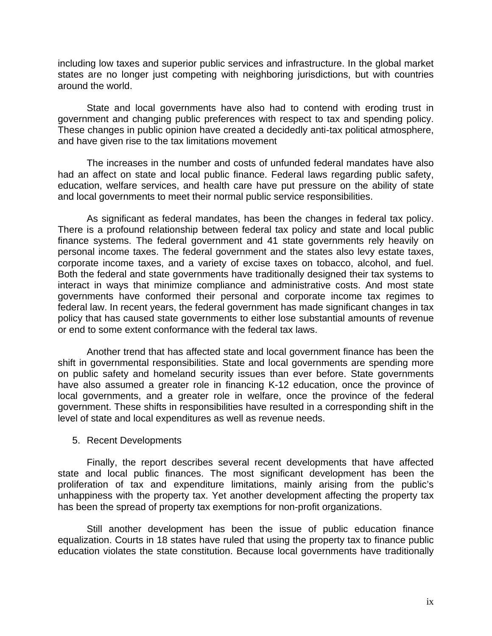including low taxes and superior public services and infrastructure. In the global market states are no longer just competing with neighboring jurisdictions, but with countries around the world.

State and local governments have also had to contend with eroding trust in government and changing public preferences with respect to tax and spending policy. These changes in public opinion have created a decidedly anti-tax political atmosphere, and have given rise to the tax limitations movement

The increases in the number and costs of unfunded federal mandates have also had an affect on state and local public finance. Federal laws regarding public safety, education, welfare services, and health care have put pressure on the ability of state and local governments to meet their normal public service responsibilities.

As significant as federal mandates, has been the changes in federal tax policy. There is a profound relationship between federal tax policy and state and local public finance systems. The federal government and 41 state governments rely heavily on personal income taxes. The federal government and the states also levy estate taxes, corporate income taxes, and a variety of excise taxes on tobacco, alcohol, and fuel. Both the federal and state governments have traditionally designed their tax systems to interact in ways that minimize compliance and administrative costs. And most state governments have conformed their personal and corporate income tax regimes to federal law. In recent years, the federal government has made significant changes in tax policy that has caused state governments to either lose substantial amounts of revenue or end to some extent conformance with the federal tax laws.

Another trend that has affected state and local government finance has been the shift in governmental responsibilities. State and local governments are spending more on public safety and homeland security issues than ever before. State governments have also assumed a greater role in financing K-12 education, once the province of local governments, and a greater role in welfare, once the province of the federal government. These shifts in responsibilities have resulted in a corresponding shift in the level of state and local expenditures as well as revenue needs.

#### 5. Recent Developments

Finally, the report describes several recent developments that have affected state and local public finances. The most significant development has been the proliferation of tax and expenditure limitations, mainly arising from the public's unhappiness with the property tax. Yet another development affecting the property tax has been the spread of property tax exemptions for non-profit organizations.

Still another development has been the issue of public education finance equalization. Courts in 18 states have ruled that using the property tax to finance public education violates the state constitution. Because local governments have traditionally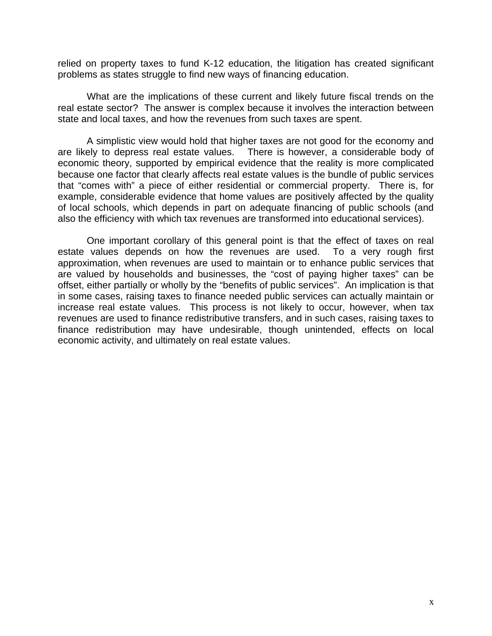relied on property taxes to fund K-12 education, the litigation has created significant problems as states struggle to find new ways of financing education.

What are the implications of these current and likely future fiscal trends on the real estate sector? The answer is complex because it involves the interaction between state and local taxes, and how the revenues from such taxes are spent.

A simplistic view would hold that higher taxes are not good for the economy and are likely to depress real estate values. There is however, a considerable body of economic theory, supported by empirical evidence that the reality is more complicated because one factor that clearly affects real estate values is the bundle of public services that "comes with" a piece of either residential or commercial property. There is, for example, considerable evidence that home values are positively affected by the quality of local schools, which depends in part on adequate financing of public schools (and also the efficiency with which tax revenues are transformed into educational services).

One important corollary of this general point is that the effect of taxes on real estate values depends on how the revenues are used. To a very rough first approximation, when revenues are used to maintain or to enhance public services that are valued by households and businesses, the "cost of paying higher taxes" can be offset, either partially or wholly by the "benefits of public services". An implication is that in some cases, raising taxes to finance needed public services can actually maintain or increase real estate values. This process is not likely to occur, however, when tax revenues are used to finance redistributive transfers, and in such cases, raising taxes to finance redistribution may have undesirable, though unintended, effects on local economic activity, and ultimately on real estate values.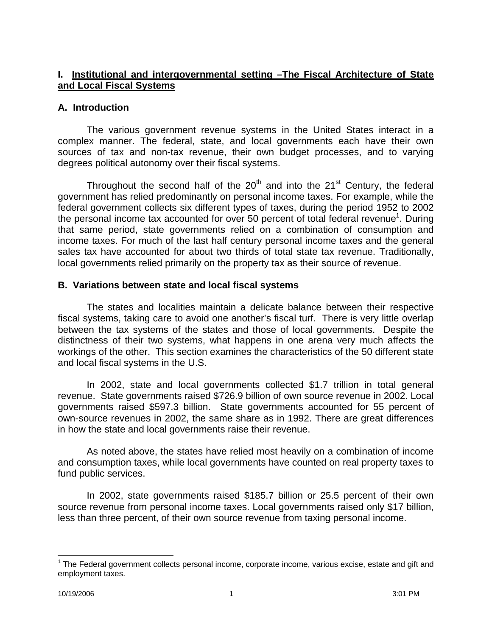## **I. Institutional and intergovernmental setting –The Fiscal Architecture of State and Local Fiscal Systems**

#### **A. Introduction**

The various government revenue systems in the United States interact in a complex manner. The federal, state, and local governments each have their own sources of tax and non-tax revenue, their own budget processes, and to varying degrees political autonomy over their fiscal systems.

Throughout the second half of the  $20<sup>th</sup>$  and into the  $21<sup>st</sup>$  Century, the federal government has relied predominantly on personal income taxes. For example, while the federal government collects six different types of taxes, during the period 1952 to 2002 the personal income tax accounted for over 50 percent of total federal revenue<sup>1</sup>. During that same period, state governments relied on a combination of consumption and income taxes. For much of the last half century personal income taxes and the general sales tax have accounted for about two thirds of total state tax revenue. Traditionally, local governments relied primarily on the property tax as their source of revenue.

## **B. Variations between state and local fiscal systems**

The states and localities maintain a delicate balance between their respective fiscal systems, taking care to avoid one another's fiscal turf. There is very little overlap between the tax systems of the states and those of local governments. Despite the distinctness of their two systems, what happens in one arena very much affects the workings of the other. This section examines the characteristics of the 50 different state and local fiscal systems in the U.S.

In 2002, state and local governments collected \$1.7 trillion in total general revenue. State governments raised \$726.9 billion of own source revenue in 2002. Local governments raised \$597.3 billion. State governments accounted for 55 percent of own-source revenues in 2002, the same share as in 1992. There are great differences in how the state and local governments raise their revenue.

As noted above, the states have relied most heavily on a combination of income and consumption taxes, while local governments have counted on real property taxes to fund public services.

In 2002, state governments raised \$185.7 billion or 25.5 percent of their own source revenue from personal income taxes. Local governments raised only \$17 billion, less than three percent, of their own source revenue from taxing personal income.

 $\overline{a}$ 

<sup>&</sup>lt;sup>1</sup> The Federal government collects personal income, corporate income, various excise, estate and gift and employment taxes.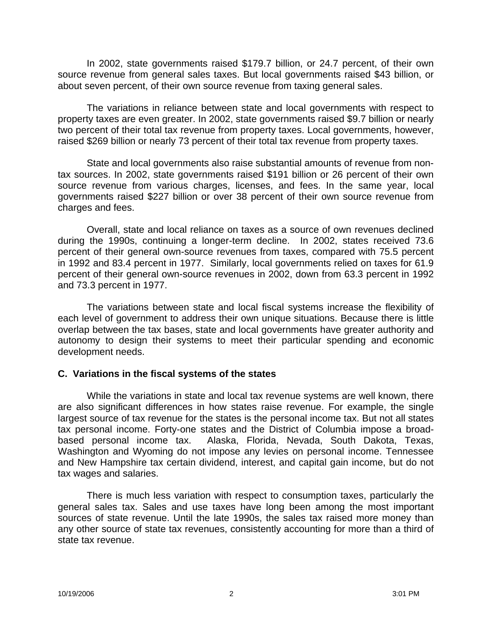In 2002, state governments raised \$179.7 billion, or 24.7 percent, of their own source revenue from general sales taxes. But local governments raised \$43 billion, or about seven percent, of their own source revenue from taxing general sales.

The variations in reliance between state and local governments with respect to property taxes are even greater. In 2002, state governments raised \$9.7 billion or nearly two percent of their total tax revenue from property taxes. Local governments, however, raised \$269 billion or nearly 73 percent of their total tax revenue from property taxes.

State and local governments also raise substantial amounts of revenue from nontax sources. In 2002, state governments raised \$191 billion or 26 percent of their own source revenue from various charges, licenses, and fees. In the same year, local governments raised \$227 billion or over 38 percent of their own source revenue from charges and fees.

Overall, state and local reliance on taxes as a source of own revenues declined during the 1990s, continuing a longer-term decline. In 2002, states received 73.6 percent of their general own-source revenues from taxes, compared with 75.5 percent in 1992 and 83.4 percent in 1977. Similarly, local governments relied on taxes for 61.9 percent of their general own-source revenues in 2002, down from 63.3 percent in 1992 and 73.3 percent in 1977.

The variations between state and local fiscal systems increase the flexibility of each level of government to address their own unique situations. Because there is little overlap between the tax bases, state and local governments have greater authority and autonomy to design their systems to meet their particular spending and economic development needs.

#### **C. Variations in the fiscal systems of the states**

While the variations in state and local tax revenue systems are well known, there are also significant differences in how states raise revenue. For example, the single largest source of tax revenue for the states is the personal income tax. But not all states tax personal income. Forty-one states and the District of Columbia impose a broadbased personal income tax. Alaska, Florida, Nevada, South Dakota, Texas, Washington and Wyoming do not impose any levies on personal income. Tennessee and New Hampshire tax certain dividend, interest, and capital gain income, but do not tax wages and salaries.

There is much less variation with respect to consumption taxes, particularly the general sales tax. Sales and use taxes have long been among the most important sources of state revenue. Until the late 1990s, the sales tax raised more money than any other source of state tax revenues, consistently accounting for more than a third of state tax revenue.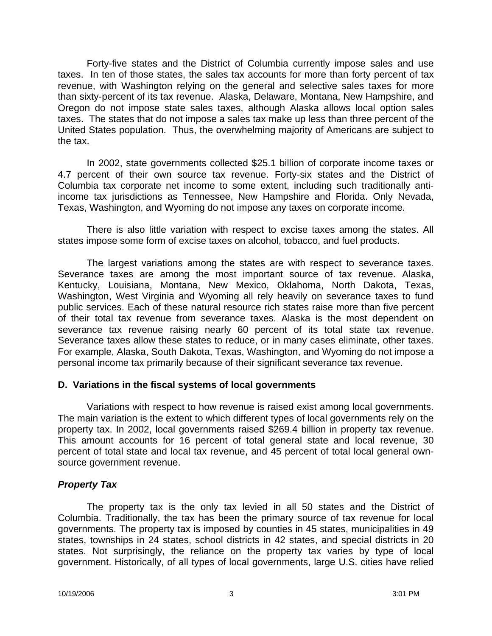Forty-five states and the District of Columbia currently impose sales and use taxes. In ten of those states, the sales tax accounts for more than forty percent of tax revenue, with Washington relying on the general and selective sales taxes for more than sixty-percent of its tax revenue. Alaska, Delaware, Montana, New Hampshire, and Oregon do not impose state sales taxes, although Alaska allows local option sales taxes. The states that do not impose a sales tax make up less than three percent of the United States population. Thus, the overwhelming majority of Americans are subject to the tax.

In 2002, state governments collected \$25.1 billion of corporate income taxes or 4.7 percent of their own source tax revenue. Forty-six states and the District of Columbia tax corporate net income to some extent, including such traditionally antiincome tax jurisdictions as Tennessee, New Hampshire and Florida. Only Nevada, Texas, Washington, and Wyoming do not impose any taxes on corporate income.

There is also little variation with respect to excise taxes among the states. All states impose some form of excise taxes on alcohol, tobacco, and fuel products.

The largest variations among the states are with respect to severance taxes. Severance taxes are among the most important source of tax revenue. Alaska, Kentucky, Louisiana, Montana, New Mexico, Oklahoma, North Dakota, Texas, Washington, West Virginia and Wyoming all rely heavily on severance taxes to fund public services. Each of these natural resource rich states raise more than five percent of their total tax revenue from severance taxes. Alaska is the most dependent on severance tax revenue raising nearly 60 percent of its total state tax revenue. Severance taxes allow these states to reduce, or in many cases eliminate, other taxes. For example, Alaska, South Dakota, Texas, Washington, and Wyoming do not impose a personal income tax primarily because of their significant severance tax revenue.

#### **D. Variations in the fiscal systems of local governments**

Variations with respect to how revenue is raised exist among local governments. The main variation is the extent to which different types of local governments rely on the property tax. In 2002, local governments raised \$269.4 billion in property tax revenue. This amount accounts for 16 percent of total general state and local revenue, 30 percent of total state and local tax revenue, and 45 percent of total local general ownsource government revenue.

#### *Property Tax*

The property tax is the only tax levied in all 50 states and the District of Columbia. Traditionally, the tax has been the primary source of tax revenue for local governments. The property tax is imposed by counties in 45 states, municipalities in 49 states, townships in 24 states, school districts in 42 states, and special districts in 20 states. Not surprisingly, the reliance on the property tax varies by type of local government. Historically, of all types of local governments, large U.S. cities have relied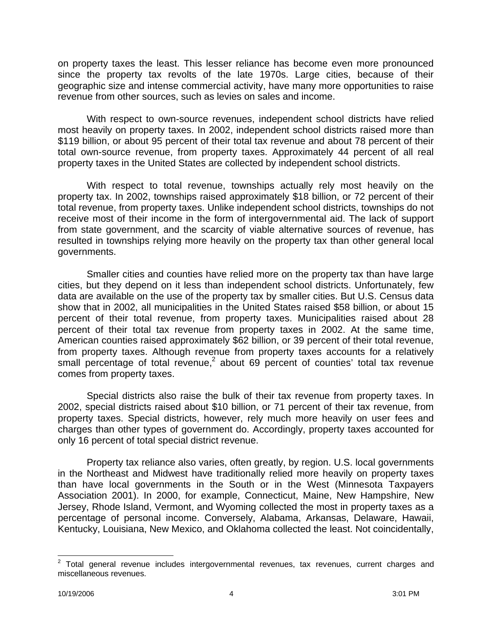on property taxes the least. This lesser reliance has become even more pronounced since the property tax revolts of the late 1970s. Large cities, because of their geographic size and intense commercial activity, have many more opportunities to raise revenue from other sources, such as levies on sales and income.

With respect to own-source revenues, independent school districts have relied most heavily on property taxes. In 2002, independent school districts raised more than \$119 billion, or about 95 percent of their total tax revenue and about 78 percent of their total own-source revenue, from property taxes. Approximately 44 percent of all real property taxes in the United States are collected by independent school districts.

With respect to total revenue, townships actually rely most heavily on the property tax. In 2002, townships raised approximately \$18 billion, or 72 percent of their total revenue, from property taxes. Unlike independent school districts, townships do not receive most of their income in the form of intergovernmental aid. The lack of support from state government, and the scarcity of viable alternative sources of revenue, has resulted in townships relying more heavily on the property tax than other general local governments.

Smaller cities and counties have relied more on the property tax than have large cities, but they depend on it less than independent school districts. Unfortunately, few data are available on the use of the property tax by smaller cities. But U.S. Census data show that in 2002, all municipalities in the United States raised \$58 billion, or about 15 percent of their total revenue, from property taxes. Municipalities raised about 28 percent of their total tax revenue from property taxes in 2002. At the same time, American counties raised approximately \$62 billion, or 39 percent of their total revenue, from property taxes. Although revenue from property taxes accounts for a relatively small percentage of total revenue,<sup>2</sup> about 69 percent of counties' total tax revenue comes from property taxes.

Special districts also raise the bulk of their tax revenue from property taxes. In 2002, special districts raised about \$10 billion, or 71 percent of their tax revenue, from property taxes. Special districts, however, rely much more heavily on user fees and charges than other types of government do. Accordingly, property taxes accounted for only 16 percent of total special district revenue.

Property tax reliance also varies, often greatly, by region. U.S. local governments in the Northeast and Midwest have traditionally relied more heavily on property taxes than have local governments in the South or in the West (Minnesota Taxpayers Association 2001). In 2000, for example, Connecticut, Maine, New Hampshire, New Jersey, Rhode Island, Vermont, and Wyoming collected the most in property taxes as a percentage of personal income. Conversely, Alabama, Arkansas, Delaware, Hawaii, Kentucky, Louisiana, New Mexico, and Oklahoma collected the least. Not coincidentally,

 2 Total general revenue includes intergovernmental revenues, tax revenues, current charges and miscellaneous revenues.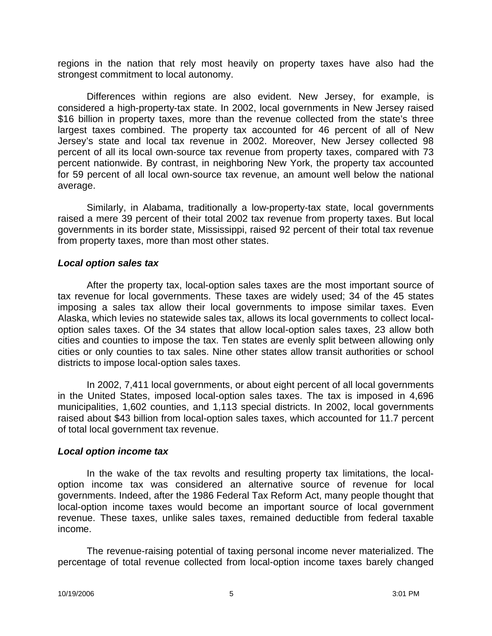regions in the nation that rely most heavily on property taxes have also had the strongest commitment to local autonomy.

Differences within regions are also evident. New Jersey, for example, is considered a high-property-tax state. In 2002, local governments in New Jersey raised \$16 billion in property taxes, more than the revenue collected from the state's three largest taxes combined. The property tax accounted for 46 percent of all of New Jersey's state and local tax revenue in 2002. Moreover, New Jersey collected 98 percent of all its local own-source tax revenue from property taxes, compared with 73 percent nationwide. By contrast, in neighboring New York, the property tax accounted for 59 percent of all local own-source tax revenue, an amount well below the national average.

Similarly, in Alabama, traditionally a low-property-tax state, local governments raised a mere 39 percent of their total 2002 tax revenue from property taxes. But local governments in its border state, Mississippi, raised 92 percent of their total tax revenue from property taxes, more than most other states.

#### *Local option sales tax*

After the property tax, local-option sales taxes are the most important source of tax revenue for local governments. These taxes are widely used; 34 of the 45 states imposing a sales tax allow their local governments to impose similar taxes. Even Alaska, which levies no statewide sales tax, allows its local governments to collect localoption sales taxes. Of the 34 states that allow local-option sales taxes, 23 allow both cities and counties to impose the tax. Ten states are evenly split between allowing only cities or only counties to tax sales. Nine other states allow transit authorities or school districts to impose local-option sales taxes.

In 2002, 7,411 local governments, or about eight percent of all local governments in the United States, imposed local-option sales taxes. The tax is imposed in 4,696 municipalities, 1,602 counties, and 1,113 special districts. In 2002, local governments raised about \$43 billion from local-option sales taxes, which accounted for 11.7 percent of total local government tax revenue.

#### *Local option income tax*

In the wake of the tax revolts and resulting property tax limitations, the localoption income tax was considered an alternative source of revenue for local governments. Indeed, after the 1986 Federal Tax Reform Act, many people thought that local-option income taxes would become an important source of local government revenue. These taxes, unlike sales taxes, remained deductible from federal taxable income.

The revenue-raising potential of taxing personal income never materialized. The percentage of total revenue collected from local-option income taxes barely changed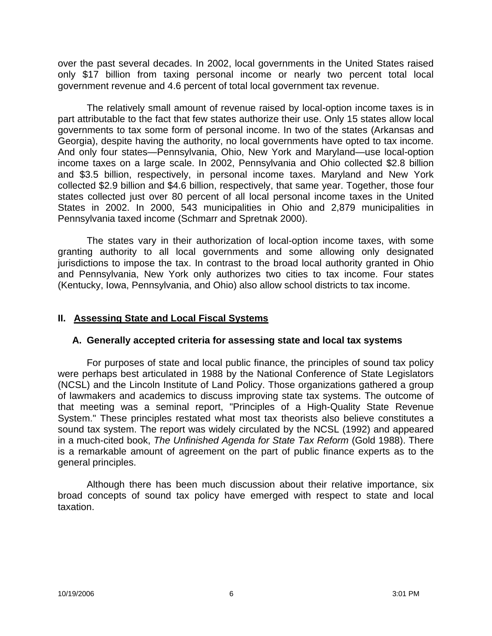over the past several decades. In 2002, local governments in the United States raised only \$17 billion from taxing personal income or nearly two percent total local government revenue and 4.6 percent of total local government tax revenue.

The relatively small amount of revenue raised by local-option income taxes is in part attributable to the fact that few states authorize their use. Only 15 states allow local governments to tax some form of personal income. In two of the states (Arkansas and Georgia), despite having the authority, no local governments have opted to tax income. And only four states—Pennsylvania, Ohio, New York and Maryland—use local-option income taxes on a large scale. In 2002, Pennsylvania and Ohio collected \$2.8 billion and \$3.5 billion, respectively, in personal income taxes. Maryland and New York collected \$2.9 billion and \$4.6 billion, respectively, that same year. Together, those four states collected just over 80 percent of all local personal income taxes in the United States in 2002. In 2000, 543 municipalities in Ohio and 2,879 municipalities in Pennsylvania taxed income (Schmarr and Spretnak 2000).

The states vary in their authorization of local-option income taxes, with some granting authority to all local governments and some allowing only designated jurisdictions to impose the tax. In contrast to the broad local authority granted in Ohio and Pennsylvania, New York only authorizes two cities to tax income. Four states (Kentucky, Iowa, Pennsylvania, and Ohio) also allow school districts to tax income.

#### **II. Assessing State and Local Fiscal Systems**

#### **A. Generally accepted criteria for assessing state and local tax systems**

For purposes of state and local public finance, the principles of sound tax policy were perhaps best articulated in 1988 by the National Conference of State Legislators (NCSL) and the Lincoln Institute of Land Policy. Those organizations gathered a group of lawmakers and academics to discuss improving state tax systems. The outcome of that meeting was a seminal report, "Principles of a High-Quality State Revenue System." These principles restated what most tax theorists also believe constitutes a sound tax system. The report was widely circulated by the NCSL (1992) and appeared in a much-cited book, *The Unfinished Agenda for State Tax Reform* (Gold 1988). There is a remarkable amount of agreement on the part of public finance experts as to the general principles.

Although there has been much discussion about their relative importance, six broad concepts of sound tax policy have emerged with respect to state and local taxation.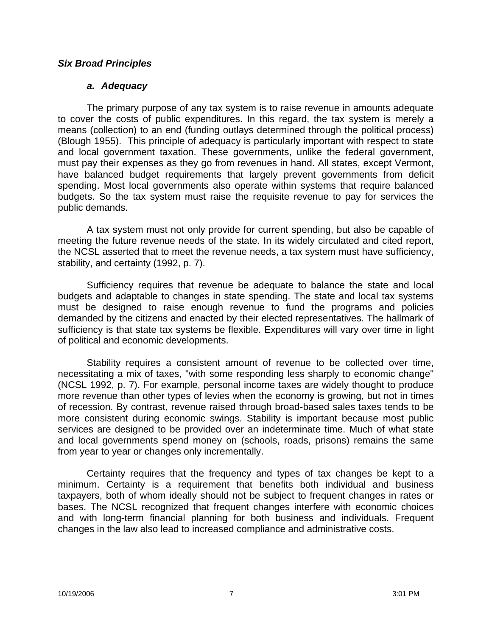#### *Six Broad Principles*

#### *a. Adequacy*

The primary purpose of any tax system is to raise revenue in amounts adequate to cover the costs of public expenditures. In this regard, the tax system is merely a means (collection) to an end (funding outlays determined through the political process) (Blough 1955). This principle of adequacy is particularly important with respect to state and local government taxation. These governments, unlike the federal government, must pay their expenses as they go from revenues in hand. All states, except Vermont, have balanced budget requirements that largely prevent governments from deficit spending. Most local governments also operate within systems that require balanced budgets. So the tax system must raise the requisite revenue to pay for services the public demands.

A tax system must not only provide for current spending, but also be capable of meeting the future revenue needs of the state. In its widely circulated and cited report, the NCSL asserted that to meet the revenue needs, a tax system must have sufficiency, stability, and certainty (1992, p. 7).

Sufficiency requires that revenue be adequate to balance the state and local budgets and adaptable to changes in state spending. The state and local tax systems must be designed to raise enough revenue to fund the programs and policies demanded by the citizens and enacted by their elected representatives. The hallmark of sufficiency is that state tax systems be flexible. Expenditures will vary over time in light of political and economic developments.

Stability requires a consistent amount of revenue to be collected over time, necessitating a mix of taxes, "with some responding less sharply to economic change" (NCSL 1992, p. 7). For example, personal income taxes are widely thought to produce more revenue than other types of levies when the economy is growing, but not in times of recession. By contrast, revenue raised through broad-based sales taxes tends to be more consistent during economic swings. Stability is important because most public services are designed to be provided over an indeterminate time. Much of what state and local governments spend money on (schools, roads, prisons) remains the same from year to year or changes only incrementally.

Certainty requires that the frequency and types of tax changes be kept to a minimum. Certainty is a requirement that benefits both individual and business taxpayers, both of whom ideally should not be subject to frequent changes in rates or bases. The NCSL recognized that frequent changes interfere with economic choices and with long-term financial planning for both business and individuals. Frequent changes in the law also lead to increased compliance and administrative costs.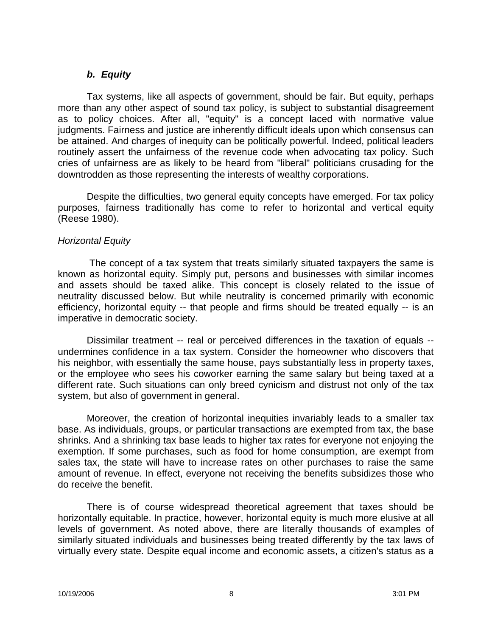#### *b. Equity*

Tax systems, like all aspects of government, should be fair. But equity, perhaps more than any other aspect of sound tax policy, is subject to substantial disagreement as to policy choices. After all, "equity" is a concept laced with normative value judgments. Fairness and justice are inherently difficult ideals upon which consensus can be attained. And charges of inequity can be politically powerful. Indeed, political leaders routinely assert the unfairness of the revenue code when advocating tax policy. Such cries of unfairness are as likely to be heard from "liberal" politicians crusading for the downtrodden as those representing the interests of wealthy corporations.

Despite the difficulties, two general equity concepts have emerged. For tax policy purposes, fairness traditionally has come to refer to horizontal and vertical equity (Reese 1980).

#### *Horizontal Equity*

The concept of a tax system that treats similarly situated taxpayers the same is known as horizontal equity. Simply put, persons and businesses with similar incomes and assets should be taxed alike. This concept is closely related to the issue of neutrality discussed below. But while neutrality is concerned primarily with economic efficiency, horizontal equity -- that people and firms should be treated equally -- is an imperative in democratic society.

Dissimilar treatment -- real or perceived differences in the taxation of equals - undermines confidence in a tax system. Consider the homeowner who discovers that his neighbor, with essentially the same house, pays substantially less in property taxes, or the employee who sees his coworker earning the same salary but being taxed at a different rate. Such situations can only breed cynicism and distrust not only of the tax system, but also of government in general.

Moreover, the creation of horizontal inequities invariably leads to a smaller tax base. As individuals, groups, or particular transactions are exempted from tax, the base shrinks. And a shrinking tax base leads to higher tax rates for everyone not enjoying the exemption. If some purchases, such as food for home consumption, are exempt from sales tax, the state will have to increase rates on other purchases to raise the same amount of revenue. In effect, everyone not receiving the benefits subsidizes those who do receive the benefit.

There is of course widespread theoretical agreement that taxes should be horizontally equitable. In practice, however, horizontal equity is much more elusive at all levels of government. As noted above, there are literally thousands of examples of similarly situated individuals and businesses being treated differently by the tax laws of virtually every state. Despite equal income and economic assets, a citizen's status as a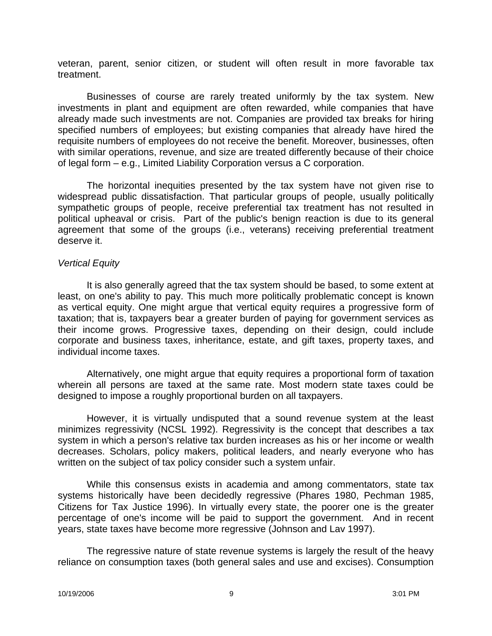veteran, parent, senior citizen, or student will often result in more favorable tax treatment.

Businesses of course are rarely treated uniformly by the tax system. New investments in plant and equipment are often rewarded, while companies that have already made such investments are not. Companies are provided tax breaks for hiring specified numbers of employees; but existing companies that already have hired the requisite numbers of employees do not receive the benefit. Moreover, businesses, often with similar operations, revenue, and size are treated differently because of their choice of legal form – e.g., Limited Liability Corporation versus a C corporation.

The horizontal inequities presented by the tax system have not given rise to widespread public dissatisfaction. That particular groups of people, usually politically sympathetic groups of people, receive preferential tax treatment has not resulted in political upheaval or crisis. Part of the public's benign reaction is due to its general agreement that some of the groups (i.e., veterans) receiving preferential treatment deserve it.

#### *Vertical Equity*

It is also generally agreed that the tax system should be based, to some extent at least, on one's ability to pay. This much more politically problematic concept is known as vertical equity. One might argue that vertical equity requires a progressive form of taxation; that is, taxpayers bear a greater burden of paying for government services as their income grows. Progressive taxes, depending on their design, could include corporate and business taxes, inheritance, estate, and gift taxes, property taxes, and individual income taxes.

Alternatively, one might argue that equity requires a proportional form of taxation wherein all persons are taxed at the same rate. Most modern state taxes could be designed to impose a roughly proportional burden on all taxpayers.

However, it is virtually undisputed that a sound revenue system at the least minimizes regressivity (NCSL 1992). Regressivity is the concept that describes a tax system in which a person's relative tax burden increases as his or her income or wealth decreases. Scholars, policy makers, political leaders, and nearly everyone who has written on the subject of tax policy consider such a system unfair.

While this consensus exists in academia and among commentators, state tax systems historically have been decidedly regressive (Phares 1980, Pechman 1985, Citizens for Tax Justice 1996). In virtually every state, the poorer one is the greater percentage of one's income will be paid to support the government. And in recent years, state taxes have become more regressive (Johnson and Lav 1997).

The regressive nature of state revenue systems is largely the result of the heavy reliance on consumption taxes (both general sales and use and excises). Consumption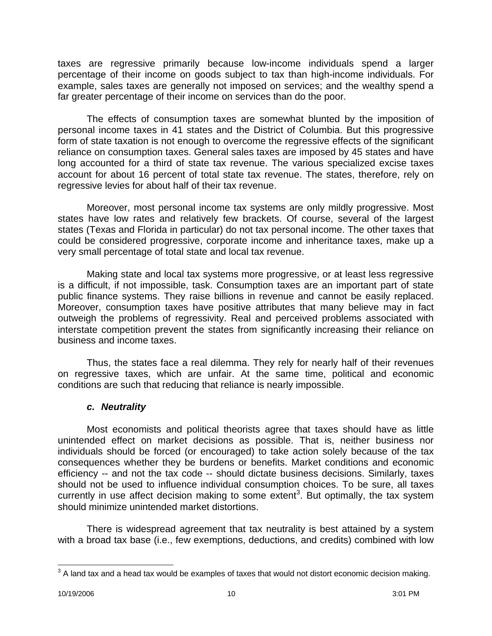taxes are regressive primarily because low-income individuals spend a larger percentage of their income on goods subject to tax than high-income individuals. For example, sales taxes are generally not imposed on services; and the wealthy spend a far greater percentage of their income on services than do the poor.

The effects of consumption taxes are somewhat blunted by the imposition of personal income taxes in 41 states and the District of Columbia. But this progressive form of state taxation is not enough to overcome the regressive effects of the significant reliance on consumption taxes. General sales taxes are imposed by 45 states and have long accounted for a third of state tax revenue. The various specialized excise taxes account for about 16 percent of total state tax revenue. The states, therefore, rely on regressive levies for about half of their tax revenue.

Moreover, most personal income tax systems are only mildly progressive. Most states have low rates and relatively few brackets. Of course, several of the largest states (Texas and Florida in particular) do not tax personal income. The other taxes that could be considered progressive, corporate income and inheritance taxes, make up a very small percentage of total state and local tax revenue.

Making state and local tax systems more progressive, or at least less regressive is a difficult, if not impossible, task. Consumption taxes are an important part of state public finance systems. They raise billions in revenue and cannot be easily replaced. Moreover, consumption taxes have positive attributes that many believe may in fact outweigh the problems of regressivity. Real and perceived problems associated with interstate competition prevent the states from significantly increasing their reliance on business and income taxes.

Thus, the states face a real dilemma. They rely for nearly half of their revenues on regressive taxes, which are unfair. At the same time, political and economic conditions are such that reducing that reliance is nearly impossible.

## *c. Neutrality*

Most economists and political theorists agree that taxes should have as little unintended effect on market decisions as possible. That is, neither business nor individuals should be forced (or encouraged) to take action solely because of the tax consequences whether they be burdens or benefits. Market conditions and economic efficiency -- and not the tax code -- should dictate business decisions. Similarly, taxes should not be used to influence individual consumption choices. To be sure, all taxes currently in use affect decision making to some extent<sup>3</sup>. But optimally, the tax system should minimize unintended market distortions.

There is widespread agreement that tax neutrality is best attained by a system with a broad tax base (i.e., few exemptions, deductions, and credits) combined with low

 $\overline{a}$  $3$  A land tax and a head tax would be examples of taxes that would not distort economic decision making.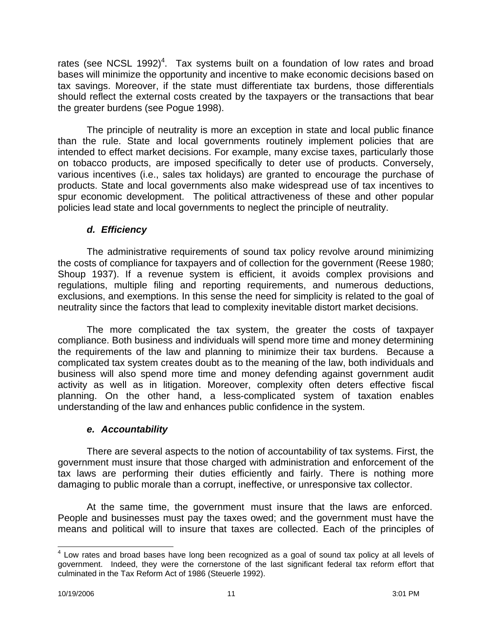rates (see NCSL 1992)<sup>4</sup>. Tax systems built on a foundation of low rates and broad bases will minimize the opportunity and incentive to make economic decisions based on tax savings. Moreover, if the state must differentiate tax burdens, those differentials should reflect the external costs created by the taxpayers or the transactions that bear the greater burdens (see Pogue 1998).

The principle of neutrality is more an exception in state and local public finance than the rule. State and local governments routinely implement policies that are intended to effect market decisions. For example, many excise taxes, particularly those on tobacco products, are imposed specifically to deter use of products. Conversely, various incentives (i.e., sales tax holidays) are granted to encourage the purchase of products. State and local governments also make widespread use of tax incentives to spur economic development. The political attractiveness of these and other popular policies lead state and local governments to neglect the principle of neutrality.

## *d. Efficiency*

The administrative requirements of sound tax policy revolve around minimizing the costs of compliance for taxpayers and of collection for the government (Reese 1980; Shoup 1937). If a revenue system is efficient, it avoids complex provisions and regulations, multiple filing and reporting requirements, and numerous deductions, exclusions, and exemptions. In this sense the need for simplicity is related to the goal of neutrality since the factors that lead to complexity inevitable distort market decisions.

The more complicated the tax system, the greater the costs of taxpayer compliance. Both business and individuals will spend more time and money determining the requirements of the law and planning to minimize their tax burdens. Because a complicated tax system creates doubt as to the meaning of the law, both individuals and business will also spend more time and money defending against government audit activity as well as in litigation. Moreover, complexity often deters effective fiscal planning. On the other hand, a less-complicated system of taxation enables understanding of the law and enhances public confidence in the system.

#### *e. Accountability*

There are several aspects to the notion of accountability of tax systems. First, the government must insure that those charged with administration and enforcement of the tax laws are performing their duties efficiently and fairly. There is nothing more damaging to public morale than a corrupt, ineffective, or unresponsive tax collector.

At the same time, the government must insure that the laws are enforced. People and businesses must pay the taxes owed; and the government must have the means and political will to insure that taxes are collected. Each of the principles of

 $\overline{a}$  $4$  Low rates and broad bases have long been recognized as a goal of sound tax policy at all levels of government. Indeed, they were the cornerstone of the last significant federal tax reform effort that culminated in the Tax Reform Act of 1986 (Steuerle 1992).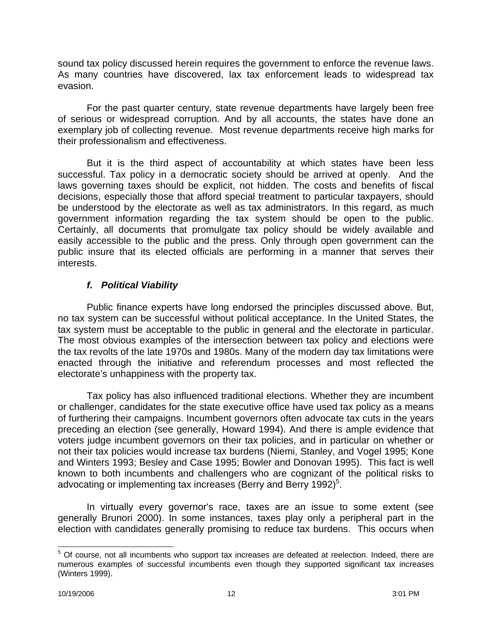sound tax policy discussed herein requires the government to enforce the revenue laws. As many countries have discovered, lax tax enforcement leads to widespread tax evasion.

For the past quarter century, state revenue departments have largely been free of serious or widespread corruption. And by all accounts, the states have done an exemplary job of collecting revenue. Most revenue departments receive high marks for their professionalism and effectiveness.

But it is the third aspect of accountability at which states have been less successful. Tax policy in a democratic society should be arrived at openly. And the laws governing taxes should be explicit, not hidden. The costs and benefits of fiscal decisions, especially those that afford special treatment to particular taxpayers, should be understood by the electorate as well as tax administrators. In this regard, as much government information regarding the tax system should be open to the public. Certainly, all documents that promulgate tax policy should be widely available and easily accessible to the public and the press. Only through open government can the public insure that its elected officials are performing in a manner that serves their interests.

## *f. Political Viability*

Public finance experts have long endorsed the principles discussed above. But, no tax system can be successful without political acceptance. In the United States, the tax system must be acceptable to the public in general and the electorate in particular. The most obvious examples of the intersection between tax policy and elections were the tax revolts of the late 1970s and 1980s. Many of the modern day tax limitations were enacted through the initiative and referendum processes and most reflected the electorate's unhappiness with the property tax.

Tax policy has also influenced traditional elections. Whether they are incumbent or challenger, candidates for the state executive office have used tax policy as a means of furthering their campaigns. Incumbent governors often advocate tax cuts in the years preceding an election (see generally, Howard 1994). And there is ample evidence that voters judge incumbent governors on their tax policies, and in particular on whether or not their tax policies would increase tax burdens (Niemi, Stanley, and Vogel 1995; Kone and Winters 1993; Besley and Case 1995; Bowler and Donovan 1995). This fact is well known to both incumbents and challengers who are cognizant of the political risks to advocating or implementing tax increases (Berry and Berry 1992)<sup>5</sup>.

In virtually every governor's race, taxes are an issue to some extent (see generally Brunori 2000). In some instances, taxes play only a peripheral part in the election with candidates generally promising to reduce tax burdens. This occurs when

<sup>&</sup>lt;u>5</u><br><sup>5</sup> Of course, not all incumbents who support tax increases are defeated at reelection. Indeed, there are numerous examples of successful incumbents even though they supported significant tax increases (Winters 1999).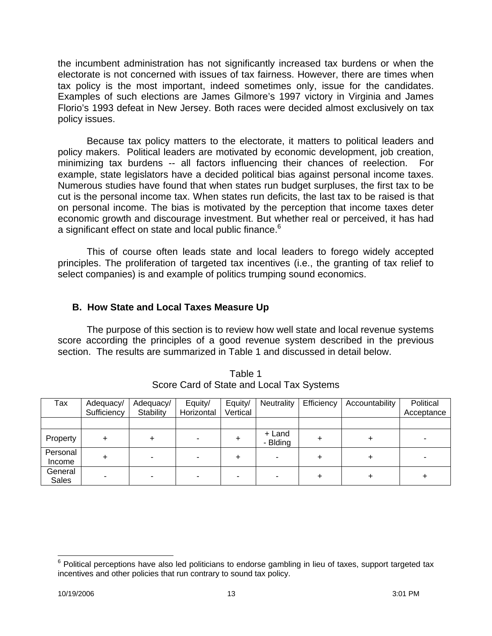the incumbent administration has not significantly increased tax burdens or when the electorate is not concerned with issues of tax fairness. However, there are times when tax policy is the most important, indeed sometimes only, issue for the candidates. Examples of such elections are James Gilmore's 1997 victory in Virginia and James Florio's 1993 defeat in New Jersey. Both races were decided almost exclusively on tax policy issues.

Because tax policy matters to the electorate, it matters to political leaders and policy makers. Political leaders are motivated by economic development, job creation, minimizing tax burdens -- all factors influencing their chances of reelection. For example, state legislators have a decided political bias against personal income taxes. Numerous studies have found that when states run budget surpluses, the first tax to be cut is the personal income tax. When states run deficits, the last tax to be raised is that on personal income. The bias is motivated by the perception that income taxes deter economic growth and discourage investment. But whether real or perceived, it has had a significant effect on state and local public finance.<sup>6</sup>

This of course often leads state and local leaders to forego widely accepted principles. The proliferation of targeted tax incentives (i.e., the granting of tax relief to select companies) is and example of politics trumping sound economics.

## **B. How State and Local Taxes Measure Up**

The purpose of this section is to review how well state and local revenue systems score according the principles of a good revenue system described in the previous section. The results are summarized in Table 1 and discussed in detail below.

| Tax                     | Adequacy/<br>Sufficiency | Adequacy/<br>Stability | Equity/<br>Horizontal | Equity/<br>Vertical | Neutrality         | Efficiency | Accountability | Political<br>Acceptance |
|-------------------------|--------------------------|------------------------|-----------------------|---------------------|--------------------|------------|----------------|-------------------------|
|                         |                          |                        |                       |                     |                    |            |                |                         |
| Property                |                          |                        |                       |                     | + Land<br>- Blding |            |                |                         |
| Personal<br>Income      |                          |                        |                       | +                   |                    |            |                |                         |
| General<br><b>Sales</b> |                          |                        |                       |                     |                    |            |                |                         |

Table 1 Score Card of State and Local Tax Systems

 $\overline{a}$ 

 $6$  Political perceptions have also led politicians to endorse gambling in lieu of taxes, support targeted tax incentives and other policies that run contrary to sound tax policy.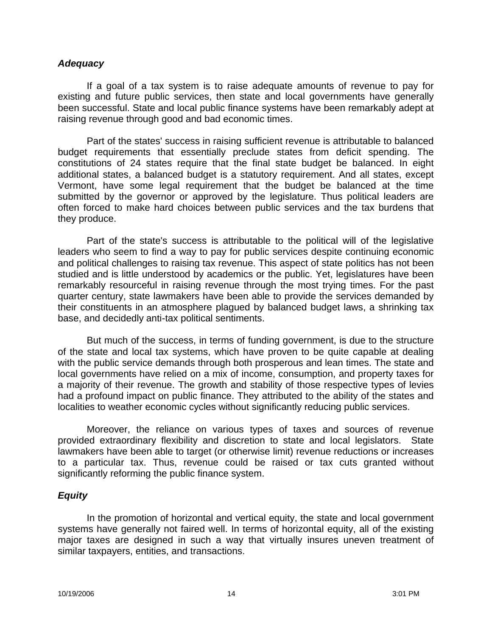#### *Adequacy*

If a goal of a tax system is to raise adequate amounts of revenue to pay for existing and future public services, then state and local governments have generally been successful. State and local public finance systems have been remarkably adept at raising revenue through good and bad economic times.

Part of the states' success in raising sufficient revenue is attributable to balanced budget requirements that essentially preclude states from deficit spending. The constitutions of 24 states require that the final state budget be balanced. In eight additional states, a balanced budget is a statutory requirement. And all states, except Vermont, have some legal requirement that the budget be balanced at the time submitted by the governor or approved by the legislature. Thus political leaders are often forced to make hard choices between public services and the tax burdens that they produce.

Part of the state's success is attributable to the political will of the legislative leaders who seem to find a way to pay for public services despite continuing economic and political challenges to raising tax revenue. This aspect of state politics has not been studied and is little understood by academics or the public. Yet, legislatures have been remarkably resourceful in raising revenue through the most trying times. For the past quarter century, state lawmakers have been able to provide the services demanded by their constituents in an atmosphere plagued by balanced budget laws, a shrinking tax base, and decidedly anti-tax political sentiments.

But much of the success, in terms of funding government, is due to the structure of the state and local tax systems, which have proven to be quite capable at dealing with the public service demands through both prosperous and lean times. The state and local governments have relied on a mix of income, consumption, and property taxes for a majority of their revenue. The growth and stability of those respective types of levies had a profound impact on public finance. They attributed to the ability of the states and localities to weather economic cycles without significantly reducing public services.

Moreover, the reliance on various types of taxes and sources of revenue provided extraordinary flexibility and discretion to state and local legislators. State lawmakers have been able to target (or otherwise limit) revenue reductions or increases to a particular tax. Thus, revenue could be raised or tax cuts granted without significantly reforming the public finance system.

#### *Equity*

In the promotion of horizontal and vertical equity, the state and local government systems have generally not faired well. In terms of horizontal equity, all of the existing major taxes are designed in such a way that virtually insures uneven treatment of similar taxpayers, entities, and transactions.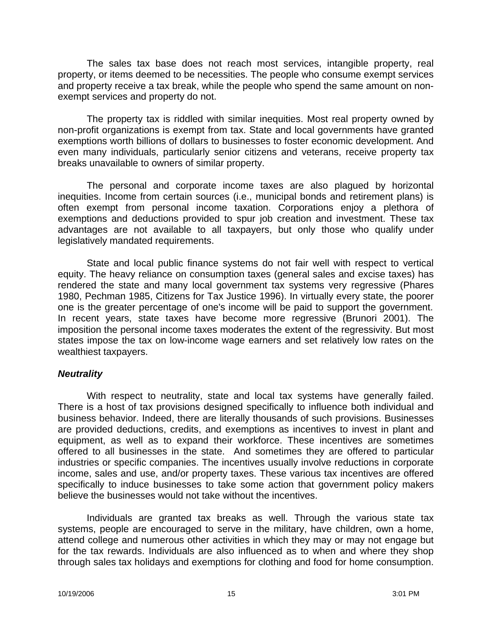The sales tax base does not reach most services, intangible property, real property, or items deemed to be necessities. The people who consume exempt services and property receive a tax break, while the people who spend the same amount on nonexempt services and property do not.

The property tax is riddled with similar inequities. Most real property owned by non-profit organizations is exempt from tax. State and local governments have granted exemptions worth billions of dollars to businesses to foster economic development. And even many individuals, particularly senior citizens and veterans, receive property tax breaks unavailable to owners of similar property.

The personal and corporate income taxes are also plagued by horizontal inequities. Income from certain sources (i.e., municipal bonds and retirement plans) is often exempt from personal income taxation. Corporations enjoy a plethora of exemptions and deductions provided to spur job creation and investment. These tax advantages are not available to all taxpayers, but only those who qualify under legislatively mandated requirements.

State and local public finance systems do not fair well with respect to vertical equity. The heavy reliance on consumption taxes (general sales and excise taxes) has rendered the state and many local government tax systems very regressive (Phares 1980, Pechman 1985, Citizens for Tax Justice 1996). In virtually every state, the poorer one is the greater percentage of one's income will be paid to support the government. In recent years, state taxes have become more regressive (Brunori 2001). The imposition the personal income taxes moderates the extent of the regressivity. But most states impose the tax on low-income wage earners and set relatively low rates on the wealthiest taxpayers.

#### *Neutrality*

With respect to neutrality, state and local tax systems have generally failed. There is a host of tax provisions designed specifically to influence both individual and business behavior. Indeed, there are literally thousands of such provisions. Businesses are provided deductions, credits, and exemptions as incentives to invest in plant and equipment, as well as to expand their workforce. These incentives are sometimes offered to all businesses in the state. And sometimes they are offered to particular industries or specific companies. The incentives usually involve reductions in corporate income, sales and use, and/or property taxes. These various tax incentives are offered specifically to induce businesses to take some action that government policy makers believe the businesses would not take without the incentives.

Individuals are granted tax breaks as well. Through the various state tax systems, people are encouraged to serve in the military, have children, own a home, attend college and numerous other activities in which they may or may not engage but for the tax rewards. Individuals are also influenced as to when and where they shop through sales tax holidays and exemptions for clothing and food for home consumption.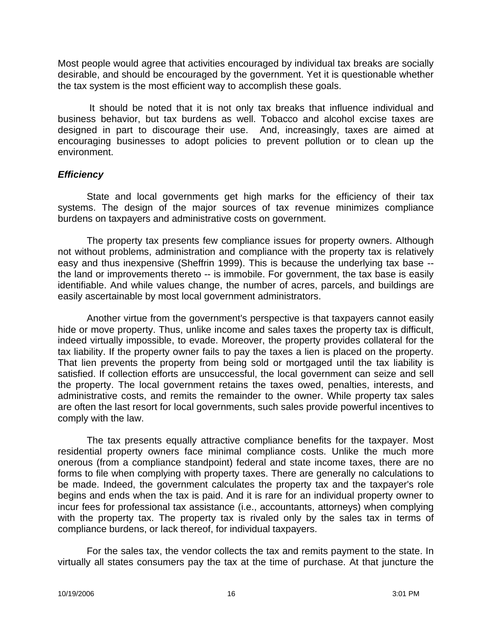Most people would agree that activities encouraged by individual tax breaks are socially desirable, and should be encouraged by the government. Yet it is questionable whether the tax system is the most efficient way to accomplish these goals.

It should be noted that it is not only tax breaks that influence individual and business behavior, but tax burdens as well. Tobacco and alcohol excise taxes are designed in part to discourage their use. And, increasingly, taxes are aimed at encouraging businesses to adopt policies to prevent pollution or to clean up the environment.

#### *Efficiency*

State and local governments get high marks for the efficiency of their tax systems. The design of the major sources of tax revenue minimizes compliance burdens on taxpayers and administrative costs on government.

The property tax presents few compliance issues for property owners. Although not without problems, administration and compliance with the property tax is relatively easy and thus inexpensive (Sheffrin 1999). This is because the underlying tax base - the land or improvements thereto -- is immobile. For government, the tax base is easily identifiable. And while values change, the number of acres, parcels, and buildings are easily ascertainable by most local government administrators.

Another virtue from the government's perspective is that taxpayers cannot easily hide or move property. Thus, unlike income and sales taxes the property tax is difficult, indeed virtually impossible, to evade. Moreover, the property provides collateral for the tax liability. If the property owner fails to pay the taxes a lien is placed on the property. That lien prevents the property from being sold or mortgaged until the tax liability is satisfied. If collection efforts are unsuccessful, the local government can seize and sell the property. The local government retains the taxes owed, penalties, interests, and administrative costs, and remits the remainder to the owner. While property tax sales are often the last resort for local governments, such sales provide powerful incentives to comply with the law.

The tax presents equally attractive compliance benefits for the taxpayer. Most residential property owners face minimal compliance costs. Unlike the much more onerous (from a compliance standpoint) federal and state income taxes, there are no forms to file when complying with property taxes. There are generally no calculations to be made. Indeed, the government calculates the property tax and the taxpayer's role begins and ends when the tax is paid. And it is rare for an individual property owner to incur fees for professional tax assistance (i.e., accountants, attorneys) when complying with the property tax. The property tax is rivaled only by the sales tax in terms of compliance burdens, or lack thereof, for individual taxpayers.

For the sales tax, the vendor collects the tax and remits payment to the state. In virtually all states consumers pay the tax at the time of purchase. At that juncture the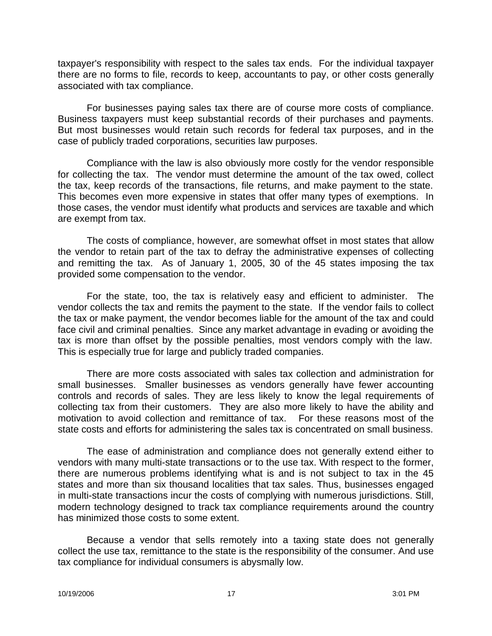taxpayer's responsibility with respect to the sales tax ends. For the individual taxpayer there are no forms to file, records to keep, accountants to pay, or other costs generally associated with tax compliance.

For businesses paying sales tax there are of course more costs of compliance. Business taxpayers must keep substantial records of their purchases and payments. But most businesses would retain such records for federal tax purposes, and in the case of publicly traded corporations, securities law purposes.

Compliance with the law is also obviously more costly for the vendor responsible for collecting the tax. The vendor must determine the amount of the tax owed, collect the tax, keep records of the transactions, file returns, and make payment to the state. This becomes even more expensive in states that offer many types of exemptions. In those cases, the vendor must identify what products and services are taxable and which are exempt from tax.

The costs of compliance, however, are somewhat offset in most states that allow the vendor to retain part of the tax to defray the administrative expenses of collecting and remitting the tax. As of January 1, 2005, 30 of the 45 states imposing the tax provided some compensation to the vendor.

For the state, too, the tax is relatively easy and efficient to administer. The vendor collects the tax and remits the payment to the state. If the vendor fails to collect the tax or make payment, the vendor becomes liable for the amount of the tax and could face civil and criminal penalties. Since any market advantage in evading or avoiding the tax is more than offset by the possible penalties, most vendors comply with the law. This is especially true for large and publicly traded companies.

There are more costs associated with sales tax collection and administration for small businesses. Smaller businesses as vendors generally have fewer accounting controls and records of sales. They are less likely to know the legal requirements of collecting tax from their customers. They are also more likely to have the ability and motivation to avoid collection and remittance of tax. For these reasons most of the state costs and efforts for administering the sales tax is concentrated on small business.

The ease of administration and compliance does not generally extend either to vendors with many multi-state transactions or to the use tax. With respect to the former, there are numerous problems identifying what is and is not subject to tax in the 45 states and more than six thousand localities that tax sales. Thus, businesses engaged in multi-state transactions incur the costs of complying with numerous jurisdictions. Still, modern technology designed to track tax compliance requirements around the country has minimized those costs to some extent.

Because a vendor that sells remotely into a taxing state does not generally collect the use tax, remittance to the state is the responsibility of the consumer. And use tax compliance for individual consumers is abysmally low.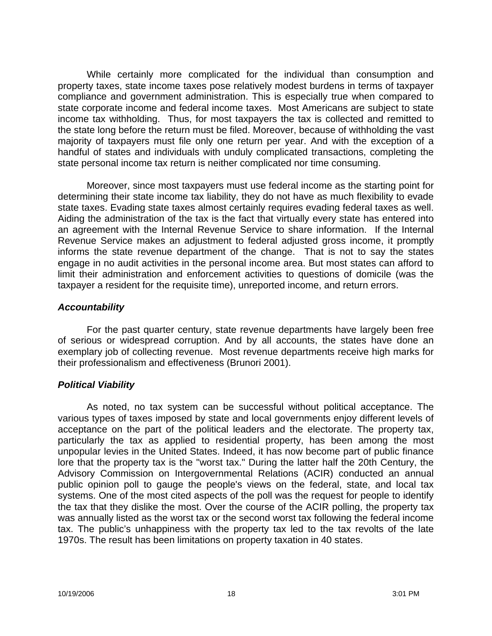While certainly more complicated for the individual than consumption and property taxes, state income taxes pose relatively modest burdens in terms of taxpayer compliance and government administration. This is especially true when compared to state corporate income and federal income taxes. Most Americans are subject to state income tax withholding. Thus, for most taxpayers the tax is collected and remitted to the state long before the return must be filed. Moreover, because of withholding the vast majority of taxpayers must file only one return per year. And with the exception of a handful of states and individuals with unduly complicated transactions, completing the state personal income tax return is neither complicated nor time consuming.

Moreover, since most taxpayers must use federal income as the starting point for determining their state income tax liability, they do not have as much flexibility to evade state taxes. Evading state taxes almost certainly requires evading federal taxes as well. Aiding the administration of the tax is the fact that virtually every state has entered into an agreement with the Internal Revenue Service to share information. If the Internal Revenue Service makes an adjustment to federal adjusted gross income, it promptly informs the state revenue department of the change. That is not to say the states engage in no audit activities in the personal income area. But most states can afford to limit their administration and enforcement activities to questions of domicile (was the taxpayer a resident for the requisite time), unreported income, and return errors.

#### *Accountability*

For the past quarter century, state revenue departments have largely been free of serious or widespread corruption. And by all accounts, the states have done an exemplary job of collecting revenue. Most revenue departments receive high marks for their professionalism and effectiveness (Brunori 2001).

## *Political Viability*

As noted, no tax system can be successful without political acceptance. The various types of taxes imposed by state and local governments enjoy different levels of acceptance on the part of the political leaders and the electorate. The property tax, particularly the tax as applied to residential property, has been among the most unpopular levies in the United States. Indeed, it has now become part of public finance lore that the property tax is the "worst tax." During the latter half the 20th Century, the Advisory Commission on Intergovernmental Relations (ACIR) conducted an annual public opinion poll to gauge the people's views on the federal, state, and local tax systems. One of the most cited aspects of the poll was the request for people to identify the tax that they dislike the most. Over the course of the ACIR polling, the property tax was annually listed as the worst tax or the second worst tax following the federal income tax. The public's unhappiness with the property tax led to the tax revolts of the late 1970s. The result has been limitations on property taxation in 40 states.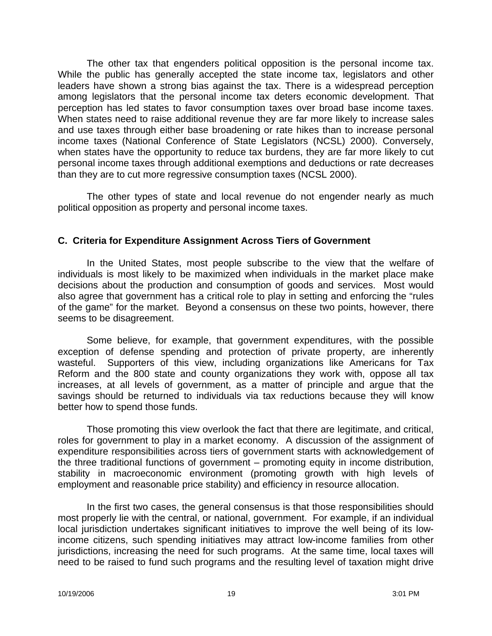The other tax that engenders political opposition is the personal income tax. While the public has generally accepted the state income tax, legislators and other leaders have shown a strong bias against the tax. There is a widespread perception among legislators that the personal income tax deters economic development. That perception has led states to favor consumption taxes over broad base income taxes. When states need to raise additional revenue they are far more likely to increase sales and use taxes through either base broadening or rate hikes than to increase personal income taxes (National Conference of State Legislators (NCSL) 2000). Conversely, when states have the opportunity to reduce tax burdens, they are far more likely to cut personal income taxes through additional exemptions and deductions or rate decreases than they are to cut more regressive consumption taxes (NCSL 2000).

The other types of state and local revenue do not engender nearly as much political opposition as property and personal income taxes.

#### **C. Criteria for Expenditure Assignment Across Tiers of Government**

In the United States, most people subscribe to the view that the welfare of individuals is most likely to be maximized when individuals in the market place make decisions about the production and consumption of goods and services. Most would also agree that government has a critical role to play in setting and enforcing the "rules of the game" for the market. Beyond a consensus on these two points, however, there seems to be disagreement.

Some believe, for example, that government expenditures, with the possible exception of defense spending and protection of private property, are inherently wasteful. Supporters of this view, including organizations like Americans for Tax Reform and the 800 state and county organizations they work with, oppose all tax increases, at all levels of government, as a matter of principle and argue that the savings should be returned to individuals via tax reductions because they will know better how to spend those funds.

Those promoting this view overlook the fact that there are legitimate, and critical, roles for government to play in a market economy. A discussion of the assignment of expenditure responsibilities across tiers of government starts with acknowledgement of the three traditional functions of government – promoting equity in income distribution, stability in macroeconomic environment (promoting growth with high levels of employment and reasonable price stability) and efficiency in resource allocation.

In the first two cases, the general consensus is that those responsibilities should most properly lie with the central, or national, government. For example, if an individual local jurisdiction undertakes significant initiatives to improve the well being of its lowincome citizens, such spending initiatives may attract low-income families from other jurisdictions, increasing the need for such programs. At the same time, local taxes will need to be raised to fund such programs and the resulting level of taxation might drive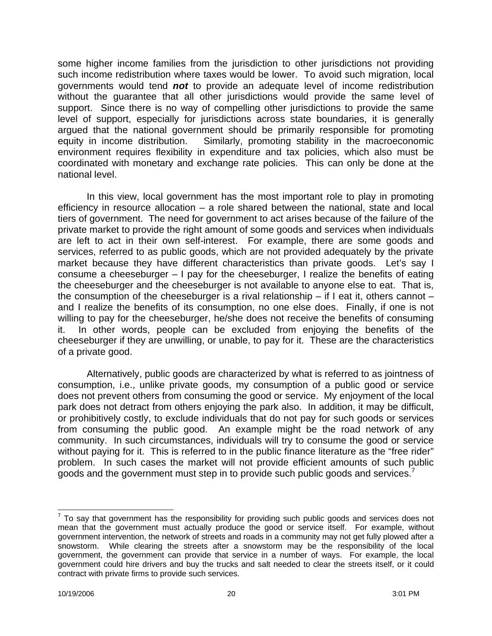some higher income families from the jurisdiction to other jurisdictions not providing such income redistribution where taxes would be lower. To avoid such migration, local governments would tend *not* to provide an adequate level of income redistribution without the guarantee that all other jurisdictions would provide the same level of support. Since there is no way of compelling other jurisdictions to provide the same level of support, especially for jurisdictions across state boundaries, it is generally argued that the national government should be primarily responsible for promoting equity in income distribution. Similarly, promoting stability in the macroeconomic environment requires flexibility in expenditure and tax policies, which also must be coordinated with monetary and exchange rate policies. This can only be done at the national level.

In this view, local government has the most important role to play in promoting efficiency in resource allocation – a role shared between the national, state and local tiers of government. The need for government to act arises because of the failure of the private market to provide the right amount of some goods and services when individuals are left to act in their own self-interest. For example, there are some goods and services, referred to as public goods, which are not provided adequately by the private market because they have different characteristics than private goods. Let's say I consume a cheeseburger – I pay for the cheeseburger, I realize the benefits of eating the cheeseburger and the cheeseburger is not available to anyone else to eat. That is, the consumption of the cheeseburger is a rival relationship – if I eat it, others cannot – and I realize the benefits of its consumption, no one else does. Finally, if one is not willing to pay for the cheeseburger, he/she does not receive the benefits of consuming it. In other words, people can be excluded from enjoying the benefits of the cheeseburger if they are unwilling, or unable, to pay for it. These are the characteristics of a private good.

Alternatively, public goods are characterized by what is referred to as jointness of consumption, i.e., unlike private goods, my consumption of a public good or service does not prevent others from consuming the good or service. My enjoyment of the local park does not detract from others enjoying the park also. In addition, it may be difficult, or prohibitively costly, to exclude individuals that do not pay for such goods or services from consuming the public good. An example might be the road network of any community. In such circumstances, individuals will try to consume the good or service without paying for it. This is referred to in the public finance literature as the "free rider" problem. In such cases the market will not provide efficient amounts of such public goods and the government must step in to provide such public goods and services.<sup>7</sup>

 $\overline{a}$  $7$  To say that government has the responsibility for providing such public goods and services does not mean that the government must actually produce the good or service itself. For example, without government intervention, the network of streets and roads in a community may not get fully plowed after a snowstorm. While clearing the streets after a snowstorm may be the responsibility of the local government, the government can provide that service in a number of ways. For example, the local government could hire drivers and buy the trucks and salt needed to clear the streets itself, or it could contract with private firms to provide such services.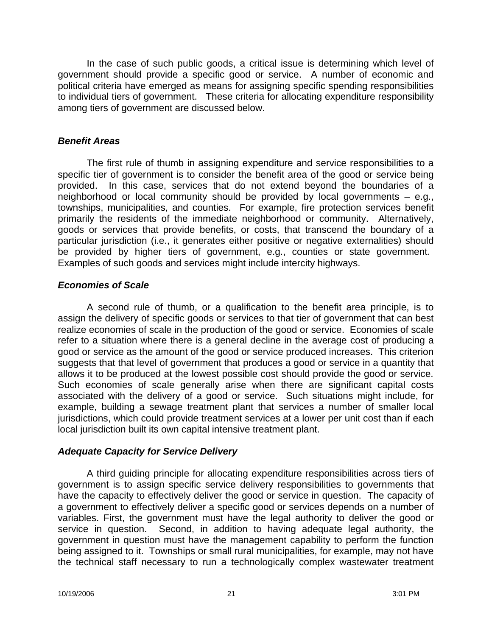In the case of such public goods, a critical issue is determining which level of government should provide a specific good or service. A number of economic and political criteria have emerged as means for assigning specific spending responsibilities to individual tiers of government. These criteria for allocating expenditure responsibility among tiers of government are discussed below.

#### *Benefit Areas*

The first rule of thumb in assigning expenditure and service responsibilities to a specific tier of government is to consider the benefit area of the good or service being provided. In this case, services that do not extend beyond the boundaries of a neighborhood or local community should be provided by local governments – e.g., townships, municipalities, and counties. For example, fire protection services benefit primarily the residents of the immediate neighborhood or community. Alternatively, goods or services that provide benefits, or costs, that transcend the boundary of a particular jurisdiction (i.e., it generates either positive or negative externalities) should be provided by higher tiers of government, e.g., counties or state government. Examples of such goods and services might include intercity highways.

## *Economies of Scale*

A second rule of thumb, or a qualification to the benefit area principle, is to assign the delivery of specific goods or services to that tier of government that can best realize economies of scale in the production of the good or service. Economies of scale refer to a situation where there is a general decline in the average cost of producing a good or service as the amount of the good or service produced increases. This criterion suggests that that level of government that produces a good or service in a quantity that allows it to be produced at the lowest possible cost should provide the good or service. Such economies of scale generally arise when there are significant capital costs associated with the delivery of a good or service. Such situations might include, for example, building a sewage treatment plant that services a number of smaller local jurisdictions, which could provide treatment services at a lower per unit cost than if each local jurisdiction built its own capital intensive treatment plant.

#### *Adequate Capacity for Service Delivery*

A third guiding principle for allocating expenditure responsibilities across tiers of government is to assign specific service delivery responsibilities to governments that have the capacity to effectively deliver the good or service in question. The capacity of a government to effectively deliver a specific good or services depends on a number of variables. First, the government must have the legal authority to deliver the good or service in question. Second, in addition to having adequate legal authority, the government in question must have the management capability to perform the function being assigned to it. Townships or small rural municipalities, for example, may not have the technical staff necessary to run a technologically complex wastewater treatment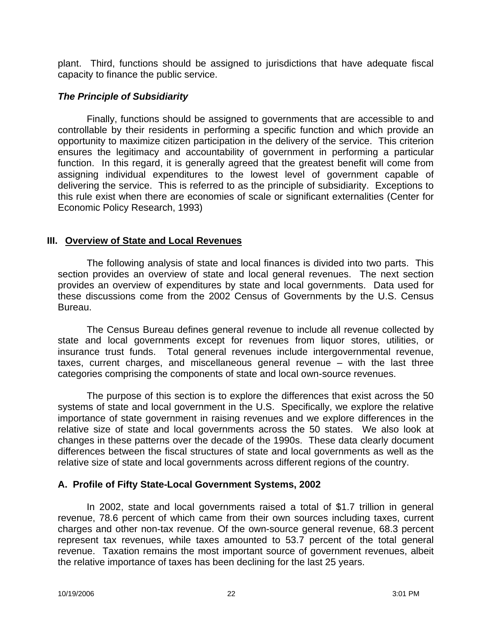plant. Third, functions should be assigned to jurisdictions that have adequate fiscal capacity to finance the public service.

## *The Principle of Subsidiarity*

Finally, functions should be assigned to governments that are accessible to and controllable by their residents in performing a specific function and which provide an opportunity to maximize citizen participation in the delivery of the service. This criterion ensures the legitimacy and accountability of government in performing a particular function. In this regard, it is generally agreed that the greatest benefit will come from assigning individual expenditures to the lowest level of government capable of delivering the service. This is referred to as the principle of subsidiarity. Exceptions to this rule exist when there are economies of scale or significant externalities (Center for Economic Policy Research, 1993)

# **III. Overview of State and Local Revenues**

The following analysis of state and local finances is divided into two parts. This section provides an overview of state and local general revenues. The next section provides an overview of expenditures by state and local governments. Data used for these discussions come from the 2002 Census of Governments by the U.S. Census Bureau.

The Census Bureau defines general revenue to include all revenue collected by state and local governments except for revenues from liquor stores, utilities, or insurance trust funds. Total general revenues include intergovernmental revenue, taxes, current charges, and miscellaneous general revenue – with the last three categories comprising the components of state and local own-source revenues.

The purpose of this section is to explore the differences that exist across the 50 systems of state and local government in the U.S. Specifically, we explore the relative importance of state government in raising revenues and we explore differences in the relative size of state and local governments across the 50 states. We also look at changes in these patterns over the decade of the 1990s. These data clearly document differences between the fiscal structures of state and local governments as well as the relative size of state and local governments across different regions of the country.

## **A. Profile of Fifty State-Local Government Systems, 2002**

In 2002, state and local governments raised a total of \$1.7 trillion in general revenue, 78.6 percent of which came from their own sources including taxes, current charges and other non-tax revenue. Of the own-source general revenue, 68.3 percent represent tax revenues, while taxes amounted to 53.7 percent of the total general revenue. Taxation remains the most important source of government revenues, albeit the relative importance of taxes has been declining for the last 25 years.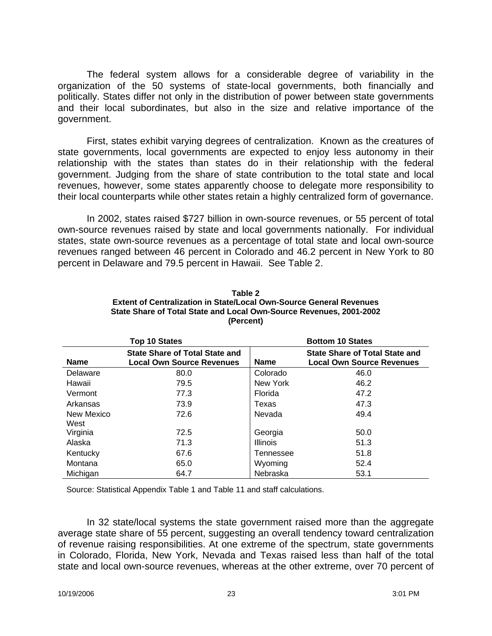The federal system allows for a considerable degree of variability in the organization of the 50 systems of state-local governments, both financially and politically. States differ not only in the distribution of power between state governments and their local subordinates, but also in the size and relative importance of the government.

First, states exhibit varying degrees of centralization. Known as the creatures of state governments, local governments are expected to enjoy less autonomy in their relationship with the states than states do in their relationship with the federal government. Judging from the share of state contribution to the total state and local revenues, however, some states apparently choose to delegate more responsibility to their local counterparts while other states retain a highly centralized form of governance.

In 2002, states raised \$727 billion in own-source revenues, or 55 percent of total own-source revenues raised by state and local governments nationally. For individual states, state own-source revenues as a percentage of total state and local own-source revenues ranged between 46 percent in Colorado and 46.2 percent in New York to 80 percent in Delaware and 79.5 percent in Hawaii. See Table 2.

|             | Top 10 States                                                             |                 | <b>Bottom 10 States</b>                                                   |
|-------------|---------------------------------------------------------------------------|-----------------|---------------------------------------------------------------------------|
| <b>Name</b> | <b>State Share of Total State and</b><br><b>Local Own Source Revenues</b> | <b>Name</b>     | <b>State Share of Total State and</b><br><b>Local Own Source Revenues</b> |
| Delaware    | 80.0                                                                      | Colorado        | 46.0                                                                      |
| Hawaii      | 79.5                                                                      | New York        | 46.2                                                                      |
| Vermont     | 77.3                                                                      | Florida         | 47.2                                                                      |
| Arkansas    | 73.9                                                                      | Texas           | 47.3                                                                      |
| New Mexico  | 72.6                                                                      | Nevada          | 49.4                                                                      |
| West        |                                                                           |                 |                                                                           |
| Virginia    | 72.5                                                                      | Georgia         | 50.0                                                                      |
| Alaska      | 71.3                                                                      | <b>Illinois</b> | 51.3                                                                      |
| Kentucky    | 67.6                                                                      | Tennessee       | 51.8                                                                      |
| Montana     | 65.0                                                                      | Wyoming         | 52.4                                                                      |
| Michigan    | 64.7                                                                      | Nebraska        | 53.1                                                                      |

**Table 2 Extent of Centralization in State/Local Own-Source General Revenues State Share of Total State and Local Own-Source Revenues, 2001-2002 (Percent)**

Source: Statistical Appendix Table 1 and Table 11 and staff calculations.

In 32 state/local systems the state government raised more than the aggregate average state share of 55 percent, suggesting an overall tendency toward centralization of revenue raising responsibilities. At one extreme of the spectrum, state governments in Colorado, Florida, New York, Nevada and Texas raised less than half of the total state and local own-source revenues, whereas at the other extreme, over 70 percent of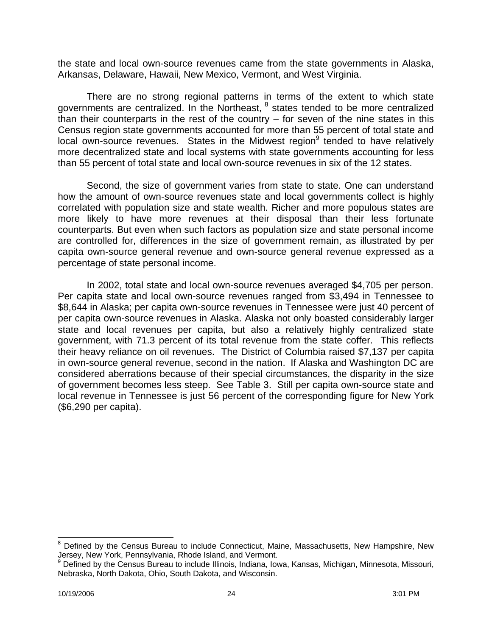the state and local own-source revenues came from the state governments in Alaska, Arkansas, Delaware, Hawaii, New Mexico, Vermont, and West Virginia.

There are no strong regional patterns in terms of the extent to which state governments are centralized. In the Northeast,  $8$  states tended to be more centralized than their counterparts in the rest of the country  $-$  for seven of the nine states in this Census region state governments accounted for more than 55 percent of total state and local own-source revenues. States in the Midwest region<sup>9</sup> tended to have relatively more decentralized state and local systems with state governments accounting for less than 55 percent of total state and local own-source revenues in six of the 12 states.

Second, the size of government varies from state to state. One can understand how the amount of own-source revenues state and local governments collect is highly correlated with population size and state wealth. Richer and more populous states are more likely to have more revenues at their disposal than their less fortunate counterparts. But even when such factors as population size and state personal income are controlled for, differences in the size of government remain, as illustrated by per capita own-source general revenue and own-source general revenue expressed as a percentage of state personal income.

In 2002, total state and local own-source revenues averaged \$4,705 per person. Per capita state and local own-source revenues ranged from \$3,494 in Tennessee to \$8,644 in Alaska; per capita own-source revenues in Tennessee were just 40 percent of per capita own-source revenues in Alaska. Alaska not only boasted considerably larger state and local revenues per capita, but also a relatively highly centralized state government, with 71.3 percent of its total revenue from the state coffer. This reflects their heavy reliance on oil revenues. The District of Columbia raised \$7,137 per capita in own-source general revenue, second in the nation. If Alaska and Washington DC are considered aberrations because of their special circumstances, the disparity in the size of government becomes less steep. See Table 3. Still per capita own-source state and local revenue in Tennessee is just 56 percent of the corresponding figure for New York (\$6,290 per capita).

 $\overline{a}$ 

<sup>&</sup>lt;sup>8</sup> Defined by the Census Bureau to include Connecticut, Maine, Massachusetts, New Hampshire, New

Jersey, New York, Pennsylvania, Rhode Island, and Vermont.<br><sup>9</sup> Defined by the Census Bureau to include Illinois, Indiana, Iowa, Kansas, Michigan, Minnesota, Missouri, Nebraska, North Dakota, Ohio, South Dakota, and Wisconsin.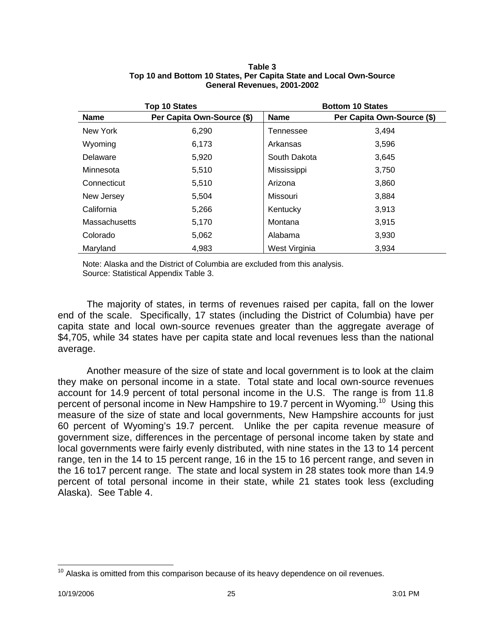|               | <b>Top 10 States</b>       |               | <b>Bottom 10 States</b>    |
|---------------|----------------------------|---------------|----------------------------|
| <b>Name</b>   | Per Capita Own-Source (\$) | <b>Name</b>   | Per Capita Own-Source (\$) |
| New York      | 6,290                      | Tennessee     | 3,494                      |
| Wyoming       | 6,173                      | Arkansas      | 3,596                      |
| Delaware      | 5,920                      | South Dakota  | 3,645                      |
| Minnesota     | 5,510                      | Mississippi   | 3,750                      |
| Connecticut   | 5,510                      | Arizona       | 3,860                      |
| New Jersey    | 5,504                      | Missouri      | 3,884                      |
| California    | 5,266                      | Kentucky      | 3,913                      |
| Massachusetts | 5,170                      | Montana       | 3,915                      |
| Colorado      | 5,062                      | Alabama       | 3,930                      |
| Maryland      | 4,983                      | West Virginia | 3,934                      |

#### **Table 3 Top 10 and Bottom 10 States, Per Capita State and Local Own-Source General Revenues, 2001-2002**

Note: Alaska and the District of Columbia are excluded from this analysis. Source: Statistical Appendix Table 3.

The majority of states, in terms of revenues raised per capita, fall on the lower end of the scale. Specifically, 17 states (including the District of Columbia) have per capita state and local own-source revenues greater than the aggregate average of \$4,705, while 34 states have per capita state and local revenues less than the national average.

Another measure of the size of state and local government is to look at the claim they make on personal income in a state. Total state and local own-source revenues account for 14.9 percent of total personal income in the U.S. The range is from 11.8 percent of personal income in New Hampshire to 19.7 percent in Wyoming.<sup>10</sup> Using this measure of the size of state and local governments, New Hampshire accounts for just 60 percent of Wyoming's 19.7 percent. Unlike the per capita revenue measure of government size, differences in the percentage of personal income taken by state and local governments were fairly evenly distributed, with nine states in the 13 to 14 percent range, ten in the 14 to 15 percent range, 16 in the 15 to 16 percent range, and seven in the 16 to17 percent range. The state and local system in 28 states took more than 14.9 percent of total personal income in their state, while 21 states took less (excluding Alaska). See Table 4.

 $\overline{a}$  $10$  Alaska is omitted from this comparison because of its heavy dependence on oil revenues.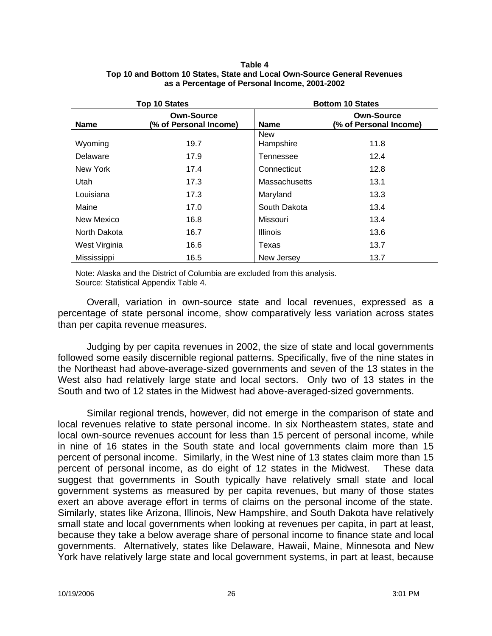#### **Table 4 Top 10 and Bottom 10 States, State and Local Own-Source General Revenues as a Percentage of Personal Income, 2001-2002**

|               | <b>Top 10 States</b>                        |                         | <b>Bottom 10 States</b>                     |
|---------------|---------------------------------------------|-------------------------|---------------------------------------------|
| <b>Name</b>   | <b>Own-Source</b><br>(% of Personal Income) | <b>Name</b>             | <b>Own-Source</b><br>(% of Personal Income) |
| Wyoming       | 19.7                                        | <b>New</b><br>Hampshire | 11.8                                        |
| Delaware      | 17.9                                        | Tennessee               | 12.4                                        |
| New York      | 17.4                                        | Connecticut             | 12.8                                        |
| Utah          | 17.3                                        | <b>Massachusetts</b>    | 13.1                                        |
| Louisiana     | 17.3                                        | Maryland                | 13.3                                        |
| Maine         | 17.0                                        | South Dakota            | 13.4                                        |
| New Mexico    | 16.8                                        | Missouri                | 13.4                                        |
| North Dakota  | 16.7                                        | <b>Illinois</b>         | 13.6                                        |
| West Virginia | 16.6                                        | Texas                   | 13.7                                        |
| Mississippi   | 16.5                                        | New Jersey              | 13.7                                        |

Note: Alaska and the District of Columbia are excluded from this analysis. Source: Statistical Appendix Table 4.

Overall, variation in own-source state and local revenues, expressed as a percentage of state personal income, show comparatively less variation across states than per capita revenue measures.

Judging by per capita revenues in 2002, the size of state and local governments followed some easily discernible regional patterns. Specifically, five of the nine states in the Northeast had above-average-sized governments and seven of the 13 states in the West also had relatively large state and local sectors. Only two of 13 states in the South and two of 12 states in the Midwest had above-averaged-sized governments.

Similar regional trends, however, did not emerge in the comparison of state and local revenues relative to state personal income. In six Northeastern states, state and local own-source revenues account for less than 15 percent of personal income, while in nine of 16 states in the South state and local governments claim more than 15 percent of personal income. Similarly, in the West nine of 13 states claim more than 15 percent of personal income, as do eight of 12 states in the Midwest. These data suggest that governments in South typically have relatively small state and local government systems as measured by per capita revenues, but many of those states exert an above average effort in terms of claims on the personal income of the state. Similarly, states like Arizona, Illinois, New Hampshire, and South Dakota have relatively small state and local governments when looking at revenues per capita, in part at least, because they take a below average share of personal income to finance state and local governments. Alternatively, states like Delaware, Hawaii, Maine, Minnesota and New York have relatively large state and local government systems, in part at least, because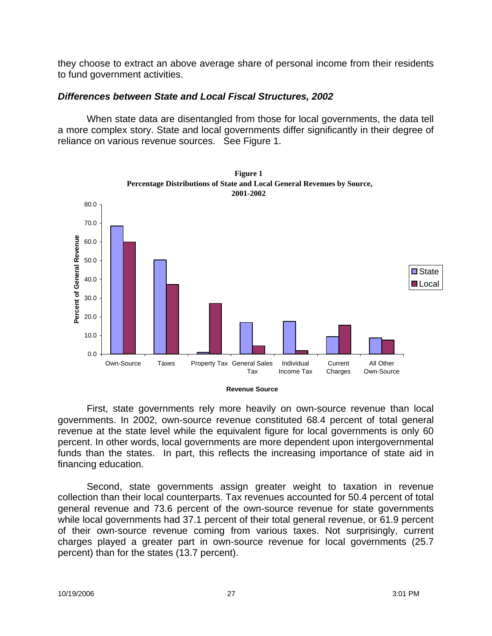they choose to extract an above average share of personal income from their residents to fund government activities.

## *Differences between State and Local Fiscal Structures, 2002*

When state data are disentangled from those for local governments, the data tell a more complex story. State and local governments differ significantly in their degree of reliance on various revenue sources. See Figure 1.



First, state governments rely more heavily on own-source revenue than local governments. In 2002, own-source revenue constituted 68.4 percent of total general revenue at the state level while the equivalent figure for local governments is only 60 percent. In other words, local governments are more dependent upon intergovernmental funds than the states. In part, this reflects the increasing importance of state aid in financing education.

Second, state governments assign greater weight to taxation in revenue collection than their local counterparts. Tax revenues accounted for 50.4 percent of total general revenue and 73.6 percent of the own-source revenue for state governments while local governments had 37.1 percent of their total general revenue, or 61.9 percent of their own-source revenue coming from various taxes. Not surprisingly, current charges played a greater part in own-source revenue for local governments (25.7 percent) than for the states (13.7 percent).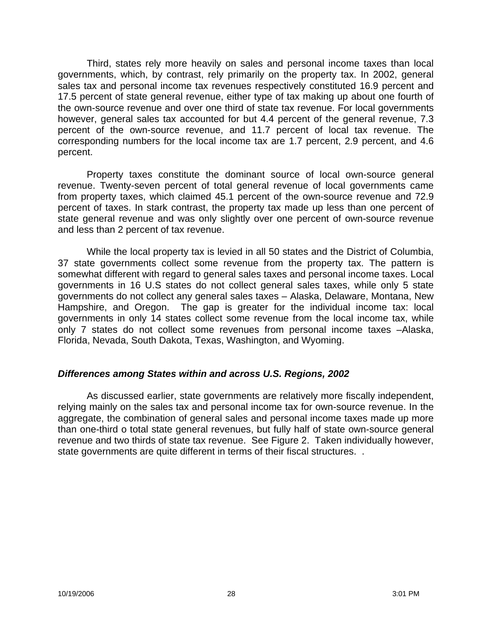Third, states rely more heavily on sales and personal income taxes than local governments, which, by contrast, rely primarily on the property tax. In 2002, general sales tax and personal income tax revenues respectively constituted 16.9 percent and 17.5 percent of state general revenue, either type of tax making up about one fourth of the own-source revenue and over one third of state tax revenue. For local governments however, general sales tax accounted for but 4.4 percent of the general revenue, 7.3 percent of the own-source revenue, and 11.7 percent of local tax revenue. The corresponding numbers for the local income tax are 1.7 percent, 2.9 percent, and 4.6 percent.

Property taxes constitute the dominant source of local own-source general revenue. Twenty-seven percent of total general revenue of local governments came from property taxes, which claimed 45.1 percent of the own-source revenue and 72.9 percent of taxes. In stark contrast, the property tax made up less than one percent of state general revenue and was only slightly over one percent of own-source revenue and less than 2 percent of tax revenue.

While the local property tax is levied in all 50 states and the District of Columbia, 37 state governments collect some revenue from the property tax. The pattern is somewhat different with regard to general sales taxes and personal income taxes. Local governments in 16 U.S states do not collect general sales taxes, while only 5 state governments do not collect any general sales taxes – Alaska, Delaware, Montana, New Hampshire, and Oregon. The gap is greater for the individual income tax: local governments in only 14 states collect some revenue from the local income tax, while only 7 states do not collect some revenues from personal income taxes –Alaska, Florida, Nevada, South Dakota, Texas, Washington, and Wyoming.

## *Differences among States within and across U.S. Regions, 2002*

As discussed earlier, state governments are relatively more fiscally independent, relying mainly on the sales tax and personal income tax for own-source revenue. In the aggregate, the combination of general sales and personal income taxes made up more than one-third o total state general revenues, but fully half of state own-source general revenue and two thirds of state tax revenue. See Figure 2. Taken individually however, state governments are quite different in terms of their fiscal structures. .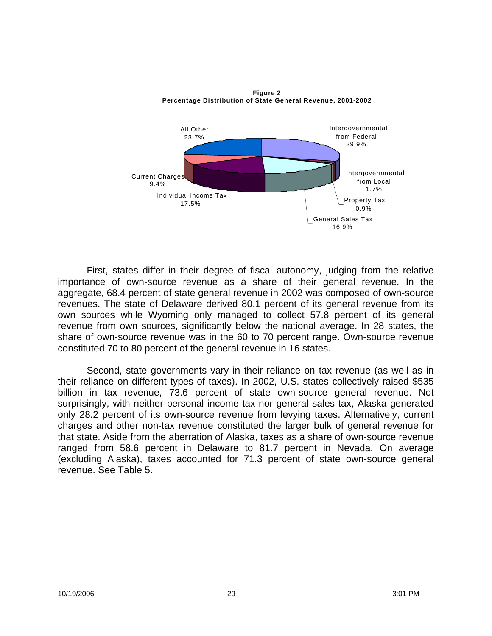

**Figure 2**

First, states differ in their degree of fiscal autonomy, judging from the relative importance of own-source revenue as a share of their general revenue. In the aggregate, 68.4 percent of state general revenue in 2002 was composed of own-source revenues. The state of Delaware derived 80.1 percent of its general revenue from its own sources while Wyoming only managed to collect 57.8 percent of its general revenue from own sources, significantly below the national average. In 28 states, the share of own-source revenue was in the 60 to 70 percent range. Own-source revenue constituted 70 to 80 percent of the general revenue in 16 states.

Second, state governments vary in their reliance on tax revenue (as well as in their reliance on different types of taxes). In 2002, U.S. states collectively raised \$535 billion in tax revenue, 73.6 percent of state own-source general revenue. Not surprisingly, with neither personal income tax nor general sales tax, Alaska generated only 28.2 percent of its own-source revenue from levying taxes. Alternatively, current charges and other non-tax revenue constituted the larger bulk of general revenue for that state. Aside from the aberration of Alaska, taxes as a share of own-source revenue ranged from 58.6 percent in Delaware to 81.7 percent in Nevada. On average (excluding Alaska), taxes accounted for 71.3 percent of state own-source general revenue. See Table 5.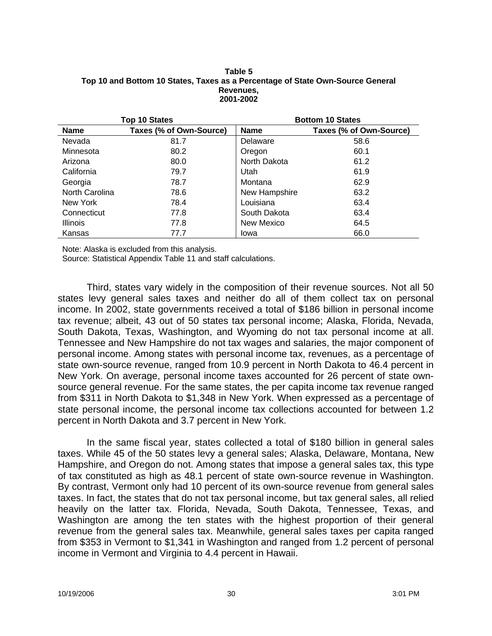#### **Table 5 Top 10 and Bottom 10 States, Taxes as a Percentage of State Own-Source General Revenues, 2001-2002**

|                 | <b>Top 10 States</b>    |               | <b>Bottom 10 States</b> |
|-----------------|-------------------------|---------------|-------------------------|
| <b>Name</b>     | Taxes (% of Own-Source) | <b>Name</b>   | Taxes (% of Own-Source) |
| Nevada          | 81.7                    | Delaware      | 58.6                    |
| Minnesota       | 80.2                    | Oregon        | 60.1                    |
| Arizona         | 80.0                    | North Dakota  | 61.2                    |
| California      | 79.7                    | Utah          | 61.9                    |
| Georgia         | 78.7                    | Montana       | 62.9                    |
| North Carolina  | 78.6                    | New Hampshire | 63.2                    |
| New York        | 78.4                    | Louisiana     | 63.4                    |
| Connecticut     | 77.8                    | South Dakota  | 63.4                    |
| <b>Illinois</b> | 77.8                    | New Mexico    | 64.5                    |
| Kansas          | 77.7                    | Iowa          | 66.0                    |

Note: Alaska is excluded from this analysis.

Source: Statistical Appendix Table 11 and staff calculations.

Third, states vary widely in the composition of their revenue sources. Not all 50 states levy general sales taxes and neither do all of them collect tax on personal income. In 2002, state governments received a total of \$186 billion in personal income tax revenue; albeit, 43 out of 50 states tax personal income; Alaska, Florida, Nevada, South Dakota, Texas, Washington, and Wyoming do not tax personal income at all. Tennessee and New Hampshire do not tax wages and salaries, the major component of personal income. Among states with personal income tax, revenues, as a percentage of state own-source revenue, ranged from 10.9 percent in North Dakota to 46.4 percent in New York. On average, personal income taxes accounted for 26 percent of state ownsource general revenue. For the same states, the per capita income tax revenue ranged from \$311 in North Dakota to \$1,348 in New York. When expressed as a percentage of state personal income, the personal income tax collections accounted for between 1.2 percent in North Dakota and 3.7 percent in New York.

In the same fiscal year, states collected a total of \$180 billion in general sales taxes. While 45 of the 50 states levy a general sales; Alaska, Delaware, Montana, New Hampshire, and Oregon do not. Among states that impose a general sales tax, this type of tax constituted as high as 48.1 percent of state own-source revenue in Washington. By contrast, Vermont only had 10 percent of its own-source revenue from general sales taxes. In fact, the states that do not tax personal income, but tax general sales, all relied heavily on the latter tax. Florida, Nevada, South Dakota, Tennessee, Texas, and Washington are among the ten states with the highest proportion of their general revenue from the general sales tax. Meanwhile, general sales taxes per capita ranged from \$353 in Vermont to \$1,341 in Washington and ranged from 1.2 percent of personal income in Vermont and Virginia to 4.4 percent in Hawaii.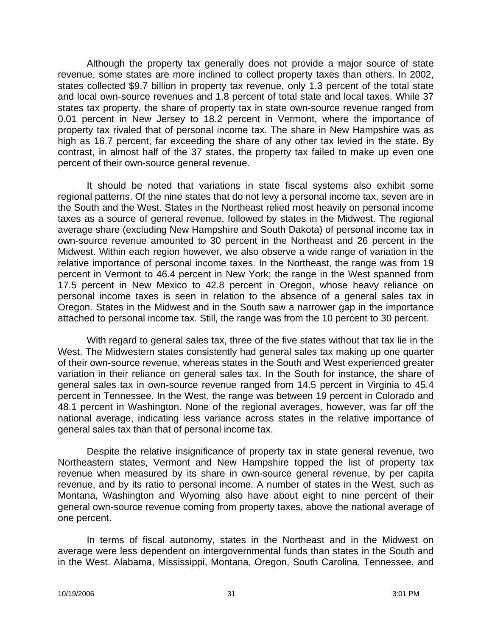Although the property tax generally does not provide a major source of state revenue, some states are more inclined to collect property taxes than others. In 2002, states collected \$9.7 billion in property tax revenue, only 1.3 percent of the total state and local own-source revenues and 1.8 percent of total state and local taxes. While 37 states tax property, the share of property tax in state own-source revenue ranged from 0.01 percent in New Jersey to 18.2 percent in Vermont, where the importance of property tax rivaled that of personal income tax. The share in New Hampshire was as high as 16.7 percent, far exceeding the share of any other tax levied in the state. By contrast, in almost half of the 37 states, the property tax failed to make up even one percent of their own-source general revenue.

It should be noted that variations in state fiscal systems also exhibit some regional patterns. Of the nine states that do not levy a personal income tax, seven are in the South and the West. States in the Northeast relied most heavily on personal income taxes as a source of general revenue, followed by states in the Midwest. The regional average share (excluding New Hampshire and South Dakota) of personal income tax in own-source revenue amounted to 30 percent in the Northeast and 26 percent in the Midwest. Within each region however, we also observe a wide range of variation in the relative importance of personal income taxes. In the Northeast, the range was from 19 percent in Vermont to 46.4 percent in New York; the range in the West spanned from 17.5 percent in New Mexico to 42.8 percent in Oregon, whose heavy reliance on personal income taxes is seen in relation to the absence of a general sales tax in Oregon. States in the Midwest and in the South saw a narrower gap in the importance attached to personal income tax. Still, the range was from the 10 percent to 30 percent.

With regard to general sales tax, three of the five states without that tax lie in the West. The Midwestern states consistently had general sales tax making up one quarter of their own-source revenue, whereas states in the South and West experienced greater variation in their reliance on general sales tax. In the South for instance, the share of general sales tax in own-source revenue ranged from 14.5 percent in Virginia to 45.4 percent in Tennessee. In the West, the range was between 19 percent in Colorado and 48.1 percent in Washington. None of the regional averages, however, was far off the national average, indicating less variance across states in the relative importance of general sales tax than that of personal income tax.

Despite the relative insignificance of property tax in state general revenue, two Northeastern states, Vermont and New Hampshire topped the list of property tax revenue when measured by its share in own-source general revenue, by per capita revenue, and by its ratio to personal income. A number of states in the West, such as Montana, Washington and Wyoming also have about eight to nine percent of their general own-source revenue coming from property taxes, above the national average of one percent.

In terms of fiscal autonomy, states in the Northeast and in the Midwest on average were less dependent on intergovernmental funds than states in the South and in the West. Alabama, Mississippi, Montana, Oregon, South Carolina, Tennessee, and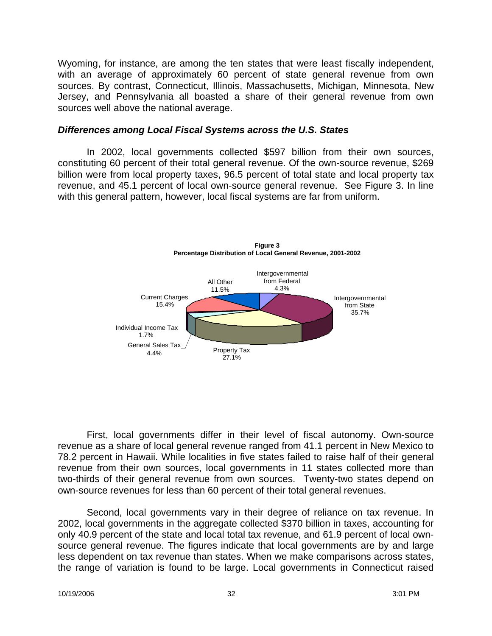Wyoming, for instance, are among the ten states that were least fiscally independent, with an average of approximately 60 percent of state general revenue from own sources. By contrast, Connecticut, Illinois, Massachusetts, Michigan, Minnesota, New Jersey, and Pennsylvania all boasted a share of their general revenue from own sources well above the national average.

### *Differences among Local Fiscal Systems across the U.S. States*

In 2002, local governments collected \$597 billion from their own sources, constituting 60 percent of their total general revenue. Of the own-source revenue, \$269 billion were from local property taxes, 96.5 percent of total state and local property tax revenue, and 45.1 percent of local own-source general revenue. See Figure 3. In line with this general pattern, however, local fiscal systems are far from uniform.



First, local governments differ in their level of fiscal autonomy. Own-source revenue as a share of local general revenue ranged from 41.1 percent in New Mexico to 78.2 percent in Hawaii. While localities in five states failed to raise half of their general revenue from their own sources, local governments in 11 states collected more than two-thirds of their general revenue from own sources. Twenty-two states depend on own-source revenues for less than 60 percent of their total general revenues.

Second, local governments vary in their degree of reliance on tax revenue. In 2002, local governments in the aggregate collected \$370 billion in taxes, accounting for only 40.9 percent of the state and local total tax revenue, and 61.9 percent of local ownsource general revenue. The figures indicate that local governments are by and large less dependent on tax revenue than states. When we make comparisons across states, the range of variation is found to be large. Local governments in Connecticut raised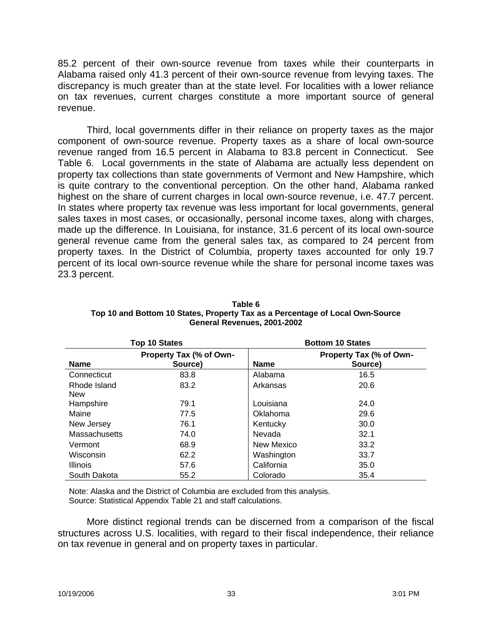85.2 percent of their own-source revenue from taxes while their counterparts in Alabama raised only 41.3 percent of their own-source revenue from levying taxes. The discrepancy is much greater than at the state level. For localities with a lower reliance on tax revenues, current charges constitute a more important source of general revenue.

Third, local governments differ in their reliance on property taxes as the major component of own-source revenue. Property taxes as a share of local own-source revenue ranged from 16.5 percent in Alabama to 83.8 percent in Connecticut. See Table 6. Local governments in the state of Alabama are actually less dependent on property tax collections than state governments of Vermont and New Hampshire, which is quite contrary to the conventional perception. On the other hand, Alabama ranked highest on the share of current charges in local own-source revenue, i.e. 47.7 percent. In states where property tax revenue was less important for local governments, general sales taxes in most cases, or occasionally, personal income taxes, along with charges, made up the difference. In Louisiana, for instance, 31.6 percent of its local own-source general revenue came from the general sales tax, as compared to 24 percent from property taxes. In the District of Columbia, property taxes accounted for only 19.7 percent of its local own-source revenue while the share for personal income taxes was 23.3 percent.

|                            | <b>Top 10 States</b>               |             | <b>Bottom 10 States</b>            |
|----------------------------|------------------------------------|-------------|------------------------------------|
| <b>Name</b>                | Property Tax (% of Own-<br>Source) | <b>Name</b> | Property Tax (% of Own-<br>Source) |
| Connecticut                | 83.8                               | Alabama     | 16.5                               |
| Rhode Island<br><b>New</b> | 83.2                               | Arkansas    | 20.6                               |
| Hampshire                  | 79.1                               | Louisiana   | 24.0                               |
| Maine                      | 77.5                               | Oklahoma    | 29.6                               |
| New Jersey                 | 76.1                               | Kentucky    | 30.0                               |
| Massachusetts              | 74.0                               | Nevada      | 32.1                               |
| Vermont                    | 68.9                               | New Mexico  | 33.2                               |
| Wisconsin                  | 62.2                               | Washington  | 33.7                               |
| <b>Illinois</b>            | 57.6                               | California  | 35.0                               |
| South Dakota               | 55.2                               | Colorado    | 35.4                               |

**Table 6 Top 10 and Bottom 10 States, Property Tax as a Percentage of Local Own-Source General Revenues, 2001-2002**

Note: Alaska and the District of Columbia are excluded from this analysis. Source: Statistical Appendix Table 21 and staff calculations.

More distinct regional trends can be discerned from a comparison of the fiscal structures across U.S. localities, with regard to their fiscal independence, their reliance on tax revenue in general and on property taxes in particular.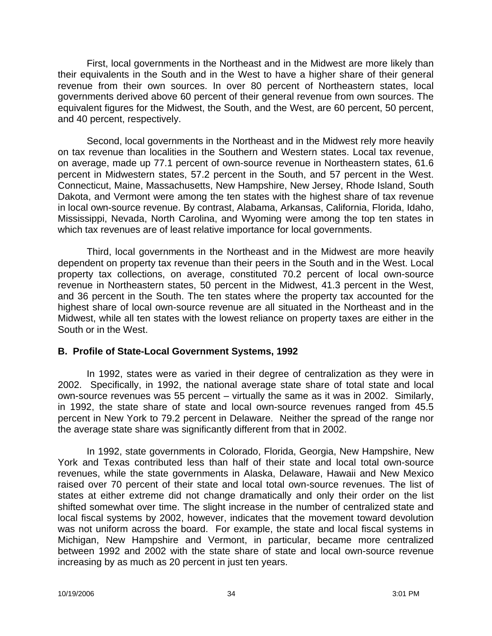First, local governments in the Northeast and in the Midwest are more likely than their equivalents in the South and in the West to have a higher share of their general revenue from their own sources. In over 80 percent of Northeastern states, local governments derived above 60 percent of their general revenue from own sources. The equivalent figures for the Midwest, the South, and the West, are 60 percent, 50 percent, and 40 percent, respectively.

Second, local governments in the Northeast and in the Midwest rely more heavily on tax revenue than localities in the Southern and Western states. Local tax revenue, on average, made up 77.1 percent of own-source revenue in Northeastern states, 61.6 percent in Midwestern states, 57.2 percent in the South, and 57 percent in the West. Connecticut, Maine, Massachusetts, New Hampshire, New Jersey, Rhode Island, South Dakota, and Vermont were among the ten states with the highest share of tax revenue in local own-source revenue. By contrast, Alabama, Arkansas, California, Florida, Idaho, Mississippi, Nevada, North Carolina, and Wyoming were among the top ten states in which tax revenues are of least relative importance for local governments.

Third, local governments in the Northeast and in the Midwest are more heavily dependent on property tax revenue than their peers in the South and in the West. Local property tax collections, on average, constituted 70.2 percent of local own-source revenue in Northeastern states, 50 percent in the Midwest, 41.3 percent in the West, and 36 percent in the South. The ten states where the property tax accounted for the highest share of local own-source revenue are all situated in the Northeast and in the Midwest, while all ten states with the lowest reliance on property taxes are either in the South or in the West.

## **B. Profile of State-Local Government Systems, 1992**

In 1992, states were as varied in their degree of centralization as they were in 2002. Specifically, in 1992, the national average state share of total state and local own-source revenues was 55 percent – virtually the same as it was in 2002. Similarly, in 1992, the state share of state and local own-source revenues ranged from 45.5 percent in New York to 79.2 percent in Delaware. Neither the spread of the range nor the average state share was significantly different from that in 2002.

In 1992, state governments in Colorado, Florida, Georgia, New Hampshire, New York and Texas contributed less than half of their state and local total own-source revenues, while the state governments in Alaska, Delaware, Hawaii and New Mexico raised over 70 percent of their state and local total own-source revenues. The list of states at either extreme did not change dramatically and only their order on the list shifted somewhat over time. The slight increase in the number of centralized state and local fiscal systems by 2002, however, indicates that the movement toward devolution was not uniform across the board. For example, the state and local fiscal systems in Michigan, New Hampshire and Vermont, in particular, became more centralized between 1992 and 2002 with the state share of state and local own-source revenue increasing by as much as 20 percent in just ten years.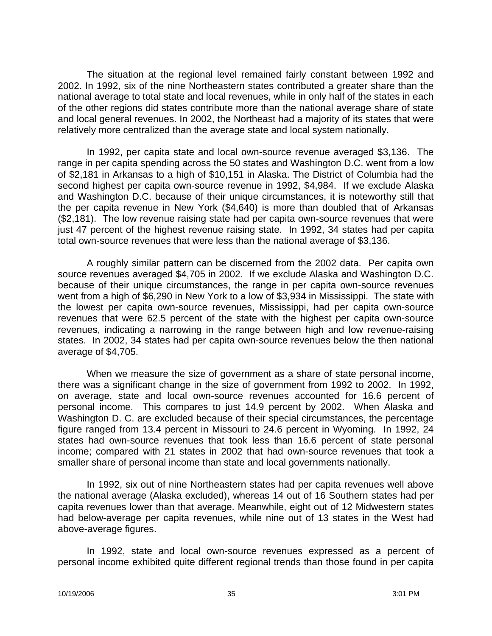The situation at the regional level remained fairly constant between 1992 and 2002. In 1992, six of the nine Northeastern states contributed a greater share than the national average to total state and local revenues, while in only half of the states in each of the other regions did states contribute more than the national average share of state and local general revenues. In 2002, the Northeast had a majority of its states that were relatively more centralized than the average state and local system nationally.

In 1992, per capita state and local own-source revenue averaged \$3,136. The range in per capita spending across the 50 states and Washington D.C. went from a low of \$2,181 in Arkansas to a high of \$10,151 in Alaska. The District of Columbia had the second highest per capita own-source revenue in 1992, \$4,984. If we exclude Alaska and Washington D.C. because of their unique circumstances, it is noteworthy still that the per capita revenue in New York (\$4,640) is more than doubled that of Arkansas (\$2,181). The low revenue raising state had per capita own-source revenues that were just 47 percent of the highest revenue raising state. In 1992, 34 states had per capita total own-source revenues that were less than the national average of \$3,136.

A roughly similar pattern can be discerned from the 2002 data. Per capita own source revenues averaged \$4,705 in 2002. If we exclude Alaska and Washington D.C. because of their unique circumstances, the range in per capita own-source revenues went from a high of \$6,290 in New York to a low of \$3,934 in Mississippi. The state with the lowest per capita own-source revenues, Mississippi, had per capita own-source revenues that were 62.5 percent of the state with the highest per capita own-source revenues, indicating a narrowing in the range between high and low revenue-raising states. In 2002, 34 states had per capita own-source revenues below the then national average of \$4,705.

When we measure the size of government as a share of state personal income, there was a significant change in the size of government from 1992 to 2002. In 1992, on average, state and local own-source revenues accounted for 16.6 percent of personal income. This compares to just 14.9 percent by 2002. When Alaska and Washington D. C. are excluded because of their special circumstances, the percentage figure ranged from 13.4 percent in Missouri to 24.6 percent in Wyoming. In 1992, 24 states had own-source revenues that took less than 16.6 percent of state personal income; compared with 21 states in 2002 that had own-source revenues that took a smaller share of personal income than state and local governments nationally.

In 1992, six out of nine Northeastern states had per capita revenues well above the national average (Alaska excluded), whereas 14 out of 16 Southern states had per capita revenues lower than that average. Meanwhile, eight out of 12 Midwestern states had below-average per capita revenues, while nine out of 13 states in the West had above-average figures.

In 1992, state and local own-source revenues expressed as a percent of personal income exhibited quite different regional trends than those found in per capita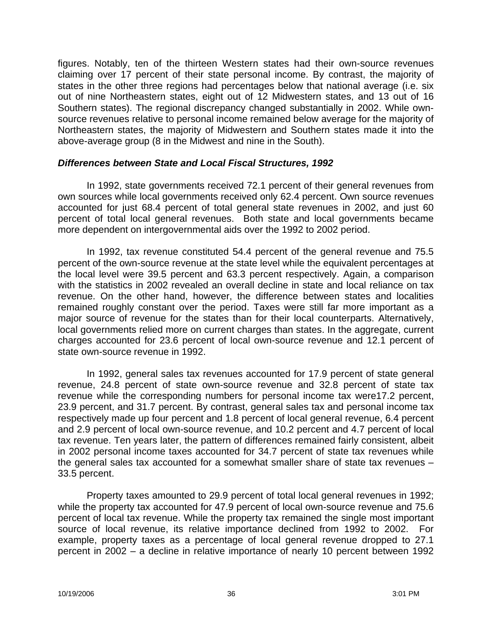figures. Notably, ten of the thirteen Western states had their own-source revenues claiming over 17 percent of their state personal income. By contrast, the majority of states in the other three regions had percentages below that national average (i.e. six out of nine Northeastern states, eight out of 12 Midwestern states, and 13 out of 16 Southern states). The regional discrepancy changed substantially in 2002. While ownsource revenues relative to personal income remained below average for the majority of Northeastern states, the majority of Midwestern and Southern states made it into the above-average group (8 in the Midwest and nine in the South).

### *Differences between State and Local Fiscal Structures, 1992*

In 1992, state governments received 72.1 percent of their general revenues from own sources while local governments received only 62.4 percent. Own source revenues accounted for just 68.4 percent of total general state revenues in 2002, and just 60 percent of total local general revenues. Both state and local governments became more dependent on intergovernmental aids over the 1992 to 2002 period.

In 1992, tax revenue constituted 54.4 percent of the general revenue and 75.5 percent of the own-source revenue at the state level while the equivalent percentages at the local level were 39.5 percent and 63.3 percent respectively. Again, a comparison with the statistics in 2002 revealed an overall decline in state and local reliance on tax revenue. On the other hand, however, the difference between states and localities remained roughly constant over the period. Taxes were still far more important as a major source of revenue for the states than for their local counterparts. Alternatively, local governments relied more on current charges than states. In the aggregate, current charges accounted for 23.6 percent of local own-source revenue and 12.1 percent of state own-source revenue in 1992.

In 1992, general sales tax revenues accounted for 17.9 percent of state general revenue, 24.8 percent of state own-source revenue and 32.8 percent of state tax revenue while the corresponding numbers for personal income tax were17.2 percent, 23.9 percent, and 31.7 percent. By contrast, general sales tax and personal income tax respectively made up four percent and 1.8 percent of local general revenue, 6.4 percent and 2.9 percent of local own-source revenue, and 10.2 percent and 4.7 percent of local tax revenue. Ten years later, the pattern of differences remained fairly consistent, albeit in 2002 personal income taxes accounted for 34.7 percent of state tax revenues while the general sales tax accounted for a somewhat smaller share of state tax revenues – 33.5 percent.

Property taxes amounted to 29.9 percent of total local general revenues in 1992; while the property tax accounted for 47.9 percent of local own-source revenue and 75.6 percent of local tax revenue. While the property tax remained the single most important source of local revenue, its relative importance declined from 1992 to 2002. For example, property taxes as a percentage of local general revenue dropped to 27.1 percent in 2002 – a decline in relative importance of nearly 10 percent between 1992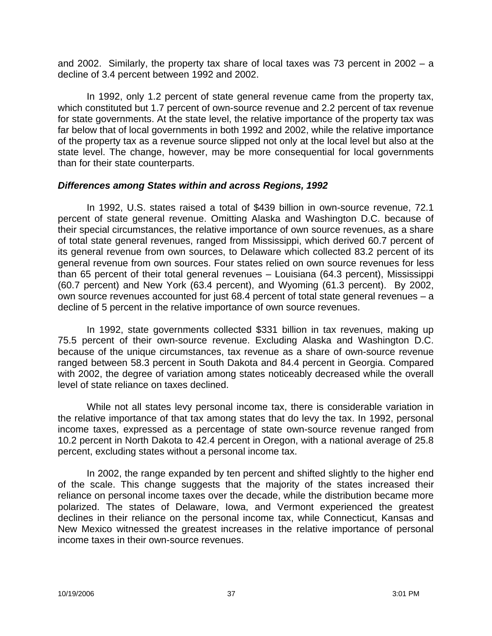and 2002. Similarly, the property tax share of local taxes was 73 percent in 2002 – a decline of 3.4 percent between 1992 and 2002.

In 1992, only 1.2 percent of state general revenue came from the property tax, which constituted but 1.7 percent of own-source revenue and 2.2 percent of tax revenue for state governments. At the state level, the relative importance of the property tax was far below that of local governments in both 1992 and 2002, while the relative importance of the property tax as a revenue source slipped not only at the local level but also at the state level. The change, however, may be more consequential for local governments than for their state counterparts.

## *Differences among States within and across Regions, 1992*

In 1992, U.S. states raised a total of \$439 billion in own-source revenue, 72.1 percent of state general revenue. Omitting Alaska and Washington D.C. because of their special circumstances, the relative importance of own source revenues, as a share of total state general revenues, ranged from Mississippi, which derived 60.7 percent of its general revenue from own sources, to Delaware which collected 83.2 percent of its general revenue from own sources. Four states relied on own source revenues for less than 65 percent of their total general revenues – Louisiana (64.3 percent), Mississippi (60.7 percent) and New York (63.4 percent), and Wyoming (61.3 percent). By 2002, own source revenues accounted for just 68.4 percent of total state general revenues – a decline of 5 percent in the relative importance of own source revenues.

In 1992, state governments collected \$331 billion in tax revenues, making up 75.5 percent of their own-source revenue. Excluding Alaska and Washington D.C. because of the unique circumstances, tax revenue as a share of own-source revenue ranged between 58.3 percent in South Dakota and 84.4 percent in Georgia. Compared with 2002, the degree of variation among states noticeably decreased while the overall level of state reliance on taxes declined.

While not all states levy personal income tax, there is considerable variation in the relative importance of that tax among states that do levy the tax. In 1992, personal income taxes, expressed as a percentage of state own-source revenue ranged from 10.2 percent in North Dakota to 42.4 percent in Oregon, with a national average of 25.8 percent, excluding states without a personal income tax.

In 2002, the range expanded by ten percent and shifted slightly to the higher end of the scale. This change suggests that the majority of the states increased their reliance on personal income taxes over the decade, while the distribution became more polarized. The states of Delaware, Iowa, and Vermont experienced the greatest declines in their reliance on the personal income tax, while Connecticut, Kansas and New Mexico witnessed the greatest increases in the relative importance of personal income taxes in their own-source revenues.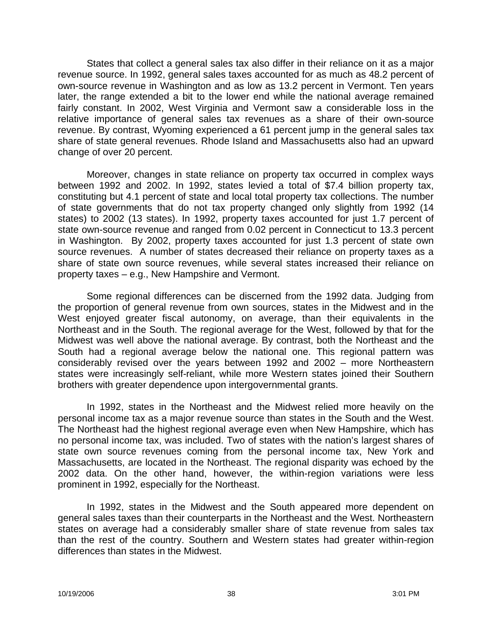States that collect a general sales tax also differ in their reliance on it as a major revenue source. In 1992, general sales taxes accounted for as much as 48.2 percent of own-source revenue in Washington and as low as 13.2 percent in Vermont. Ten years later, the range extended a bit to the lower end while the national average remained fairly constant. In 2002, West Virginia and Vermont saw a considerable loss in the relative importance of general sales tax revenues as a share of their own-source revenue. By contrast, Wyoming experienced a 61 percent jump in the general sales tax share of state general revenues. Rhode Island and Massachusetts also had an upward change of over 20 percent.

Moreover, changes in state reliance on property tax occurred in complex ways between 1992 and 2002. In 1992, states levied a total of \$7.4 billion property tax, constituting but 4.1 percent of state and local total property tax collections. The number of state governments that do not tax property changed only slightly from 1992 (14 states) to 2002 (13 states). In 1992, property taxes accounted for just 1.7 percent of state own-source revenue and ranged from 0.02 percent in Connecticut to 13.3 percent in Washington. By 2002, property taxes accounted for just 1.3 percent of state own source revenues. A number of states decreased their reliance on property taxes as a share of state own source revenues, while several states increased their reliance on property taxes – e.g., New Hampshire and Vermont.

Some regional differences can be discerned from the 1992 data. Judging from the proportion of general revenue from own sources, states in the Midwest and in the West enjoyed greater fiscal autonomy, on average, than their equivalents in the Northeast and in the South. The regional average for the West, followed by that for the Midwest was well above the national average. By contrast, both the Northeast and the South had a regional average below the national one. This regional pattern was considerably revised over the years between 1992 and 2002 – more Northeastern states were increasingly self-reliant, while more Western states joined their Southern brothers with greater dependence upon intergovernmental grants.

In 1992, states in the Northeast and the Midwest relied more heavily on the personal income tax as a major revenue source than states in the South and the West. The Northeast had the highest regional average even when New Hampshire, which has no personal income tax, was included. Two of states with the nation's largest shares of state own source revenues coming from the personal income tax, New York and Massachusetts, are located in the Northeast. The regional disparity was echoed by the 2002 data. On the other hand, however, the within-region variations were less prominent in 1992, especially for the Northeast.

In 1992, states in the Midwest and the South appeared more dependent on general sales taxes than their counterparts in the Northeast and the West. Northeastern states on average had a considerably smaller share of state revenue from sales tax than the rest of the country. Southern and Western states had greater within-region differences than states in the Midwest.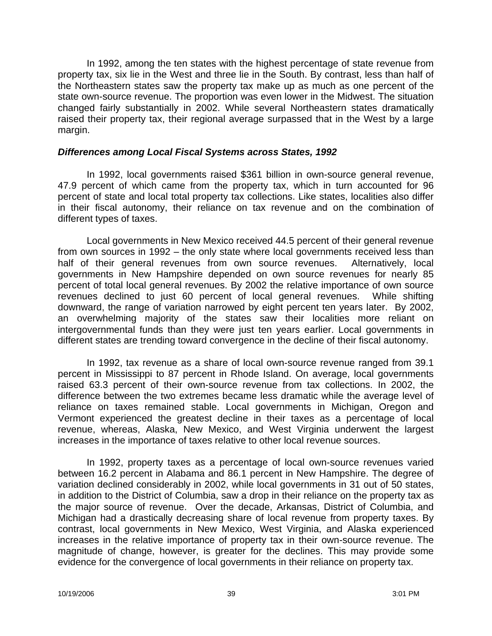In 1992, among the ten states with the highest percentage of state revenue from property tax, six lie in the West and three lie in the South. By contrast, less than half of the Northeastern states saw the property tax make up as much as one percent of the state own-source revenue. The proportion was even lower in the Midwest. The situation changed fairly substantially in 2002. While several Northeastern states dramatically raised their property tax, their regional average surpassed that in the West by a large margin.

### *Differences among Local Fiscal Systems across States, 1992*

In 1992, local governments raised \$361 billion in own-source general revenue, 47.9 percent of which came from the property tax, which in turn accounted for 96 percent of state and local total property tax collections. Like states, localities also differ in their fiscal autonomy, their reliance on tax revenue and on the combination of different types of taxes.

Local governments in New Mexico received 44.5 percent of their general revenue from own sources in 1992 – the only state where local governments received less than half of their general revenues from own source revenues. Alternatively, local governments in New Hampshire depended on own source revenues for nearly 85 percent of total local general revenues. By 2002 the relative importance of own source revenues declined to just 60 percent of local general revenues. While shifting downward, the range of variation narrowed by eight percent ten years later. By 2002, an overwhelming majority of the states saw their localities more reliant on intergovernmental funds than they were just ten years earlier. Local governments in different states are trending toward convergence in the decline of their fiscal autonomy.

In 1992, tax revenue as a share of local own-source revenue ranged from 39.1 percent in Mississippi to 87 percent in Rhode Island. On average, local governments raised 63.3 percent of their own-source revenue from tax collections. In 2002, the difference between the two extremes became less dramatic while the average level of reliance on taxes remained stable. Local governments in Michigan, Oregon and Vermont experienced the greatest decline in their taxes as a percentage of local revenue, whereas, Alaska, New Mexico, and West Virginia underwent the largest increases in the importance of taxes relative to other local revenue sources.

In 1992, property taxes as a percentage of local own-source revenues varied between 16.2 percent in Alabama and 86.1 percent in New Hampshire. The degree of variation declined considerably in 2002, while local governments in 31 out of 50 states, in addition to the District of Columbia, saw a drop in their reliance on the property tax as the major source of revenue. Over the decade, Arkansas, District of Columbia, and Michigan had a drastically decreasing share of local revenue from property taxes. By contrast, local governments in New Mexico, West Virginia, and Alaska experienced increases in the relative importance of property tax in their own-source revenue. The magnitude of change, however, is greater for the declines. This may provide some evidence for the convergence of local governments in their reliance on property tax.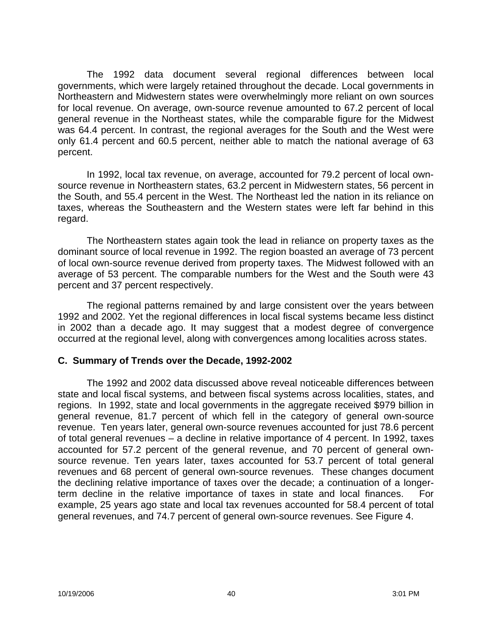The 1992 data document several regional differences between local governments, which were largely retained throughout the decade. Local governments in Northeastern and Midwestern states were overwhelmingly more reliant on own sources for local revenue. On average, own-source revenue amounted to 67.2 percent of local general revenue in the Northeast states, while the comparable figure for the Midwest was 64.4 percent. In contrast, the regional averages for the South and the West were only 61.4 percent and 60.5 percent, neither able to match the national average of 63 percent.

In 1992, local tax revenue, on average, accounted for 79.2 percent of local ownsource revenue in Northeastern states, 63.2 percent in Midwestern states, 56 percent in the South, and 55.4 percent in the West. The Northeast led the nation in its reliance on taxes, whereas the Southeastern and the Western states were left far behind in this regard.

The Northeastern states again took the lead in reliance on property taxes as the dominant source of local revenue in 1992. The region boasted an average of 73 percent of local own-source revenue derived from property taxes. The Midwest followed with an average of 53 percent. The comparable numbers for the West and the South were 43 percent and 37 percent respectively.

The regional patterns remained by and large consistent over the years between 1992 and 2002. Yet the regional differences in local fiscal systems became less distinct in 2002 than a decade ago. It may suggest that a modest degree of convergence occurred at the regional level, along with convergences among localities across states.

## **C. Summary of Trends over the Decade, 1992-2002**

The 1992 and 2002 data discussed above reveal noticeable differences between state and local fiscal systems, and between fiscal systems across localities, states, and regions. In 1992, state and local governments in the aggregate received \$979 billion in general revenue, 81.7 percent of which fell in the category of general own-source revenue. Ten years later, general own-source revenues accounted for just 78.6 percent of total general revenues – a decline in relative importance of 4 percent. In 1992, taxes accounted for 57.2 percent of the general revenue, and 70 percent of general ownsource revenue. Ten years later, taxes accounted for 53.7 percent of total general revenues and 68 percent of general own-source revenues. These changes document the declining relative importance of taxes over the decade; a continuation of a longerterm decline in the relative importance of taxes in state and local finances. For example, 25 years ago state and local tax revenues accounted for 58.4 percent of total general revenues, and 74.7 percent of general own-source revenues. See Figure 4.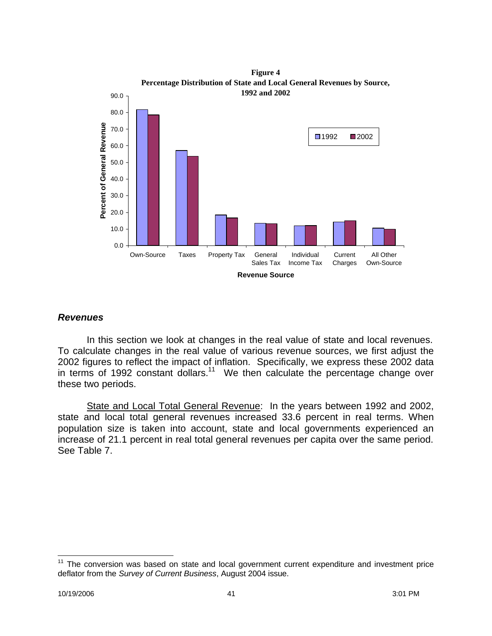

**Figure 4**

# *Revenues*

In this section we look at changes in the real value of state and local revenues. To calculate changes in the real value of various revenue sources, we first adjust the 2002 figures to reflect the impact of inflation. Specifically, we express these 2002 data in terms of 1992 constant dollars.<sup>11</sup> We then calculate the percentage change over these two periods.

State and Local Total General Revenue: In the years between 1992 and 2002, state and local total general revenues increased 33.6 percent in real terms. When population size is taken into account, state and local governments experienced an increase of 21.1 percent in real total general revenues per capita over the same period. See Table 7.

 $\overline{a}$ 

 $11$  The conversion was based on state and local government current expenditure and investment price deflator from the *Survey of Current Business*, August 2004 issue.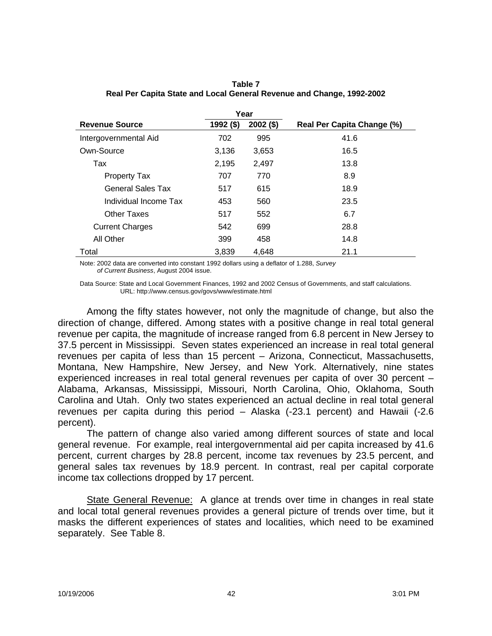|                          |           | Year        |                            |
|--------------------------|-----------|-------------|----------------------------|
| <b>Revenue Source</b>    | 1992 (\$) | $2002($ \$) | Real Per Capita Change (%) |
| Intergovernmental Aid    | 702       | 995         | 41.6                       |
| Own-Source               | 3,136     | 3,653       | 16.5                       |
| Tax                      | 2,195     | 2,497       | 13.8                       |
| <b>Property Tax</b>      | 707       | 770         | 8.9                        |
| <b>General Sales Tax</b> | 517       | 615         | 18.9                       |
| Individual Income Tax    | 453       | 560         | 23.5                       |
| Other Taxes              | 517       | 552         | 6.7                        |
| <b>Current Charges</b>   | 542       | 699         | 28.8                       |
| All Other                | 399       | 458         | 14.8                       |
| Total                    | 3,839     | 4.648       | 21.1                       |
|                          |           |             |                            |

### **Table 7 Real Per Capita State and Local General Revenue and Change, 1992-2002**

Note: 2002 data are converted into constant 1992 dollars using a deflator of 1.288, *Survey of Current Business*, August 2004 issue.

Data Source: State and Local Government Finances, 1992 and 2002 Census of Governments, and staff calculations. URL: http://www.census.gov/govs/www/estimate.html

Among the fifty states however, not only the magnitude of change, but also the direction of change, differed. Among states with a positive change in real total general revenue per capita, the magnitude of increase ranged from 6.8 percent in New Jersey to 37.5 percent in Mississippi. Seven states experienced an increase in real total general revenues per capita of less than 15 percent – Arizona, Connecticut, Massachusetts, Montana, New Hampshire, New Jersey, and New York. Alternatively, nine states experienced increases in real total general revenues per capita of over 30 percent – Alabama, Arkansas, Mississippi, Missouri, North Carolina, Ohio, Oklahoma, South Carolina and Utah. Only two states experienced an actual decline in real total general revenues per capita during this period – Alaska (-23.1 percent) and Hawaii (-2.6 percent).

The pattern of change also varied among different sources of state and local general revenue. For example, real intergovernmental aid per capita increased by 41.6 percent, current charges by 28.8 percent, income tax revenues by 23.5 percent, and general sales tax revenues by 18.9 percent. In contrast, real per capital corporate income tax collections dropped by 17 percent.

State General Revenue: A glance at trends over time in changes in real state and local total general revenues provides a general picture of trends over time, but it masks the different experiences of states and localities, which need to be examined separately. See Table 8.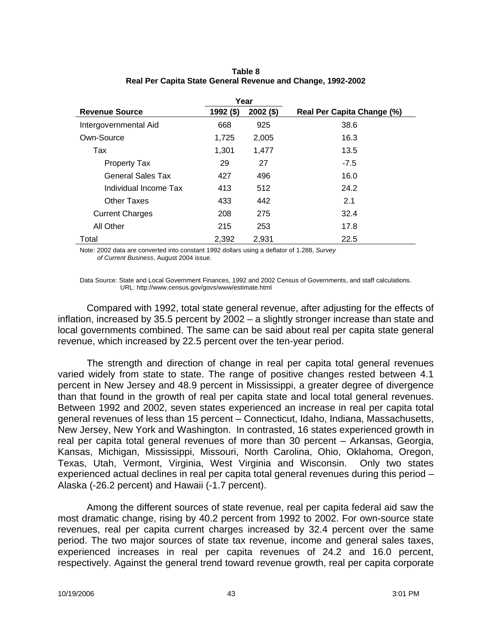| Year                     |           |             |                                   |
|--------------------------|-----------|-------------|-----------------------------------|
| <b>Revenue Source</b>    | 1992 (\$) | $2002($ \$) | <b>Real Per Capita Change (%)</b> |
| Intergovernmental Aid    | 668       | 925         | 38.6                              |
| Own-Source               | 1,725     | 2,005       | 16.3                              |
| Tax                      | 1,301     | 1,477       | 13.5                              |
| <b>Property Tax</b>      | 29        | 27          | $-7.5$                            |
| <b>General Sales Tax</b> | 427       | 496         | 16.0                              |
| Individual Income Tax    | 413       | 512         | 24.2                              |
| <b>Other Taxes</b>       | 433       | 442         | 2.1                               |
| <b>Current Charges</b>   | 208       | 275         | 32.4                              |
| All Other                | 215       | 253         | 17.8                              |
| Total                    | 2,392     | 2.931       | 22.5                              |

### **Table 8 Real Per Capita State General Revenue and Change, 1992-2002**

Note: 2002 data are converted into constant 1992 dollars using a deflator of 1.288, *Survey of Current Business*, August 2004 issue.

Data Source: State and Local Government Finances, 1992 and 2002 Census of Governments, and staff calculations. URL: http://www.census.gov/govs/www/estimate.html

Compared with 1992, total state general revenue, after adjusting for the effects of inflation, increased by 35.5 percent by 2002 – a slightly stronger increase than state and local governments combined. The same can be said about real per capita state general revenue, which increased by 22.5 percent over the ten-year period.

The strength and direction of change in real per capita total general revenues varied widely from state to state. The range of positive changes rested between 4.1 percent in New Jersey and 48.9 percent in Mississippi, a greater degree of divergence than that found in the growth of real per capita state and local total general revenues. Between 1992 and 2002, seven states experienced an increase in real per capita total general revenues of less than 15 percent – Connecticut, Idaho, Indiana, Massachusetts, New Jersey, New York and Washington. In contrasted, 16 states experienced growth in real per capita total general revenues of more than 30 percent – Arkansas, Georgia, Kansas, Michigan, Mississippi, Missouri, North Carolina, Ohio, Oklahoma, Oregon, Texas, Utah, Vermont, Virginia, West Virginia and Wisconsin. Only two states experienced actual declines in real per capita total general revenues during this period – Alaska (-26.2 percent) and Hawaii (-1.7 percent).

Among the different sources of state revenue, real per capita federal aid saw the most dramatic change, rising by 40.2 percent from 1992 to 2002. For own-source state revenues, real per capita current charges increased by 32.4 percent over the same period. The two major sources of state tax revenue, income and general sales taxes, experienced increases in real per capita revenues of 24.2 and 16.0 percent, respectively. Against the general trend toward revenue growth, real per capita corporate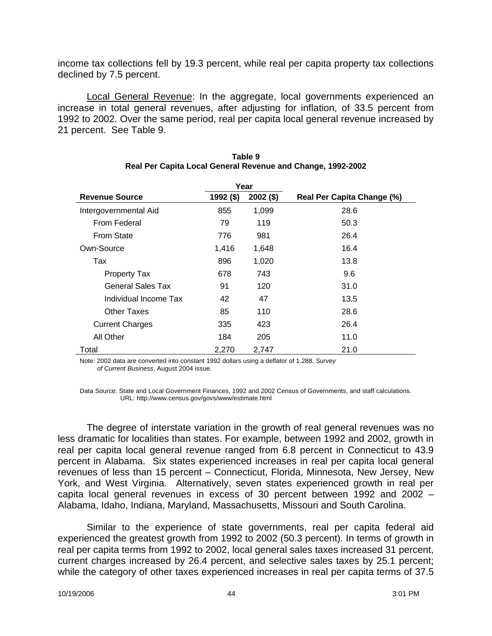income tax collections fell by 19.3 percent, while real per capita property tax collections declined by 7.5 percent.

Local General Revenue: In the aggregate, local governments experienced an increase in total general revenues, after adjusting for inflation, of 33.5 percent from 1992 to 2002. Over the same period, real per capita local general revenue increased by 21 percent. See Table 9.

| Year                   |           |             |                                   |
|------------------------|-----------|-------------|-----------------------------------|
| <b>Revenue Source</b>  | 1992 (\$) | $2002($ \$) | <b>Real Per Capita Change (%)</b> |
| Intergovernmental Aid  | 855       | 1,099       | 28.6                              |
| From Federal           | 79        | 119         | 50.3                              |
| <b>From State</b>      | 776       | 981         | 26.4                              |
| Own-Source             | 1,416     | 1,648       | 16.4                              |
| Tax                    | 896       | 1,020       | 13.8                              |
| <b>Property Tax</b>    | 678       | 743         | 9.6                               |
| General Sales Tax      | 91        | 120         | 31.0                              |
| Individual Income Tax  | 42        | 47          | 13.5                              |
| <b>Other Taxes</b>     | 85        | 110         | 28.6                              |
| <b>Current Charges</b> | 335       | 423         | 26.4                              |
| All Other              | 184       | 205         | 11.0                              |
| Total                  | 2,270     | 2,747       | 21.0                              |

### **Table 9 Real Per Capita Local General Revenue and Change, 1992-2002**

Note: 2002 data are converted into constant 1992 dollars using a deflator of 1.288, *Survey of Current Business*, August 2004 issue.

Data Source: State and Local Government Finances, 1992 and 2002 Census of Governments, and staff calculations. URL: http://www.census.gov/govs/www/estimate.html

The degree of interstate variation in the growth of real general revenues was no less dramatic for localities than states. For example, between 1992 and 2002, growth in real per capita local general revenue ranged from 6.8 percent in Connecticut to 43.9 percent in Alabama. Six states experienced increases in real per capita local general revenues of less than 15 percent – Connecticut, Florida, Minnesota, New Jersey, New York, and West Virginia. Alternatively, seven states experienced growth in real per capita local general revenues in excess of 30 percent between 1992 and 2002 – Alabama, Idaho, Indiana, Maryland, Massachusetts, Missouri and South Carolina.

Similar to the experience of state governments, real per capita federal aid experienced the greatest growth from 1992 to 2002 (50.3 percent). In terms of growth in real per capita terms from 1992 to 2002, local general sales taxes increased 31 percent, current charges increased by 26.4 percent, and selective sales taxes by 25.1 percent; while the category of other taxes experienced increases in real per capita terms of 37.5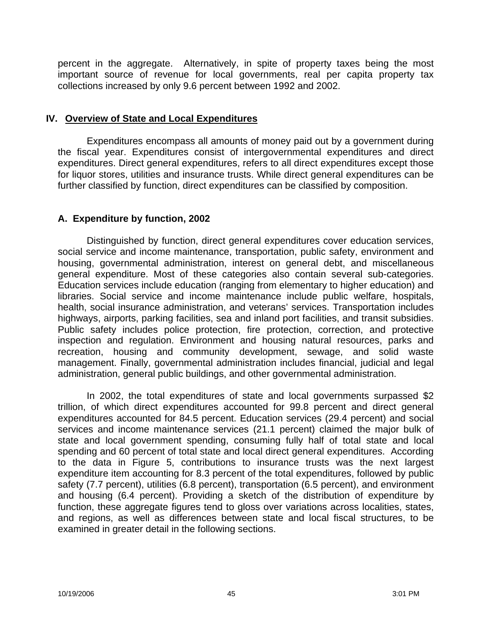percent in the aggregate. Alternatively, in spite of property taxes being the most important source of revenue for local governments, real per capita property tax collections increased by only 9.6 percent between 1992 and 2002.

## **IV. Overview of State and Local Expenditures**

Expenditures encompass all amounts of money paid out by a government during the fiscal year. Expenditures consist of intergovernmental expenditures and direct expenditures. Direct general expenditures, refers to all direct expenditures except those for liquor stores, utilities and insurance trusts. While direct general expenditures can be further classified by function, direct expenditures can be classified by composition.

# **A. Expenditure by function, 2002**

Distinguished by function, direct general expenditures cover education services, social service and income maintenance, transportation, public safety, environment and housing, governmental administration, interest on general debt, and miscellaneous general expenditure. Most of these categories also contain several sub-categories. Education services include education (ranging from elementary to higher education) and libraries. Social service and income maintenance include public welfare, hospitals, health, social insurance administration, and veterans' services. Transportation includes highways, airports, parking facilities, sea and inland port facilities, and transit subsidies. Public safety includes police protection, fire protection, correction, and protective inspection and regulation. Environment and housing natural resources, parks and recreation, housing and community development, sewage, and solid waste management. Finally, governmental administration includes financial, judicial and legal administration, general public buildings, and other governmental administration.

In 2002, the total expenditures of state and local governments surpassed \$2 trillion, of which direct expenditures accounted for 99.8 percent and direct general expenditures accounted for 84.5 percent. Education services (29.4 percent) and social services and income maintenance services (21.1 percent) claimed the major bulk of state and local government spending, consuming fully half of total state and local spending and 60 percent of total state and local direct general expenditures. According to the data in Figure 5, contributions to insurance trusts was the next largest expenditure item accounting for 8.3 percent of the total expenditures, followed by public safety (7.7 percent), utilities (6.8 percent), transportation (6.5 percent), and environment and housing (6.4 percent). Providing a sketch of the distribution of expenditure by function, these aggregate figures tend to gloss over variations across localities, states, and regions, as well as differences between state and local fiscal structures, to be examined in greater detail in the following sections.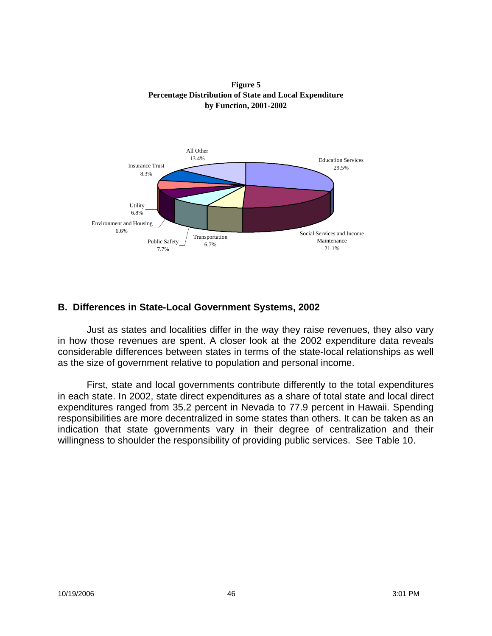



# **B. Differences in State-Local Government Systems, 2002**

Just as states and localities differ in the way they raise revenues, they also vary in how those revenues are spent. A closer look at the 2002 expenditure data reveals considerable differences between states in terms of the state-local relationships as well as the size of government relative to population and personal income.

First, state and local governments contribute differently to the total expenditures in each state. In 2002, state direct expenditures as a share of total state and local direct expenditures ranged from 35.2 percent in Nevada to 77.9 percent in Hawaii. Spending responsibilities are more decentralized in some states than others. It can be taken as an indication that state governments vary in their degree of centralization and their willingness to shoulder the responsibility of providing public services. See Table 10.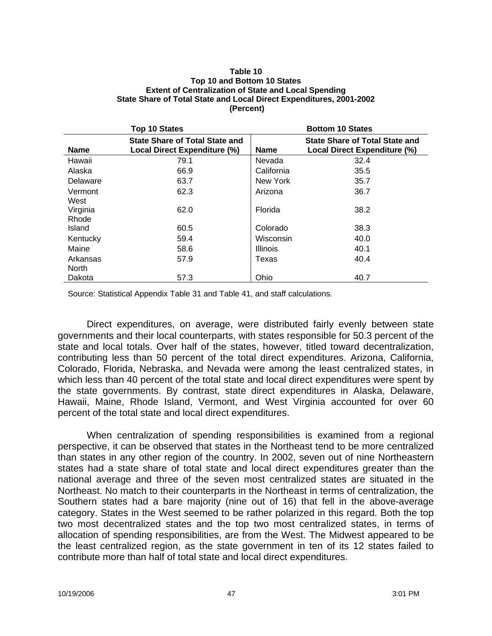#### **Table 10 Top 10 and Bottom 10 States Extent of Centralization of State and Local Spending State Share of Total State and Local Direct Expenditures, 2001-2002 (Percent)**

| Top 10 States |                                                                       | <b>Bottom 10 States</b> |                                                                              |
|---------------|-----------------------------------------------------------------------|-------------------------|------------------------------------------------------------------------------|
| <b>Name</b>   | <b>State Share of Total State and</b><br>Local Direct Expenditure (%) | <b>Name</b>             | <b>State Share of Total State and</b><br><b>Local Direct Expenditure (%)</b> |
| Hawaii        | 79.1                                                                  | Nevada                  | 32.4                                                                         |
| Alaska        | 66.9                                                                  | California              | 35.5                                                                         |
| Delaware      | 63.7                                                                  | New York                | 35.7                                                                         |
| Vermont       | 62.3                                                                  | Arizona                 | 36.7                                                                         |
| West          |                                                                       |                         |                                                                              |
| Virginia      | 62.0                                                                  | Florida                 | 38.2                                                                         |
| Rhode         |                                                                       |                         |                                                                              |
| Island        | 60.5                                                                  | Colorado                | 38.3                                                                         |
| Kentucky      | 59.4                                                                  | Wisconsin               | 40.0                                                                         |
| Maine         | 58.6                                                                  | <b>Illinois</b>         | 40.1                                                                         |
| Arkansas      | 57.9                                                                  | Texas                   | 40.4                                                                         |
| North         |                                                                       |                         |                                                                              |
| Dakota        | 57.3                                                                  | Ohio                    | 40.7                                                                         |

Source: Statistical Appendix Table 31 and Table 41, and staff calculations.

Direct expenditures, on average, were distributed fairly evenly between state governments and their local counterparts, with states responsible for 50.3 percent of the state and local totals. Over half of the states, however, titled toward decentralization, contributing less than 50 percent of the total direct expenditures. Arizona, California, Colorado, Florida, Nebraska, and Nevada were among the least centralized states, in which less than 40 percent of the total state and local direct expenditures were spent by the state governments. By contrast, state direct expenditures in Alaska, Delaware, Hawaii, Maine, Rhode Island, Vermont, and West Virginia accounted for over 60 percent of the total state and local direct expenditures.

When centralization of spending responsibilities is examined from a regional perspective, it can be observed that states in the Northeast tend to be more centralized than states in any other region of the country. In 2002, seven out of nine Northeastern states had a state share of total state and local direct expenditures greater than the national average and three of the seven most centralized states are situated in the Northeast. No match to their counterparts in the Northeast in terms of centralization, the Southern states had a bare majority (nine out of 16) that fell in the above-average category. States in the West seemed to be rather polarized in this regard. Both the top two most decentralized states and the top two most centralized states, in terms of allocation of spending responsibilities, are from the West. The Midwest appeared to be the least centralized region, as the state government in ten of its 12 states failed to contribute more than half of total state and local direct expenditures.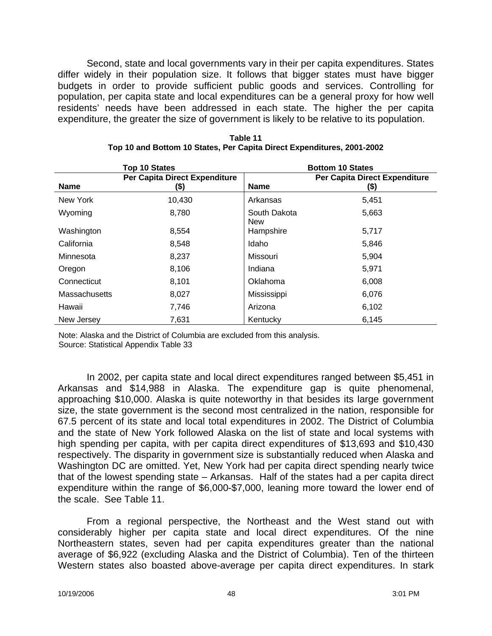Second, state and local governments vary in their per capita expenditures. States differ widely in their population size. It follows that bigger states must have bigger budgets in order to provide sufficient public goods and services. Controlling for population, per capita state and local expenditures can be a general proxy for how well residents' needs have been addressed in each state. The higher the per capita expenditure, the greater the size of government is likely to be relative to its population.

|               | <b>Top 10 States</b>                  |                            | <b>Bottom 10 States</b>               |
|---------------|---------------------------------------|----------------------------|---------------------------------------|
| <b>Name</b>   | Per Capita Direct Expenditure<br>(\$) | <b>Name</b>                | Per Capita Direct Expenditure<br>(\$) |
| New York      | 10,430                                | Arkansas                   | 5,451                                 |
| Wyoming       | 8,780                                 | South Dakota<br><b>New</b> | 5,663                                 |
| Washington    | 8,554                                 | Hampshire                  | 5,717                                 |
| California    | 8,548                                 | Idaho                      | 5,846                                 |
| Minnesota     | 8,237                                 | Missouri                   | 5,904                                 |
| Oregon        | 8,106                                 | Indiana                    | 5,971                                 |
| Connecticut   | 8,101                                 | Oklahoma                   | 6,008                                 |
| Massachusetts | 8,027                                 | Mississippi                | 6,076                                 |
| Hawaii        | 7,746                                 | Arizona                    | 6,102                                 |
| New Jersey    | 7,631                                 | Kentucky                   | 6,145                                 |

| Table 11                                                               |
|------------------------------------------------------------------------|
| Top 10 and Bottom 10 States, Per Capita Direct Expenditures, 2001-2002 |

Note: Alaska and the District of Columbia are excluded from this analysis. Source: Statistical Appendix Table 33

In 2002, per capita state and local direct expenditures ranged between \$5,451 in Arkansas and \$14,988 in Alaska. The expenditure gap is quite phenomenal, approaching \$10,000. Alaska is quite noteworthy in that besides its large government size, the state government is the second most centralized in the nation, responsible for 67.5 percent of its state and local total expenditures in 2002. The District of Columbia and the state of New York followed Alaska on the list of state and local systems with high spending per capita, with per capita direct expenditures of \$13,693 and \$10,430 respectively. The disparity in government size is substantially reduced when Alaska and Washington DC are omitted. Yet, New York had per capita direct spending nearly twice that of the lowest spending state – Arkansas. Half of the states had a per capita direct expenditure within the range of \$6,000-\$7,000, leaning more toward the lower end of the scale. See Table 11.

From a regional perspective, the Northeast and the West stand out with considerably higher per capita state and local direct expenditures. Of the nine Northeastern states, seven had per capita expenditures greater than the national average of \$6,922 (excluding Alaska and the District of Columbia). Ten of the thirteen Western states also boasted above-average per capita direct expenditures. In stark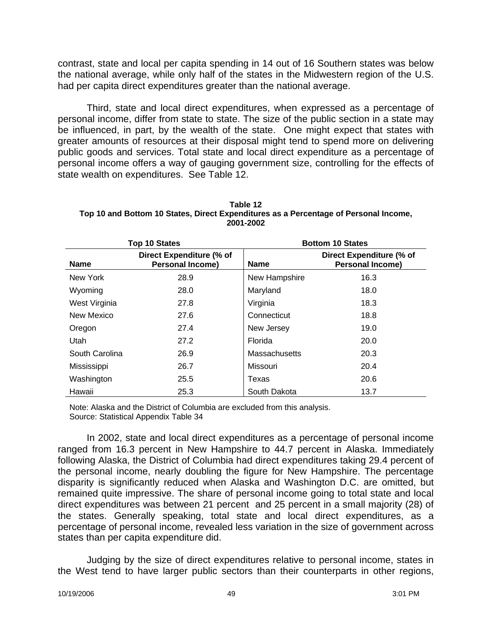contrast, state and local per capita spending in 14 out of 16 Southern states was below the national average, while only half of the states in the Midwestern region of the U.S. had per capita direct expenditures greater than the national average.

Third, state and local direct expenditures, when expressed as a percentage of personal income, differ from state to state. The size of the public section in a state may be influenced, in part, by the wealth of the state. One might expect that states with greater amounts of resources at their disposal might tend to spend more on delivering public goods and services. Total state and local direct expenditure as a percentage of personal income offers a way of gauging government size, controlling for the effects of state wealth on expenditures. See Table 12.

| Table 12                                                                             |
|--------------------------------------------------------------------------------------|
| Top 10 and Bottom 10 States, Direct Expenditures as a Percentage of Personal Income, |
| 2001-2002                                                                            |

| <b>Top 10 States</b> |                                                     | <b>Bottom 10 States</b> |                                                     |
|----------------------|-----------------------------------------------------|-------------------------|-----------------------------------------------------|
| <b>Name</b>          | Direct Expenditure (% of<br><b>Personal Income)</b> | <b>Name</b>             | Direct Expenditure (% of<br><b>Personal Income)</b> |
| New York             | 28.9                                                | New Hampshire           | 16.3                                                |
| Wyoming              | 28.0                                                | Maryland                | 18.0                                                |
| West Virginia        | 27.8                                                | Virginia                | 18.3                                                |
| New Mexico           | 27.6                                                | Connecticut             | 18.8                                                |
| Oregon               | 27.4                                                | New Jersey              | 19.0                                                |
| Utah                 | 27.2                                                | Florida                 | 20.0                                                |
| South Carolina       | 26.9                                                | Massachusetts           | 20.3                                                |
| Mississippi          | 26.7                                                | Missouri                | 20.4                                                |
| Washington           | 25.5                                                | Texas                   | 20.6                                                |
| Hawaii               | 25.3                                                | South Dakota            | 13.7                                                |

Note: Alaska and the District of Columbia are excluded from this analysis. Source: Statistical Appendix Table 34

In 2002, state and local direct expenditures as a percentage of personal income ranged from 16.3 percent in New Hampshire to 44.7 percent in Alaska. Immediately following Alaska, the District of Columbia had direct expenditures taking 29.4 percent of the personal income, nearly doubling the figure for New Hampshire. The percentage disparity is significantly reduced when Alaska and Washington D.C. are omitted, but remained quite impressive. The share of personal income going to total state and local direct expenditures was between 21 percent and 25 percent in a small majority (28) of the states. Generally speaking, total state and local direct expenditures, as a percentage of personal income, revealed less variation in the size of government across states than per capita expenditure did.

Judging by the size of direct expenditures relative to personal income, states in the West tend to have larger public sectors than their counterparts in other regions,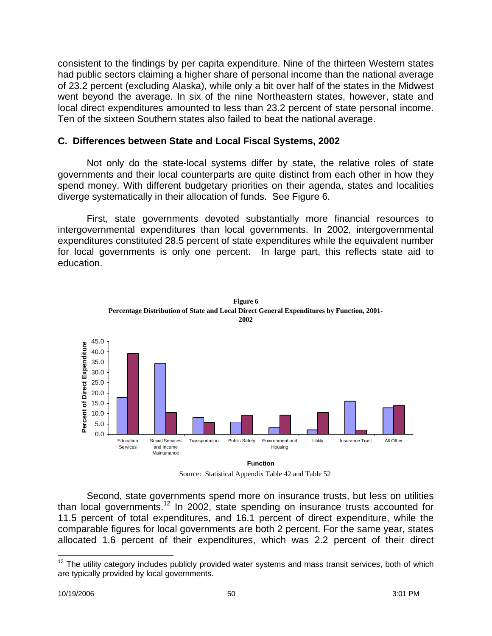consistent to the findings by per capita expenditure. Nine of the thirteen Western states had public sectors claiming a higher share of personal income than the national average of 23.2 percent (excluding Alaska), while only a bit over half of the states in the Midwest went beyond the average. In six of the nine Northeastern states, however, state and local direct expenditures amounted to less than 23.2 percent of state personal income. Ten of the sixteen Southern states also failed to beat the national average.

## **C. Differences between State and Local Fiscal Systems, 2002**

Not only do the state-local systems differ by state, the relative roles of state governments and their local counterparts are quite distinct from each other in how they spend money. With different budgetary priorities on their agenda, states and localities diverge systematically in their allocation of funds. See Figure 6.

First, state governments devoted substantially more financial resources to intergovernmental expenditures than local governments. In 2002, intergovernmental expenditures constituted 28.5 percent of state expenditures while the equivalent number for local governments is only one percent. In large part, this reflects state aid to education.





Source: Statistical Appendix Table 42 and Table 52

Second, state governments spend more on insurance trusts, but less on utilities than local governments.<sup>12</sup> In 2002, state spending on insurance trusts accounted for 11.5 percent of total expenditures, and 16.1 percent of direct expenditure, while the comparable figures for local governments are both 2 percent. For the same year, states allocated 1.6 percent of their expenditures, which was 2.2 percent of their direct

 $\overline{a}$  $12$  The utility category includes publicly provided water systems and mass transit services, both of which are typically provided by local governments.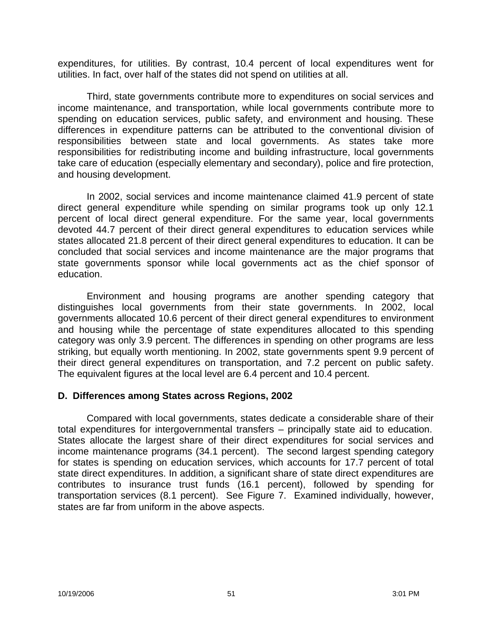expenditures, for utilities. By contrast, 10.4 percent of local expenditures went for utilities. In fact, over half of the states did not spend on utilities at all.

Third, state governments contribute more to expenditures on social services and income maintenance, and transportation, while local governments contribute more to spending on education services, public safety, and environment and housing. These differences in expenditure patterns can be attributed to the conventional division of responsibilities between state and local governments. As states take more responsibilities for redistributing income and building infrastructure, local governments take care of education (especially elementary and secondary), police and fire protection, and housing development.

In 2002, social services and income maintenance claimed 41.9 percent of state direct general expenditure while spending on similar programs took up only 12.1 percent of local direct general expenditure. For the same year, local governments devoted 44.7 percent of their direct general expenditures to education services while states allocated 21.8 percent of their direct general expenditures to education. It can be concluded that social services and income maintenance are the major programs that state governments sponsor while local governments act as the chief sponsor of education.

Environment and housing programs are another spending category that distinguishes local governments from their state governments. In 2002, local governments allocated 10.6 percent of their direct general expenditures to environment and housing while the percentage of state expenditures allocated to this spending category was only 3.9 percent. The differences in spending on other programs are less striking, but equally worth mentioning. In 2002, state governments spent 9.9 percent of their direct general expenditures on transportation, and 7.2 percent on public safety. The equivalent figures at the local level are 6.4 percent and 10.4 percent.

## **D. Differences among States across Regions, 2002**

Compared with local governments, states dedicate a considerable share of their total expenditures for intergovernmental transfers – principally state aid to education. States allocate the largest share of their direct expenditures for social services and income maintenance programs (34.1 percent). The second largest spending category for states is spending on education services, which accounts for 17.7 percent of total state direct expenditures. In addition, a significant share of state direct expenditures are contributes to insurance trust funds (16.1 percent), followed by spending for transportation services (8.1 percent). See Figure 7. Examined individually, however, states are far from uniform in the above aspects.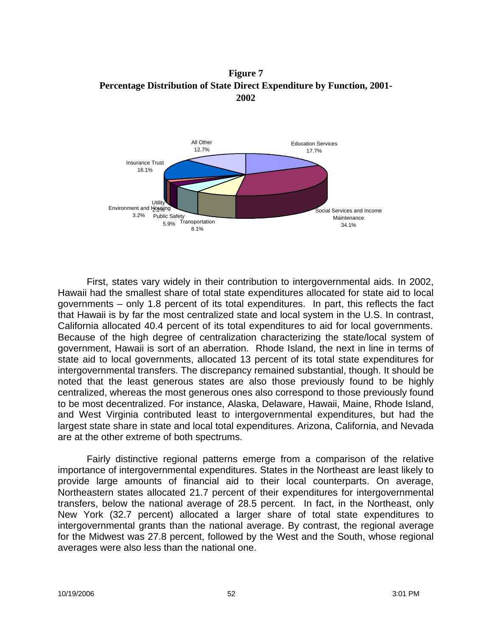**Figure 7 Percentage Distribution of State Direct Expenditure by Function, 2001- 2002**



First, states vary widely in their contribution to intergovernmental aids. In 2002, Hawaii had the smallest share of total state expenditures allocated for state aid to local governments – only 1.8 percent of its total expenditures. In part, this reflects the fact that Hawaii is by far the most centralized state and local system in the U.S. In contrast, California allocated 40.4 percent of its total expenditures to aid for local governments. Because of the high degree of centralization characterizing the state/local system of government, Hawaii is sort of an aberration. Rhode Island, the next in line in terms of state aid to local governments, allocated 13 percent of its total state expenditures for intergovernmental transfers. The discrepancy remained substantial, though. It should be noted that the least generous states are also those previously found to be highly centralized, whereas the most generous ones also correspond to those previously found to be most decentralized. For instance, Alaska, Delaware, Hawaii, Maine, Rhode Island, and West Virginia contributed least to intergovernmental expenditures, but had the largest state share in state and local total expenditures. Arizona, California, and Nevada are at the other extreme of both spectrums.

Fairly distinctive regional patterns emerge from a comparison of the relative importance of intergovernmental expenditures. States in the Northeast are least likely to provide large amounts of financial aid to their local counterparts. On average, Northeastern states allocated 21.7 percent of their expenditures for intergovernmental transfers, below the national average of 28.5 percent. In fact, in the Northeast, only New York (32.7 percent) allocated a larger share of total state expenditures to intergovernmental grants than the national average. By contrast, the regional average for the Midwest was 27.8 percent, followed by the West and the South, whose regional averages were also less than the national one.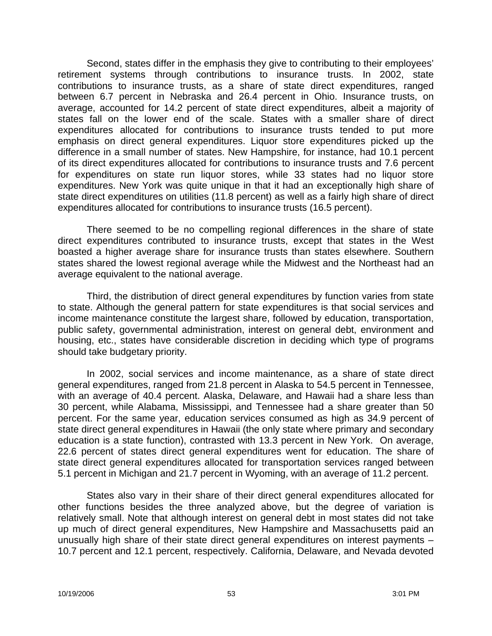Second, states differ in the emphasis they give to contributing to their employees' retirement systems through contributions to insurance trusts. In 2002, state contributions to insurance trusts, as a share of state direct expenditures, ranged between 6.7 percent in Nebraska and 26.4 percent in Ohio. Insurance trusts, on average, accounted for 14.2 percent of state direct expenditures, albeit a majority of states fall on the lower end of the scale. States with a smaller share of direct expenditures allocated for contributions to insurance trusts tended to put more emphasis on direct general expenditures. Liquor store expenditures picked up the difference in a small number of states. New Hampshire, for instance, had 10.1 percent of its direct expenditures allocated for contributions to insurance trusts and 7.6 percent for expenditures on state run liquor stores, while 33 states had no liquor store expenditures. New York was quite unique in that it had an exceptionally high share of state direct expenditures on utilities (11.8 percent) as well as a fairly high share of direct expenditures allocated for contributions to insurance trusts (16.5 percent).

There seemed to be no compelling regional differences in the share of state direct expenditures contributed to insurance trusts, except that states in the West boasted a higher average share for insurance trusts than states elsewhere. Southern states shared the lowest regional average while the Midwest and the Northeast had an average equivalent to the national average.

Third, the distribution of direct general expenditures by function varies from state to state. Although the general pattern for state expenditures is that social services and income maintenance constitute the largest share, followed by education, transportation, public safety, governmental administration, interest on general debt, environment and housing, etc., states have considerable discretion in deciding which type of programs should take budgetary priority.

In 2002, social services and income maintenance, as a share of state direct general expenditures, ranged from 21.8 percent in Alaska to 54.5 percent in Tennessee, with an average of 40.4 percent. Alaska, Delaware, and Hawaii had a share less than 30 percent, while Alabama, Mississippi, and Tennessee had a share greater than 50 percent. For the same year, education services consumed as high as 34.9 percent of state direct general expenditures in Hawaii (the only state where primary and secondary education is a state function), contrasted with 13.3 percent in New York. On average, 22.6 percent of states direct general expenditures went for education. The share of state direct general expenditures allocated for transportation services ranged between 5.1 percent in Michigan and 21.7 percent in Wyoming, with an average of 11.2 percent.

States also vary in their share of their direct general expenditures allocated for other functions besides the three analyzed above, but the degree of variation is relatively small. Note that although interest on general debt in most states did not take up much of direct general expenditures, New Hampshire and Massachusetts paid an unusually high share of their state direct general expenditures on interest payments – 10.7 percent and 12.1 percent, respectively. California, Delaware, and Nevada devoted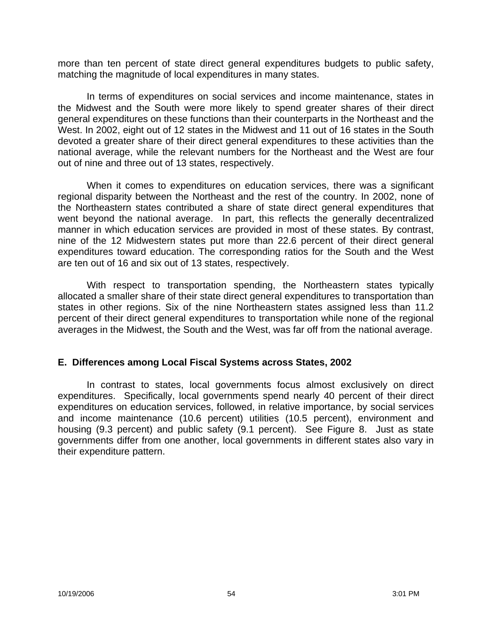more than ten percent of state direct general expenditures budgets to public safety, matching the magnitude of local expenditures in many states.

In terms of expenditures on social services and income maintenance, states in the Midwest and the South were more likely to spend greater shares of their direct general expenditures on these functions than their counterparts in the Northeast and the West. In 2002, eight out of 12 states in the Midwest and 11 out of 16 states in the South devoted a greater share of their direct general expenditures to these activities than the national average, while the relevant numbers for the Northeast and the West are four out of nine and three out of 13 states, respectively.

When it comes to expenditures on education services, there was a significant regional disparity between the Northeast and the rest of the country. In 2002, none of the Northeastern states contributed a share of state direct general expenditures that went beyond the national average. In part, this reflects the generally decentralized manner in which education services are provided in most of these states. By contrast, nine of the 12 Midwestern states put more than 22.6 percent of their direct general expenditures toward education. The corresponding ratios for the South and the West are ten out of 16 and six out of 13 states, respectively.

With respect to transportation spending, the Northeastern states typically allocated a smaller share of their state direct general expenditures to transportation than states in other regions. Six of the nine Northeastern states assigned less than 11.2 percent of their direct general expenditures to transportation while none of the regional averages in the Midwest, the South and the West, was far off from the national average.

## **E. Differences among Local Fiscal Systems across States, 2002**

In contrast to states, local governments focus almost exclusively on direct expenditures. Specifically, local governments spend nearly 40 percent of their direct expenditures on education services, followed, in relative importance, by social services and income maintenance (10.6 percent) utilities (10.5 percent), environment and housing (9.3 percent) and public safety (9.1 percent). See Figure 8. Just as state governments differ from one another, local governments in different states also vary in their expenditure pattern.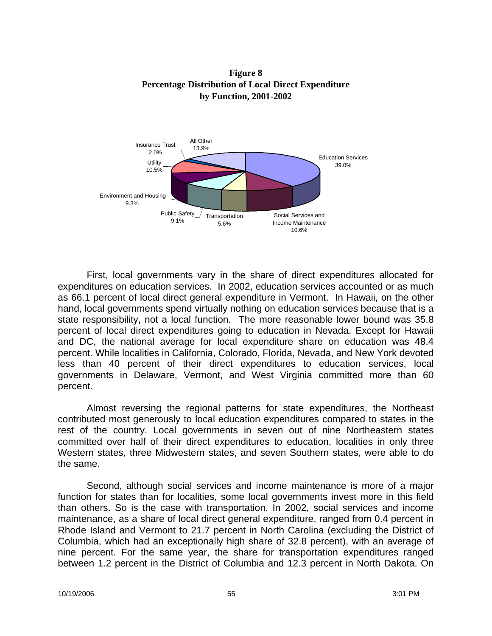**Figure 8 Percentage Distribution of Local Direct Expenditure by Function, 2001-2002**



First, local governments vary in the share of direct expenditures allocated for expenditures on education services. In 2002, education services accounted or as much as 66.1 percent of local direct general expenditure in Vermont. In Hawaii, on the other hand, local governments spend virtually nothing on education services because that is a state responsibility, not a local function. The more reasonable lower bound was 35.8 percent of local direct expenditures going to education in Nevada. Except for Hawaii and DC, the national average for local expenditure share on education was 48.4 percent. While localities in California, Colorado, Florida, Nevada, and New York devoted less than 40 percent of their direct expenditures to education services, local governments in Delaware, Vermont, and West Virginia committed more than 60 percent.

Almost reversing the regional patterns for state expenditures, the Northeast contributed most generously to local education expenditures compared to states in the rest of the country. Local governments in seven out of nine Northeastern states committed over half of their direct expenditures to education, localities in only three Western states, three Midwestern states, and seven Southern states, were able to do the same.

Second, although social services and income maintenance is more of a major function for states than for localities, some local governments invest more in this field than others. So is the case with transportation. In 2002, social services and income maintenance, as a share of local direct general expenditure, ranged from 0.4 percent in Rhode Island and Vermont to 21.7 percent in North Carolina (excluding the District of Columbia, which had an exceptionally high share of 32.8 percent), with an average of nine percent. For the same year, the share for transportation expenditures ranged between 1.2 percent in the District of Columbia and 12.3 percent in North Dakota. On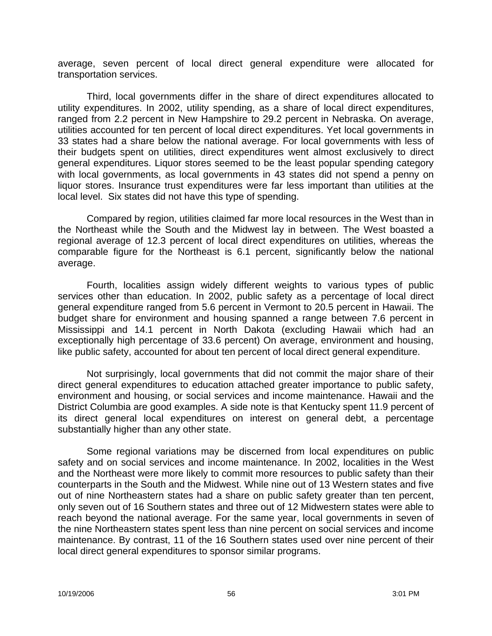average, seven percent of local direct general expenditure were allocated for transportation services.

Third, local governments differ in the share of direct expenditures allocated to utility expenditures. In 2002, utility spending, as a share of local direct expenditures, ranged from 2.2 percent in New Hampshire to 29.2 percent in Nebraska. On average, utilities accounted for ten percent of local direct expenditures. Yet local governments in 33 states had a share below the national average. For local governments with less of their budgets spent on utilities, direct expenditures went almost exclusively to direct general expenditures. Liquor stores seemed to be the least popular spending category with local governments, as local governments in 43 states did not spend a penny on liquor stores. Insurance trust expenditures were far less important than utilities at the local level. Six states did not have this type of spending.

Compared by region, utilities claimed far more local resources in the West than in the Northeast while the South and the Midwest lay in between. The West boasted a regional average of 12.3 percent of local direct expenditures on utilities, whereas the comparable figure for the Northeast is 6.1 percent, significantly below the national average.

Fourth, localities assign widely different weights to various types of public services other than education. In 2002, public safety as a percentage of local direct general expenditure ranged from 5.6 percent in Vermont to 20.5 percent in Hawaii. The budget share for environment and housing spanned a range between 7.6 percent in Mississippi and 14.1 percent in North Dakota (excluding Hawaii which had an exceptionally high percentage of 33.6 percent) On average, environment and housing, like public safety, accounted for about ten percent of local direct general expenditure.

Not surprisingly, local governments that did not commit the major share of their direct general expenditures to education attached greater importance to public safety, environment and housing, or social services and income maintenance. Hawaii and the District Columbia are good examples. A side note is that Kentucky spent 11.9 percent of its direct general local expenditures on interest on general debt, a percentage substantially higher than any other state.

Some regional variations may be discerned from local expenditures on public safety and on social services and income maintenance. In 2002, localities in the West and the Northeast were more likely to commit more resources to public safety than their counterparts in the South and the Midwest. While nine out of 13 Western states and five out of nine Northeastern states had a share on public safety greater than ten percent, only seven out of 16 Southern states and three out of 12 Midwestern states were able to reach beyond the national average. For the same year, local governments in seven of the nine Northeastern states spent less than nine percent on social services and income maintenance. By contrast, 11 of the 16 Southern states used over nine percent of their local direct general expenditures to sponsor similar programs.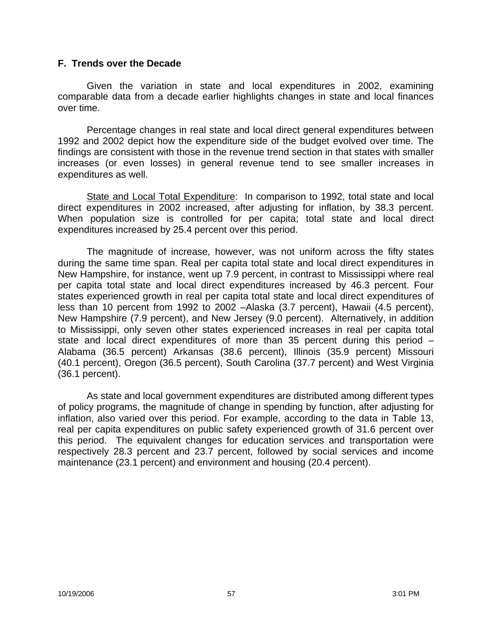## **F. Trends over the Decade**

Given the variation in state and local expenditures in 2002, examining comparable data from a decade earlier highlights changes in state and local finances over time.

Percentage changes in real state and local direct general expenditures between 1992 and 2002 depict how the expenditure side of the budget evolved over time. The findings are consistent with those in the revenue trend section in that states with smaller increases (or even losses) in general revenue tend to see smaller increases in expenditures as well.

State and Local Total Expenditure: In comparison to 1992, total state and local direct expenditures in 2002 increased, after adjusting for inflation, by 38.3 percent. When population size is controlled for per capita; total state and local direct expenditures increased by 25.4 percent over this period.

The magnitude of increase, however, was not uniform across the fifty states during the same time span. Real per capita total state and local direct expenditures in New Hampshire, for instance, went up 7.9 percent, in contrast to Mississippi where real per capita total state and local direct expenditures increased by 46.3 percent. Four states experienced growth in real per capita total state and local direct expenditures of less than 10 percent from 1992 to 2002 –Alaska (3.7 percent), Hawaii (4.5 percent), New Hampshire (7.9 percent), and New Jersey (9.0 percent). Alternatively, in addition to Mississippi, only seven other states experienced increases in real per capita total state and local direct expenditures of more than 35 percent during this period – Alabama (36.5 percent) Arkansas (38.6 percent), Illinois (35.9 percent) Missouri (40.1 percent), Oregon (36.5 percent), South Carolina (37.7 percent) and West Virginia (36.1 percent).

As state and local government expenditures are distributed among different types of policy programs, the magnitude of change in spending by function, after adjusting for inflation, also varied over this period. For example, according to the data in Table 13, real per capita expenditures on public safety experienced growth of 31.6 percent over this period. The equivalent changes for education services and transportation were respectively 28.3 percent and 23.7 percent, followed by social services and income maintenance (23.1 percent) and environment and housing (20.4 percent).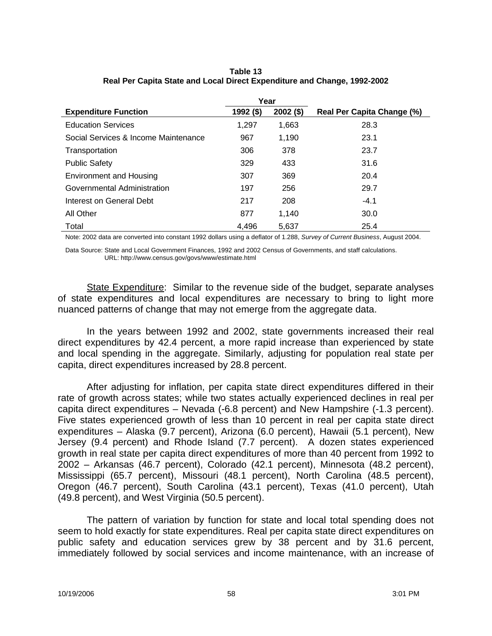|                                      | Year      |             |                            |
|--------------------------------------|-----------|-------------|----------------------------|
| <b>Expenditure Function</b>          | 1992 (\$) | $2002($ \$) | Real Per Capita Change (%) |
| <b>Education Services</b>            | 1,297     | 1,663       | 28.3                       |
| Social Services & Income Maintenance | 967       | 1,190       | 23.1                       |
| Transportation                       | 306       | 378         | 23.7                       |
| <b>Public Safety</b>                 | 329       | 433         | 31.6                       |
| <b>Environment and Housing</b>       | 307       | 369         | 20.4                       |
| Governmental Administration          | 197       | 256         | 29.7                       |
| Interest on General Debt             | 217       | 208         | $-4.1$                     |
| All Other                            | 877       | 1.140       | 30.0                       |
| Total                                | 4.496     | 5,637       | 25.4                       |

**Table 13 Real Per Capita State and Local Direct Expenditure and Change, 1992-2002**

Note: 2002 data are converted into constant 1992 dollars using a deflator of 1.288, *Survey of Current Business*, August 2004.

Data Source: State and Local Government Finances, 1992 and 2002 Census of Governments, and staff calculations. URL: http://www.census.gov/govs/www/estimate.html

State Expenditure: Similar to the revenue side of the budget, separate analyses of state expenditures and local expenditures are necessary to bring to light more nuanced patterns of change that may not emerge from the aggregate data.

In the years between 1992 and 2002, state governments increased their real direct expenditures by 42.4 percent, a more rapid increase than experienced by state and local spending in the aggregate. Similarly, adjusting for population real state per capita, direct expenditures increased by 28.8 percent.

After adjusting for inflation, per capita state direct expenditures differed in their rate of growth across states; while two states actually experienced declines in real per capita direct expenditures – Nevada (-6.8 percent) and New Hampshire (-1.3 percent). Five states experienced growth of less than 10 percent in real per capita state direct expenditures – Alaska (9.7 percent), Arizona (6.0 percent), Hawaii (5.1 percent), New Jersey (9.4 percent) and Rhode Island (7.7 percent). A dozen states experienced growth in real state per capita direct expenditures of more than 40 percent from 1992 to 2002 – Arkansas (46.7 percent), Colorado (42.1 percent), Minnesota (48.2 percent), Mississippi (65.7 percent), Missouri (48.1 percent), North Carolina (48.5 percent), Oregon (46.7 percent), South Carolina (43.1 percent), Texas (41.0 percent), Utah (49.8 percent), and West Virginia (50.5 percent).

The pattern of variation by function for state and local total spending does not seem to hold exactly for state expenditures. Real per capita state direct expenditures on public safety and education services grew by 38 percent and by 31.6 percent, immediately followed by social services and income maintenance, with an increase of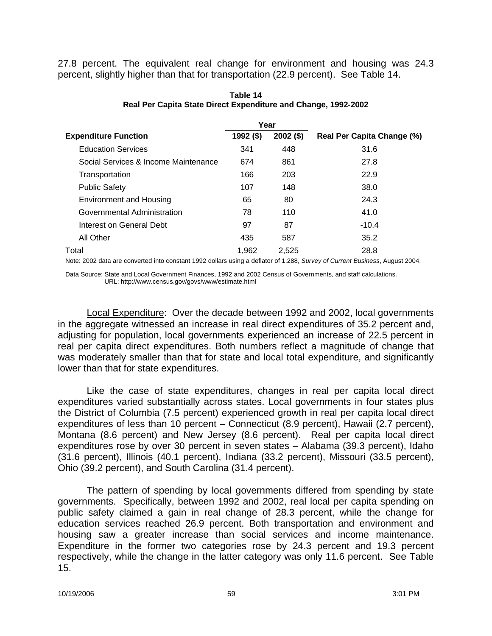27.8 percent. The equivalent real change for environment and housing was 24.3 percent, slightly higher than that for transportation (22.9 percent). See Table 14.

|                                      | Year      |             |                            |
|--------------------------------------|-----------|-------------|----------------------------|
| <b>Expenditure Function</b>          | 1992 (\$) | $2002($ \$) | Real Per Capita Change (%) |
| <b>Education Services</b>            | 341       | 448         | 31.6                       |
| Social Services & Income Maintenance | 674       | 861         | 27.8                       |
| Transportation                       | 166       | 203         | 22.9                       |
| <b>Public Safety</b>                 | 107       | 148         | 38.0                       |
| <b>Environment and Housing</b>       | 65        | 80          | 24.3                       |
| Governmental Administration          | 78        | 110         | 41.0                       |
| Interest on General Debt             | 97        | 87          | $-10.4$                    |
| All Other                            | 435       | 587         | 35.2                       |
| Total                                | 1,962     | 2,525       | 28.8                       |

**Table 14 Real Per Capita State Direct Expenditure and Change, 1992-2002**

Note: 2002 data are converted into constant 1992 dollars using a deflator of 1.288, *Survey of Current Business*, August 2004.

Data Source: State and Local Government Finances, 1992 and 2002 Census of Governments, and staff calculations. URL: http://www.census.gov/govs/www/estimate.html

Local Expenditure: Over the decade between 1992 and 2002, local governments in the aggregate witnessed an increase in real direct expenditures of 35.2 percent and, adjusting for population, local governments experienced an increase of 22.5 percent in real per capita direct expenditures. Both numbers reflect a magnitude of change that was moderately smaller than that for state and local total expenditure, and significantly lower than that for state expenditures.

Like the case of state expenditures, changes in real per capita local direct expenditures varied substantially across states. Local governments in four states plus the District of Columbia (7.5 percent) experienced growth in real per capita local direct expenditures of less than 10 percent – Connecticut (8.9 percent), Hawaii (2.7 percent), Montana (8.6 percent) and New Jersey (8.6 percent). Real per capita local direct expenditures rose by over 30 percent in seven states – Alabama (39.3 percent), Idaho (31.6 percent), Illinois (40.1 percent), Indiana (33.2 percent), Missouri (33.5 percent), Ohio (39.2 percent), and South Carolina (31.4 percent).

The pattern of spending by local governments differed from spending by state governments. Specifically, between 1992 and 2002, real local per capita spending on public safety claimed a gain in real change of 28.3 percent, while the change for education services reached 26.9 percent. Both transportation and environment and housing saw a greater increase than social services and income maintenance. Expenditure in the former two categories rose by 24.3 percent and 19.3 percent respectively, while the change in the latter category was only 11.6 percent. See Table 15.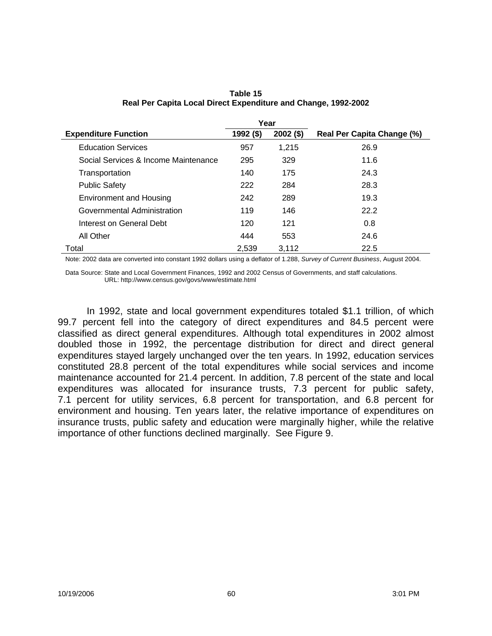|                                      | Year      |             |                            |
|--------------------------------------|-----------|-------------|----------------------------|
| <b>Expenditure Function</b>          | 1992 (\$) | $2002($ \$) | Real Per Capita Change (%) |
| <b>Education Services</b>            | 957       | 1,215       | 26.9                       |
| Social Services & Income Maintenance | 295       | 329         | 11.6                       |
| Transportation                       | 140       | 175         | 24.3                       |
| <b>Public Safety</b>                 | 222       | 284         | 28.3                       |
| <b>Environment and Housing</b>       | 242       | 289         | 19.3                       |
| Governmental Administration          | 119       | 146         | 22.2                       |
| Interest on General Debt             | 120       | 121         | 0.8                        |
| All Other                            | 444       | 553         | 24.6                       |
| Total                                | 2,539     | 3,112       | 22.5                       |

**Table 15 Real Per Capita Local Direct Expenditure and Change, 1992-2002**

Note: 2002 data are converted into constant 1992 dollars using a deflator of 1.288, *Survey of Current Business*, August 2004.

Data Source: State and Local Government Finances, 1992 and 2002 Census of Governments, and staff calculations. URL: http://www.census.gov/govs/www/estimate.html

In 1992, state and local government expenditures totaled \$1.1 trillion, of which 99.7 percent fell into the category of direct expenditures and 84.5 percent were classified as direct general expenditures. Although total expenditures in 2002 almost doubled those in 1992, the percentage distribution for direct and direct general expenditures stayed largely unchanged over the ten years. In 1992, education services constituted 28.8 percent of the total expenditures while social services and income maintenance accounted for 21.4 percent. In addition, 7.8 percent of the state and local expenditures was allocated for insurance trusts, 7.3 percent for public safety, 7.1 percent for utility services, 6.8 percent for transportation, and 6.8 percent for environment and housing. Ten years later, the relative importance of expenditures on insurance trusts, public safety and education were marginally higher, while the relative importance of other functions declined marginally. See Figure 9.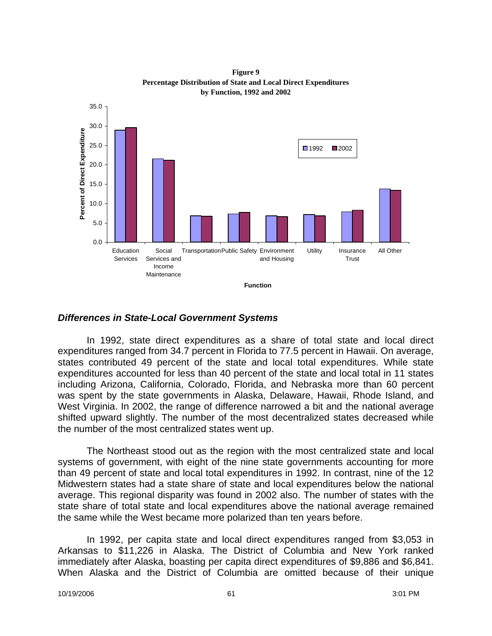**Figure 9 Percentage Distribution of State and Local Direct Expenditures by Function, 1992 and 2002**



#### *Differences in State-Local Government Systems*

In 1992, state direct expenditures as a share of total state and local direct expenditures ranged from 34.7 percent in Florida to 77.5 percent in Hawaii. On average, states contributed 49 percent of the state and local total expenditures. While state expenditures accounted for less than 40 percent of the state and local total in 11 states including Arizona, California, Colorado, Florida, and Nebraska more than 60 percent was spent by the state governments in Alaska, Delaware, Hawaii, Rhode Island, and West Virginia. In 2002, the range of difference narrowed a bit and the national average shifted upward slightly. The number of the most decentralized states decreased while the number of the most centralized states went up.

The Northeast stood out as the region with the most centralized state and local systems of government, with eight of the nine state governments accounting for more than 49 percent of state and local total expenditures in 1992. In contrast, nine of the 12 Midwestern states had a state share of state and local expenditures below the national average. This regional disparity was found in 2002 also. The number of states with the state share of total state and local expenditures above the national average remained the same while the West became more polarized than ten years before.

In 1992, per capita state and local direct expenditures ranged from \$3,053 in Arkansas to \$11,226 in Alaska. The District of Columbia and New York ranked immediately after Alaska, boasting per capita direct expenditures of \$9,886 and \$6,841. When Alaska and the District of Columbia are omitted because of their unique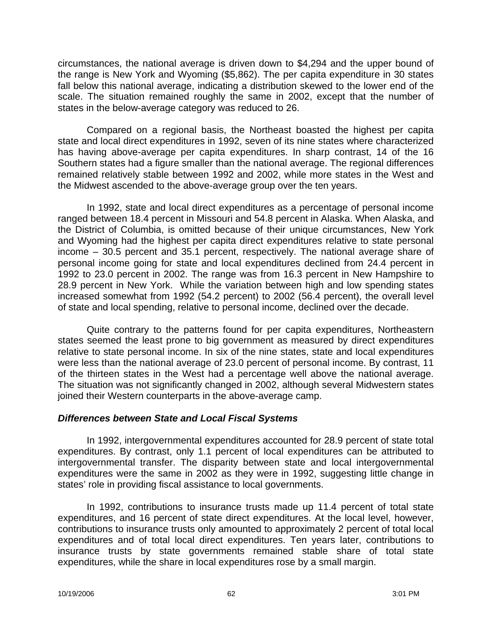circumstances, the national average is driven down to \$4,294 and the upper bound of the range is New York and Wyoming (\$5,862). The per capita expenditure in 30 states fall below this national average, indicating a distribution skewed to the lower end of the scale. The situation remained roughly the same in 2002, except that the number of states in the below-average category was reduced to 26.

Compared on a regional basis, the Northeast boasted the highest per capita state and local direct expenditures in 1992, seven of its nine states where characterized has having above-average per capita expenditures. In sharp contrast, 14 of the 16 Southern states had a figure smaller than the national average. The regional differences remained relatively stable between 1992 and 2002, while more states in the West and the Midwest ascended to the above-average group over the ten years.

In 1992, state and local direct expenditures as a percentage of personal income ranged between 18.4 percent in Missouri and 54.8 percent in Alaska. When Alaska, and the District of Columbia, is omitted because of their unique circumstances, New York and Wyoming had the highest per capita direct expenditures relative to state personal income – 30.5 percent and 35.1 percent, respectively. The national average share of personal income going for state and local expenditures declined from 24.4 percent in 1992 to 23.0 percent in 2002. The range was from 16.3 percent in New Hampshire to 28.9 percent in New York. While the variation between high and low spending states increased somewhat from 1992 (54.2 percent) to 2002 (56.4 percent), the overall level of state and local spending, relative to personal income, declined over the decade.

Quite contrary to the patterns found for per capita expenditures, Northeastern states seemed the least prone to big government as measured by direct expenditures relative to state personal income. In six of the nine states, state and local expenditures were less than the national average of 23.0 percent of personal income. By contrast, 11 of the thirteen states in the West had a percentage well above the national average. The situation was not significantly changed in 2002, although several Midwestern states joined their Western counterparts in the above-average camp.

### *Differences between State and Local Fiscal Systems*

In 1992, intergovernmental expenditures accounted for 28.9 percent of state total expenditures. By contrast, only 1.1 percent of local expenditures can be attributed to intergovernmental transfer. The disparity between state and local intergovernmental expenditures were the same in 2002 as they were in 1992, suggesting little change in states' role in providing fiscal assistance to local governments.

In 1992, contributions to insurance trusts made up 11.4 percent of total state expenditures, and 16 percent of state direct expenditures. At the local level, however, contributions to insurance trusts only amounted to approximately 2 percent of total local expenditures and of total local direct expenditures. Ten years later, contributions to insurance trusts by state governments remained stable share of total state expenditures, while the share in local expenditures rose by a small margin.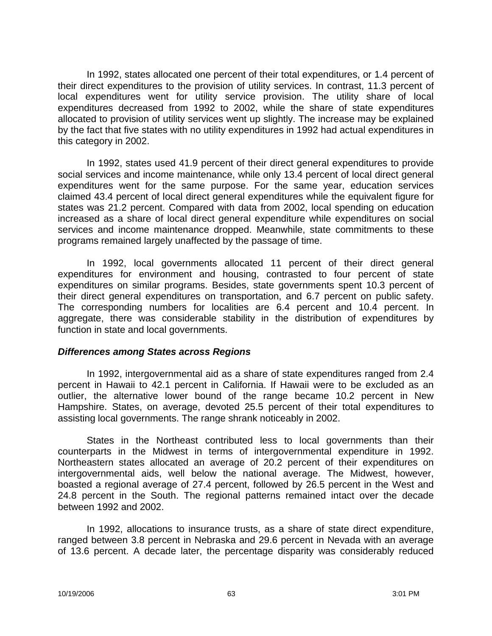In 1992, states allocated one percent of their total expenditures, or 1.4 percent of their direct expenditures to the provision of utility services. In contrast, 11.3 percent of local expenditures went for utility service provision. The utility share of local expenditures decreased from 1992 to 2002, while the share of state expenditures allocated to provision of utility services went up slightly. The increase may be explained by the fact that five states with no utility expenditures in 1992 had actual expenditures in this category in 2002.

In 1992, states used 41.9 percent of their direct general expenditures to provide social services and income maintenance, while only 13.4 percent of local direct general expenditures went for the same purpose. For the same year, education services claimed 43.4 percent of local direct general expenditures while the equivalent figure for states was 21.2 percent. Compared with data from 2002, local spending on education increased as a share of local direct general expenditure while expenditures on social services and income maintenance dropped. Meanwhile, state commitments to these programs remained largely unaffected by the passage of time.

In 1992, local governments allocated 11 percent of their direct general expenditures for environment and housing, contrasted to four percent of state expenditures on similar programs. Besides, state governments spent 10.3 percent of their direct general expenditures on transportation, and 6.7 percent on public safety. The corresponding numbers for localities are 6.4 percent and 10.4 percent. In aggregate, there was considerable stability in the distribution of expenditures by function in state and local governments.

#### *Differences among States across Regions*

In 1992, intergovernmental aid as a share of state expenditures ranged from 2.4 percent in Hawaii to 42.1 percent in California. If Hawaii were to be excluded as an outlier, the alternative lower bound of the range became 10.2 percent in New Hampshire. States, on average, devoted 25.5 percent of their total expenditures to assisting local governments. The range shrank noticeably in 2002.

States in the Northeast contributed less to local governments than their counterparts in the Midwest in terms of intergovernmental expenditure in 1992. Northeastern states allocated an average of 20.2 percent of their expenditures on intergovernmental aids, well below the national average. The Midwest, however, boasted a regional average of 27.4 percent, followed by 26.5 percent in the West and 24.8 percent in the South. The regional patterns remained intact over the decade between 1992 and 2002.

In 1992, allocations to insurance trusts, as a share of state direct expenditure, ranged between 3.8 percent in Nebraska and 29.6 percent in Nevada with an average of 13.6 percent. A decade later, the percentage disparity was considerably reduced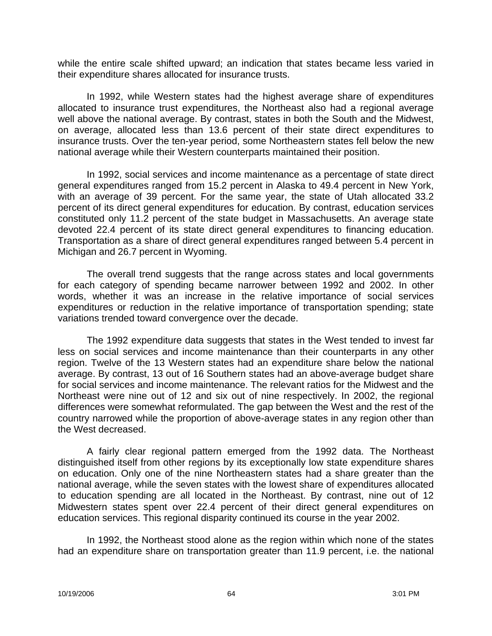while the entire scale shifted upward; an indication that states became less varied in their expenditure shares allocated for insurance trusts.

In 1992, while Western states had the highest average share of expenditures allocated to insurance trust expenditures, the Northeast also had a regional average well above the national average. By contrast, states in both the South and the Midwest, on average, allocated less than 13.6 percent of their state direct expenditures to insurance trusts. Over the ten-year period, some Northeastern states fell below the new national average while their Western counterparts maintained their position.

In 1992, social services and income maintenance as a percentage of state direct general expenditures ranged from 15.2 percent in Alaska to 49.4 percent in New York, with an average of 39 percent. For the same year, the state of Utah allocated 33.2 percent of its direct general expenditures for education. By contrast, education services constituted only 11.2 percent of the state budget in Massachusetts. An average state devoted 22.4 percent of its state direct general expenditures to financing education. Transportation as a share of direct general expenditures ranged between 5.4 percent in Michigan and 26.7 percent in Wyoming.

The overall trend suggests that the range across states and local governments for each category of spending became narrower between 1992 and 2002. In other words, whether it was an increase in the relative importance of social services expenditures or reduction in the relative importance of transportation spending; state variations trended toward convergence over the decade.

The 1992 expenditure data suggests that states in the West tended to invest far less on social services and income maintenance than their counterparts in any other region. Twelve of the 13 Western states had an expenditure share below the national average. By contrast, 13 out of 16 Southern states had an above-average budget share for social services and income maintenance. The relevant ratios for the Midwest and the Northeast were nine out of 12 and six out of nine respectively. In 2002, the regional differences were somewhat reformulated. The gap between the West and the rest of the country narrowed while the proportion of above-average states in any region other than the West decreased.

A fairly clear regional pattern emerged from the 1992 data. The Northeast distinguished itself from other regions by its exceptionally low state expenditure shares on education. Only one of the nine Northeastern states had a share greater than the national average, while the seven states with the lowest share of expenditures allocated to education spending are all located in the Northeast. By contrast, nine out of 12 Midwestern states spent over 22.4 percent of their direct general expenditures on education services. This regional disparity continued its course in the year 2002.

In 1992, the Northeast stood alone as the region within which none of the states had an expenditure share on transportation greater than 11.9 percent, i.e. the national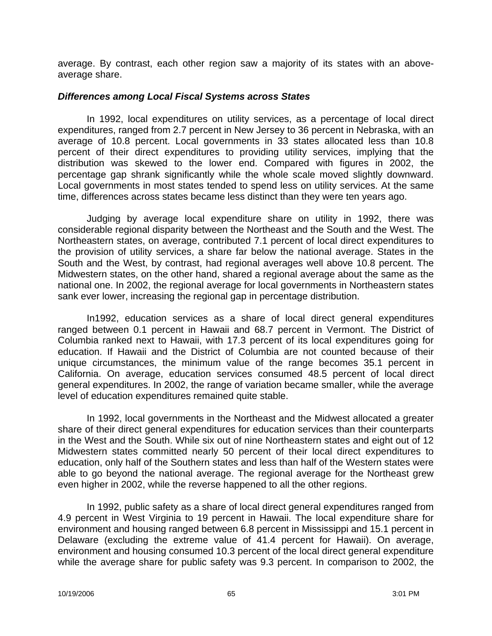average. By contrast, each other region saw a majority of its states with an aboveaverage share.

#### *Differences among Local Fiscal Systems across States*

In 1992, local expenditures on utility services, as a percentage of local direct expenditures, ranged from 2.7 percent in New Jersey to 36 percent in Nebraska, with an average of 10.8 percent. Local governments in 33 states allocated less than 10.8 percent of their direct expenditures to providing utility services, implying that the distribution was skewed to the lower end. Compared with figures in 2002, the percentage gap shrank significantly while the whole scale moved slightly downward. Local governments in most states tended to spend less on utility services. At the same time, differences across states became less distinct than they were ten years ago.

Judging by average local expenditure share on utility in 1992, there was considerable regional disparity between the Northeast and the South and the West. The Northeastern states, on average, contributed 7.1 percent of local direct expenditures to the provision of utility services, a share far below the national average. States in the South and the West, by contrast, had regional averages well above 10.8 percent. The Midwestern states, on the other hand, shared a regional average about the same as the national one. In 2002, the regional average for local governments in Northeastern states sank ever lower, increasing the regional gap in percentage distribution.

In1992, education services as a share of local direct general expenditures ranged between 0.1 percent in Hawaii and 68.7 percent in Vermont. The District of Columbia ranked next to Hawaii, with 17.3 percent of its local expenditures going for education. If Hawaii and the District of Columbia are not counted because of their unique circumstances, the minimum value of the range becomes 35.1 percent in California. On average, education services consumed 48.5 percent of local direct general expenditures. In 2002, the range of variation became smaller, while the average level of education expenditures remained quite stable.

In 1992, local governments in the Northeast and the Midwest allocated a greater share of their direct general expenditures for education services than their counterparts in the West and the South. While six out of nine Northeastern states and eight out of 12 Midwestern states committed nearly 50 percent of their local direct expenditures to education, only half of the Southern states and less than half of the Western states were able to go beyond the national average. The regional average for the Northeast grew even higher in 2002, while the reverse happened to all the other regions.

In 1992, public safety as a share of local direct general expenditures ranged from 4.9 percent in West Virginia to 19 percent in Hawaii. The local expenditure share for environment and housing ranged between 6.8 percent in Mississippi and 15.1 percent in Delaware (excluding the extreme value of 41.4 percent for Hawaii). On average, environment and housing consumed 10.3 percent of the local direct general expenditure while the average share for public safety was 9.3 percent. In comparison to 2002, the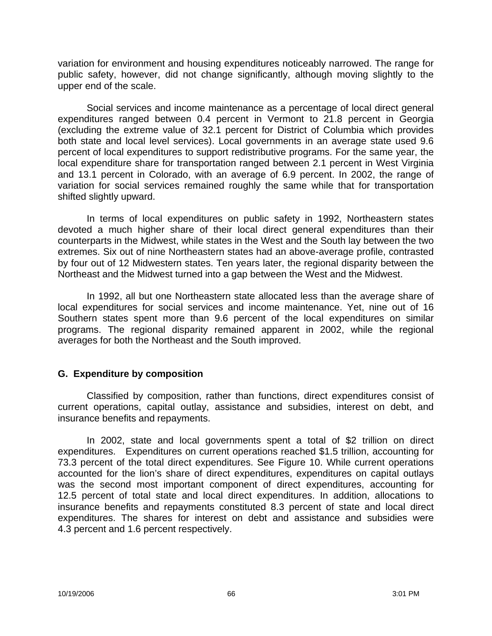variation for environment and housing expenditures noticeably narrowed. The range for public safety, however, did not change significantly, although moving slightly to the upper end of the scale.

Social services and income maintenance as a percentage of local direct general expenditures ranged between 0.4 percent in Vermont to 21.8 percent in Georgia (excluding the extreme value of 32.1 percent for District of Columbia which provides both state and local level services). Local governments in an average state used 9.6 percent of local expenditures to support redistributive programs. For the same year, the local expenditure share for transportation ranged between 2.1 percent in West Virginia and 13.1 percent in Colorado, with an average of 6.9 percent. In 2002, the range of variation for social services remained roughly the same while that for transportation shifted slightly upward.

In terms of local expenditures on public safety in 1992, Northeastern states devoted a much higher share of their local direct general expenditures than their counterparts in the Midwest, while states in the West and the South lay between the two extremes. Six out of nine Northeastern states had an above-average profile, contrasted by four out of 12 Midwestern states. Ten years later, the regional disparity between the Northeast and the Midwest turned into a gap between the West and the Midwest.

In 1992, all but one Northeastern state allocated less than the average share of local expenditures for social services and income maintenance. Yet, nine out of 16 Southern states spent more than 9.6 percent of the local expenditures on similar programs. The regional disparity remained apparent in 2002, while the regional averages for both the Northeast and the South improved.

### **G. Expenditure by composition**

Classified by composition, rather than functions, direct expenditures consist of current operations, capital outlay, assistance and subsidies, interest on debt, and insurance benefits and repayments.

In 2002, state and local governments spent a total of \$2 trillion on direct expenditures. Expenditures on current operations reached \$1.5 trillion, accounting for 73.3 percent of the total direct expenditures. See Figure 10. While current operations accounted for the lion's share of direct expenditures, expenditures on capital outlays was the second most important component of direct expenditures, accounting for 12.5 percent of total state and local direct expenditures. In addition, allocations to insurance benefits and repayments constituted 8.3 percent of state and local direct expenditures. The shares for interest on debt and assistance and subsidies were 4.3 percent and 1.6 percent respectively.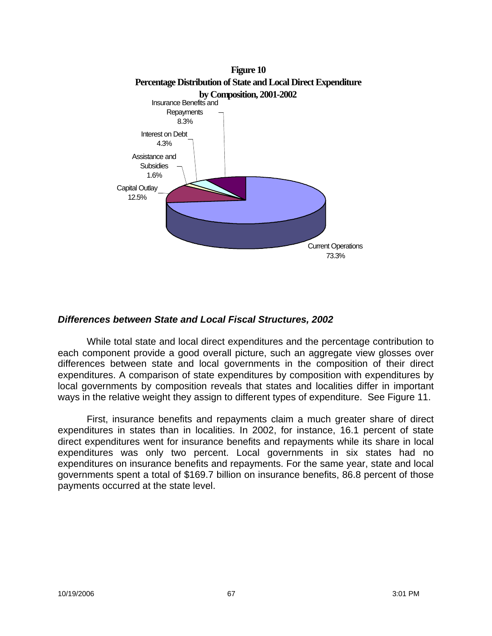

### *Differences between State and Local Fiscal Structures, 2002*

While total state and local direct expenditures and the percentage contribution to each component provide a good overall picture, such an aggregate view glosses over differences between state and local governments in the composition of their direct expenditures. A comparison of state expenditures by composition with expenditures by local governments by composition reveals that states and localities differ in important ways in the relative weight they assign to different types of expenditure. See Figure 11.

First, insurance benefits and repayments claim a much greater share of direct expenditures in states than in localities. In 2002, for instance, 16.1 percent of state direct expenditures went for insurance benefits and repayments while its share in local expenditures was only two percent. Local governments in six states had no expenditures on insurance benefits and repayments. For the same year, state and local governments spent a total of \$169.7 billion on insurance benefits, 86.8 percent of those payments occurred at the state level.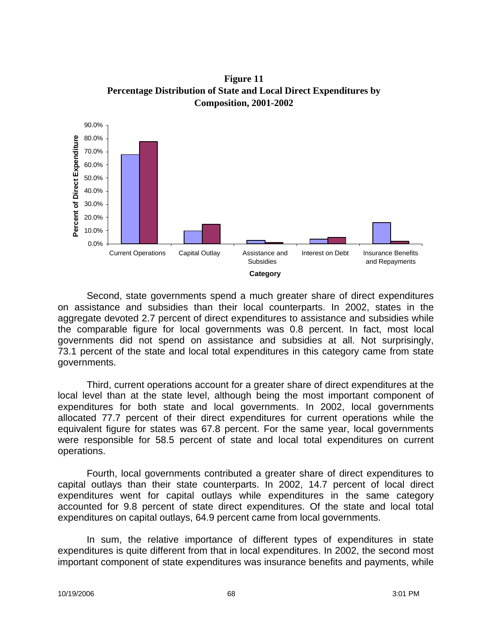**Figure 11 Percentage Distribution of State and Local Direct Expenditures by Composition, 2001-2002**



Second, state governments spend a much greater share of direct expenditures on assistance and subsidies than their local counterparts. In 2002, states in the aggregate devoted 2.7 percent of direct expenditures to assistance and subsidies while the comparable figure for local governments was 0.8 percent. In fact, most local governments did not spend on assistance and subsidies at all. Not surprisingly, 73.1 percent of the state and local total expenditures in this category came from state governments.

Third, current operations account for a greater share of direct expenditures at the local level than at the state level, although being the most important component of expenditures for both state and local governments. In 2002, local governments allocated 77.7 percent of their direct expenditures for current operations while the equivalent figure for states was 67.8 percent. For the same year, local governments were responsible for 58.5 percent of state and local total expenditures on current operations.

Fourth, local governments contributed a greater share of direct expenditures to capital outlays than their state counterparts. In 2002, 14.7 percent of local direct expenditures went for capital outlays while expenditures in the same category accounted for 9.8 percent of state direct expenditures. Of the state and local total expenditures on capital outlays, 64.9 percent came from local governments.

In sum, the relative importance of different types of expenditures in state expenditures is quite different from that in local expenditures. In 2002, the second most important component of state expenditures was insurance benefits and payments, while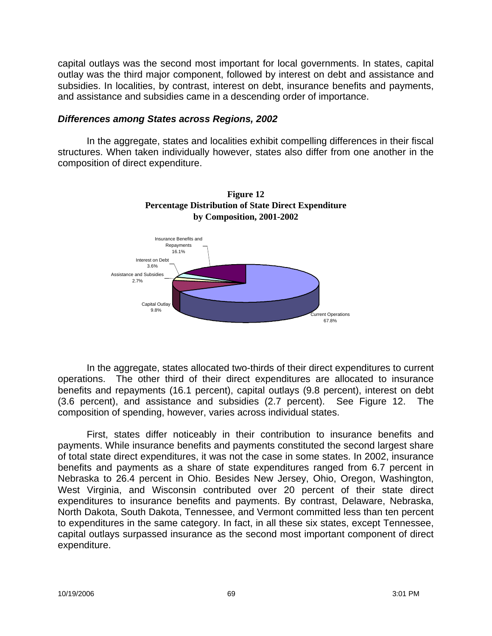capital outlays was the second most important for local governments. In states, capital outlay was the third major component, followed by interest on debt and assistance and subsidies. In localities, by contrast, interest on debt, insurance benefits and payments, and assistance and subsidies came in a descending order of importance.

#### *Differences among States across Regions, 2002*

In the aggregate, states and localities exhibit compelling differences in their fiscal structures. When taken individually however, states also differ from one another in the composition of direct expenditure.



**Figure 12 Percentage Distribution of State Direct Expenditure by Composition, 2001-2002**

In the aggregate, states allocated two-thirds of their direct expenditures to current operations. The other third of their direct expenditures are allocated to insurance benefits and repayments (16.1 percent), capital outlays (9.8 percent), interest on debt (3.6 percent), and assistance and subsidies (2.7 percent). See Figure 12. The composition of spending, however, varies across individual states.

First, states differ noticeably in their contribution to insurance benefits and payments. While insurance benefits and payments constituted the second largest share of total state direct expenditures, it was not the case in some states. In 2002, insurance benefits and payments as a share of state expenditures ranged from 6.7 percent in Nebraska to 26.4 percent in Ohio. Besides New Jersey, Ohio, Oregon, Washington, West Virginia, and Wisconsin contributed over 20 percent of their state direct expenditures to insurance benefits and payments. By contrast, Delaware, Nebraska, North Dakota, South Dakota, Tennessee, and Vermont committed less than ten percent to expenditures in the same category. In fact, in all these six states, except Tennessee, capital outlays surpassed insurance as the second most important component of direct expenditure.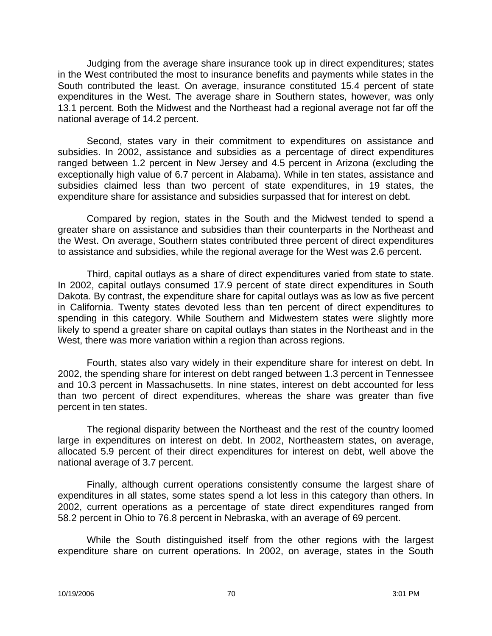Judging from the average share insurance took up in direct expenditures; states in the West contributed the most to insurance benefits and payments while states in the South contributed the least. On average, insurance constituted 15.4 percent of state expenditures in the West. The average share in Southern states, however, was only 13.1 percent. Both the Midwest and the Northeast had a regional average not far off the national average of 14.2 percent.

Second, states vary in their commitment to expenditures on assistance and subsidies. In 2002, assistance and subsidies as a percentage of direct expenditures ranged between 1.2 percent in New Jersey and 4.5 percent in Arizona (excluding the exceptionally high value of 6.7 percent in Alabama). While in ten states, assistance and subsidies claimed less than two percent of state expenditures, in 19 states, the expenditure share for assistance and subsidies surpassed that for interest on debt.

Compared by region, states in the South and the Midwest tended to spend a greater share on assistance and subsidies than their counterparts in the Northeast and the West. On average, Southern states contributed three percent of direct expenditures to assistance and subsidies, while the regional average for the West was 2.6 percent.

Third, capital outlays as a share of direct expenditures varied from state to state. In 2002, capital outlays consumed 17.9 percent of state direct expenditures in South Dakota. By contrast, the expenditure share for capital outlays was as low as five percent in California. Twenty states devoted less than ten percent of direct expenditures to spending in this category. While Southern and Midwestern states were slightly more likely to spend a greater share on capital outlays than states in the Northeast and in the West, there was more variation within a region than across regions.

Fourth, states also vary widely in their expenditure share for interest on debt. In 2002, the spending share for interest on debt ranged between 1.3 percent in Tennessee and 10.3 percent in Massachusetts. In nine states, interest on debt accounted for less than two percent of direct expenditures, whereas the share was greater than five percent in ten states.

The regional disparity between the Northeast and the rest of the country loomed large in expenditures on interest on debt. In 2002, Northeastern states, on average, allocated 5.9 percent of their direct expenditures for interest on debt, well above the national average of 3.7 percent.

Finally, although current operations consistently consume the largest share of expenditures in all states, some states spend a lot less in this category than others. In 2002, current operations as a percentage of state direct expenditures ranged from 58.2 percent in Ohio to 76.8 percent in Nebraska, with an average of 69 percent.

While the South distinguished itself from the other regions with the largest expenditure share on current operations. In 2002, on average, states in the South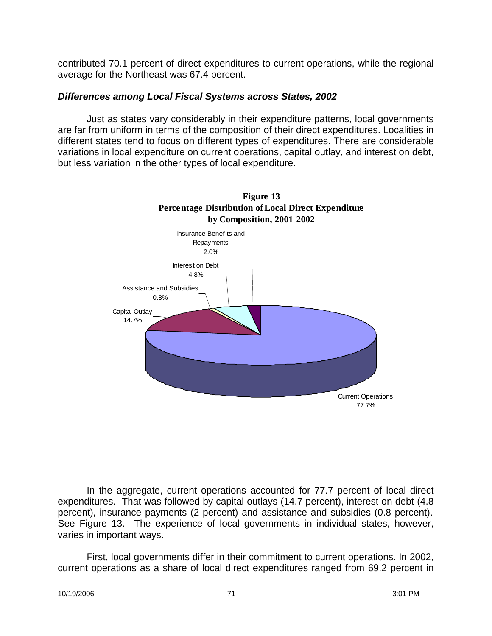contributed 70.1 percent of direct expenditures to current operations, while the regional average for the Northeast was 67.4 percent.

#### *Differences among Local Fiscal Systems across States, 2002*

Just as states vary considerably in their expenditure patterns, local governments are far from uniform in terms of the composition of their direct expenditures. Localities in different states tend to focus on different types of expenditures. There are considerable variations in local expenditure on current operations, capital outlay, and interest on debt, but less variation in the other types of local expenditure.



In the aggregate, current operations accounted for 77.7 percent of local direct expenditures. That was followed by capital outlays (14.7 percent), interest on debt (4.8 percent), insurance payments (2 percent) and assistance and subsidies (0.8 percent). See Figure 13. The experience of local governments in individual states, however, varies in important ways.

First, local governments differ in their commitment to current operations. In 2002, current operations as a share of local direct expenditures ranged from 69.2 percent in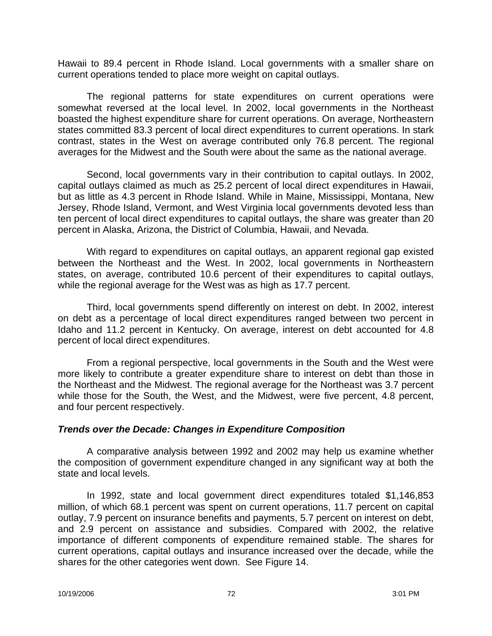Hawaii to 89.4 percent in Rhode Island. Local governments with a smaller share on current operations tended to place more weight on capital outlays.

The regional patterns for state expenditures on current operations were somewhat reversed at the local level. In 2002, local governments in the Northeast boasted the highest expenditure share for current operations. On average, Northeastern states committed 83.3 percent of local direct expenditures to current operations. In stark contrast, states in the West on average contributed only 76.8 percent. The regional averages for the Midwest and the South were about the same as the national average.

Second, local governments vary in their contribution to capital outlays. In 2002, capital outlays claimed as much as 25.2 percent of local direct expenditures in Hawaii, but as little as 4.3 percent in Rhode Island. While in Maine, Mississippi, Montana, New Jersey, Rhode Island, Vermont, and West Virginia local governments devoted less than ten percent of local direct expenditures to capital outlays, the share was greater than 20 percent in Alaska, Arizona, the District of Columbia, Hawaii, and Nevada.

With regard to expenditures on capital outlays, an apparent regional gap existed between the Northeast and the West. In 2002, local governments in Northeastern states, on average, contributed 10.6 percent of their expenditures to capital outlays, while the regional average for the West was as high as 17.7 percent.

Third, local governments spend differently on interest on debt. In 2002, interest on debt as a percentage of local direct expenditures ranged between two percent in Idaho and 11.2 percent in Kentucky. On average, interest on debt accounted for 4.8 percent of local direct expenditures.

From a regional perspective, local governments in the South and the West were more likely to contribute a greater expenditure share to interest on debt than those in the Northeast and the Midwest. The regional average for the Northeast was 3.7 percent while those for the South, the West, and the Midwest, were five percent, 4.8 percent, and four percent respectively.

### *Trends over the Decade: Changes in Expenditure Composition*

A comparative analysis between 1992 and 2002 may help us examine whether the composition of government expenditure changed in any significant way at both the state and local levels.

In 1992, state and local government direct expenditures totaled \$1,146,853 million, of which 68.1 percent was spent on current operations, 11.7 percent on capital outlay, 7.9 percent on insurance benefits and payments, 5.7 percent on interest on debt, and 2.9 percent on assistance and subsidies. Compared with 2002, the relative importance of different components of expenditure remained stable. The shares for current operations, capital outlays and insurance increased over the decade, while the shares for the other categories went down. See Figure 14.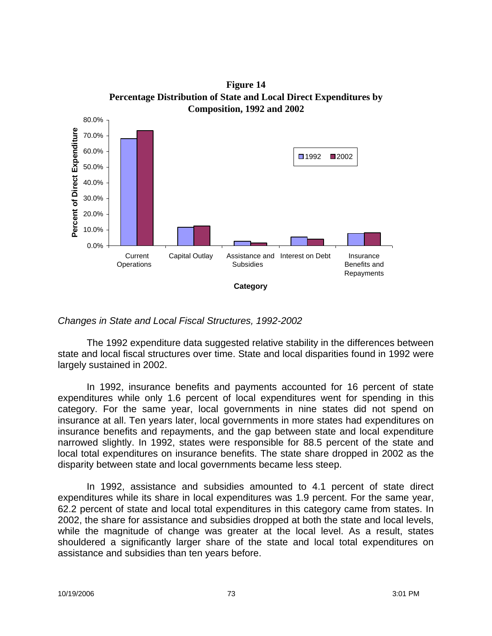

**Figure 14 Percentage Distribution of State and Local Direct Expenditures by** 

*Changes in State and Local Fiscal Structures, 1992-2002*

The 1992 expenditure data suggested relative stability in the differences between state and local fiscal structures over time. State and local disparities found in 1992 were largely sustained in 2002.

In 1992, insurance benefits and payments accounted for 16 percent of state expenditures while only 1.6 percent of local expenditures went for spending in this category. For the same year, local governments in nine states did not spend on insurance at all. Ten years later, local governments in more states had expenditures on insurance benefits and repayments, and the gap between state and local expenditure narrowed slightly. In 1992, states were responsible for 88.5 percent of the state and local total expenditures on insurance benefits. The state share dropped in 2002 as the disparity between state and local governments became less steep.

In 1992, assistance and subsidies amounted to 4.1 percent of state direct expenditures while its share in local expenditures was 1.9 percent. For the same year, 62.2 percent of state and local total expenditures in this category came from states. In 2002, the share for assistance and subsidies dropped at both the state and local levels, while the magnitude of change was greater at the local level. As a result, states shouldered a significantly larger share of the state and local total expenditures on assistance and subsidies than ten years before.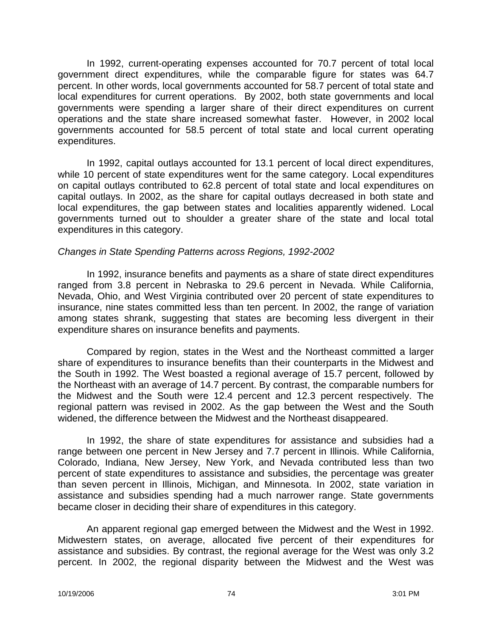In 1992, current-operating expenses accounted for 70.7 percent of total local government direct expenditures, while the comparable figure for states was 64.7 percent. In other words, local governments accounted for 58.7 percent of total state and local expenditures for current operations. By 2002, both state governments and local governments were spending a larger share of their direct expenditures on current operations and the state share increased somewhat faster. However, in 2002 local governments accounted for 58.5 percent of total state and local current operating expenditures.

In 1992, capital outlays accounted for 13.1 percent of local direct expenditures, while 10 percent of state expenditures went for the same category. Local expenditures on capital outlays contributed to 62.8 percent of total state and local expenditures on capital outlays. In 2002, as the share for capital outlays decreased in both state and local expenditures, the gap between states and localities apparently widened. Local governments turned out to shoulder a greater share of the state and local total expenditures in this category.

#### *Changes in State Spending Patterns across Regions, 1992-2002*

In 1992, insurance benefits and payments as a share of state direct expenditures ranged from 3.8 percent in Nebraska to 29.6 percent in Nevada. While California, Nevada, Ohio, and West Virginia contributed over 20 percent of state expenditures to insurance, nine states committed less than ten percent. In 2002, the range of variation among states shrank, suggesting that states are becoming less divergent in their expenditure shares on insurance benefits and payments.

Compared by region, states in the West and the Northeast committed a larger share of expenditures to insurance benefits than their counterparts in the Midwest and the South in 1992. The West boasted a regional average of 15.7 percent, followed by the Northeast with an average of 14.7 percent. By contrast, the comparable numbers for the Midwest and the South were 12.4 percent and 12.3 percent respectively. The regional pattern was revised in 2002. As the gap between the West and the South widened, the difference between the Midwest and the Northeast disappeared.

In 1992, the share of state expenditures for assistance and subsidies had a range between one percent in New Jersey and 7.7 percent in Illinois. While California, Colorado, Indiana, New Jersey, New York, and Nevada contributed less than two percent of state expenditures to assistance and subsidies, the percentage was greater than seven percent in Illinois, Michigan, and Minnesota. In 2002, state variation in assistance and subsidies spending had a much narrower range. State governments became closer in deciding their share of expenditures in this category.

An apparent regional gap emerged between the Midwest and the West in 1992. Midwestern states, on average, allocated five percent of their expenditures for assistance and subsidies. By contrast, the regional average for the West was only 3.2 percent. In 2002, the regional disparity between the Midwest and the West was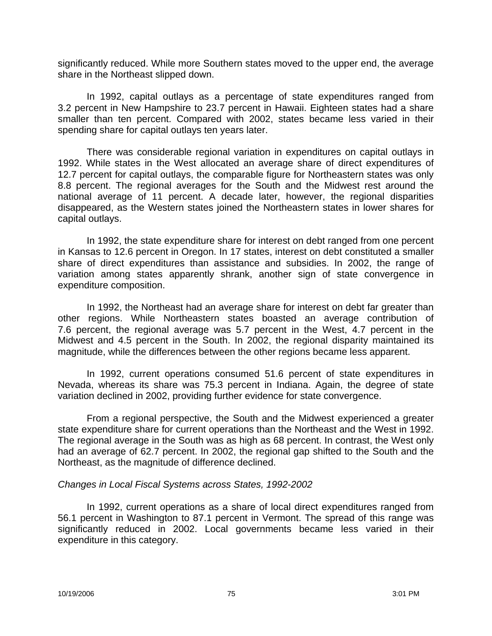significantly reduced. While more Southern states moved to the upper end, the average share in the Northeast slipped down.

In 1992, capital outlays as a percentage of state expenditures ranged from 3.2 percent in New Hampshire to 23.7 percent in Hawaii. Eighteen states had a share smaller than ten percent. Compared with 2002, states became less varied in their spending share for capital outlays ten years later.

There was considerable regional variation in expenditures on capital outlays in 1992. While states in the West allocated an average share of direct expenditures of 12.7 percent for capital outlays, the comparable figure for Northeastern states was only 8.8 percent. The regional averages for the South and the Midwest rest around the national average of 11 percent. A decade later, however, the regional disparities disappeared, as the Western states joined the Northeastern states in lower shares for capital outlays.

In 1992, the state expenditure share for interest on debt ranged from one percent in Kansas to 12.6 percent in Oregon. In 17 states, interest on debt constituted a smaller share of direct expenditures than assistance and subsidies. In 2002, the range of variation among states apparently shrank, another sign of state convergence in expenditure composition.

In 1992, the Northeast had an average share for interest on debt far greater than other regions. While Northeastern states boasted an average contribution of 7.6 percent, the regional average was 5.7 percent in the West, 4.7 percent in the Midwest and 4.5 percent in the South. In 2002, the regional disparity maintained its magnitude, while the differences between the other regions became less apparent.

In 1992, current operations consumed 51.6 percent of state expenditures in Nevada, whereas its share was 75.3 percent in Indiana. Again, the degree of state variation declined in 2002, providing further evidence for state convergence.

From a regional perspective, the South and the Midwest experienced a greater state expenditure share for current operations than the Northeast and the West in 1992. The regional average in the South was as high as 68 percent. In contrast, the West only had an average of 62.7 percent. In 2002, the regional gap shifted to the South and the Northeast, as the magnitude of difference declined.

### *Changes in Local Fiscal Systems across States, 1992-2002*

In 1992, current operations as a share of local direct expenditures ranged from 56.1 percent in Washington to 87.1 percent in Vermont. The spread of this range was significantly reduced in 2002. Local governments became less varied in their expenditure in this category.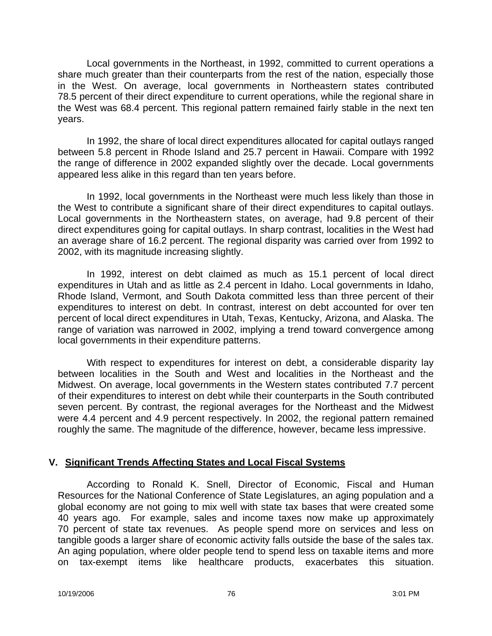Local governments in the Northeast, in 1992, committed to current operations a share much greater than their counterparts from the rest of the nation, especially those in the West. On average, local governments in Northeastern states contributed 78.5 percent of their direct expenditure to current operations, while the regional share in the West was 68.4 percent. This regional pattern remained fairly stable in the next ten years.

In 1992, the share of local direct expenditures allocated for capital outlays ranged between 5.8 percent in Rhode Island and 25.7 percent in Hawaii. Compare with 1992 the range of difference in 2002 expanded slightly over the decade. Local governments appeared less alike in this regard than ten years before.

In 1992, local governments in the Northeast were much less likely than those in the West to contribute a significant share of their direct expenditures to capital outlays. Local governments in the Northeastern states, on average, had 9.8 percent of their direct expenditures going for capital outlays. In sharp contrast, localities in the West had an average share of 16.2 percent. The regional disparity was carried over from 1992 to 2002, with its magnitude increasing slightly.

In 1992, interest on debt claimed as much as 15.1 percent of local direct expenditures in Utah and as little as 2.4 percent in Idaho. Local governments in Idaho, Rhode Island, Vermont, and South Dakota committed less than three percent of their expenditures to interest on debt. In contrast, interest on debt accounted for over ten percent of local direct expenditures in Utah, Texas, Kentucky, Arizona, and Alaska. The range of variation was narrowed in 2002, implying a trend toward convergence among local governments in their expenditure patterns.

With respect to expenditures for interest on debt, a considerable disparity lay between localities in the South and West and localities in the Northeast and the Midwest. On average, local governments in the Western states contributed 7.7 percent of their expenditures to interest on debt while their counterparts in the South contributed seven percent. By contrast, the regional averages for the Northeast and the Midwest were 4.4 percent and 4.9 percent respectively. In 2002, the regional pattern remained roughly the same. The magnitude of the difference, however, became less impressive.

### **V. Significant Trends Affecting States and Local Fiscal Systems**

According to Ronald K. Snell, Director of Economic, Fiscal and Human Resources for the National Conference of State Legislatures, an aging population and a global economy are not going to mix well with state tax bases that were created some 40 years ago. For example, sales and income taxes now make up approximately 70 percent of state tax revenues. As people spend more on services and less on tangible goods a larger share of economic activity falls outside the base of the sales tax. An aging population, where older people tend to spend less on taxable items and more on tax-exempt items like healthcare products, exacerbates this situation.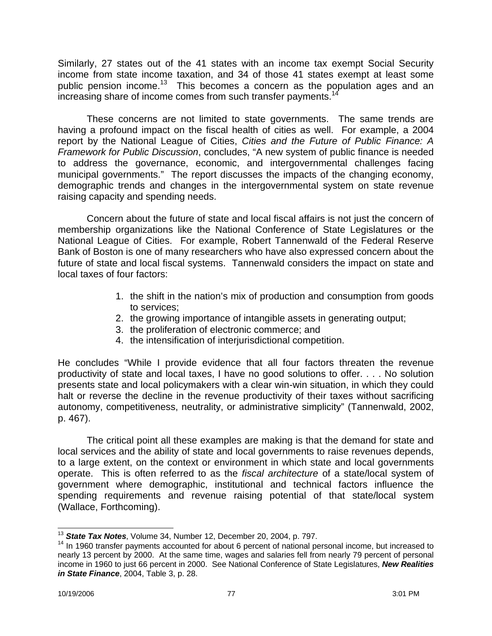Similarly, 27 states out of the 41 states with an income tax exempt Social Security income from state income taxation, and 34 of those 41 states exempt at least some public pension income.<sup>13</sup> This becomes a concern as the population ages and an increasing share of income comes from such transfer payments.<sup>14</sup>

These concerns are not limited to state governments. The same trends are having a profound impact on the fiscal health of cities as well. For example, a 2004 report by the National League of Cities, *Cities and the Future of Public Finance: A Framework for Public Discussion*, concludes, "A new system of public finance is needed to address the governance, economic, and intergovernmental challenges facing municipal governments." The report discusses the impacts of the changing economy, demographic trends and changes in the intergovernmental system on state revenue raising capacity and spending needs.

Concern about the future of state and local fiscal affairs is not just the concern of membership organizations like the National Conference of State Legislatures or the National League of Cities. For example, Robert Tannenwald of the Federal Reserve Bank of Boston is one of many researchers who have also expressed concern about the future of state and local fiscal systems. Tannenwald considers the impact on state and local taxes of four factors:

- 1. the shift in the nation's mix of production and consumption from goods to services;
- 2. the growing importance of intangible assets in generating output;
- 3. the proliferation of electronic commerce; and
- 4. the intensification of interjurisdictional competition.

He concludes "While I provide evidence that all four factors threaten the revenue productivity of state and local taxes, I have no good solutions to offer. . . . No solution presents state and local policymakers with a clear win-win situation, in which they could halt or reverse the decline in the revenue productivity of their taxes without sacrificing autonomy, competitiveness, neutrality, or administrative simplicity" (Tannenwald, 2002, p. 467).

The critical point all these examples are making is that the demand for state and local services and the ability of state and local governments to raise revenues depends, to a large extent, on the context or environment in which state and local governments operate. This is often referred to as the *fiscal architecture* of a state/local system of government where demographic, institutional and technical factors influence the spending requirements and revenue raising potential of that state/local system (Wallace, Forthcoming).

 $\overline{\phantom{a}}$ <sup>13</sup> *State Tax Notes*, Volume 34, Number 12, December 20, 2004, p. 797.

<sup>&</sup>lt;sup>14</sup> In 1960 transfer payments accounted for about 6 percent of national personal income, but increased to nearly 13 percent by 2000. At the same time, wages and salaries fell from nearly 79 percent of personal income in 1960 to just 66 percent in 2000. See National Conference of State Legislatures, *New Realities in State Finance*, 2004, Table 3, p. 28.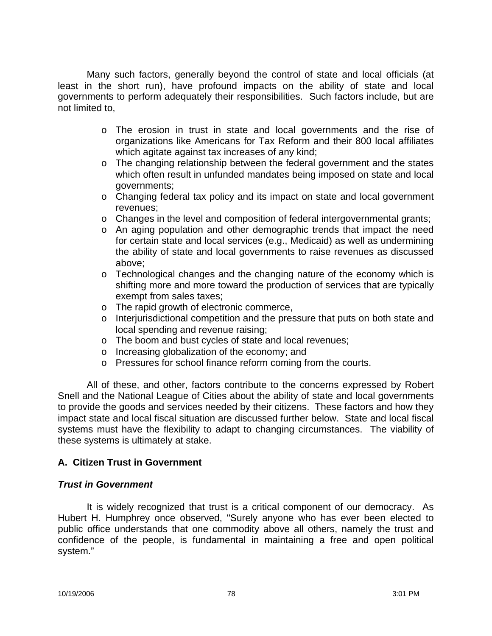Many such factors, generally beyond the control of state and local officials (at least in the short run), have profound impacts on the ability of state and local governments to perform adequately their responsibilities. Such factors include, but are not limited to,

- o The erosion in trust in state and local governments and the rise of organizations like Americans for Tax Reform and their 800 local affiliates which agitate against tax increases of any kind;
- o The changing relationship between the federal government and the states which often result in unfunded mandates being imposed on state and local governments;
- o Changing federal tax policy and its impact on state and local government revenues;
- $\circ$  Changes in the level and composition of federal intergovernmental grants;
- o An aging population and other demographic trends that impact the need for certain state and local services (e.g., Medicaid) as well as undermining the ability of state and local governments to raise revenues as discussed above;
- o Technological changes and the changing nature of the economy which is shifting more and more toward the production of services that are typically exempt from sales taxes;
- o The rapid growth of electronic commerce,
- o Interjurisdictional competition and the pressure that puts on both state and local spending and revenue raising;
- o The boom and bust cycles of state and local revenues;
- o Increasing globalization of the economy; and
- o Pressures for school finance reform coming from the courts.

All of these, and other, factors contribute to the concerns expressed by Robert Snell and the National League of Cities about the ability of state and local governments to provide the goods and services needed by their citizens. These factors and how they impact state and local fiscal situation are discussed further below. State and local fiscal systems must have the flexibility to adapt to changing circumstances. The viability of these systems is ultimately at stake.

# **A. Citizen Trust in Government**

### *Trust in Government*

It is widely recognized that trust is a critical component of our democracy. As Hubert H. Humphrey once observed, "Surely anyone who has ever been elected to public office understands that one commodity above all others, namely the trust and confidence of the people, is fundamental in maintaining a free and open political system."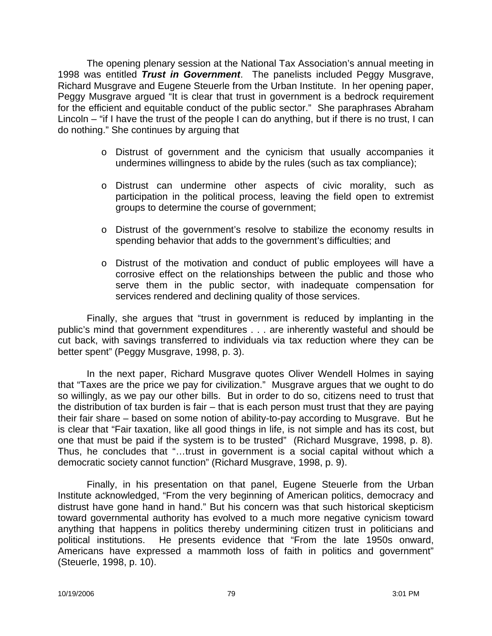The opening plenary session at the National Tax Association's annual meeting in 1998 was entitled *Trust in Government*. The panelists included Peggy Musgrave, Richard Musgrave and Eugene Steuerle from the Urban Institute. In her opening paper, Peggy Musgrave argued "It is clear that trust in government is a bedrock requirement for the efficient and equitable conduct of the public sector." She paraphrases Abraham Lincoln – "if I have the trust of the people I can do anything, but if there is no trust, I can do nothing." She continues by arguing that

- o Distrust of government and the cynicism that usually accompanies it undermines willingness to abide by the rules (such as tax compliance);
- o Distrust can undermine other aspects of civic morality, such as participation in the political process, leaving the field open to extremist groups to determine the course of government;
- o Distrust of the government's resolve to stabilize the economy results in spending behavior that adds to the government's difficulties; and
- o Distrust of the motivation and conduct of public employees will have a corrosive effect on the relationships between the public and those who serve them in the public sector, with inadequate compensation for services rendered and declining quality of those services.

Finally, she argues that "trust in government is reduced by implanting in the public's mind that government expenditures . . . are inherently wasteful and should be cut back, with savings transferred to individuals via tax reduction where they can be better spent" (Peggy Musgrave, 1998, p. 3).

In the next paper, Richard Musgrave quotes Oliver Wendell Holmes in saying that "Taxes are the price we pay for civilization." Musgrave argues that we ought to do so willingly, as we pay our other bills. But in order to do so, citizens need to trust that the distribution of tax burden is fair – that is each person must trust that they are paying their fair share – based on some notion of ability-to-pay according to Musgrave. But he is clear that "Fair taxation, like all good things in life, is not simple and has its cost, but one that must be paid if the system is to be trusted" (Richard Musgrave, 1998, p. 8). Thus, he concludes that "…trust in government is a social capital without which a democratic society cannot function" (Richard Musgrave, 1998, p. 9).

Finally, in his presentation on that panel, Eugene Steuerle from the Urban Institute acknowledged, "From the very beginning of American politics, democracy and distrust have gone hand in hand." But his concern was that such historical skepticism toward governmental authority has evolved to a much more negative cynicism toward anything that happens in politics thereby undermining citizen trust in politicians and political institutions. He presents evidence that "From the late 1950s onward, Americans have expressed a mammoth loss of faith in politics and government" (Steuerle, 1998, p. 10).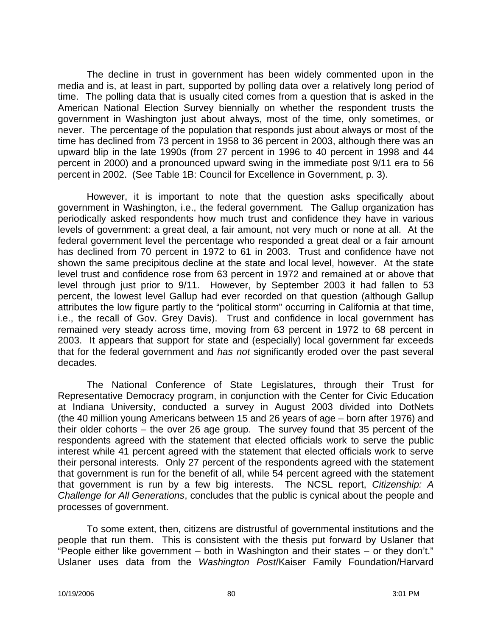The decline in trust in government has been widely commented upon in the media and is, at least in part, supported by polling data over a relatively long period of time. The polling data that is usually cited comes from a question that is asked in the American National Election Survey biennially on whether the respondent trusts the government in Washington just about always, most of the time, only sometimes, or never. The percentage of the population that responds just about always or most of the time has declined from 73 percent in 1958 to 36 percent in 2003, although there was an upward blip in the late 1990s (from 27 percent in 1996 to 40 percent in 1998 and 44 percent in 2000) and a pronounced upward swing in the immediate post 9/11 era to 56 percent in 2002. (See Table 1B: Council for Excellence in Government, p. 3).

However, it is important to note that the question asks specifically about government in Washington, i.e., the federal government. The Gallup organization has periodically asked respondents how much trust and confidence they have in various levels of government: a great deal, a fair amount, not very much or none at all. At the federal government level the percentage who responded a great deal or a fair amount has declined from 70 percent in 1972 to 61 in 2003. Trust and confidence have not shown the same precipitous decline at the state and local level, however. At the state level trust and confidence rose from 63 percent in 1972 and remained at or above that level through just prior to 9/11. However, by September 2003 it had fallen to 53 percent, the lowest level Gallup had ever recorded on that question (although Gallup attributes the low figure partly to the "political storm" occurring in California at that time, i.e., the recall of Gov. Grey Davis). Trust and confidence in local government has remained very steady across time, moving from 63 percent in 1972 to 68 percent in 2003. It appears that support for state and (especially) local government far exceeds that for the federal government and *has not* significantly eroded over the past several decades.

The National Conference of State Legislatures, through their Trust for Representative Democracy program, in conjunction with the Center for Civic Education at Indiana University, conducted a survey in August 2003 divided into DotNets (the 40 million young Americans between 15 and 26 years of age – born after 1976) and their older cohorts – the over 26 age group. The survey found that 35 percent of the respondents agreed with the statement that elected officials work to serve the public interest while 41 percent agreed with the statement that elected officials work to serve their personal interests. Only 27 percent of the respondents agreed with the statement that government is run for the benefit of all, while 54 percent agreed with the statement that government is run by a few big interests. The NCSL report, *Citizenship: A Challenge for All Generations*, concludes that the public is cynical about the people and processes of government.

To some extent, then, citizens are distrustful of governmental institutions and the people that run them. This is consistent with the thesis put forward by Uslaner that "People either like government – both in Washington and their states – or they don't." Uslaner uses data from the *Washington Post*/Kaiser Family Foundation/Harvard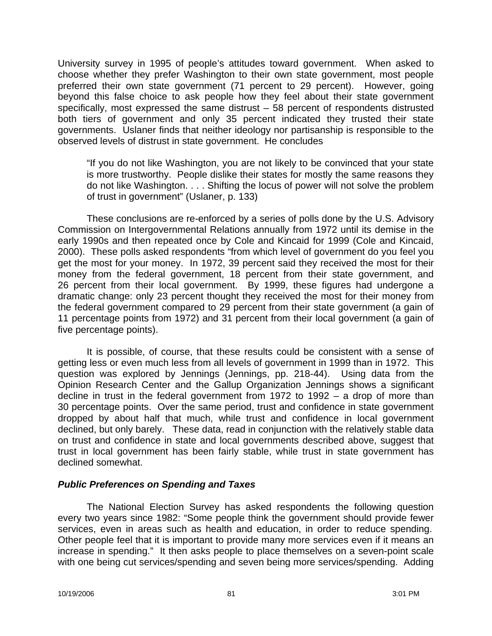University survey in 1995 of people's attitudes toward government. When asked to choose whether they prefer Washington to their own state government, most people preferred their own state government (71 percent to 29 percent). However, going beyond this false choice to ask people how they feel about their state government specifically, most expressed the same distrust – 58 percent of respondents distrusted both tiers of government and only 35 percent indicated they trusted their state governments. Uslaner finds that neither ideology nor partisanship is responsible to the observed levels of distrust in state government. He concludes

"If you do not like Washington, you are not likely to be convinced that your state is more trustworthy. People dislike their states for mostly the same reasons they do not like Washington. . . . Shifting the locus of power will not solve the problem of trust in government" (Uslaner, p. 133)

These conclusions are re-enforced by a series of polls done by the U.S. Advisory Commission on Intergovernmental Relations annually from 1972 until its demise in the early 1990s and then repeated once by Cole and Kincaid for 1999 (Cole and Kincaid, 2000). These polls asked respondents "from which level of government do you feel you get the most for your money. In 1972, 39 percent said they received the most for their money from the federal government, 18 percent from their state government, and 26 percent from their local government. By 1999, these figures had undergone a dramatic change: only 23 percent thought they received the most for their money from the federal government compared to 29 percent from their state government (a gain of 11 percentage points from 1972) and 31 percent from their local government (a gain of five percentage points).

It is possible, of course, that these results could be consistent with a sense of getting less or even much less from all levels of government in 1999 than in 1972. This question was explored by Jennings (Jennings, pp. 218-44). Using data from the Opinion Research Center and the Gallup Organization Jennings shows a significant decline in trust in the federal government from 1972 to 1992 – a drop of more than 30 percentage points. Over the same period, trust and confidence in state government dropped by about half that much, while trust and confidence in local government declined, but only barely. These data, read in conjunction with the relatively stable data on trust and confidence in state and local governments described above, suggest that trust in local government has been fairly stable, while trust in state government has declined somewhat.

### *Public Preferences on Spending and Taxes*

The National Election Survey has asked respondents the following question every two years since 1982: "Some people think the government should provide fewer services, even in areas such as health and education, in order to reduce spending. Other people feel that it is important to provide many more services even if it means an increase in spending." It then asks people to place themselves on a seven-point scale with one being cut services/spending and seven being more services/spending. Adding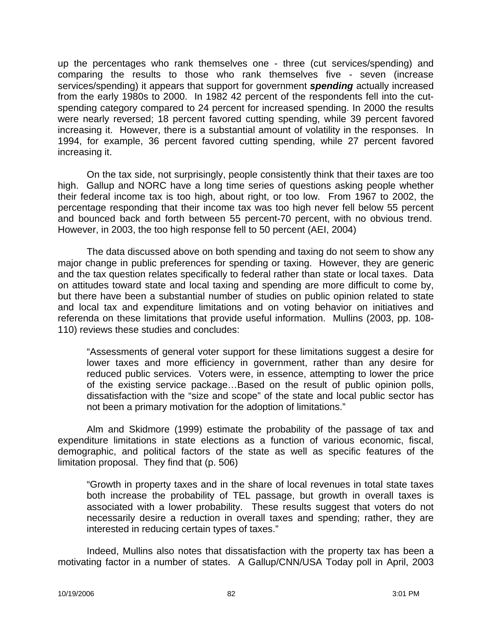up the percentages who rank themselves one - three (cut services/spending) and comparing the results to those who rank themselves five - seven (increase services/spending) it appears that support for government *spending* actually increased from the early 1980s to 2000. In 1982 42 percent of the respondents fell into the cutspending category compared to 24 percent for increased spending. In 2000 the results were nearly reversed; 18 percent favored cutting spending, while 39 percent favored increasing it. However, there is a substantial amount of volatility in the responses. In 1994, for example, 36 percent favored cutting spending, while 27 percent favored increasing it.

On the tax side, not surprisingly, people consistently think that their taxes are too high. Gallup and NORC have a long time series of questions asking people whether their federal income tax is too high, about right, or too low. From 1967 to 2002, the percentage responding that their income tax was too high never fell below 55 percent and bounced back and forth between 55 percent-70 percent, with no obvious trend. However, in 2003, the too high response fell to 50 percent (AEI, 2004)

The data discussed above on both spending and taxing do not seem to show any major change in public preferences for spending or taxing. However, they are generic and the tax question relates specifically to federal rather than state or local taxes. Data on attitudes toward state and local taxing and spending are more difficult to come by, but there have been a substantial number of studies on public opinion related to state and local tax and expenditure limitations and on voting behavior on initiatives and referenda on these limitations that provide useful information. Mullins (2003, pp. 108- 110) reviews these studies and concludes:

"Assessments of general voter support for these limitations suggest a desire for lower taxes and more efficiency in government, rather than any desire for reduced public services. Voters were, in essence, attempting to lower the price of the existing service package…Based on the result of public opinion polls, dissatisfaction with the "size and scope" of the state and local public sector has not been a primary motivation for the adoption of limitations."

Alm and Skidmore (1999) estimate the probability of the passage of tax and expenditure limitations in state elections as a function of various economic, fiscal, demographic, and political factors of the state as well as specific features of the limitation proposal. They find that (p. 506)

"Growth in property taxes and in the share of local revenues in total state taxes both increase the probability of TEL passage, but growth in overall taxes is associated with a lower probability. These results suggest that voters do not necessarily desire a reduction in overall taxes and spending; rather, they are interested in reducing certain types of taxes."

Indeed, Mullins also notes that dissatisfaction with the property tax has been a motivating factor in a number of states. A Gallup/CNN/USA Today poll in April, 2003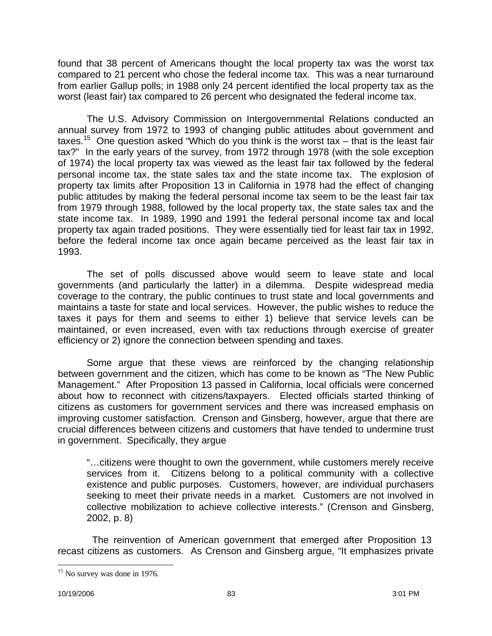found that 38 percent of Americans thought the local property tax was the worst tax compared to 21 percent who chose the federal income tax. This was a near turnaround from earlier Gallup polls; in 1988 only 24 percent identified the local property tax as the worst (least fair) tax compared to 26 percent who designated the federal income tax.

The U.S. Advisory Commission on Intergovernmental Relations conducted an annual survey from 1972 to 1993 of changing public attitudes about government and taxes.<sup>15</sup> One question asked "Which do you think is the worst tax – that is the least fair tax?" In the early years of the survey, from 1972 through 1978 (with the sole exception of 1974) the local property tax was viewed as the least fair tax followed by the federal personal income tax, the state sales tax and the state income tax. The explosion of property tax limits after Proposition 13 in California in 1978 had the effect of changing public attitudes by making the federal personal income tax seem to be the least fair tax from 1979 through 1988, followed by the local property tax, the state sales tax and the state income tax. In 1989, 1990 and 1991 the federal personal income tax and local property tax again traded positions. They were essentially tied for least fair tax in 1992, before the federal income tax once again became perceived as the least fair tax in 1993.

The set of polls discussed above would seem to leave state and local governments (and particularly the latter) in a dilemma. Despite widespread media coverage to the contrary, the public continues to trust state and local governments and maintains a taste for state and local services. However, the public wishes to reduce the taxes it pays for them and seems to either 1) believe that service levels can be maintained, or even increased, even with tax reductions through exercise of greater efficiency or 2) ignore the connection between spending and taxes.

Some argue that these views are reinforced by the changing relationship between government and the citizen, which has come to be known as "The New Public Management." After Proposition 13 passed in California, local officials were concerned about how to reconnect with citizens/taxpayers. Elected officials started thinking of citizens as customers for government services and there was increased emphasis on improving customer satisfaction. Crenson and Ginsberg, however, argue that there are crucial differences between citizens and customers that have tended to undermine trust in government. Specifically, they argue

"…citizens were thought to own the government, while customers merely receive services from it. Citizens belong to a political community with a collective existence and public purposes. Customers, however, are individual purchasers seeking to meet their private needs in a market. Customers are not involved in collective mobilization to achieve collective interests." (Crenson and Ginsberg, 2002, p. 8)

The reinvention of American government that emerged after Proposition 13 recast citizens as customers. As Crenson and Ginsberg argue, "It emphasizes private

 $\overline{a}$  $15$  No survey was done in 1976.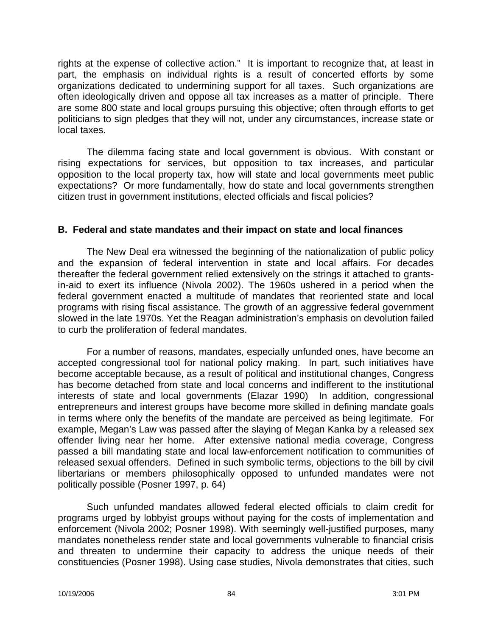rights at the expense of collective action." It is important to recognize that, at least in part, the emphasis on individual rights is a result of concerted efforts by some organizations dedicated to undermining support for all taxes. Such organizations are often ideologically driven and oppose all tax increases as a matter of principle. There are some 800 state and local groups pursuing this objective; often through efforts to get politicians to sign pledges that they will not, under any circumstances, increase state or local taxes.

The dilemma facing state and local government is obvious. With constant or rising expectations for services, but opposition to tax increases, and particular opposition to the local property tax, how will state and local governments meet public expectations? Or more fundamentally, how do state and local governments strengthen citizen trust in government institutions, elected officials and fiscal policies?

### **B. Federal and state mandates and their impact on state and local finances**

The New Deal era witnessed the beginning of the nationalization of public policy and the expansion of federal intervention in state and local affairs. For decades thereafter the federal government relied extensively on the strings it attached to grantsin-aid to exert its influence (Nivola 2002). The 1960s ushered in a period when the federal government enacted a multitude of mandates that reoriented state and local programs with rising fiscal assistance. The growth of an aggressive federal government slowed in the late 1970s. Yet the Reagan administration's emphasis on devolution failed to curb the proliferation of federal mandates.

For a number of reasons, mandates, especially unfunded ones, have become an accepted congressional tool for national policy making. In part, such initiatives have become acceptable because, as a result of political and institutional changes, Congress has become detached from state and local concerns and indifferent to the institutional interests of state and local governments (Elazar 1990) In addition, congressional entrepreneurs and interest groups have become more skilled in defining mandate goals in terms where only the benefits of the mandate are perceived as being legitimate. For example, Megan's Law was passed after the slaying of Megan Kanka by a released sex offender living near her home. After extensive national media coverage, Congress passed a bill mandating state and local law-enforcement notification to communities of released sexual offenders. Defined in such symbolic terms, objections to the bill by civil libertarians or members philosophically opposed to unfunded mandates were not politically possible (Posner 1997, p. 64)

Such unfunded mandates allowed federal elected officials to claim credit for programs urged by lobbyist groups without paying for the costs of implementation and enforcement (Nivola 2002; Posner 1998). With seemingly well-justified purposes, many mandates nonetheless render state and local governments vulnerable to financial crisis and threaten to undermine their capacity to address the unique needs of their constituencies (Posner 1998). Using case studies, Nivola demonstrates that cities, such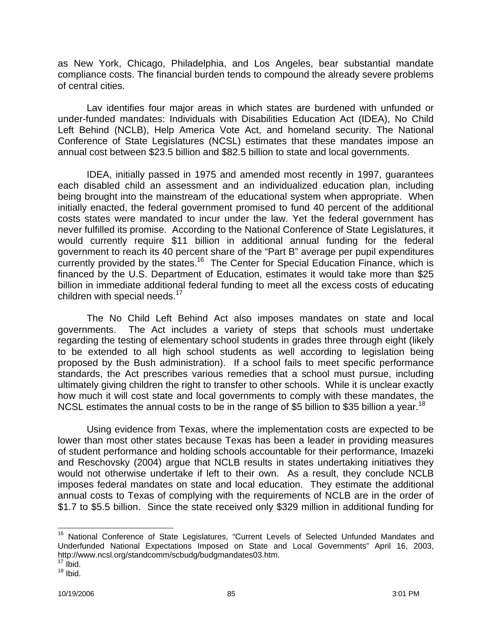as New York, Chicago, Philadelphia, and Los Angeles, bear substantial mandate compliance costs. The financial burden tends to compound the already severe problems of central cities.

Lav identifies four major areas in which states are burdened with unfunded or under-funded mandates: Individuals with Disabilities Education Act (IDEA), No Child Left Behind (NCLB), Help America Vote Act, and homeland security. The National Conference of State Legislatures (NCSL) estimates that these mandates impose an annual cost between \$23.5 billion and \$82.5 billion to state and local governments.

IDEA, initially passed in 1975 and amended most recently in 1997, guarantees each disabled child an assessment and an individualized education plan, including being brought into the mainstream of the educational system when appropriate. When initially enacted, the federal government promised to fund 40 percent of the additional costs states were mandated to incur under the law. Yet the federal government has never fulfilled its promise. According to the National Conference of State Legislatures, it would currently require \$11 billion in additional annual funding for the federal government to reach its 40 percent share of the "Part B" average per pupil expenditures currently provided by the states.<sup>16</sup> The Center for Special Education Finance, which is financed by the U.S. Department of Education, estimates it would take more than \$25 billion in immediate additional federal funding to meet all the excess costs of educating children with special needs. $17$ 

The No Child Left Behind Act also imposes mandates on state and local governments. The Act includes a variety of steps that schools must undertake regarding the testing of elementary school students in grades three through eight (likely to be extended to all high school students as well according to legislation being proposed by the Bush administration). If a school fails to meet specific performance standards, the Act prescribes various remedies that a school must pursue, including ultimately giving children the right to transfer to other schools. While it is unclear exactly how much it will cost state and local governments to comply with these mandates, the NCSL estimates the annual costs to be in the range of \$5 billion to \$35 billion a year.<sup>18</sup>

Using evidence from Texas, where the implementation costs are expected to be lower than most other states because Texas has been a leader in providing measures of student performance and holding schools accountable for their performance, Imazeki and Reschovsky (2004) argue that NCLB results in states undertaking initiatives they would not otherwise undertake if left to their own. As a result, they conclude NCLB imposes federal mandates on state and local education. They estimate the additional annual costs to Texas of complying with the requirements of NCLB are in the order of \$1.7 to \$5.5 billion. Since the state received only \$329 million in additional funding for

 $\overline{\phantom{a}}$ <sup>16</sup> National Conference of State Legislatures, "Current Levels of Selected Unfunded Mandates and Underfunded National Expectations Imposed on State and Local Governments" April 16, 2003, <http://www.ncsl.org/standcomm/scbudg/budgmandates03.htm.>

 $17$  Ibid.

 $18$  Ibid.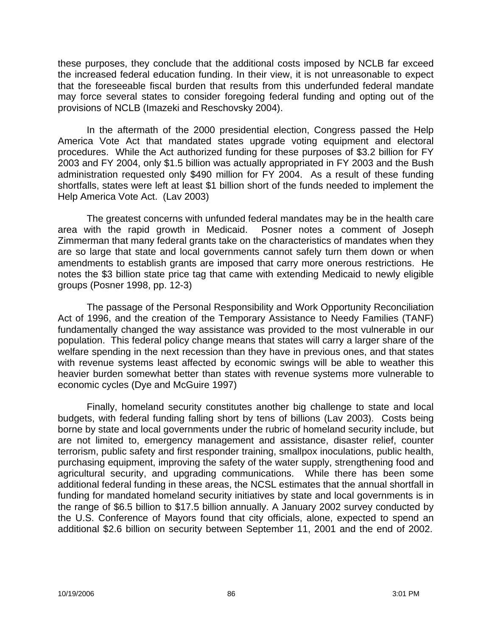these purposes, they conclude that the additional costs imposed by NCLB far exceed the increased federal education funding. In their view, it is not unreasonable to expect that the foreseeable fiscal burden that results from this underfunded federal mandate may force several states to consider foregoing federal funding and opting out of the provisions of NCLB (Imazeki and Reschovsky 2004).

In the aftermath of the 2000 presidential election, Congress passed the Help America Vote Act that mandated states upgrade voting equipment and electoral procedures. While the Act authorized funding for these purposes of \$3.2 billion for FY 2003 and FY 2004, only \$1.5 billion was actually appropriated in FY 2003 and the Bush administration requested only \$490 million for FY 2004. As a result of these funding shortfalls, states were left at least \$1 billion short of the funds needed to implement the Help America Vote Act. (Lav 2003)

The greatest concerns with unfunded federal mandates may be in the health care area with the rapid growth in Medicaid. Posner notes a comment of Joseph Zimmerman that many federal grants take on the characteristics of mandates when they are so large that state and local governments cannot safely turn them down or when amendments to establish grants are imposed that carry more onerous restrictions. He notes the \$3 billion state price tag that came with extending Medicaid to newly eligible groups (Posner 1998, pp. 12-3)

The passage of the Personal Responsibility and Work Opportunity Reconciliation Act of 1996, and the creation of the Temporary Assistance to Needy Families (TANF) fundamentally changed the way assistance was provided to the most vulnerable in our population. This federal policy change means that states will carry a larger share of the welfare spending in the next recession than they have in previous ones, and that states with revenue systems least affected by economic swings will be able to weather this heavier burden somewhat better than states with revenue systems more vulnerable to economic cycles (Dye and McGuire 1997)

Finally, homeland security constitutes another big challenge to state and local budgets, with federal funding falling short by tens of billions (Lav 2003). Costs being borne by state and local governments under the rubric of homeland security include, but are not limited to, emergency management and assistance, disaster relief, counter terrorism, public safety and first responder training, smallpox inoculations, public health, purchasing equipment, improving the safety of the water supply, strengthening food and agricultural security, and upgrading communications. While there has been some additional federal funding in these areas, the NCSL estimates that the annual shortfall in funding for mandated homeland security initiatives by state and local governments is in the range of \$6.5 billion to \$17.5 billion annually. A January 2002 survey conducted by the U.S. Conference of Mayors found that city officials, alone, expected to spend an additional \$2.6 billion on security between September 11, 2001 and the end of 2002.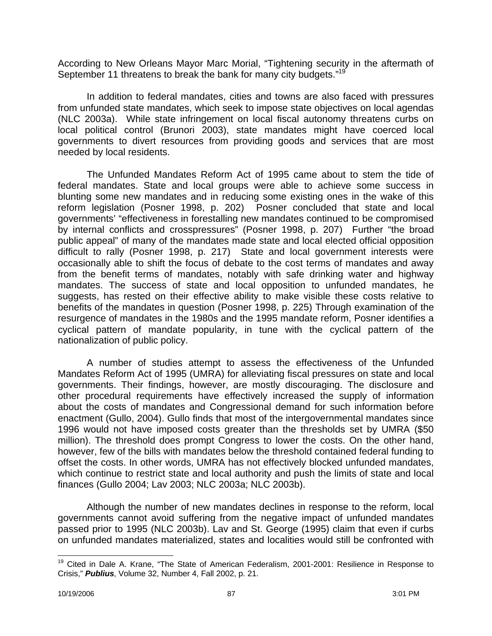According to New Orleans Mayor Marc Morial, "Tightening security in the aftermath of September 11 threatens to break the bank for many city budgets."<sup>19</sup>

In addition to federal mandates, cities and towns are also faced with pressures from unfunded state mandates, which seek to impose state objectives on local agendas (NLC 2003a). While state infringement on local fiscal autonomy threatens curbs on local political control (Brunori 2003), state mandates might have coerced local governments to divert resources from providing goods and services that are most needed by local residents.

The Unfunded Mandates Reform Act of 1995 came about to stem the tide of federal mandates. State and local groups were able to achieve some success in blunting some new mandates and in reducing some existing ones in the wake of this reform legislation (Posner 1998, p. 202) Posner concluded that state and local governments' "effectiveness in forestalling new mandates continued to be compromised by internal conflicts and crosspressures" (Posner 1998, p. 207) Further "the broad public appeal" of many of the mandates made state and local elected official opposition difficult to rally (Posner 1998, p. 217) State and local government interests were occasionally able to shift the focus of debate to the cost terms of mandates and away from the benefit terms of mandates, notably with safe drinking water and highway mandates. The success of state and local opposition to unfunded mandates, he suggests, has rested on their effective ability to make visible these costs relative to benefits of the mandates in question (Posner 1998, p. 225) Through examination of the resurgence of mandates in the 1980s and the 1995 mandate reform, Posner identifies a cyclical pattern of mandate popularity, in tune with the cyclical pattern of the nationalization of public policy.

A number of studies attempt to assess the effectiveness of the Unfunded Mandates Reform Act of 1995 (UMRA) for alleviating fiscal pressures on state and local governments. Their findings, however, are mostly discouraging. The disclosure and other procedural requirements have effectively increased the supply of information about the costs of mandates and Congressional demand for such information before enactment (Gullo, 2004). Gullo finds that most of the intergovernmental mandates since 1996 would not have imposed costs greater than the thresholds set by UMRA (\$50 million). The threshold does prompt Congress to lower the costs. On the other hand, however, few of the bills with mandates below the threshold contained federal funding to offset the costs. In other words, UMRA has not effectively blocked unfunded mandates, which continue to restrict state and local authority and push the limits of state and local finances (Gullo 2004; Lav 2003; NLC 2003a; NLC 2003b).

Although the number of new mandates declines in response to the reform, local governments cannot avoid suffering from the negative impact of unfunded mandates passed prior to 1995 (NLC 2003b). Lav and St. George (1995) claim that even if curbs on unfunded mandates materialized, states and localities would still be confronted with

 $\overline{a}$ 

<sup>&</sup>lt;sup>19</sup> Cited in Dale A. Krane, "The State of American Federalism, 2001-2001: Resilience in Response to Crisis," *Publius*, Volume 32, Number 4, Fall 2002, p. 21.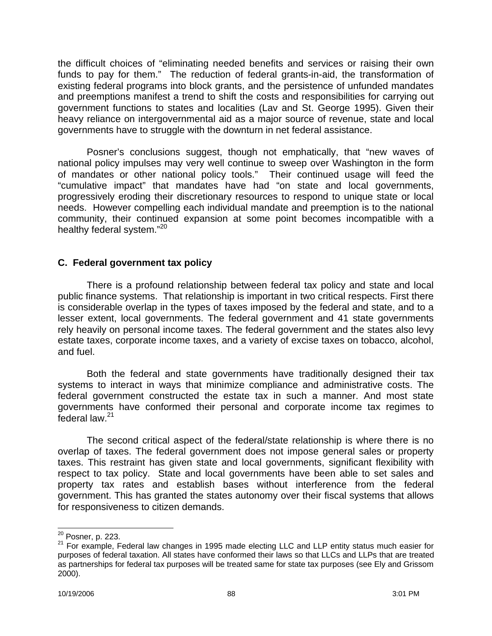the difficult choices of "eliminating needed benefits and services or raising their own funds to pay for them." The reduction of federal grants-in-aid, the transformation of existing federal programs into block grants, and the persistence of unfunded mandates and preemptions manifest a trend to shift the costs and responsibilities for carrying out government functions to states and localities (Lav and St. George 1995). Given their heavy reliance on intergovernmental aid as a major source of revenue, state and local governments have to struggle with the downturn in net federal assistance.

Posner's conclusions suggest, though not emphatically, that "new waves of national policy impulses may very well continue to sweep over Washington in the form of mandates or other national policy tools." Their continued usage will feed the "cumulative impact" that mandates have had "on state and local governments, progressively eroding their discretionary resources to respond to unique state or local needs. However compelling each individual mandate and preemption is to the national community, their continued expansion at some point becomes incompatible with a healthy federal system."<sup>20</sup>

#### **C. Federal government tax policy**

There is a profound relationship between federal tax policy and state and local public finance systems. That relationship is important in two critical respects. First there is considerable overlap in the types of taxes imposed by the federal and state, and to a lesser extent, local governments. The federal government and 41 state governments rely heavily on personal income taxes. The federal government and the states also levy estate taxes, corporate income taxes, and a variety of excise taxes on tobacco, alcohol, and fuel.

Both the federal and state governments have traditionally designed their tax systems to interact in ways that minimize compliance and administrative costs. The federal government constructed the estate tax in such a manner. And most state governments have conformed their personal and corporate income tax regimes to federal law.<sup>21</sup>

The second critical aspect of the federal/state relationship is where there is no overlap of taxes. The federal government does not impose general sales or property taxes. This restraint has given state and local governments, significant flexibility with respect to tax policy. State and local governments have been able to set sales and property tax rates and establish bases without interference from the federal government. This has granted the states autonomy over their fiscal systems that allows for responsiveness to citizen demands.

 $\overline{\phantom{a}}$ 

<sup>&</sup>lt;sup>20</sup> Posner, p. 223.

<sup>&</sup>lt;sup>21</sup> For example, Federal law changes in 1995 made electing LLC and LLP entity status much easier for purposes of federal taxation. All states have conformed their laws so that LLCs and LLPs that are treated as partnerships for federal tax purposes will be treated same for state tax purposes (see Ely and Grissom 2000).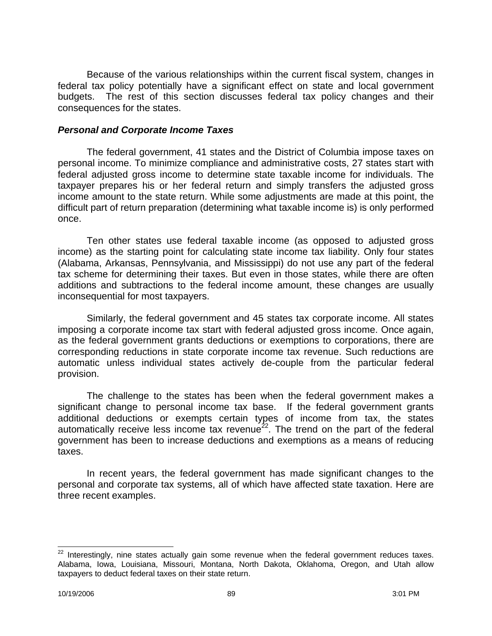Because of the various relationships within the current fiscal system, changes in federal tax policy potentially have a significant effect on state and local government budgets. The rest of this section discusses federal tax policy changes and their consequences for the states.

#### *Personal and Corporate Income Taxes*

The federal government, 41 states and the District of Columbia impose taxes on personal income. To minimize compliance and administrative costs, 27 states start with federal adjusted gross income to determine state taxable income for individuals. The taxpayer prepares his or her federal return and simply transfers the adjusted gross income amount to the state return. While some adjustments are made at this point, the difficult part of return preparation (determining what taxable income is) is only performed once.

Ten other states use federal taxable income (as opposed to adjusted gross income) as the starting point for calculating state income tax liability. Only four states (Alabama, Arkansas, Pennsylvania, and Mississippi) do not use any part of the federal tax scheme for determining their taxes. But even in those states, while there are often additions and subtractions to the federal income amount, these changes are usually inconsequential for most taxpayers.

Similarly, the federal government and 45 states tax corporate income. All states imposing a corporate income tax start with federal adjusted gross income. Once again, as the federal government grants deductions or exemptions to corporations, there are corresponding reductions in state corporate income tax revenue. Such reductions are automatic unless individual states actively de-couple from the particular federal provision.

The challenge to the states has been when the federal government makes a significant change to personal income tax base. If the federal government grants additional deductions or exempts certain types of income from tax, the states automatically receive less income tax revenue<sup>22</sup>. The trend on the part of the federal government has been to increase deductions and exemptions as a means of reducing taxes.

In recent years, the federal government has made significant changes to the personal and corporate tax systems, all of which have affected state taxation. Here are three recent examples.

 $\overline{\phantom{a}}$ 

 $22$  Interestingly, nine states actually gain some revenue when the federal government reduces taxes. Alabama, Iowa, Louisiana, Missouri, Montana, North Dakota, Oklahoma, Oregon, and Utah allow taxpayers to deduct federal taxes on their state return.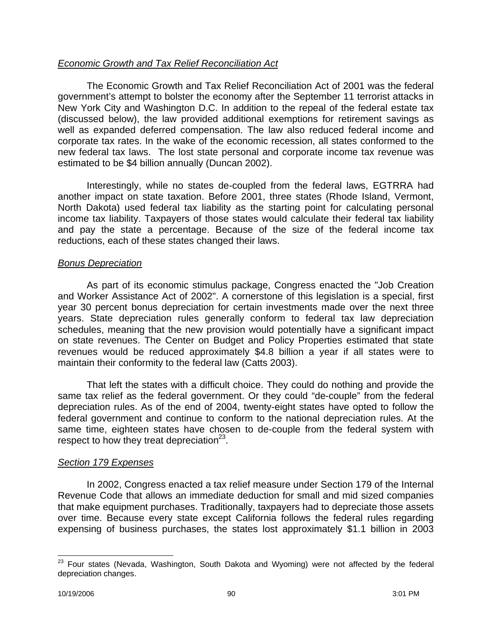## *Economic Growth and Tax Relief Reconciliation Act*

The Economic Growth and Tax Relief Reconciliation Act of 2001 was the federal government's attempt to bolster the economy after the September 11 terrorist attacks in New York City and Washington D.C. In addition to the repeal of the federal estate tax (discussed below), the law provided additional exemptions for retirement savings as well as expanded deferred compensation. The law also reduced federal income and corporate tax rates. In the wake of the economic recession, all states conformed to the new federal tax laws. The lost state personal and corporate income tax revenue was estimated to be \$4 billion annually (Duncan 2002).

Interestingly, while no states de-coupled from the federal laws, EGTRRA had another impact on state taxation. Before 2001, three states (Rhode Island, Vermont, North Dakota) used federal tax liability as the starting point for calculating personal income tax liability. Taxpayers of those states would calculate their federal tax liability and pay the state a percentage. Because of the size of the federal income tax reductions, each of these states changed their laws.

### *Bonus Depreciation*

As part of its economic stimulus package, Congress enacted the "Job Creation and Worker Assistance Act of 2002". A cornerstone of this legislation is a special, first year 30 percent bonus depreciation for certain investments made over the next three years. State depreciation rules generally conform to federal tax law depreciation schedules, meaning that the new provision would potentially have a significant impact on state revenues. The Center on Budget and Policy Properties estimated that state revenues would be reduced approximately \$4.8 billion a year if all states were to maintain their conformity to the federal law (Catts 2003).

That left the states with a difficult choice. They could do nothing and provide the same tax relief as the federal government. Or they could "de-couple" from the federal depreciation rules. As of the end of 2004, twenty-eight states have opted to follow the federal government and continue to conform to the national depreciation rules. At the same time, eighteen states have chosen to de-couple from the federal system with respect to how they treat depreciation $^{23}$ .

# *Section 179 Expenses*

In 2002, Congress enacted a tax relief measure under Section 179 of the Internal Revenue Code that allows an immediate deduction for small and mid sized companies that make equipment purchases. Traditionally, taxpayers had to depreciate those assets over time. Because every state except California follows the federal rules regarding expensing of business purchases, the states lost approximately \$1.1 billion in 2003

 $\overline{a}$  $^{23}$  Four states (Nevada, Washington, South Dakota and Wyoming) were not affected by the federal depreciation changes.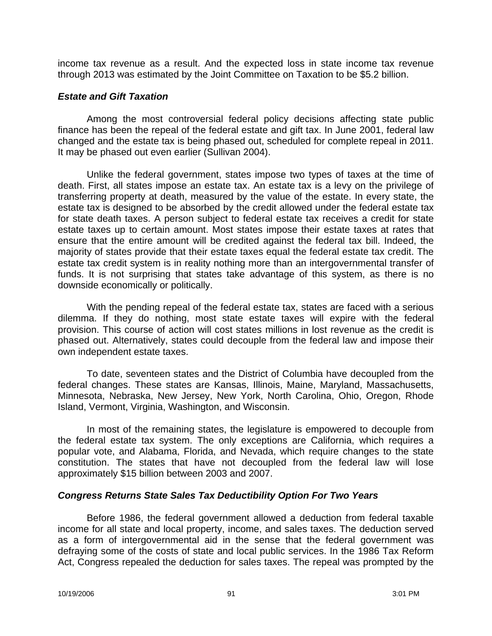income tax revenue as a result. And the expected loss in state income tax revenue through 2013 was estimated by the Joint Committee on Taxation to be \$5.2 billion.

#### *Estate and Gift Taxation*

Among the most controversial federal policy decisions affecting state public finance has been the repeal of the federal estate and gift tax. In June 2001, federal law changed and the estate tax is being phased out, scheduled for complete repeal in 2011. It may be phased out even earlier (Sullivan 2004).

Unlike the federal government, states impose two types of taxes at the time of death. First, all states impose an estate tax. An estate tax is a levy on the privilege of transferring property at death, measured by the value of the estate. In every state, the estate tax is designed to be absorbed by the credit allowed under the federal estate tax for state death taxes. A person subject to federal estate tax receives a credit for state estate taxes up to certain amount. Most states impose their estate taxes at rates that ensure that the entire amount will be credited against the federal tax bill. Indeed, the majority of states provide that their estate taxes equal the federal estate tax credit. The estate tax credit system is in reality nothing more than an intergovernmental transfer of funds. It is not surprising that states take advantage of this system, as there is no downside economically or politically.

With the pending repeal of the federal estate tax, states are faced with a serious dilemma. If they do nothing, most state estate taxes will expire with the federal provision. This course of action will cost states millions in lost revenue as the credit is phased out. Alternatively, states could decouple from the federal law and impose their own independent estate taxes.

To date, seventeen states and the District of Columbia have decoupled from the federal changes. These states are Kansas, Illinois, Maine, Maryland, Massachusetts, Minnesota, Nebraska, New Jersey, New York, North Carolina, Ohio, Oregon, Rhode Island, Vermont, Virginia, Washington, and Wisconsin.

In most of the remaining states, the legislature is empowered to decouple from the federal estate tax system. The only exceptions are California, which requires a popular vote, and Alabama, Florida, and Nevada, which require changes to the state constitution. The states that have not decoupled from the federal law will lose approximately \$15 billion between 2003 and 2007.

### *Congress Returns State Sales Tax Deductibility Option For Two Years*

Before 1986, the federal government allowed a deduction from federal taxable income for all state and local property, income, and sales taxes. The deduction served as a form of intergovernmental aid in the sense that the federal government was defraying some of the costs of state and local public services. In the 1986 Tax Reform Act, Congress repealed the deduction for sales taxes. The repeal was prompted by the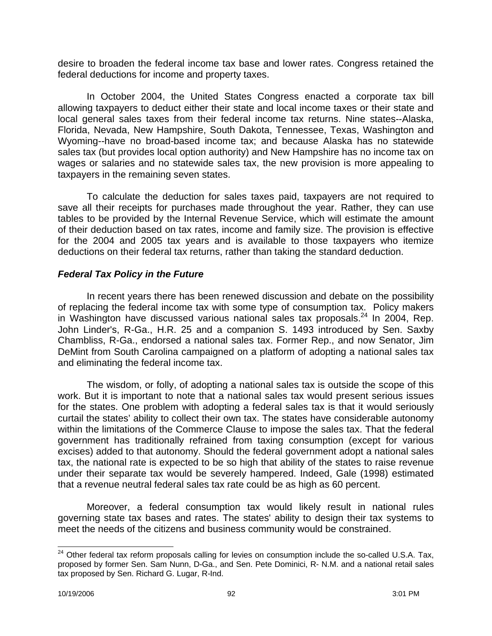desire to broaden the federal income tax base and lower rates. Congress retained the federal deductions for income and property taxes.

In October 2004, the United States Congress enacted a corporate tax bill allowing taxpayers to deduct either their state and local income taxes or their state and local general sales taxes from their federal income tax returns. Nine states--Alaska, Florida, Nevada, New Hampshire, South Dakota, Tennessee, Texas, Washington and Wyoming--have no broad-based income tax; and because Alaska has no statewide sales tax (but provides local option authority) and New Hampshire has no income tax on wages or salaries and no statewide sales tax, the new provision is more appealing to taxpayers in the remaining seven states.

To calculate the deduction for sales taxes paid, taxpayers are not required to save all their receipts for purchases made throughout the year. Rather, they can use tables to be provided by the Internal Revenue Service, which will estimate the amount of their deduction based on tax rates, income and family size. The provision is effective for the 2004 and 2005 tax years and is available to those taxpayers who itemize deductions on their federal tax returns, rather than taking the standard deduction.

## *Federal Tax Policy in the Future*

In recent years there has been renewed discussion and debate on the possibility of replacing the federal income tax with some type of consumption tax. Policy makers in Washington have discussed various national sales tax proposals.<sup>24</sup> In 2004, Rep. John Linder's, R-Ga., H.R. 25 and a companion S. 1493 introduced by Sen. Saxby Chambliss, R-Ga., endorsed a national sales tax. Former Rep., and now Senator, Jim DeMint from South Carolina campaigned on a platform of adopting a national sales tax and eliminating the federal income tax.

The wisdom, or folly, of adopting a national sales tax is outside the scope of this work. But it is important to note that a national sales tax would present serious issues for the states. One problem with adopting a federal sales tax is that it would seriously curtail the states' ability to collect their own tax. The states have considerable autonomy within the limitations of the Commerce Clause to impose the sales tax. That the federal government has traditionally refrained from taxing consumption (except for various excises) added to that autonomy. Should the federal government adopt a national sales tax, the national rate is expected to be so high that ability of the states to raise revenue under their separate tax would be severely hampered. Indeed, Gale (1998) estimated that a revenue neutral federal sales tax rate could be as high as 60 percent.

Moreover, a federal consumption tax would likely result in national rules governing state tax bases and rates. The states' ability to design their tax systems to meet the needs of the citizens and business community would be constrained.

 $\overline{\phantom{a}}$  $24$  Other federal tax reform proposals calling for levies on consumption include the so-called U.S.A. Tax, proposed by former Sen. Sam Nunn, D-Ga., and Sen. Pete Dominici, R- N.M. and a national retail sales tax proposed by Sen. Richard G. Lugar, R-Ind.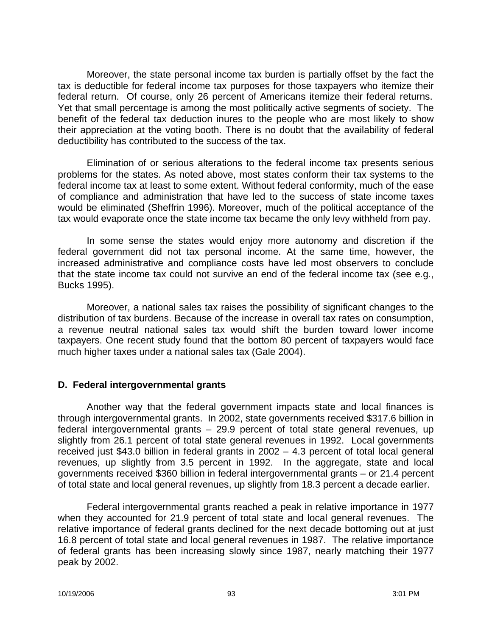Moreover, the state personal income tax burden is partially offset by the fact the tax is deductible for federal income tax purposes for those taxpayers who itemize their federal return. Of course, only 26 percent of Americans itemize their federal returns. Yet that small percentage is among the most politically active segments of society. The benefit of the federal tax deduction inures to the people who are most likely to show their appreciation at the voting booth. There is no doubt that the availability of federal deductibility has contributed to the success of the tax.

Elimination of or serious alterations to the federal income tax presents serious problems for the states. As noted above, most states conform their tax systems to the federal income tax at least to some extent. Without federal conformity, much of the ease of compliance and administration that have led to the success of state income taxes would be eliminated (Sheffrin 1996). Moreover, much of the political acceptance of the tax would evaporate once the state income tax became the only levy withheld from pay.

In some sense the states would enjoy more autonomy and discretion if the federal government did not tax personal income. At the same time, however, the increased administrative and compliance costs have led most observers to conclude that the state income tax could not survive an end of the federal income tax (see e.g., Bucks 1995).

Moreover, a national sales tax raises the possibility of significant changes to the distribution of tax burdens. Because of the increase in overall tax rates on consumption, a revenue neutral national sales tax would shift the burden toward lower income taxpayers. One recent study found that the bottom 80 percent of taxpayers would face much higher taxes under a national sales tax (Gale 2004).

### **D. Federal intergovernmental grants**

Another way that the federal government impacts state and local finances is through intergovernmental grants. In 2002, state governments received \$317.6 billion in federal intergovernmental grants – 29.9 percent of total state general revenues, up slightly from 26.1 percent of total state general revenues in 1992. Local governments received just \$43.0 billion in federal grants in 2002 – 4.3 percent of total local general revenues, up slightly from 3.5 percent in 1992. In the aggregate, state and local governments received \$360 billion in federal intergovernmental grants – or 21.4 percent of total state and local general revenues, up slightly from 18.3 percent a decade earlier.

Federal intergovernmental grants reached a peak in relative importance in 1977 when they accounted for 21.9 percent of total state and local general revenues. The relative importance of federal grants declined for the next decade bottoming out at just 16.8 percent of total state and local general revenues in 1987. The relative importance of federal grants has been increasing slowly since 1987, nearly matching their 1977 peak by 2002.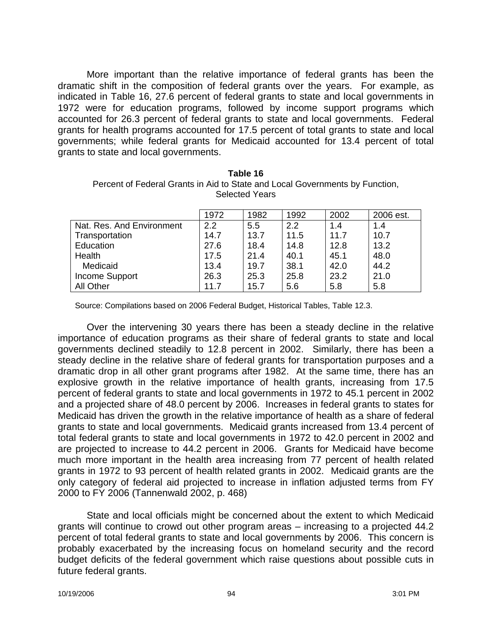More important than the relative importance of federal grants has been the dramatic shift in the composition of federal grants over the years. For example, as indicated in Table 16, 27.6 percent of federal grants to state and local governments in 1972 were for education programs, followed by income support programs which accounted for 26.3 percent of federal grants to state and local governments. Federal grants for health programs accounted for 17.5 percent of total grants to state and local governments; while federal grants for Medicaid accounted for 13.4 percent of total grants to state and local governments.

| <b>Selected Years</b>     |      |      |      |      |           |
|---------------------------|------|------|------|------|-----------|
|                           | 1972 | 1982 | 1992 | 2002 | 2006 est. |
| Nat. Res. And Environment | 2.2  | 5.5  | 2.2  | 1.4  | 1.4       |
| Transportation            | 14.7 | 13.7 | 11.5 | 11.7 | 10.7      |
| Education                 | 27.6 | 18.4 | 14.8 | 12.8 | 13.2      |

| Table 16                                                                     |
|------------------------------------------------------------------------------|
| Percent of Federal Grants in Aid to State and Local Governments by Function, |
| <b>Selected Years</b>                                                        |

Source: Compilations based on 2006 Federal Budget, Historical Tables, Table 12.3.

Health 17.5 21.4 40.1 45.1 48.0 Medicaid 13.4 | 19.7 | 38.1 | 42.0 | 44.2 Income Support 26.3 25.3 25.8 23.2 21.0 All Other 11.7 | 15.7 | 5.6 | 5.8 | 5.8

Over the intervening 30 years there has been a steady decline in the relative importance of education programs as their share of federal grants to state and local governments declined steadily to 12.8 percent in 2002. Similarly, there has been a steady decline in the relative share of federal grants for transportation purposes and a dramatic drop in all other grant programs after 1982. At the same time, there has an explosive growth in the relative importance of health grants, increasing from 17.5 percent of federal grants to state and local governments in 1972 to 45.1 percent in 2002 and a projected share of 48.0 percent by 2006. Increases in federal grants to states for Medicaid has driven the growth in the relative importance of health as a share of federal grants to state and local governments. Medicaid grants increased from 13.4 percent of total federal grants to state and local governments in 1972 to 42.0 percent in 2002 and are projected to increase to 44.2 percent in 2006. Grants for Medicaid have become much more important in the health area increasing from 77 percent of health related grants in 1972 to 93 percent of health related grants in 2002. Medicaid grants are the only category of federal aid projected to increase in inflation adjusted terms from FY 2000 to FY 2006 (Tannenwald 2002, p. 468)

State and local officials might be concerned about the extent to which Medicaid grants will continue to crowd out other program areas – increasing to a projected 44.2 percent of total federal grants to state and local governments by 2006. This concern is probably exacerbated by the increasing focus on homeland security and the record budget deficits of the federal government which raise questions about possible cuts in future federal grants.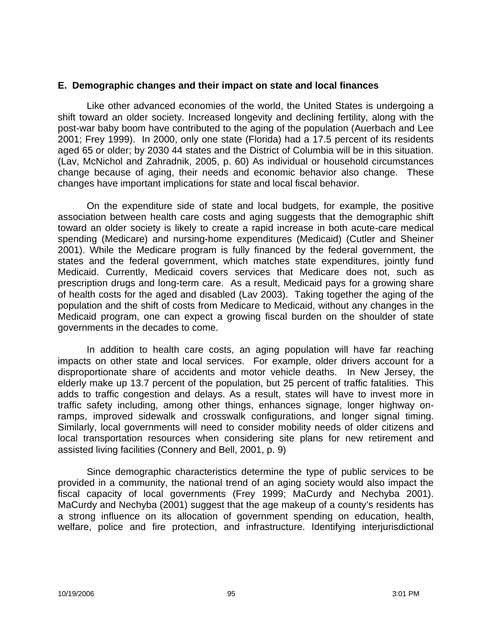#### **E. Demographic changes and their impact on state and local finances**

Like other advanced economies of the world, the United States is undergoing a shift toward an older society. Increased longevity and declining fertility, along with the post-war baby boom have contributed to the aging of the population (Auerbach and Lee 2001; Frey 1999). In 2000, only one state (Florida) had a 17.5 percent of its residents aged 65 or older; by 2030 44 states and the District of Columbia will be in this situation. (Lav, McNichol and Zahradnik, 2005, p. 60) As individual or household circumstances change because of aging, their needs and economic behavior also change. These changes have important implications for state and local fiscal behavior.

On the expenditure side of state and local budgets, for example, the positive association between health care costs and aging suggests that the demographic shift toward an older society is likely to create a rapid increase in both acute-care medical spending (Medicare) and nursing-home expenditures (Medicaid) (Cutler and Sheiner 2001). While the Medicare program is fully financed by the federal government, the states and the federal government, which matches state expenditures, jointly fund Medicaid. Currently, Medicaid covers services that Medicare does not, such as prescription drugs and long-term care. As a result, Medicaid pays for a growing share of health costs for the aged and disabled (Lav 2003). Taking together the aging of the population and the shift of costs from Medicare to Medicaid, without any changes in the Medicaid program, one can expect a growing fiscal burden on the shoulder of state governments in the decades to come.

In addition to health care costs, an aging population will have far reaching impacts on other state and local services. For example, older drivers account for a disproportionate share of accidents and motor vehicle deaths. In New Jersey, the elderly make up 13.7 percent of the population, but 25 percent of traffic fatalities. This adds to traffic congestion and delays. As a result, states will have to invest more in traffic safety including, among other things, enhances signage, longer highway onramps, improved sidewalk and crosswalk configurations, and longer signal timing. Similarly, local governments will need to consider mobility needs of older citizens and local transportation resources when considering site plans for new retirement and assisted living facilities (Connery and Bell, 2001, p. 9)

Since demographic characteristics determine the type of public services to be provided in a community, the national trend of an aging society would also impact the fiscal capacity of local governments (Frey 1999; MaCurdy and Nechyba 2001). MaCurdy and Nechyba (2001) suggest that the age makeup of a county's residents has a strong influence on its allocation of government spending on education, health, welfare, police and fire protection, and infrastructure. Identifying interjurisdictional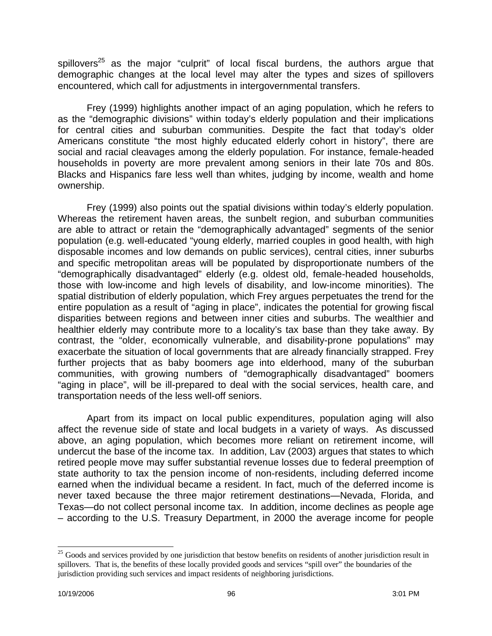spillovers<sup>25</sup> as the major "culprit" of local fiscal burdens, the authors argue that demographic changes at the local level may alter the types and sizes of spillovers encountered, which call for adjustments in intergovernmental transfers.

Frey (1999) highlights another impact of an aging population, which he refers to as the "demographic divisions" within today's elderly population and their implications for central cities and suburban communities. Despite the fact that today's older Americans constitute "the most highly educated elderly cohort in history", there are social and racial cleavages among the elderly population. For instance, female-headed households in poverty are more prevalent among seniors in their late 70s and 80s. Blacks and Hispanics fare less well than whites, judging by income, wealth and home ownership.

Frey (1999) also points out the spatial divisions within today's elderly population. Whereas the retirement haven areas, the sunbelt region, and suburban communities are able to attract or retain the "demographically advantaged" segments of the senior population (e.g. well-educated "young elderly, married couples in good health, with high disposable incomes and low demands on public services), central cities, inner suburbs and specific metropolitan areas will be populated by disproportionate numbers of the "demographically disadvantaged" elderly (e.g. oldest old, female-headed households, those with low-income and high levels of disability, and low-income minorities). The spatial distribution of elderly population, which Frey argues perpetuates the trend for the entire population as a result of "aging in place", indicates the potential for growing fiscal disparities between regions and between inner cities and suburbs. The wealthier and healthier elderly may contribute more to a locality's tax base than they take away. By contrast, the "older, economically vulnerable, and disability-prone populations" may exacerbate the situation of local governments that are already financially strapped. Frey further projects that as baby boomers age into elderhood, many of the suburban communities, with growing numbers of "demographically disadvantaged" boomers "aging in place", will be ill-prepared to deal with the social services, health care, and transportation needs of the less well-off seniors.

Apart from its impact on local public expenditures, population aging will also affect the revenue side of state and local budgets in a variety of ways. As discussed above, an aging population, which becomes more reliant on retirement income, will undercut the base of the income tax. In addition, Lav (2003) argues that states to which retired people move may suffer substantial revenue losses due to federal preemption of state authority to tax the pension income of non-residents, including deferred income earned when the individual became a resident. In fact, much of the deferred income is never taxed because the three major retirement destinations—Nevada, Florida, and Texas—do not collect personal income tax. In addition, income declines as people age – according to the U.S. Treasury Department, in 2000 the average income for people

 $\overline{a}$ 

<sup>&</sup>lt;sup>25</sup> Goods and services provided by one jurisdiction that bestow benefits on residents of another jurisdiction result in spillovers. That is, the benefits of these locally provided goods and services "spill over" the boundaries of the jurisdiction providing such services and impact residents of neighboring jurisdictions.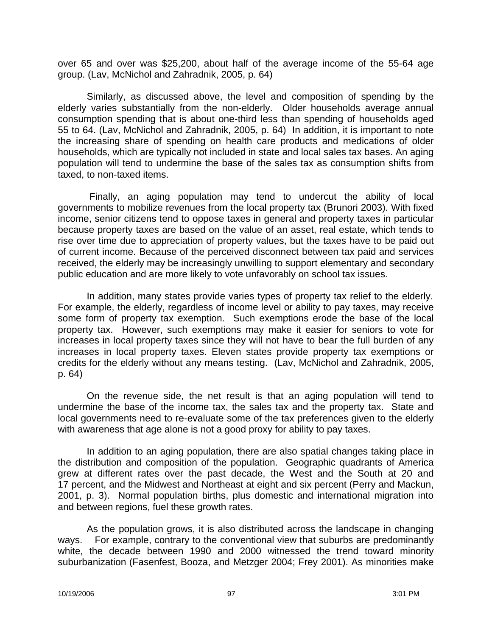over 65 and over was \$25,200, about half of the average income of the 55-64 age group. (Lav, McNichol and Zahradnik, 2005, p. 64)

Similarly, as discussed above, the level and composition of spending by the elderly varies substantially from the non-elderly. Older households average annual consumption spending that is about one-third less than spending of households aged 55 to 64. (Lav, McNichol and Zahradnik, 2005, p. 64) In addition, it is important to note the increasing share of spending on health care products and medications of older households, which are typically not included in state and local sales tax bases. An aging population will tend to undermine the base of the sales tax as consumption shifts from taxed, to non-taxed items.

Finally, an aging population may tend to undercut the ability of local governments to mobilize revenues from the local property tax (Brunori 2003). With fixed income, senior citizens tend to oppose taxes in general and property taxes in particular because property taxes are based on the value of an asset, real estate, which tends to rise over time due to appreciation of property values, but the taxes have to be paid out of current income. Because of the perceived disconnect between tax paid and services received, the elderly may be increasingly unwilling to support elementary and secondary public education and are more likely to vote unfavorably on school tax issues.

In addition, many states provide varies types of property tax relief to the elderly. For example, the elderly, regardless of income level or ability to pay taxes, may receive some form of property tax exemption. Such exemptions erode the base of the local property tax. However, such exemptions may make it easier for seniors to vote for increases in local property taxes since they will not have to bear the full burden of any increases in local property taxes. Eleven states provide property tax exemptions or credits for the elderly without any means testing. (Lav, McNichol and Zahradnik, 2005, p. 64)

On the revenue side, the net result is that an aging population will tend to undermine the base of the income tax, the sales tax and the property tax. State and local governments need to re-evaluate some of the tax preferences given to the elderly with awareness that age alone is not a good proxy for ability to pay taxes.

In addition to an aging population, there are also spatial changes taking place in the distribution and composition of the population. Geographic quadrants of America grew at different rates over the past decade, the West and the South at 20 and 17 percent, and the Midwest and Northeast at eight and six percent (Perry and Mackun, 2001, p. 3). Normal population births, plus domestic and international migration into and between regions, fuel these growth rates.

As the population grows, it is also distributed across the landscape in changing ways. For example, contrary to the conventional view that suburbs are predominantly white, the decade between 1990 and 2000 witnessed the trend toward minority suburbanization (Fasenfest, Booza, and Metzger 2004; Frey 2001). As minorities make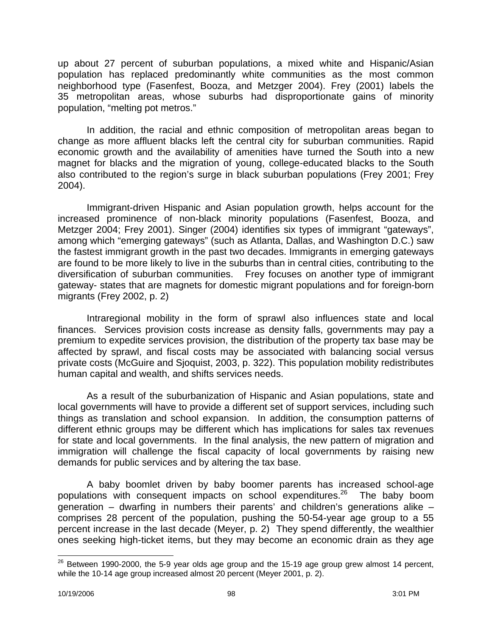up about 27 percent of suburban populations, a mixed white and Hispanic/Asian population has replaced predominantly white communities as the most common neighborhood type (Fasenfest, Booza, and Metzger 2004). Frey (2001) labels the 35 metropolitan areas, whose suburbs had disproportionate gains of minority population, "melting pot metros."

In addition, the racial and ethnic composition of metropolitan areas began to change as more affluent blacks left the central city for suburban communities. Rapid economic growth and the availability of amenities have turned the South into a new magnet for blacks and the migration of young, college-educated blacks to the South also contributed to the region's surge in black suburban populations (Frey 2001; Frey 2004).

Immigrant-driven Hispanic and Asian population growth, helps account for the increased prominence of non-black minority populations (Fasenfest, Booza, and Metzger 2004; Frey 2001). Singer (2004) identifies six types of immigrant "gateways", among which "emerging gateways" (such as Atlanta, Dallas, and Washington D.C.) saw the fastest immigrant growth in the past two decades. Immigrants in emerging gateways are found to be more likely to live in the suburbs than in central cities, contributing to the diversification of suburban communities. Frey focuses on another type of immigrant gateway- states that are magnets for domestic migrant populations and for foreign-born migrants (Frey 2002, p. 2)

Intraregional mobility in the form of sprawl also influences state and local finances. Services provision costs increase as density falls, governments may pay a premium to expedite services provision, the distribution of the property tax base may be affected by sprawl, and fiscal costs may be associated with balancing social versus private costs (McGuire and Sjoquist, 2003, p. 322). This population mobility redistributes human capital and wealth, and shifts services needs.

As a result of the suburbanization of Hispanic and Asian populations, state and local governments will have to provide a different set of support services, including such things as translation and school expansion. In addition, the consumption patterns of different ethnic groups may be different which has implications for sales tax revenues for state and local governments. In the final analysis, the new pattern of migration and immigration will challenge the fiscal capacity of local governments by raising new demands for public services and by altering the tax base.

A baby boomlet driven by baby boomer parents has increased school-age populations with consequent impacts on school expenditures.<sup>26</sup> The baby boom generation – dwarfing in numbers their parents' and children's generations alike – comprises 28 percent of the population, pushing the 50-54-year age group to a 55 percent increase in the last decade (Meyer, p. 2) They spend differently, the wealthier ones seeking high-ticket items, but they may become an economic drain as they age

 $\overline{a}$ 

 $^{26}$  Between 1990-2000, the 5-9 year olds age group and the 15-19 age group grew almost 14 percent, while the 10-14 age group increased almost 20 percent (Meyer 2001, p. 2).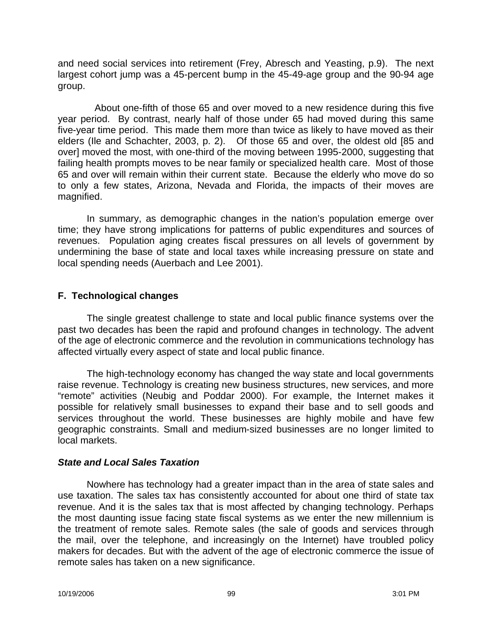and need social services into retirement (Frey, Abresch and Yeasting, p.9). The next largest cohort jump was a 45-percent bump in the 45-49-age group and the 90-94 age group.

About one-fifth of those 65 and over moved to a new residence during this five year period. By contrast, nearly half of those under 65 had moved during this same five-year time period. This made them more than twice as likely to have moved as their elders (Ile and Schachter, 2003, p. 2). Of those 65 and over, the oldest old [85 and over] moved the most, with one-third of the moving between 1995-2000, suggesting that failing health prompts moves to be near family or specialized health care. Most of those 65 and over will remain within their current state. Because the elderly who move do so to only a few states, Arizona, Nevada and Florida, the impacts of their moves are magnified.

In summary, as demographic changes in the nation's population emerge over time; they have strong implications for patterns of public expenditures and sources of revenues. Population aging creates fiscal pressures on all levels of government by undermining the base of state and local taxes while increasing pressure on state and local spending needs (Auerbach and Lee 2001).

## **F. Technological changes**

The single greatest challenge to state and local public finance systems over the past two decades has been the rapid and profound changes in technology. The advent of the age of electronic commerce and the revolution in communications technology has affected virtually every aspect of state and local public finance.

The high-technology economy has changed the way state and local governments raise revenue. Technology is creating new business structures, new services, and more "remote" activities (Neubig and Poddar 2000). For example, the Internet makes it possible for relatively small businesses to expand their base and to sell goods and services throughout the world. These businesses are highly mobile and have few geographic constraints. Small and medium-sized businesses are no longer limited to local markets.

### *State and Local Sales Taxation*

Nowhere has technology had a greater impact than in the area of state sales and use taxation. The sales tax has consistently accounted for about one third of state tax revenue. And it is the sales tax that is most affected by changing technology. Perhaps the most daunting issue facing state fiscal systems as we enter the new millennium is the treatment of remote sales. Remote sales (the sale of goods and services through the mail, over the telephone, and increasingly on the Internet) have troubled policy makers for decades. But with the advent of the age of electronic commerce the issue of remote sales has taken on a new significance.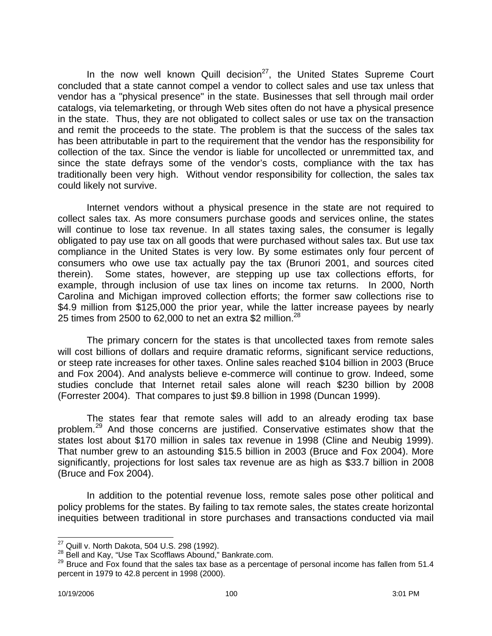In the now well known Quill decision<sup>27</sup>, the United States Supreme Court concluded that a state cannot compel a vendor to collect sales and use tax unless that vendor has a "physical presence" in the state. Businesses that sell through mail order catalogs, via telemarketing, or through Web sites often do not have a physical presence in the state. Thus, they are not obligated to collect sales or use tax on the transaction and remit the proceeds to the state. The problem is that the success of the sales tax has been attributable in part to the requirement that the vendor has the responsibility for collection of the tax. Since the vendor is liable for uncollected or unremmitted tax, and since the state defrays some of the vendor's costs, compliance with the tax has traditionally been very high. Without vendor responsibility for collection, the sales tax could likely not survive.

Internet vendors without a physical presence in the state are not required to collect sales tax. As more consumers purchase goods and services online, the states will continue to lose tax revenue. In all states taxing sales, the consumer is legally obligated to pay use tax on all goods that were purchased without sales tax. But use tax compliance in the United States is very low. By some estimates only four percent of consumers who owe use tax actually pay the tax (Brunori 2001, and sources cited therein). Some states, however, are stepping up use tax collections efforts, for example, through inclusion of use tax lines on income tax returns. In 2000, North Carolina and Michigan improved collection efforts; the former saw collections rise to \$4.9 million from \$125,000 the prior year, while the latter increase payees by nearly 25 times from 2500 to 62,000 to net an extra \$2 million.<sup>28</sup>

The primary concern for the states is that uncollected taxes from remote sales will cost billions of dollars and require dramatic reforms, significant service reductions, or steep rate increases for other taxes. Online sales reached \$104 billion in 2003 (Bruce and Fox 2004). And analysts believe e-commerce will continue to grow. Indeed, some studies conclude that Internet retail sales alone will reach \$230 billion by 2008 (Forrester 2004). That compares to just \$9.8 billion in 1998 (Duncan 1999).

The states fear that remote sales will add to an already eroding tax base problem.<sup>29</sup> And those concerns are justified. Conservative estimates show that the states lost about \$170 million in sales tax revenue in 1998 (Cline and Neubig 1999). That number grew to an astounding \$15.5 billion in 2003 (Bruce and Fox 2004). More significantly, projections for lost sales tax revenue are as high as \$33.7 billion in 2008 (Bruce and Fox 2004).

In addition to the potential revenue loss, remote sales pose other political and policy problems for the states. By failing to tax remote sales, the states create horizontal inequities between traditional in store purchases and transactions conducted via mail

 $\overline{a}$  $^{27}$  Quill v. North Dakota, 504 U.S. 298 (1992).

<sup>&</sup>lt;sup>28</sup> Bell and Kay, "Use Tax Scofflaws Abound," Bankrate.com.

<sup>29</sup> Bruce and Fox found that the sales tax base as a percentage of personal income has fallen from 51.4 percent in 1979 to 42.8 percent in 1998 (2000).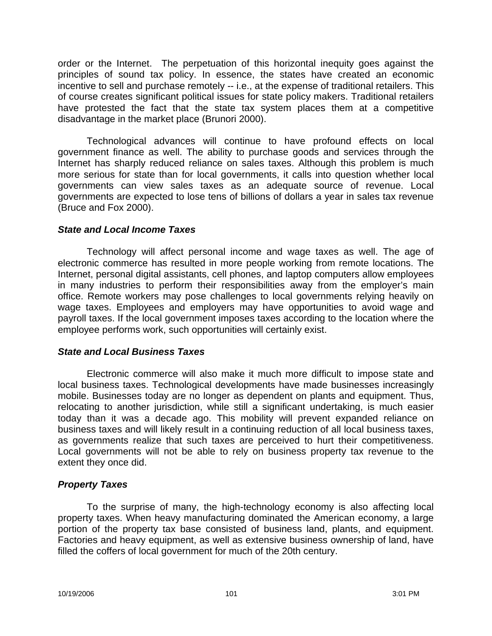order or the Internet. The perpetuation of this horizontal inequity goes against the principles of sound tax policy. In essence, the states have created an economic incentive to sell and purchase remotely -- i.e., at the expense of traditional retailers. This of course creates significant political issues for state policy makers. Traditional retailers have protested the fact that the state tax system places them at a competitive disadvantage in the market place (Brunori 2000).

Technological advances will continue to have profound effects on local government finance as well. The ability to purchase goods and services through the Internet has sharply reduced reliance on sales taxes. Although this problem is much more serious for state than for local governments, it calls into question whether local governments can view sales taxes as an adequate source of revenue. Local governments are expected to lose tens of billions of dollars a year in sales tax revenue (Bruce and Fox 2000).

### *State and Local Income Taxes*

Technology will affect personal income and wage taxes as well. The age of electronic commerce has resulted in more people working from remote locations. The Internet, personal digital assistants, cell phones, and laptop computers allow employees in many industries to perform their responsibilities away from the employer's main office. Remote workers may pose challenges to local governments relying heavily on wage taxes. Employees and employers may have opportunities to avoid wage and payroll taxes. If the local government imposes taxes according to the location where the employee performs work, such opportunities will certainly exist.

### *State and Local Business Taxes*

Electronic commerce will also make it much more difficult to impose state and local business taxes. Technological developments have made businesses increasingly mobile. Businesses today are no longer as dependent on plants and equipment. Thus, relocating to another jurisdiction, while still a significant undertaking, is much easier today than it was a decade ago. This mobility will prevent expanded reliance on business taxes and will likely result in a continuing reduction of all local business taxes, as governments realize that such taxes are perceived to hurt their competitiveness. Local governments will not be able to rely on business property tax revenue to the extent they once did.

# *Property Taxes*

To the surprise of many, the high-technology economy is also affecting local property taxes. When heavy manufacturing dominated the American economy, a large portion of the property tax base consisted of business land, plants, and equipment. Factories and heavy equipment, as well as extensive business ownership of land, have filled the coffers of local government for much of the 20th century.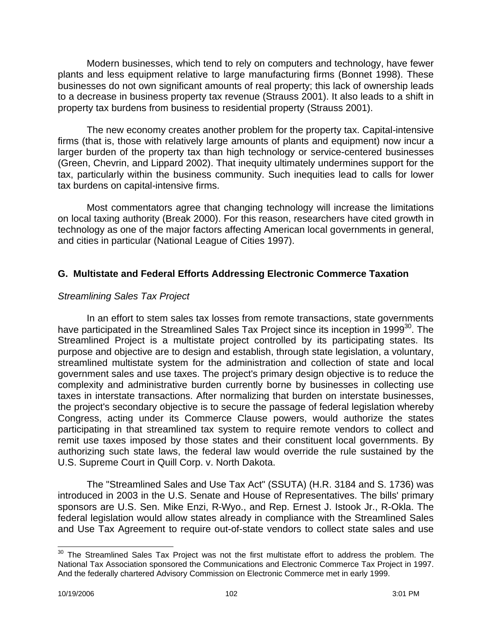Modern businesses, which tend to rely on computers and technology, have fewer plants and less equipment relative to large manufacturing firms (Bonnet 1998). These businesses do not own significant amounts of real property; this lack of ownership leads to a decrease in business property tax revenue (Strauss 2001). It also leads to a shift in property tax burdens from business to residential property (Strauss 2001).

The new economy creates another problem for the property tax. Capital-intensive firms (that is, those with relatively large amounts of plants and equipment) now incur a larger burden of the property tax than high technology or service-centered businesses (Green, Chevrin, and Lippard 2002). That inequity ultimately undermines support for the tax, particularly within the business community. Such inequities lead to calls for lower tax burdens on capital-intensive firms.

Most commentators agree that changing technology will increase the limitations on local taxing authority (Break 2000). For this reason, researchers have cited growth in technology as one of the major factors affecting American local governments in general, and cities in particular (National League of Cities 1997).

# **G. Multistate and Federal Efforts Addressing Electronic Commerce Taxation**

## *Streamlining Sales Tax Project*

In an effort to stem sales tax losses from remote transactions, state governments have participated in the Streamlined Sales Tax Project since its inception in 1999<sup>30</sup>. The Streamlined Project is a multistate project controlled by its participating states. Its purpose and objective are to design and establish, through state legislation, a voluntary, streamlined multistate system for the administration and collection of state and local government sales and use taxes. The project's primary design objective is to reduce the complexity and administrative burden currently borne by businesses in collecting use taxes in interstate transactions. After normalizing that burden on interstate businesses, the project's secondary objective is to secure the passage of federal legislation whereby Congress, acting under its Commerce Clause powers, would authorize the states participating in that streamlined tax system to require remote vendors to collect and remit use taxes imposed by those states and their constituent local governments. By authorizing such state laws, the federal law would override the rule sustained by the U.S. Supreme Court in Quill Corp. v. North Dakota.

The "Streamlined Sales and Use Tax Act" (SSUTA) (H.R. 3184 and S. 1736) was introduced in 2003 in the U.S. Senate and House of Representatives. The bills' primary sponsors are U.S. Sen. Mike Enzi, R-Wyo., and Rep. Ernest J. Istook Jr., R-Okla. The federal legislation would allow states already in compliance with the Streamlined Sales and Use Tax Agreement to require out-of-state vendors to collect state sales and use

 $\overline{\phantom{a}}$  $30$  The Streamlined Sales Tax Project was not the first multistate effort to address the problem. The National Tax Association sponsored the Communications and Electronic Commerce Tax Project in 1997. And the federally chartered Advisory Commission on Electronic Commerce met in early 1999.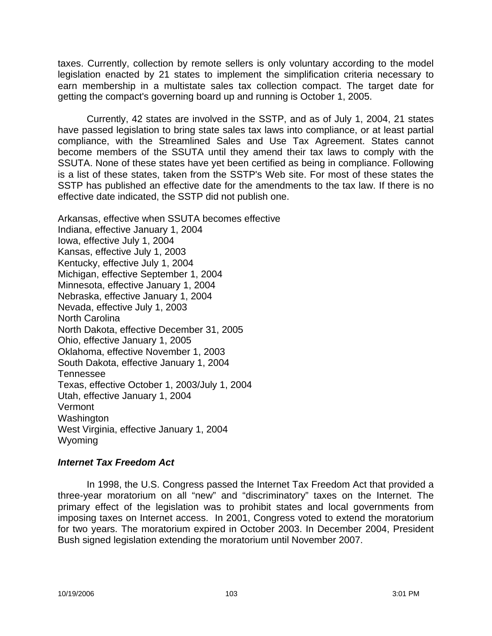taxes. Currently, collection by remote sellers is only voluntary according to the model legislation enacted by 21 states to implement the simplification criteria necessary to earn membership in a multistate sales tax collection compact. The target date for getting the compact's governing board up and running is October 1, 2005.

Currently, 42 states are involved in the SSTP, and as of July 1, 2004, 21 states have passed legislation to bring state sales tax laws into compliance, or at least partial compliance, with the Streamlined Sales and Use Tax Agreement. States cannot become members of the SSUTA until they amend their tax laws to comply with the SSUTA. None of these states have yet been certified as being in compliance. Following is a list of these states, taken from the SSTP's Web site. For most of these states the SSTP has published an effective date for the amendments to the tax law. If there is no effective date indicated, the SSTP did not publish one.

Arkansas, effective when SSUTA becomes effective Indiana, effective January 1, 2004 Iowa, effective July 1, 2004 Kansas, effective July 1, 2003 Kentucky, effective July 1, 2004 Michigan, effective September 1, 2004 Minnesota, effective January 1, 2004 Nebraska, effective January 1, 2004 Nevada, effective July 1, 2003 North Carolina North Dakota, effective December 31, 2005 Ohio, effective January 1, 2005 Oklahoma, effective November 1, 2003 South Dakota, effective January 1, 2004 Tennessee Texas, effective October 1, 2003/July 1, 2004 Utah, effective January 1, 2004 Vermont Washington West Virginia, effective January 1, 2004 Wyoming

### *Internet Tax Freedom Act*

In 1998, the U.S. Congress passed the Internet Tax Freedom Act that provided a three-year moratorium on all "new" and "discriminatory" taxes on the Internet. The primary effect of the legislation was to prohibit states and local governments from imposing taxes on Internet access. In 2001, Congress voted to extend the moratorium for two years. The moratorium expired in October 2003. In December 2004, President Bush signed legislation extending the moratorium until November 2007.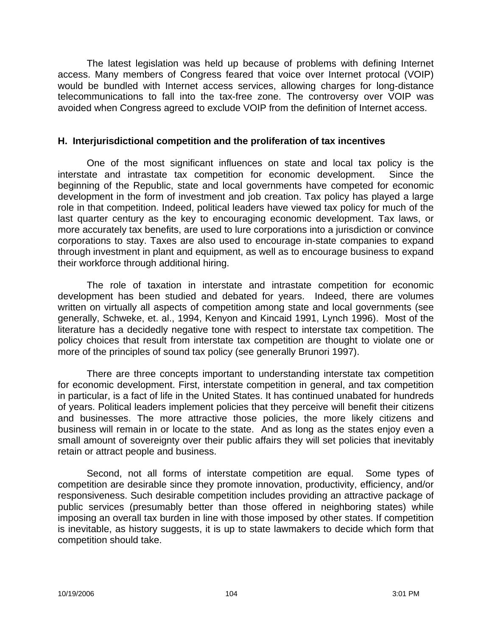The latest legislation was held up because of problems with defining Internet access. Many members of Congress feared that voice over Internet protocal (VOIP) would be bundled with Internet access services, allowing charges for long-distance telecommunications to fall into the tax-free zone. The controversy over VOIP was avoided when Congress agreed to exclude VOIP from the definition of Internet access.

#### **H. Interjurisdictional competition and the proliferation of tax incentives**

One of the most significant influences on state and local tax policy is the interstate and intrastate tax competition for economic development. Since the beginning of the Republic, state and local governments have competed for economic development in the form of investment and job creation. Tax policy has played a large role in that competition. Indeed, political leaders have viewed tax policy for much of the last quarter century as the key to encouraging economic development. Tax laws, or more accurately tax benefits, are used to lure corporations into a jurisdiction or convince corporations to stay. Taxes are also used to encourage in-state companies to expand through investment in plant and equipment, as well as to encourage business to expand their workforce through additional hiring.

The role of taxation in interstate and intrastate competition for economic development has been studied and debated for years. Indeed, there are volumes written on virtually all aspects of competition among state and local governments (see generally, Schweke, et. al., 1994, Kenyon and Kincaid 1991, Lynch 1996). Most of the literature has a decidedly negative tone with respect to interstate tax competition. The policy choices that result from interstate tax competition are thought to violate one or more of the principles of sound tax policy (see generally Brunori 1997).

There are three concepts important to understanding interstate tax competition for economic development. First, interstate competition in general, and tax competition in particular, is a fact of life in the United States. It has continued unabated for hundreds of years. Political leaders implement policies that they perceive will benefit their citizens and businesses. The more attractive those policies, the more likely citizens and business will remain in or locate to the state. And as long as the states enjoy even a small amount of sovereignty over their public affairs they will set policies that inevitably retain or attract people and business.

Second, not all forms of interstate competition are equal. Some types of competition are desirable since they promote innovation, productivity, efficiency, and/or responsiveness. Such desirable competition includes providing an attractive package of public services (presumably better than those offered in neighboring states) while imposing an overall tax burden in line with those imposed by other states. If competition is inevitable, as history suggests, it is up to state lawmakers to decide which form that competition should take.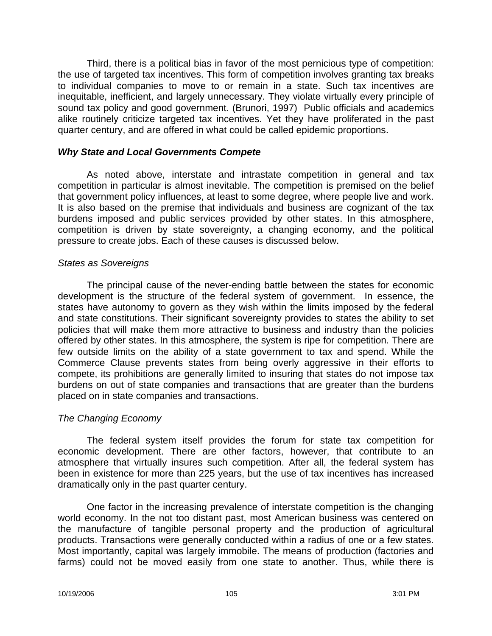Third, there is a political bias in favor of the most pernicious type of competition: the use of targeted tax incentives. This form of competition involves granting tax breaks to individual companies to move to or remain in a state. Such tax incentives are inequitable, inefficient, and largely unnecessary. They violate virtually every principle of sound tax policy and good government. (Brunori, 1997) Public officials and academics alike routinely criticize targeted tax incentives. Yet they have proliferated in the past quarter century, and are offered in what could be called epidemic proportions.

#### *Why State and Local Governments Compete*

As noted above, interstate and intrastate competition in general and tax competition in particular is almost inevitable. The competition is premised on the belief that government policy influences, at least to some degree, where people live and work. It is also based on the premise that individuals and business are cognizant of the tax burdens imposed and public services provided by other states. In this atmosphere, competition is driven by state sovereignty, a changing economy, and the political pressure to create jobs. Each of these causes is discussed below.

#### *States as Sovereigns*

The principal cause of the never-ending battle between the states for economic development is the structure of the federal system of government. In essence, the states have autonomy to govern as they wish within the limits imposed by the federal and state constitutions. Their significant sovereignty provides to states the ability to set policies that will make them more attractive to business and industry than the policies offered by other states. In this atmosphere, the system is ripe for competition. There are few outside limits on the ability of a state government to tax and spend. While the Commerce Clause prevents states from being overly aggressive in their efforts to compete, its prohibitions are generally limited to insuring that states do not impose tax burdens on out of state companies and transactions that are greater than the burdens placed on in state companies and transactions.

### *The Changing Economy*

The federal system itself provides the forum for state tax competition for economic development. There are other factors, however, that contribute to an atmosphere that virtually insures such competition. After all, the federal system has been in existence for more than 225 years, but the use of tax incentives has increased dramatically only in the past quarter century.

One factor in the increasing prevalence of interstate competition is the changing world economy. In the not too distant past, most American business was centered on the manufacture of tangible personal property and the production of agricultural products. Transactions were generally conducted within a radius of one or a few states. Most importantly, capital was largely immobile. The means of production (factories and farms) could not be moved easily from one state to another. Thus, while there is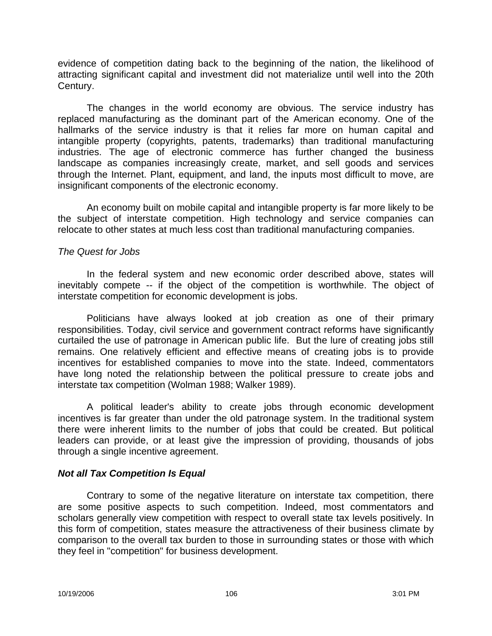evidence of competition dating back to the beginning of the nation, the likelihood of attracting significant capital and investment did not materialize until well into the 20th Century.

The changes in the world economy are obvious. The service industry has replaced manufacturing as the dominant part of the American economy. One of the hallmarks of the service industry is that it relies far more on human capital and intangible property (copyrights, patents, trademarks) than traditional manufacturing industries. The age of electronic commerce has further changed the business landscape as companies increasingly create, market, and sell goods and services through the Internet. Plant, equipment, and land, the inputs most difficult to move, are insignificant components of the electronic economy.

An economy built on mobile capital and intangible property is far more likely to be the subject of interstate competition. High technology and service companies can relocate to other states at much less cost than traditional manufacturing companies.

## *The Quest for Jobs*

In the federal system and new economic order described above, states will inevitably compete -- if the object of the competition is worthwhile. The object of interstate competition for economic development is jobs.

Politicians have always looked at job creation as one of their primary responsibilities. Today, civil service and government contract reforms have significantly curtailed the use of patronage in American public life. But the lure of creating jobs still remains. One relatively efficient and effective means of creating jobs is to provide incentives for established companies to move into the state. Indeed, commentators have long noted the relationship between the political pressure to create jobs and interstate tax competition (Wolman 1988; Walker 1989).

A political leader's ability to create jobs through economic development incentives is far greater than under the old patronage system. In the traditional system there were inherent limits to the number of jobs that could be created. But political leaders can provide, or at least give the impression of providing, thousands of jobs through a single incentive agreement.

# *Not all Tax Competition Is Equal*

Contrary to some of the negative literature on interstate tax competition, there are some positive aspects to such competition. Indeed, most commentators and scholars generally view competition with respect to overall state tax levels positively. In this form of competition, states measure the attractiveness of their business climate by comparison to the overall tax burden to those in surrounding states or those with which they feel in "competition" for business development.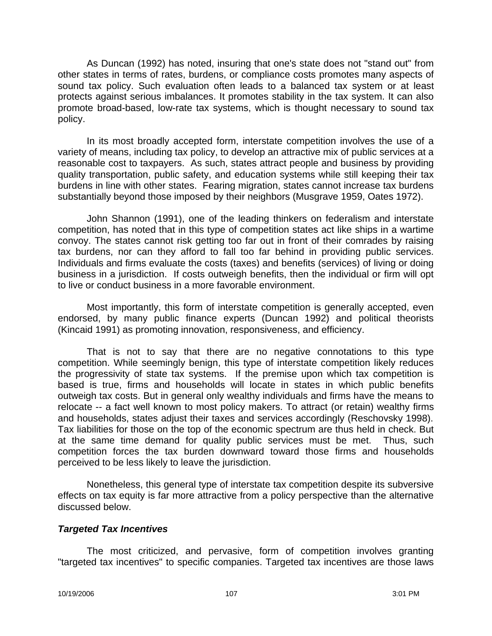As Duncan (1992) has noted, insuring that one's state does not "stand out" from other states in terms of rates, burdens, or compliance costs promotes many aspects of sound tax policy. Such evaluation often leads to a balanced tax system or at least protects against serious imbalances. It promotes stability in the tax system. It can also promote broad-based, low-rate tax systems, which is thought necessary to sound tax policy.

In its most broadly accepted form, interstate competition involves the use of a variety of means, including tax policy, to develop an attractive mix of public services at a reasonable cost to taxpayers. As such, states attract people and business by providing quality transportation, public safety, and education systems while still keeping their tax burdens in line with other states. Fearing migration, states cannot increase tax burdens substantially beyond those imposed by their neighbors (Musgrave 1959, Oates 1972).

John Shannon (1991), one of the leading thinkers on federalism and interstate competition, has noted that in this type of competition states act like ships in a wartime convoy. The states cannot risk getting too far out in front of their comrades by raising tax burdens, nor can they afford to fall too far behind in providing public services. Individuals and firms evaluate the costs (taxes) and benefits (services) of living or doing business in a jurisdiction. If costs outweigh benefits, then the individual or firm will opt to live or conduct business in a more favorable environment.

Most importantly, this form of interstate competition is generally accepted, even endorsed, by many public finance experts (Duncan 1992) and political theorists (Kincaid 1991) as promoting innovation, responsiveness, and efficiency.

That is not to say that there are no negative connotations to this type competition. While seemingly benign, this type of interstate competition likely reduces the progressivity of state tax systems. If the premise upon which tax competition is based is true, firms and households will locate in states in which public benefits outweigh tax costs. But in general only wealthy individuals and firms have the means to relocate -- a fact well known to most policy makers. To attract (or retain) wealthy firms and households, states adjust their taxes and services accordingly (Reschovsky 1998). Tax liabilities for those on the top of the economic spectrum are thus held in check. But at the same time demand for quality public services must be met. Thus, such competition forces the tax burden downward toward those firms and households perceived to be less likely to leave the jurisdiction.

Nonetheless, this general type of interstate tax competition despite its subversive effects on tax equity is far more attractive from a policy perspective than the alternative discussed below.

### *Targeted Tax Incentives*

The most criticized, and pervasive, form of competition involves granting "targeted tax incentives" to specific companies. Targeted tax incentives are those laws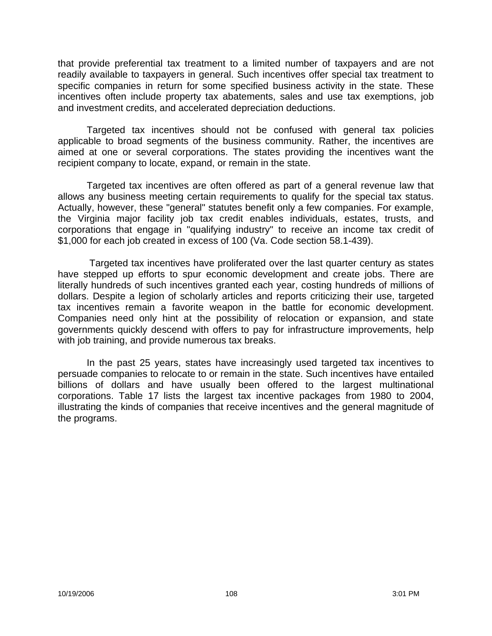that provide preferential tax treatment to a limited number of taxpayers and are not readily available to taxpayers in general. Such incentives offer special tax treatment to specific companies in return for some specified business activity in the state. These incentives often include property tax abatements, sales and use tax exemptions, job and investment credits, and accelerated depreciation deductions.

Targeted tax incentives should not be confused with general tax policies applicable to broad segments of the business community. Rather, the incentives are aimed at one or several corporations. The states providing the incentives want the recipient company to locate, expand, or remain in the state.

Targeted tax incentives are often offered as part of a general revenue law that allows any business meeting certain requirements to qualify for the special tax status. Actually, however, these "general" statutes benefit only a few companies. For example, the Virginia major facility job tax credit enables individuals, estates, trusts, and corporations that engage in "qualifying industry" to receive an income tax credit of \$1,000 for each job created in excess of 100 (Va. Code section 58.1-439).

Targeted tax incentives have proliferated over the last quarter century as states have stepped up efforts to spur economic development and create jobs. There are literally hundreds of such incentives granted each year, costing hundreds of millions of dollars. Despite a legion of scholarly articles and reports criticizing their use, targeted tax incentives remain a favorite weapon in the battle for economic development. Companies need only hint at the possibility of relocation or expansion, and state governments quickly descend with offers to pay for infrastructure improvements, help with job training, and provide numerous tax breaks.

In the past 25 years, states have increasingly used targeted tax incentives to persuade companies to relocate to or remain in the state. Such incentives have entailed billions of dollars and have usually been offered to the largest multinational corporations. Table 17 lists the largest tax incentive packages from 1980 to 2004, illustrating the kinds of companies that receive incentives and the general magnitude of the programs.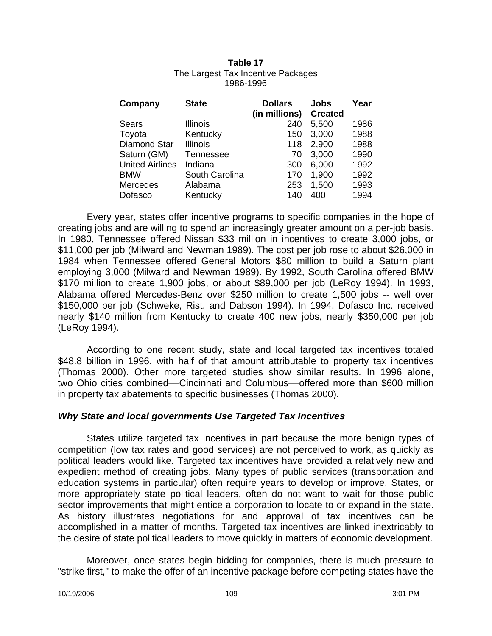#### **Table 17** The Largest Tax Incentive Packages 1986-1996

| Company                | <b>State</b>     | <b>Dollars</b><br>(in millions) | Jobs<br><b>Created</b> | Year |
|------------------------|------------------|---------------------------------|------------------------|------|
| Sears                  | <b>Illinois</b>  | 240                             | 5,500                  | 1986 |
| Toyota                 | Kentucky         | 150                             | 3,000                  | 1988 |
| <b>Diamond Star</b>    | <b>Illinois</b>  | 118                             | 2,900                  | 1988 |
| Saturn (GM)            | <b>Tennessee</b> | 70                              | 3,000                  | 1990 |
| <b>United Airlines</b> | Indiana          | 300                             | 6,000                  | 1992 |
| <b>BMW</b>             | South Carolina   | 170                             | 1,900                  | 1992 |
| Mercedes               | Alabama          | 253                             | 1,500                  | 1993 |
| Dofasco                | Kentucky         | 140                             | 400                    | 1994 |

Every year, states offer incentive programs to specific companies in the hope of creating jobs and are willing to spend an increasingly greater amount on a per-job basis. In 1980, Tennessee offered Nissan \$33 million in incentives to create 3,000 jobs, or \$11,000 per job (Milward and Newman 1989). The cost per job rose to about \$26,000 in 1984 when Tennessee offered General Motors \$80 million to build a Saturn plant employing 3,000 (Milward and Newman 1989). By 1992, South Carolina offered BMW \$170 million to create 1,900 jobs, or about \$89,000 per job (LeRoy 1994). In 1993, Alabama offered Mercedes-Benz over \$250 million to create 1,500 jobs -- well over \$150,000 per job (Schweke, Rist, and Dabson 1994). In 1994, Dofasco Inc. received nearly \$140 million from Kentucky to create 400 new jobs, nearly \$350,000 per job (LeRoy 1994).

According to one recent study, state and local targeted tax incentives totaled \$48.8 billion in 1996, with half of that amount attributable to property tax incentives (Thomas 2000). Other more targeted studies show similar results. In 1996 alone, two Ohio cities combined––Cincinnati and Columbus––offered more than \$600 million in property tax abatements to specific businesses (Thomas 2000).

### *Why State and local governments Use Targeted Tax Incentives*

States utilize targeted tax incentives in part because the more benign types of competition (low tax rates and good services) are not perceived to work, as quickly as political leaders would like. Targeted tax incentives have provided a relatively new and expedient method of creating jobs. Many types of public services (transportation and education systems in particular) often require years to develop or improve. States, or more appropriately state political leaders, often do not want to wait for those public sector improvements that might entice a corporation to locate to or expand in the state. As history illustrates negotiations for and approval of tax incentives can be accomplished in a matter of months. Targeted tax incentives are linked inextricably to the desire of state political leaders to move quickly in matters of economic development.

Moreover, once states begin bidding for companies, there is much pressure to "strike first," to make the offer of an incentive package before competing states have the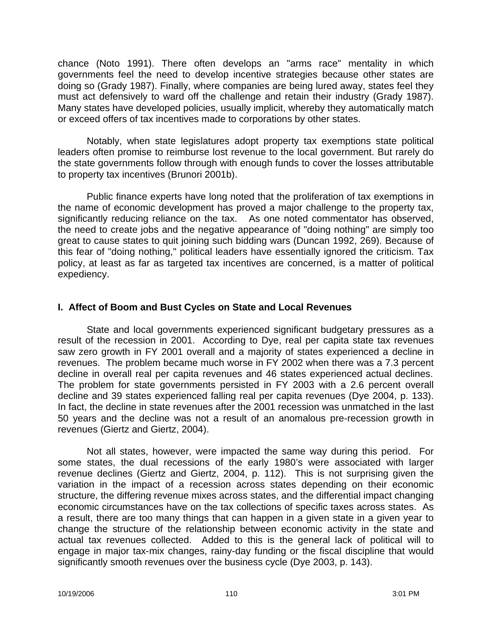chance (Noto 1991). There often develops an "arms race" mentality in which governments feel the need to develop incentive strategies because other states are doing so (Grady 1987). Finally, where companies are being lured away, states feel they must act defensively to ward off the challenge and retain their industry (Grady 1987). Many states have developed policies, usually implicit, whereby they automatically match or exceed offers of tax incentives made to corporations by other states.

Notably, when state legislatures adopt property tax exemptions state political leaders often promise to reimburse lost revenue to the local government. But rarely do the state governments follow through with enough funds to cover the losses attributable to property tax incentives (Brunori 2001b).

Public finance experts have long noted that the proliferation of tax exemptions in the name of economic development has proved a major challenge to the property tax, significantly reducing reliance on the tax. As one noted commentator has observed, the need to create jobs and the negative appearance of "doing nothing" are simply too great to cause states to quit joining such bidding wars (Duncan 1992, 269). Because of this fear of "doing nothing," political leaders have essentially ignored the criticism. Tax policy, at least as far as targeted tax incentives are concerned, is a matter of political expediency.

## **I. Affect of Boom and Bust Cycles on State and Local Revenues**

State and local governments experienced significant budgetary pressures as a result of the recession in 2001. According to Dye, real per capita state tax revenues saw zero growth in FY 2001 overall and a majority of states experienced a decline in revenues. The problem became much worse in FY 2002 when there was a 7.3 percent decline in overall real per capita revenues and 46 states experienced actual declines. The problem for state governments persisted in FY 2003 with a 2.6 percent overall decline and 39 states experienced falling real per capita revenues (Dye 2004, p. 133). In fact, the decline in state revenues after the 2001 recession was unmatched in the last 50 years and the decline was not a result of an anomalous pre-recession growth in revenues (Giertz and Giertz, 2004).

Not all states, however, were impacted the same way during this period. For some states, the dual recessions of the early 1980's were associated with larger revenue declines (Giertz and Giertz, 2004, p. 112). This is not surprising given the variation in the impact of a recession across states depending on their economic structure, the differing revenue mixes across states, and the differential impact changing economic circumstances have on the tax collections of specific taxes across states. As a result, there are too many things that can happen in a given state in a given year to change the structure of the relationship between economic activity in the state and actual tax revenues collected. Added to this is the general lack of political will to engage in major tax-mix changes, rainy-day funding or the fiscal discipline that would significantly smooth revenues over the business cycle (Dye 2003, p. 143).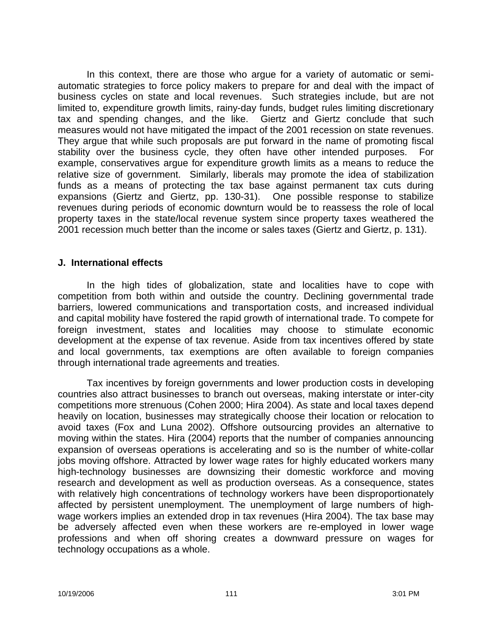In this context, there are those who argue for a variety of automatic or semiautomatic strategies to force policy makers to prepare for and deal with the impact of business cycles on state and local revenues. Such strategies include, but are not limited to, expenditure growth limits, rainy-day funds, budget rules limiting discretionary tax and spending changes, and the like. Giertz and Giertz conclude that such measures would not have mitigated the impact of the 2001 recession on state revenues. They argue that while such proposals are put forward in the name of promoting fiscal stability over the business cycle, they often have other intended purposes. For example, conservatives argue for expenditure growth limits as a means to reduce the relative size of government. Similarly, liberals may promote the idea of stabilization funds as a means of protecting the tax base against permanent tax cuts during expansions (Giertz and Giertz, pp. 130-31). One possible response to stabilize revenues during periods of economic downturn would be to reassess the role of local property taxes in the state/local revenue system since property taxes weathered the 2001 recession much better than the income or sales taxes (Giertz and Giertz, p. 131).

#### **J. International effects**

In the high tides of globalization, state and localities have to cope with competition from both within and outside the country. Declining governmental trade barriers, lowered communications and transportation costs, and increased individual and capital mobility have fostered the rapid growth of international trade. To compete for foreign investment, states and localities may choose to stimulate economic development at the expense of tax revenue. Aside from tax incentives offered by state and local governments, tax exemptions are often available to foreign companies through international trade agreements and treaties.

Tax incentives by foreign governments and lower production costs in developing countries also attract businesses to branch out overseas, making interstate or inter-city competitions more strenuous (Cohen 2000; Hira 2004). As state and local taxes depend heavily on location, businesses may strategically choose their location or relocation to avoid taxes (Fox and Luna 2002). Offshore outsourcing provides an alternative to moving within the states. Hira (2004) reports that the number of companies announcing expansion of overseas operations is accelerating and so is the number of white-collar jobs moving offshore. Attracted by lower wage rates for highly educated workers many high-technology businesses are downsizing their domestic workforce and moving research and development as well as production overseas. As a consequence, states with relatively high concentrations of technology workers have been disproportionately affected by persistent unemployment. The unemployment of large numbers of highwage workers implies an extended drop in tax revenues (Hira 2004). The tax base may be adversely affected even when these workers are re-employed in lower wage professions and when off shoring creates a downward pressure on wages for technology occupations as a whole.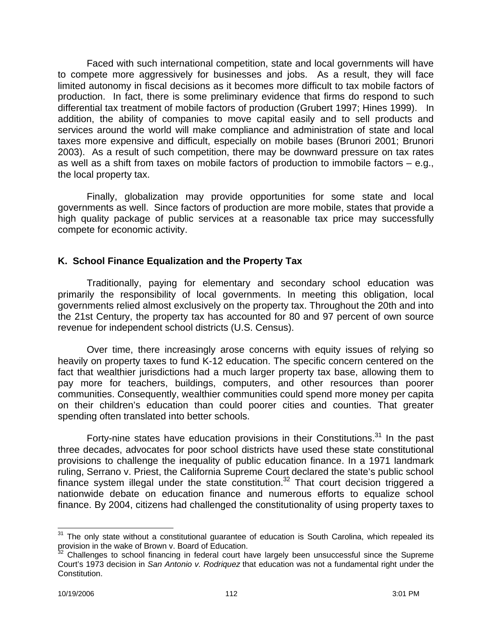Faced with such international competition, state and local governments will have to compete more aggressively for businesses and jobs. As a result, they will face limited autonomy in fiscal decisions as it becomes more difficult to tax mobile factors of production. In fact, there is some preliminary evidence that firms do respond to such differential tax treatment of mobile factors of production (Grubert 1997; Hines 1999). In addition, the ability of companies to move capital easily and to sell products and services around the world will make compliance and administration of state and local taxes more expensive and difficult, especially on mobile bases (Brunori 2001; Brunori 2003). As a result of such competition, there may be downward pressure on tax rates as well as a shift from taxes on mobile factors of production to immobile factors – e.g., the local property tax.

Finally, globalization may provide opportunities for some state and local governments as well. Since factors of production are more mobile, states that provide a high quality package of public services at a reasonable tax price may successfully compete for economic activity.

## **K. School Finance Equalization and the Property Tax**

Traditionally, paying for elementary and secondary school education was primarily the responsibility of local governments. In meeting this obligation, local governments relied almost exclusively on the property tax. Throughout the 20th and into the 21st Century, the property tax has accounted for 80 and 97 percent of own source revenue for independent school districts (U.S. Census).

Over time, there increasingly arose concerns with equity issues of relying so heavily on property taxes to fund K-12 education. The specific concern centered on the fact that wealthier jurisdictions had a much larger property tax base, allowing them to pay more for teachers, buildings, computers, and other resources than poorer communities. Consequently, wealthier communities could spend more money per capita on their children's education than could poorer cities and counties. That greater spending often translated into better schools.

Forty-nine states have education provisions in their Constitutions.<sup>31</sup> In the past three decades, advocates for poor school districts have used these state constitutional provisions to challenge the inequality of public education finance. In a 1971 landmark ruling, Serrano v. Priest, the California Supreme Court declared the state's public school finance system illegal under the state constitution.<sup>32</sup> That court decision triggered a nationwide debate on education finance and numerous efforts to equalize school finance. By 2004, citizens had challenged the constitutionality of using property taxes to

 $\overline{\phantom{a}}$  $31$  The only state without a constitutional guarantee of education is South Carolina, which repealed its provision in the wake of Brown v. Board of Education.

 $32$  Challenges to school financing in federal court have largely been unsuccessful since the Supreme Court's 1973 decision in *San Antonio v. Rodriquez* that education was not a fundamental right under the Constitution.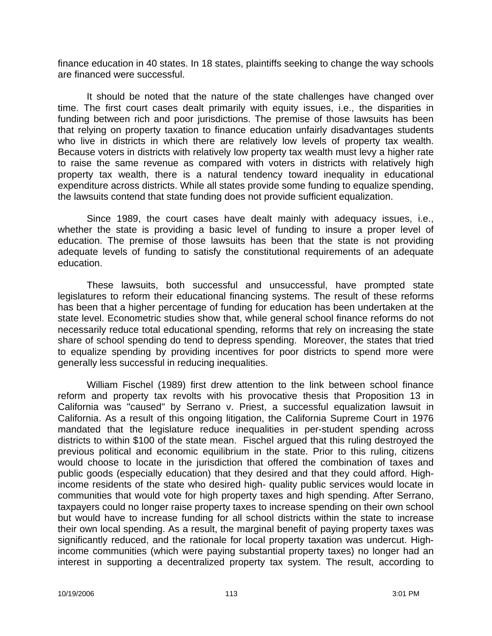finance education in 40 states. In 18 states, plaintiffs seeking to change the way schools are financed were successful.

It should be noted that the nature of the state challenges have changed over time. The first court cases dealt primarily with equity issues, i.e., the disparities in funding between rich and poor jurisdictions. The premise of those lawsuits has been that relying on property taxation to finance education unfairly disadvantages students who live in districts in which there are relatively low levels of property tax wealth. Because voters in districts with relatively low property tax wealth must levy a higher rate to raise the same revenue as compared with voters in districts with relatively high property tax wealth, there is a natural tendency toward inequality in educational expenditure across districts. While all states provide some funding to equalize spending, the lawsuits contend that state funding does not provide sufficient equalization.

Since 1989, the court cases have dealt mainly with adequacy issues, i.e., whether the state is providing a basic level of funding to insure a proper level of education. The premise of those lawsuits has been that the state is not providing adequate levels of funding to satisfy the constitutional requirements of an adequate education.

These lawsuits, both successful and unsuccessful, have prompted state legislatures to reform their educational financing systems. The result of these reforms has been that a higher percentage of funding for education has been undertaken at the state level. Econometric studies show that, while general school finance reforms do not necessarily reduce total educational spending, reforms that rely on increasing the state share of school spending do tend to depress spending. Moreover, the states that tried to equalize spending by providing incentives for poor districts to spend more were generally less successful in reducing inequalities.

William Fischel (1989) first drew attention to the link between school finance reform and property tax revolts with his provocative thesis that Proposition 13 in California was "caused" by Serrano v. Priest, a successful equalization lawsuit in California. As a result of this ongoing litigation, the California Supreme Court in 1976 mandated that the legislature reduce inequalities in per-student spending across districts to within \$100 of the state mean. Fischel argued that this ruling destroyed the previous political and economic equilibrium in the state. Prior to this ruling, citizens would choose to locate in the jurisdiction that offered the combination of taxes and public goods (especially education) that they desired and that they could afford. Highincome residents of the state who desired high- quality public services would locate in communities that would vote for high property taxes and high spending. After Serrano, taxpayers could no longer raise property taxes to increase spending on their own school but would have to increase funding for all school districts within the state to increase their own local spending. As a result, the marginal benefit of paying property taxes was significantly reduced, and the rationale for local property taxation was undercut. Highincome communities (which were paying substantial property taxes) no longer had an interest in supporting a decentralized property tax system. The result, according to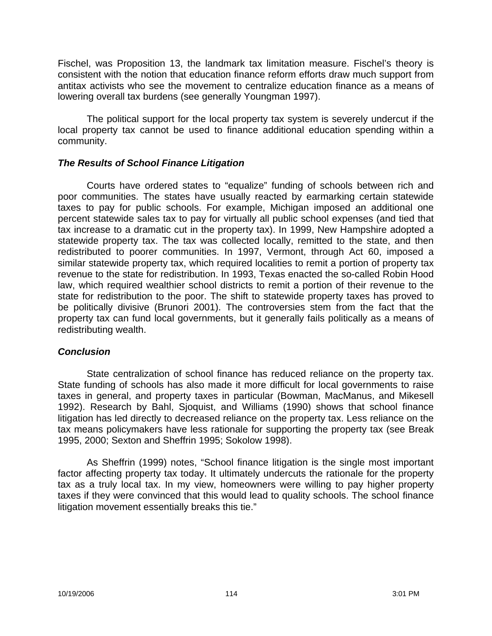Fischel, was Proposition 13, the landmark tax limitation measure. Fischel's theory is consistent with the notion that education finance reform efforts draw much support from antitax activists who see the movement to centralize education finance as a means of lowering overall tax burdens (see generally Youngman 1997).

The political support for the local property tax system is severely undercut if the local property tax cannot be used to finance additional education spending within a community.

### *The Results of School Finance Litigation*

Courts have ordered states to "equalize" funding of schools between rich and poor communities. The states have usually reacted by earmarking certain statewide taxes to pay for public schools. For example, Michigan imposed an additional one percent statewide sales tax to pay for virtually all public school expenses (and tied that tax increase to a dramatic cut in the property tax). In 1999, New Hampshire adopted a statewide property tax. The tax was collected locally, remitted to the state, and then redistributed to poorer communities. In 1997, Vermont, through Act 60, imposed a similar statewide property tax, which required localities to remit a portion of property tax revenue to the state for redistribution. In 1993, Texas enacted the so-called Robin Hood law, which required wealthier school districts to remit a portion of their revenue to the state for redistribution to the poor. The shift to statewide property taxes has proved to be politically divisive (Brunori 2001). The controversies stem from the fact that the property tax can fund local governments, but it generally fails politically as a means of redistributing wealth.

### *Conclusion*

State centralization of school finance has reduced reliance on the property tax. State funding of schools has also made it more difficult for local governments to raise taxes in general, and property taxes in particular (Bowman, MacManus, and Mikesell 1992). Research by Bahl, Sjoquist, and Williams (1990) shows that school finance litigation has led directly to decreased reliance on the property tax. Less reliance on the tax means policymakers have less rationale for supporting the property tax (see Break 1995, 2000; Sexton and Sheffrin 1995; Sokolow 1998).

As Sheffrin (1999) notes, "School finance litigation is the single most important factor affecting property tax today. It ultimately undercuts the rationale for the property tax as a truly local tax. In my view, homeowners were willing to pay higher property taxes if they were convinced that this would lead to quality schools. The school finance litigation movement essentially breaks this tie."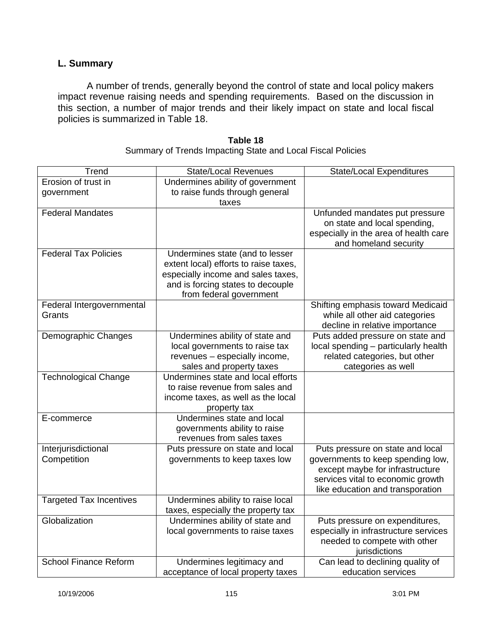# **L. Summary**

A number of trends, generally beyond the control of state and local policy makers impact revenue raising needs and spending requirements. Based on the discussion in this section, a number of major trends and their likely impact on state and local fiscal policies is summarized in Table 18.

| Trend                          | <b>State/Local Revenues</b>           | <b>State/Local Expenditures</b>       |
|--------------------------------|---------------------------------------|---------------------------------------|
| Erosion of trust in            | Undermines ability of government      |                                       |
| government                     | to raise funds through general        |                                       |
|                                | taxes                                 |                                       |
| <b>Federal Mandates</b>        |                                       | Unfunded mandates put pressure        |
|                                |                                       | on state and local spending,          |
|                                |                                       | especially in the area of health care |
|                                |                                       | and homeland security                 |
| <b>Federal Tax Policies</b>    | Undermines state (and to lesser       |                                       |
|                                | extent local) efforts to raise taxes, |                                       |
|                                | especially income and sales taxes,    |                                       |
|                                | and is forcing states to decouple     |                                       |
|                                | from federal government               |                                       |
| Federal Intergovernmental      |                                       | Shifting emphasis toward Medicaid     |
| Grants                         |                                       | while all other aid categories        |
|                                |                                       | decline in relative importance        |
| Demographic Changes            | Undermines ability of state and       | Puts added pressure on state and      |
|                                | local governments to raise tax        | local spending - particularly health  |
|                                | revenues - especially income,         | related categories, but other         |
|                                | sales and property taxes              | categories as well                    |
| <b>Technological Change</b>    | Undermines state and local efforts    |                                       |
|                                | to raise revenue from sales and       |                                       |
|                                | income taxes, as well as the local    |                                       |
|                                | property tax                          |                                       |
| E-commerce                     | Undermines state and local            |                                       |
|                                | governments ability to raise          |                                       |
|                                | revenues from sales taxes             |                                       |
| Interjurisdictional            | Puts pressure on state and local      | Puts pressure on state and local      |
| Competition                    | governments to keep taxes low         | governments to keep spending low,     |
|                                |                                       | except maybe for infrastructure       |
|                                |                                       | services vital to economic growth     |
|                                |                                       | like education and transporation      |
| <b>Targeted Tax Incentives</b> | Undermines ability to raise local     |                                       |
|                                | taxes, especially the property tax    |                                       |
| Globalization                  | Undermines ability of state and       | Puts pressure on expenditures,        |
|                                | local governments to raise taxes      | especially in infrastructure services |
|                                |                                       | needed to compete with other          |
|                                |                                       | jurisdictions                         |
| <b>School Finance Reform</b>   | Undermines legitimacy and             | Can lead to declining quality of      |
|                                | acceptance of local property taxes    | education services                    |

#### **Table 18** Summary of Trends Impacting State and Local Fiscal Policies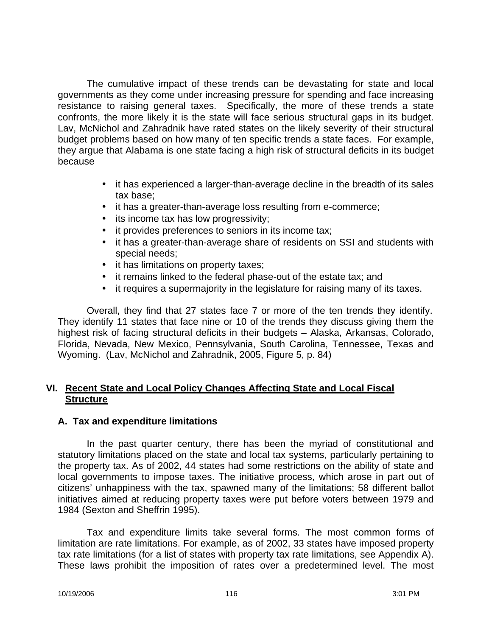The cumulative impact of these trends can be devastating for state and local governments as they come under increasing pressure for spending and face increasing resistance to raising general taxes. Specifically, the more of these trends a state confronts, the more likely it is the state will face serious structural gaps in its budget. Lav, McNichol and Zahradnik have rated states on the likely severity of their structural budget problems based on how many of ten specific trends a state faces. For example, they argue that Alabama is one state facing a high risk of structural deficits in its budget because

- it has experienced a larger-than-average decline in the breadth of its sales tax base;
- it has a greater-than-average loss resulting from e-commerce;
- its income tax has low progressivity;
- it provides preferences to seniors in its income tax;
- it has a greater-than-average share of residents on SSI and students with special needs;
- it has limitations on property taxes;
- it remains linked to the federal phase-out of the estate tax; and
- it requires a supermajority in the legislature for raising many of its taxes.

Overall, they find that 27 states face 7 or more of the ten trends they identify. They identify 11 states that face nine or 10 of the trends they discuss giving them the highest risk of facing structural deficits in their budgets – Alaska, Arkansas, Colorado, Florida, Nevada, New Mexico, Pennsylvania, South Carolina, Tennessee, Texas and Wyoming. (Lav, McNichol and Zahradnik, 2005, Figure 5, p. 84)

## **VI. Recent State and Local Policy Changes Affecting State and Local Fiscal Structure**

# **A. Tax and expenditure limitations**

In the past quarter century, there has been the myriad of constitutional and statutory limitations placed on the state and local tax systems, particularly pertaining to the property tax. As of 2002, 44 states had some restrictions on the ability of state and local governments to impose taxes. The initiative process, which arose in part out of citizens' unhappiness with the tax, spawned many of the limitations; 58 different ballot initiatives aimed at reducing property taxes were put before voters between 1979 and 1984 (Sexton and Sheffrin 1995).

Tax and expenditure limits take several forms. The most common forms of limitation are rate limitations. For example, as of 2002, 33 states have imposed property tax rate limitations (for a list of states with property tax rate limitations, see Appendix A). These laws prohibit the imposition of rates over a predetermined level. The most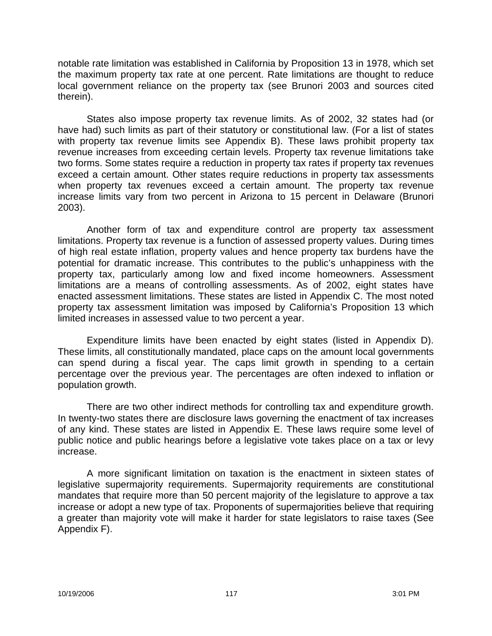notable rate limitation was established in California by Proposition 13 in 1978, which set the maximum property tax rate at one percent. Rate limitations are thought to reduce local government reliance on the property tax (see Brunori 2003 and sources cited therein).

States also impose property tax revenue limits. As of 2002, 32 states had (or have had) such limits as part of their statutory or constitutional law. (For a list of states with property tax revenue limits see Appendix B). These laws prohibit property tax revenue increases from exceeding certain levels. Property tax revenue limitations take two forms. Some states require a reduction in property tax rates if property tax revenues exceed a certain amount. Other states require reductions in property tax assessments when property tax revenues exceed a certain amount. The property tax revenue increase limits vary from two percent in Arizona to 15 percent in Delaware (Brunori 2003).

Another form of tax and expenditure control are property tax assessment limitations. Property tax revenue is a function of assessed property values. During times of high real estate inflation, property values and hence property tax burdens have the potential for dramatic increase. This contributes to the public's unhappiness with the property tax, particularly among low and fixed income homeowners. Assessment limitations are a means of controlling assessments. As of 2002, eight states have enacted assessment limitations. These states are listed in Appendix C. The most noted property tax assessment limitation was imposed by California's Proposition 13 which limited increases in assessed value to two percent a year.

Expenditure limits have been enacted by eight states (listed in Appendix D). These limits, all constitutionally mandated, place caps on the amount local governments can spend during a fiscal year. The caps limit growth in spending to a certain percentage over the previous year. The percentages are often indexed to inflation or population growth.

There are two other indirect methods for controlling tax and expenditure growth. In twenty-two states there are disclosure laws governing the enactment of tax increases of any kind. These states are listed in Appendix E. These laws require some level of public notice and public hearings before a legislative vote takes place on a tax or levy increase.

A more significant limitation on taxation is the enactment in sixteen states of legislative supermajority requirements. Supermajority requirements are constitutional mandates that require more than 50 percent majority of the legislature to approve a tax increase or adopt a new type of tax. Proponents of supermajorities believe that requiring a greater than majority vote will make it harder for state legislators to raise taxes (See Appendix F).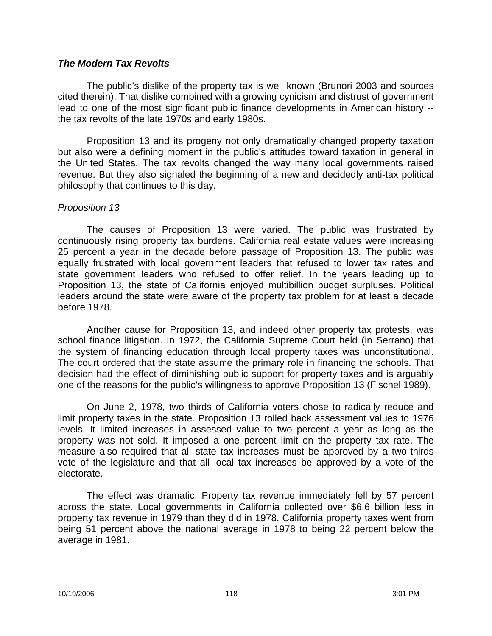#### *The Modern Tax Revolts*

The public's dislike of the property tax is well known (Brunori 2003 and sources cited therein). That dislike combined with a growing cynicism and distrust of government lead to one of the most significant public finance developments in American history - the tax revolts of the late 1970s and early 1980s.

Proposition 13 and its progeny not only dramatically changed property taxation but also were a defining moment in the public's attitudes toward taxation in general in the United States. The tax revolts changed the way many local governments raised revenue. But they also signaled the beginning of a new and decidedly anti-tax political philosophy that continues to this day.

#### *Proposition 13*

The causes of Proposition 13 were varied. The public was frustrated by continuously rising property tax burdens. California real estate values were increasing 25 percent a year in the decade before passage of Proposition 13. The public was equally frustrated with local government leaders that refused to lower tax rates and state government leaders who refused to offer relief. In the years leading up to Proposition 13, the state of California enjoyed multibillion budget surpluses. Political leaders around the state were aware of the property tax problem for at least a decade before 1978.

Another cause for Proposition 13, and indeed other property tax protests, was school finance litigation. In 1972, the California Supreme Court held (in Serrano) that the system of financing education through local property taxes was unconstitutional. The court ordered that the state assume the primary role in financing the schools. That decision had the effect of diminishing public support for property taxes and is arguably one of the reasons for the public's willingness to approve Proposition 13 (Fischel 1989).

On June 2, 1978, two thirds of California voters chose to radically reduce and limit property taxes in the state. Proposition 13 rolled back assessment values to 1976 levels. It limited increases in assessed value to two percent a year as long as the property was not sold. It imposed a one percent limit on the property tax rate. The measure also required that all state tax increases must be approved by a two-thirds vote of the legislature and that all local tax increases be approved by a vote of the electorate.

The effect was dramatic. Property tax revenue immediately fell by 57 percent across the state. Local governments in California collected over \$6.6 billion less in property tax revenue in 1979 than they did in 1978. California property taxes went from being 51 percent above the national average in 1978 to being 22 percent below the average in 1981.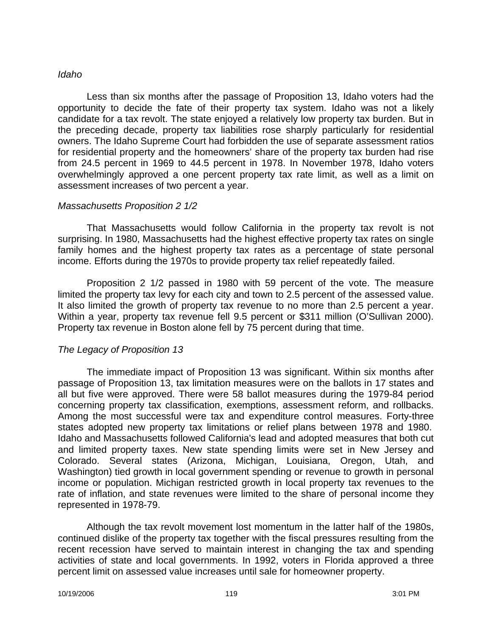#### *Idaho*

Less than six months after the passage of Proposition 13, Idaho voters had the opportunity to decide the fate of their property tax system. Idaho was not a likely candidate for a tax revolt. The state enjoyed a relatively low property tax burden. But in the preceding decade, property tax liabilities rose sharply particularly for residential owners. The Idaho Supreme Court had forbidden the use of separate assessment ratios for residential property and the homeowners' share of the property tax burden had rise from 24.5 percent in 1969 to 44.5 percent in 1978. In November 1978, Idaho voters overwhelmingly approved a one percent property tax rate limit, as well as a limit on assessment increases of two percent a year.

#### *Massachusetts Proposition 2 1/2*

That Massachusetts would follow California in the property tax revolt is not surprising. In 1980, Massachusetts had the highest effective property tax rates on single family homes and the highest property tax rates as a percentage of state personal income. Efforts during the 1970s to provide property tax relief repeatedly failed.

Proposition 2 1/2 passed in 1980 with 59 percent of the vote. The measure limited the property tax levy for each city and town to 2.5 percent of the assessed value. It also limited the growth of property tax revenue to no more than 2.5 percent a year. Within a year, property tax revenue fell 9.5 percent or \$311 million (O'Sullivan 2000). Property tax revenue in Boston alone fell by 75 percent during that time.

#### *The Legacy of Proposition 13*

The immediate impact of Proposition 13 was significant. Within six months after passage of Proposition 13, tax limitation measures were on the ballots in 17 states and all but five were approved. There were 58 ballot measures during the 1979-84 period concerning property tax classification, exemptions, assessment reform, and rollbacks. Among the most successful were tax and expenditure control measures. Forty-three states adopted new property tax limitations or relief plans between 1978 and 1980. Idaho and Massachusetts followed California's lead and adopted measures that both cut and limited property taxes. New state spending limits were set in New Jersey and Colorado. Several states (Arizona, Michigan, Louisiana, Oregon, Utah, and Washington) tied growth in local government spending or revenue to growth in personal income or population. Michigan restricted growth in local property tax revenues to the rate of inflation, and state revenues were limited to the share of personal income they represented in 1978-79.

Although the tax revolt movement lost momentum in the latter half of the 1980s, continued dislike of the property tax together with the fiscal pressures resulting from the recent recession have served to maintain interest in changing the tax and spending activities of state and local governments. In 1992, voters in Florida approved a three percent limit on assessed value increases until sale for homeowner property.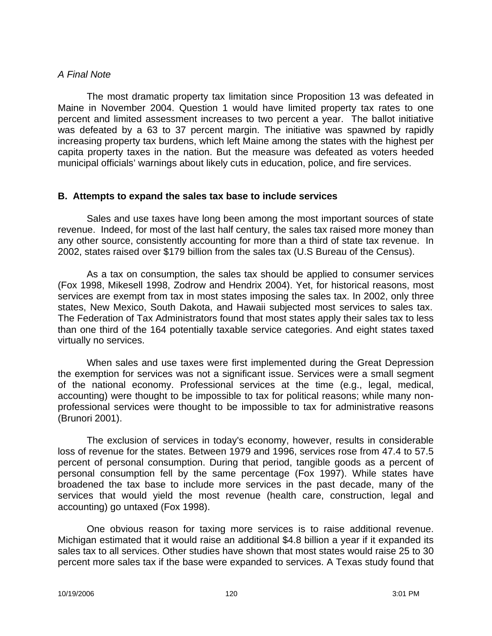#### *A Final Note*

The most dramatic property tax limitation since Proposition 13 was defeated in Maine in November 2004. Question 1 would have limited property tax rates to one percent and limited assessment increases to two percent a year. The ballot initiative was defeated by a 63 to 37 percent margin. The initiative was spawned by rapidly increasing property tax burdens, which left Maine among the states with the highest per capita property taxes in the nation. But the measure was defeated as voters heeded municipal officials' warnings about likely cuts in education, police, and fire services.

#### **B. Attempts to expand the sales tax base to include services**

Sales and use taxes have long been among the most important sources of state revenue. Indeed, for most of the last half century, the sales tax raised more money than any other source, consistently accounting for more than a third of state tax revenue. In 2002, states raised over \$179 billion from the sales tax (U.S Bureau of the Census).

As a tax on consumption, the sales tax should be applied to consumer services (Fox 1998, Mikesell 1998, Zodrow and Hendrix 2004). Yet, for historical reasons, most services are exempt from tax in most states imposing the sales tax. In 2002, only three states, New Mexico, South Dakota, and Hawaii subjected most services to sales tax. The Federation of Tax Administrators found that most states apply their sales tax to less than one third of the 164 potentially taxable service categories. And eight states taxed virtually no services.

When sales and use taxes were first implemented during the Great Depression the exemption for services was not a significant issue. Services were a small segment of the national economy. Professional services at the time (e.g., legal, medical, accounting) were thought to be impossible to tax for political reasons; while many nonprofessional services were thought to be impossible to tax for administrative reasons (Brunori 2001).

The exclusion of services in today's economy, however, results in considerable loss of revenue for the states. Between 1979 and 1996, services rose from 47.4 to 57.5 percent of personal consumption. During that period, tangible goods as a percent of personal consumption fell by the same percentage (Fox 1997). While states have broadened the tax base to include more services in the past decade, many of the services that would yield the most revenue (health care, construction, legal and accounting) go untaxed (Fox 1998).

One obvious reason for taxing more services is to raise additional revenue. Michigan estimated that it would raise an additional \$4.8 billion a year if it expanded its sales tax to all services. Other studies have shown that most states would raise 25 to 30 percent more sales tax if the base were expanded to services. A Texas study found that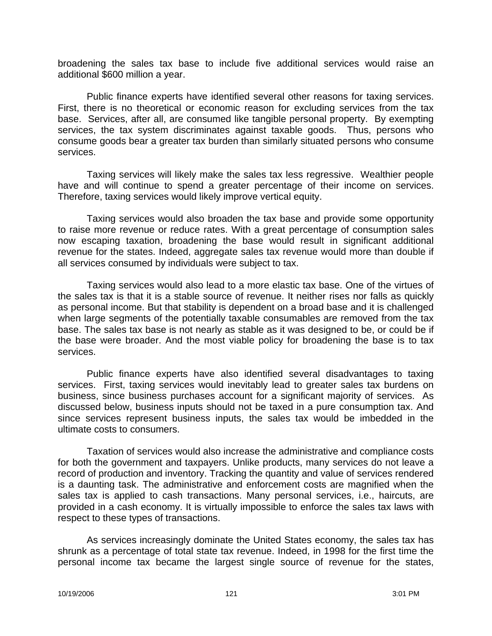broadening the sales tax base to include five additional services would raise an additional \$600 million a year.

Public finance experts have identified several other reasons for taxing services. First, there is no theoretical or economic reason for excluding services from the tax base. Services, after all, are consumed like tangible personal property. By exempting services, the tax system discriminates against taxable goods. Thus, persons who consume goods bear a greater tax burden than similarly situated persons who consume services.

Taxing services will likely make the sales tax less regressive. Wealthier people have and will continue to spend a greater percentage of their income on services. Therefore, taxing services would likely improve vertical equity.

Taxing services would also broaden the tax base and provide some opportunity to raise more revenue or reduce rates. With a great percentage of consumption sales now escaping taxation, broadening the base would result in significant additional revenue for the states. Indeed, aggregate sales tax revenue would more than double if all services consumed by individuals were subject to tax.

Taxing services would also lead to a more elastic tax base. One of the virtues of the sales tax is that it is a stable source of revenue. It neither rises nor falls as quickly as personal income. But that stability is dependent on a broad base and it is challenged when large segments of the potentially taxable consumables are removed from the tax base. The sales tax base is not nearly as stable as it was designed to be, or could be if the base were broader. And the most viable policy for broadening the base is to tax services.

Public finance experts have also identified several disadvantages to taxing services. First, taxing services would inevitably lead to greater sales tax burdens on business, since business purchases account for a significant majority of services. As discussed below, business inputs should not be taxed in a pure consumption tax. And since services represent business inputs, the sales tax would be imbedded in the ultimate costs to consumers.

Taxation of services would also increase the administrative and compliance costs for both the government and taxpayers. Unlike products, many services do not leave a record of production and inventory. Tracking the quantity and value of services rendered is a daunting task. The administrative and enforcement costs are magnified when the sales tax is applied to cash transactions. Many personal services, i.e., haircuts, are provided in a cash economy. It is virtually impossible to enforce the sales tax laws with respect to these types of transactions.

As services increasingly dominate the United States economy, the sales tax has shrunk as a percentage of total state tax revenue. Indeed, in 1998 for the first time the personal income tax became the largest single source of revenue for the states,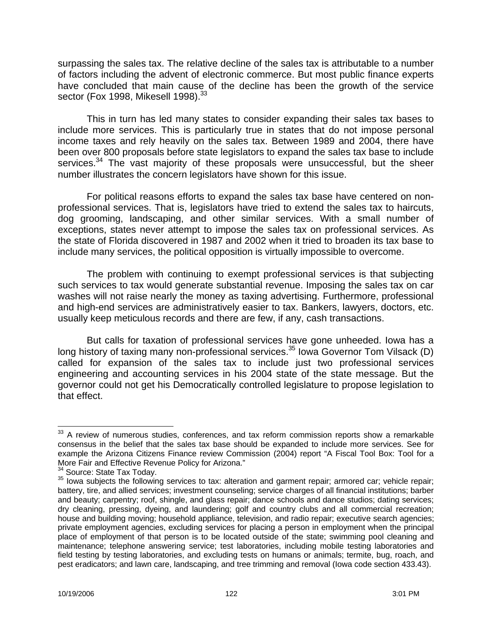surpassing the sales tax. The relative decline of the sales tax is attributable to a number of factors including the advent of electronic commerce. But most public finance experts have concluded that main cause of the decline has been the growth of the service sector (Fox 1998, Mikesell 1998). $^{33}$ 

This in turn has led many states to consider expanding their sales tax bases to include more services. This is particularly true in states that do not impose personal income taxes and rely heavily on the sales tax. Between 1989 and 2004, there have been over 800 proposals before state legislators to expand the sales tax base to include services.<sup>34</sup> The vast majority of these proposals were unsuccessful, but the sheer number illustrates the concern legislators have shown for this issue.

For political reasons efforts to expand the sales tax base have centered on nonprofessional services. That is, legislators have tried to extend the sales tax to haircuts, dog grooming, landscaping, and other similar services. With a small number of exceptions, states never attempt to impose the sales tax on professional services. As the state of Florida discovered in 1987 and 2002 when it tried to broaden its tax base to include many services, the political opposition is virtually impossible to overcome.

The problem with continuing to exempt professional services is that subjecting such services to tax would generate substantial revenue. Imposing the sales tax on car washes will not raise nearly the money as taxing advertising. Furthermore, professional and high-end services are administratively easier to tax. Bankers, lawyers, doctors, etc. usually keep meticulous records and there are few, if any, cash transactions.

But calls for taxation of professional services have gone unheeded. Iowa has a long history of taxing many non-professional services.<sup>35</sup> Iowa Governor Tom Vilsack (D) called for expansion of the sales tax to include just two professional services engineering and accounting services in his 2004 state of the state message. But the governor could not get his Democratically controlled legislature to propose legislation to that effect.

 $\overline{a}$  $33$  A review of numerous studies, conferences, and tax reform commission reports show a remarkable consensus in the belief that the sales tax base should be expanded to include more services. See for example the Arizona Citizens Finance review Commission (2004) report "A Fiscal Tool Box: Tool for a More Fair and Effective Revenue Policy for Arizona."

<sup>&</sup>lt;sup>34</sup> Source: State Tax Today.

<sup>&</sup>lt;sup>35</sup> Iowa subiects the following services to tax: alteration and garment repair; armored car; vehicle repair; battery, tire, and allied services; investment counseling; service charges of all financial institutions; barber and beauty; carpentry; roof, shingle, and glass repair; dance schools and dance studios; dating services; dry cleaning, pressing, dyeing, and laundering; golf and country clubs and all commercial recreation; house and building moving; household appliance, television, and radio repair; executive search agencies; private employment agencies, excluding services for placing a person in employment when the principal place of employment of that person is to be located outside of the state; swimming pool cleaning and maintenance; telephone answering service; test laboratories, including mobile testing laboratories and field testing by testing laboratories, and excluding tests on humans or animals; termite, bug, roach, and pest eradicators; and lawn care, landscaping, and tree trimming and removal (Iowa code section 433.43).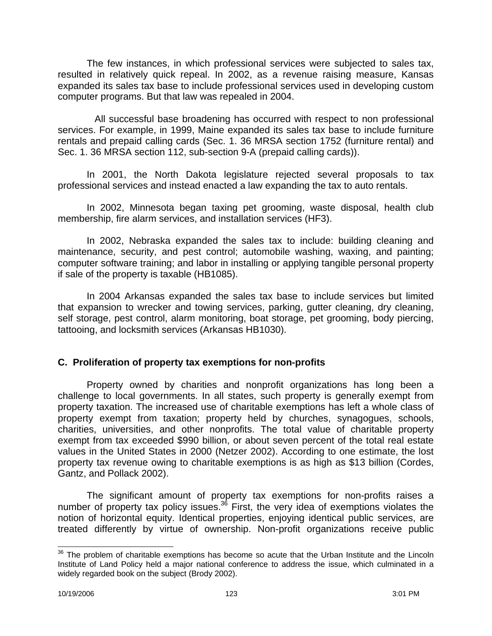The few instances, in which professional services were subjected to sales tax, resulted in relatively quick repeal. In 2002, as a revenue raising measure, Kansas expanded its sales tax base to include professional services used in developing custom computer programs. But that law was repealed in 2004.

All successful base broadening has occurred with respect to non professional services. For example, in 1999, Maine expanded its sales tax base to include furniture rentals and prepaid calling cards (Sec. 1. 36 MRSA section 1752 (furniture rental) and Sec. 1. 36 MRSA section 112, sub-section 9-A (prepaid calling cards)).

In 2001, the North Dakota legislature rejected several proposals to tax professional services and instead enacted a law expanding the tax to auto rentals.

In 2002, Minnesota began taxing pet grooming, waste disposal, health club membership, fire alarm services, and installation services (HF3).

In 2002, Nebraska expanded the sales tax to include: building cleaning and maintenance, security, and pest control; automobile washing, waxing, and painting; computer software training; and labor in installing or applying tangible personal property if sale of the property is taxable (HB1085).

In 2004 Arkansas expanded the sales tax base to include services but limited that expansion to wrecker and towing services, parking, gutter cleaning, dry cleaning, self storage, pest control, alarm monitoring, boat storage, pet grooming, body piercing, tattooing, and locksmith services (Arkansas HB1030).

# **C. Proliferation of property tax exemptions for non-profits**

Property owned by charities and nonprofit organizations has long been a challenge to local governments. In all states, such property is generally exempt from property taxation. The increased use of charitable exemptions has left a whole class of property exempt from taxation; property held by churches, synagogues, schools, charities, universities, and other nonprofits. The total value of charitable property exempt from tax exceeded \$990 billion, or about seven percent of the total real estate values in the United States in 2000 (Netzer 2002). According to one estimate, the lost property tax revenue owing to charitable exemptions is as high as \$13 billion (Cordes, Gantz, and Pollack 2002).

The significant amount of property tax exemptions for non-profits raises a number of property tax policy issues. $36$  First, the very idea of exemptions violates the notion of horizontal equity. Identical properties, enjoying identical public services, are treated differently by virtue of ownership. Non-profit organizations receive public

 $\overline{\phantom{a}}$  $36$  The problem of charitable exemptions has become so acute that the Urban Institute and the Lincoln Institute of Land Policy held a major national conference to address the issue, which culminated in a widely regarded book on the subject (Brody 2002).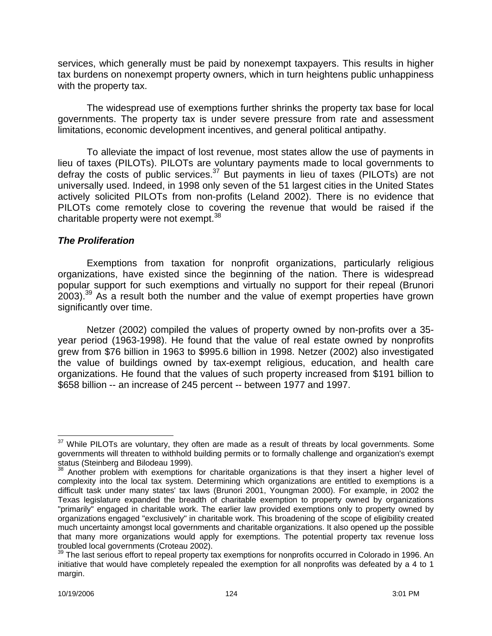services, which generally must be paid by nonexempt taxpayers. This results in higher tax burdens on nonexempt property owners, which in turn heightens public unhappiness with the property tax.

The widespread use of exemptions further shrinks the property tax base for local governments. The property tax is under severe pressure from rate and assessment limitations, economic development incentives, and general political antipathy.

To alleviate the impact of lost revenue, most states allow the use of payments in lieu of taxes (PILOTs). PILOTs are voluntary payments made to local governments to defray the costs of public services.<sup>37</sup> But payments in lieu of taxes (PILOTs) are not universally used. Indeed, in 1998 only seven of the 51 largest cities in the United States actively solicited PILOTs from non-profits (Leland 2002). There is no evidence that PILOTs come remotely close to covering the revenue that would be raised if the charitable property were not exempt.<sup>38</sup>

### *The Proliferation*

Exemptions from taxation for nonprofit organizations, particularly religious organizations, have existed since the beginning of the nation. There is widespread popular support for such exemptions and virtually no support for their repeal (Brunori  $2003$ ).<sup>39</sup> As a result both the number and the value of exempt properties have grown significantly over time.

Netzer (2002) compiled the values of property owned by non-profits over a 35 year period (1963-1998). He found that the value of real estate owned by nonprofits grew from \$76 billion in 1963 to \$995.6 billion in 1998. Netzer (2002) also investigated the value of buildings owned by tax-exempt religious, education, and health care organizations. He found that the values of such property increased from \$191 billion to \$658 billion -- an increase of 245 percent -- between 1977 and 1997.

 $\overline{\phantom{a}}$  $37$  While PILOTs are voluntary, they often are made as a result of threats by local governments. Some governments will threaten to withhold building permits or to formally challenge and organization's exempt status (Steinberg and Bilodeau 1999).

 $38$  Another problem with exemptions for charitable organizations is that they insert a higher level of complexity into the local tax system. Determining which organizations are entitled to exemptions is a difficult task under many states' tax laws (Brunori 2001, Youngman 2000). For example, in 2002 the Texas legislature expanded the breadth of charitable exemption to property owned by organizations "primarily" engaged in charitable work. The earlier law provided exemptions only to property owned by organizations engaged "exclusively" in charitable work. This broadening of the scope of eligibility created much uncertainty amongst local governments and charitable organizations. It also opened up the possible that many more organizations would apply for exemptions. The potential property tax revenue loss troubled local governments (Croteau 2002).

 $39$  The last serious effort to repeal property tax exemptions for nonprofits occurred in Colorado in 1996. An initiative that would have completely repealed the exemption for all nonprofits was defeated by a 4 to 1 margin.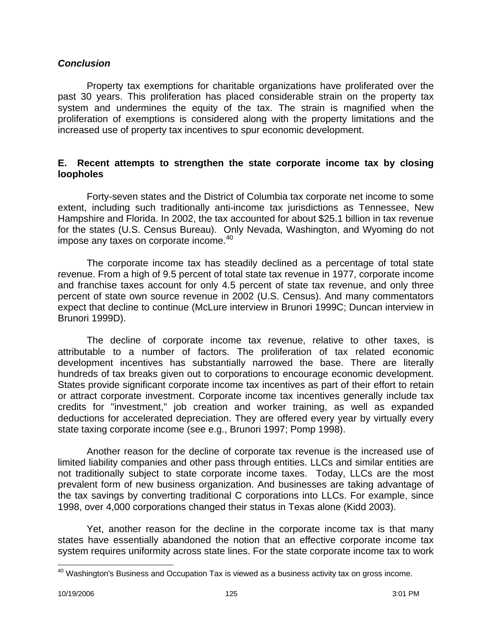#### *Conclusion*

Property tax exemptions for charitable organizations have proliferated over the past 30 years. This proliferation has placed considerable strain on the property tax system and undermines the equity of the tax. The strain is magnified when the proliferation of exemptions is considered along with the property limitations and the increased use of property tax incentives to spur economic development.

#### **E. Recent attempts to strengthen the state corporate income tax by closing loopholes**

Forty-seven states and the District of Columbia tax corporate net income to some extent, including such traditionally anti-income tax jurisdictions as Tennessee, New Hampshire and Florida. In 2002, the tax accounted for about \$25.1 billion in tax revenue for the states (U.S. Census Bureau). Only Nevada, Washington, and Wyoming do not impose any taxes on corporate income.<sup>40</sup>

The corporate income tax has steadily declined as a percentage of total state revenue. From a high of 9.5 percent of total state tax revenue in 1977, corporate income and franchise taxes account for only 4.5 percent of state tax revenue, and only three percent of state own source revenue in 2002 (U.S. Census). And many commentators expect that decline to continue (McLure interview in Brunori 1999C; Duncan interview in Brunori 1999D).

The decline of corporate income tax revenue, relative to other taxes, is attributable to a number of factors. The proliferation of tax related economic development incentives has substantially narrowed the base. There are literally hundreds of tax breaks given out to corporations to encourage economic development. States provide significant corporate income tax incentives as part of their effort to retain or attract corporate investment. Corporate income tax incentives generally include tax credits for "investment," job creation and worker training, as well as expanded deductions for accelerated depreciation. They are offered every year by virtually every state taxing corporate income (see e.g., Brunori 1997; Pomp 1998).

Another reason for the decline of corporate tax revenue is the increased use of limited liability companies and other pass through entities. LLCs and similar entities are not traditionally subject to state corporate income taxes. Today, LLCs are the most prevalent form of new business organization. And businesses are taking advantage of the tax savings by converting traditional C corporations into LLCs. For example, since 1998, over 4,000 corporations changed their status in Texas alone (Kidd 2003).

Yet, another reason for the decline in the corporate income tax is that many states have essentially abandoned the notion that an effective corporate income tax system requires uniformity across state lines. For the state corporate income tax to work

 $\overline{a}$ 

 $40$  Washington's Business and Occupation Tax is viewed as a business activity tax on gross income.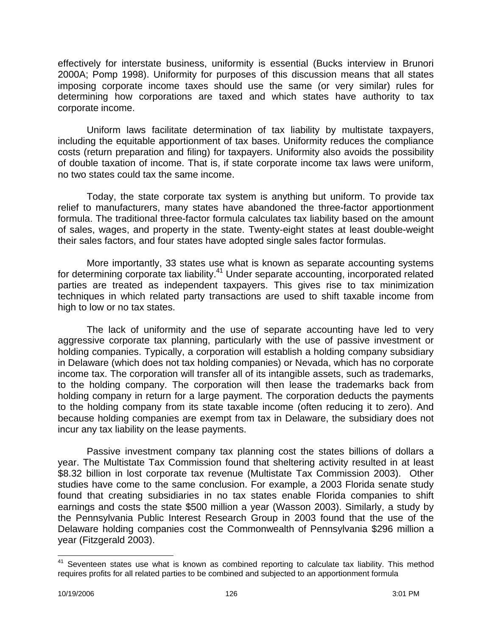effectively for interstate business, uniformity is essential (Bucks interview in Brunori 2000A; Pomp 1998). Uniformity for purposes of this discussion means that all states imposing corporate income taxes should use the same (or very similar) rules for determining how corporations are taxed and which states have authority to tax corporate income.

Uniform laws facilitate determination of tax liability by multistate taxpayers, including the equitable apportionment of tax bases. Uniformity reduces the compliance costs (return preparation and filing) for taxpayers. Uniformity also avoids the possibility of double taxation of income. That is, if state corporate income tax laws were uniform, no two states could tax the same income.

Today, the state corporate tax system is anything but uniform. To provide tax relief to manufacturers, many states have abandoned the three-factor apportionment formula. The traditional three-factor formula calculates tax liability based on the amount of sales, wages, and property in the state. Twenty-eight states at least double-weight their sales factors, and four states have adopted single sales factor formulas.

More importantly, 33 states use what is known as separate accounting systems for determining corporate tax liability.<sup>41</sup> Under separate accounting, incorporated related parties are treated as independent taxpayers. This gives rise to tax minimization techniques in which related party transactions are used to shift taxable income from high to low or no tax states.

The lack of uniformity and the use of separate accounting have led to very aggressive corporate tax planning, particularly with the use of passive investment or holding companies. Typically, a corporation will establish a holding company subsidiary in Delaware (which does not tax holding companies) or Nevada, which has no corporate income tax. The corporation will transfer all of its intangible assets, such as trademarks, to the holding company. The corporation will then lease the trademarks back from holding company in return for a large payment. The corporation deducts the payments to the holding company from its state taxable income (often reducing it to zero). And because holding companies are exempt from tax in Delaware, the subsidiary does not incur any tax liability on the lease payments.

Passive investment company tax planning cost the states billions of dollars a year. The Multistate Tax Commission found that sheltering activity resulted in at least \$8.32 billion in lost corporate tax revenue (Multistate Tax Commission 2003). Other studies have come to the same conclusion. For example, a 2003 Florida senate study found that creating subsidiaries in no tax states enable Florida companies to shift earnings and costs the state \$500 million a year (Wasson 2003). Similarly, a study by the Pennsylvania Public Interest Research Group in 2003 found that the use of the Delaware holding companies cost the Commonwealth of Pennsylvania \$296 million a year (Fitzgerald 2003).

 $\overline{a}$ Seventeen states use what is known as combined reporting to calculate tax liability. This method requires profits for all related parties to be combined and subjected to an apportionment formula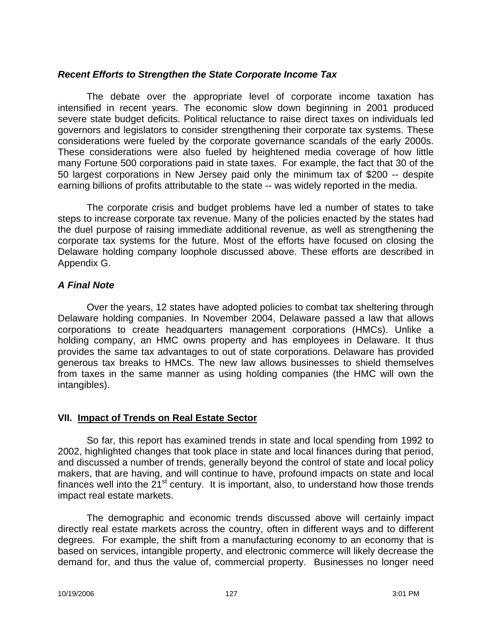### *Recent Efforts to Strengthen the State Corporate Income Tax*

The debate over the appropriate level of corporate income taxation has intensified in recent years. The economic slow down beginning in 2001 produced severe state budget deficits. Political reluctance to raise direct taxes on individuals led governors and legislators to consider strengthening their corporate tax systems. These considerations were fueled by the corporate governance scandals of the early 2000s. These considerations were also fueled by heightened media coverage of how little many Fortune 500 corporations paid in state taxes. For example, the fact that 30 of the 50 largest corporations in New Jersey paid only the minimum tax of \$200 -- despite earning billions of profits attributable to the state -- was widely reported in the media.

The corporate crisis and budget problems have led a number of states to take steps to increase corporate tax revenue. Many of the policies enacted by the states had the duel purpose of raising immediate additional revenue, as well as strengthening the corporate tax systems for the future. Most of the efforts have focused on closing the Delaware holding company loophole discussed above. These efforts are described in Appendix G.

## *A Final Note*

Over the years, 12 states have adopted policies to combat tax sheltering through Delaware holding companies. In November 2004, Delaware passed a law that allows corporations to create headquarters management corporations (HMCs). Unlike a holding company, an HMC owns property and has employees in Delaware. It thus provides the same tax advantages to out of state corporations. Delaware has provided generous tax breaks to HMCs. The new law allows businesses to shield themselves from taxes in the same manner as using holding companies (the HMC will own the intangibles).

### **VII. Impact of Trends on Real Estate Sector**

So far, this report has examined trends in state and local spending from 1992 to 2002, highlighted changes that took place in state and local finances during that period, and discussed a number of trends, generally beyond the control of state and local policy makers, that are having, and will continue to have, profound impacts on state and local finances well into the  $21<sup>st</sup>$  century. It is important, also, to understand how those trends impact real estate markets.

The demographic and economic trends discussed above will certainly impact directly real estate markets across the country, often in different ways and to different degrees. For example, the shift from a manufacturing economy to an economy that is based on services, intangible property, and electronic commerce will likely decrease the demand for, and thus the value of, commercial property. Businesses no longer need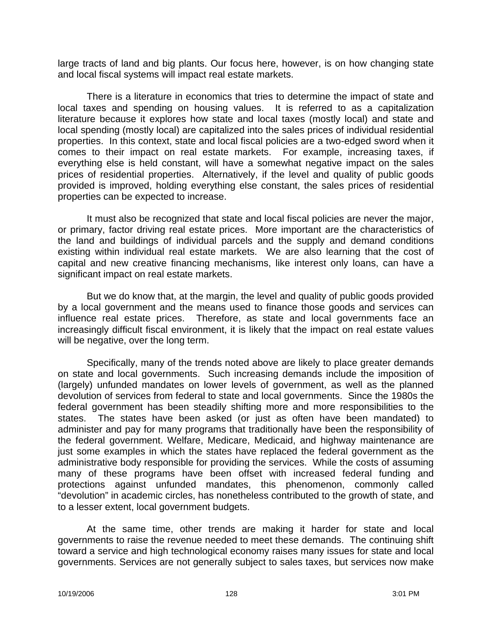large tracts of land and big plants. Our focus here, however, is on how changing state and local fiscal systems will impact real estate markets.

There is a literature in economics that tries to determine the impact of state and local taxes and spending on housing values. It is referred to as a capitalization literature because it explores how state and local taxes (mostly local) and state and local spending (mostly local) are capitalized into the sales prices of individual residential properties. In this context, state and local fiscal policies are a two-edged sword when it comes to their impact on real estate markets. For example, increasing taxes, if everything else is held constant, will have a somewhat negative impact on the sales prices of residential properties. Alternatively, if the level and quality of public goods provided is improved, holding everything else constant, the sales prices of residential properties can be expected to increase.

It must also be recognized that state and local fiscal policies are never the major, or primary, factor driving real estate prices. More important are the characteristics of the land and buildings of individual parcels and the supply and demand conditions existing within individual real estate markets. We are also learning that the cost of capital and new creative financing mechanisms, like interest only loans, can have a significant impact on real estate markets.

But we do know that, at the margin, the level and quality of public goods provided by a local government and the means used to finance those goods and services can influence real estate prices. Therefore, as state and local governments face an increasingly difficult fiscal environment, it is likely that the impact on real estate values will be negative, over the long term.

Specifically, many of the trends noted above are likely to place greater demands on state and local governments. Such increasing demands include the imposition of (largely) unfunded mandates on lower levels of government, as well as the planned devolution of services from federal to state and local governments. Since the 1980s the federal government has been steadily shifting more and more responsibilities to the states. The states have been asked (or just as often have been mandated) to administer and pay for many programs that traditionally have been the responsibility of the federal government. Welfare, Medicare, Medicaid, and highway maintenance are just some examples in which the states have replaced the federal government as the administrative body responsible for providing the services. While the costs of assuming many of these programs have been offset with increased federal funding and protections against unfunded mandates, this phenomenon, commonly called "devolution" in academic circles, has nonetheless contributed to the growth of state, and to a lesser extent, local government budgets.

At the same time, other trends are making it harder for state and local governments to raise the revenue needed to meet these demands. The continuing shift toward a service and high technological economy raises many issues for state and local governments. Services are not generally subject to sales taxes, but services now make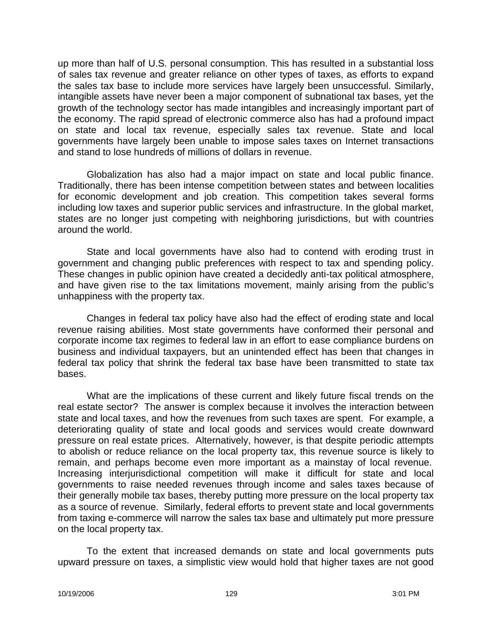up more than half of U.S. personal consumption. This has resulted in a substantial loss of sales tax revenue and greater reliance on other types of taxes, as efforts to expand the sales tax base to include more services have largely been unsuccessful. Similarly, intangible assets have never been a major component of subnational tax bases, yet the growth of the technology sector has made intangibles and increasingly important part of the economy. The rapid spread of electronic commerce also has had a profound impact on state and local tax revenue, especially sales tax revenue. State and local governments have largely been unable to impose sales taxes on Internet transactions and stand to lose hundreds of millions of dollars in revenue.

Globalization has also had a major impact on state and local public finance. Traditionally, there has been intense competition between states and between localities for economic development and job creation. This competition takes several forms including low taxes and superior public services and infrastructure. In the global market, states are no longer just competing with neighboring jurisdictions, but with countries around the world.

State and local governments have also had to contend with eroding trust in government and changing public preferences with respect to tax and spending policy. These changes in public opinion have created a decidedly anti-tax political atmosphere, and have given rise to the tax limitations movement, mainly arising from the public's unhappiness with the property tax.

Changes in federal tax policy have also had the effect of eroding state and local revenue raising abilities. Most state governments have conformed their personal and corporate income tax regimes to federal law in an effort to ease compliance burdens on business and individual taxpayers, but an unintended effect has been that changes in federal tax policy that shrink the federal tax base have been transmitted to state tax bases.

What are the implications of these current and likely future fiscal trends on the real estate sector? The answer is complex because it involves the interaction between state and local taxes, and how the revenues from such taxes are spent. For example, a deteriorating quality of state and local goods and services would create downward pressure on real estate prices. Alternatively, however, is that despite periodic attempts to abolish or reduce reliance on the local property tax, this revenue source is likely to remain, and perhaps become even more important as a mainstay of local revenue. Increasing interjurisdictional competition will make it difficult for state and local governments to raise needed revenues through income and sales taxes because of their generally mobile tax bases, thereby putting more pressure on the local property tax as a source of revenue. Similarly, federal efforts to prevent state and local governments from taxing e-commerce will narrow the sales tax base and ultimately put more pressure on the local property tax.

To the extent that increased demands on state and local governments puts upward pressure on taxes, a simplistic view would hold that higher taxes are not good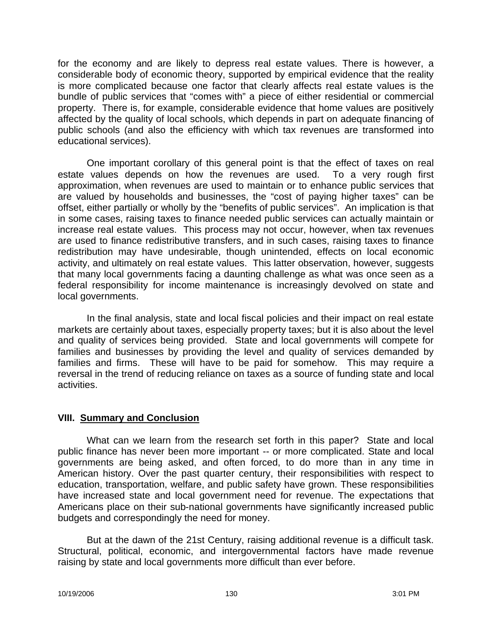for the economy and are likely to depress real estate values. There is however, a considerable body of economic theory, supported by empirical evidence that the reality is more complicated because one factor that clearly affects real estate values is the bundle of public services that "comes with" a piece of either residential or commercial property. There is, for example, considerable evidence that home values are positively affected by the quality of local schools, which depends in part on adequate financing of public schools (and also the efficiency with which tax revenues are transformed into educational services).

One important corollary of this general point is that the effect of taxes on real estate values depends on how the revenues are used. To a very rough first approximation, when revenues are used to maintain or to enhance public services that are valued by households and businesses, the "cost of paying higher taxes" can be offset, either partially or wholly by the "benefits of public services". An implication is that in some cases, raising taxes to finance needed public services can actually maintain or increase real estate values. This process may not occur, however, when tax revenues are used to finance redistributive transfers, and in such cases, raising taxes to finance redistribution may have undesirable, though unintended, effects on local economic activity, and ultimately on real estate values. This latter observation, however, suggests that many local governments facing a daunting challenge as what was once seen as a federal responsibility for income maintenance is increasingly devolved on state and local governments.

In the final analysis, state and local fiscal policies and their impact on real estate markets are certainly about taxes, especially property taxes; but it is also about the level and quality of services being provided. State and local governments will compete for families and businesses by providing the level and quality of services demanded by families and firms. These will have to be paid for somehow. This may require a reversal in the trend of reducing reliance on taxes as a source of funding state and local activities.

#### **VIII. Summary and Conclusion**

What can we learn from the research set forth in this paper? State and local public finance has never been more important -- or more complicated. State and local governments are being asked, and often forced, to do more than in any time in American history. Over the past quarter century, their responsibilities with respect to education, transportation, welfare, and public safety have grown. These responsibilities have increased state and local government need for revenue. The expectations that Americans place on their sub-national governments have significantly increased public budgets and correspondingly the need for money.

But at the dawn of the 21st Century, raising additional revenue is a difficult task. Structural, political, economic, and intergovernmental factors have made revenue raising by state and local governments more difficult than ever before.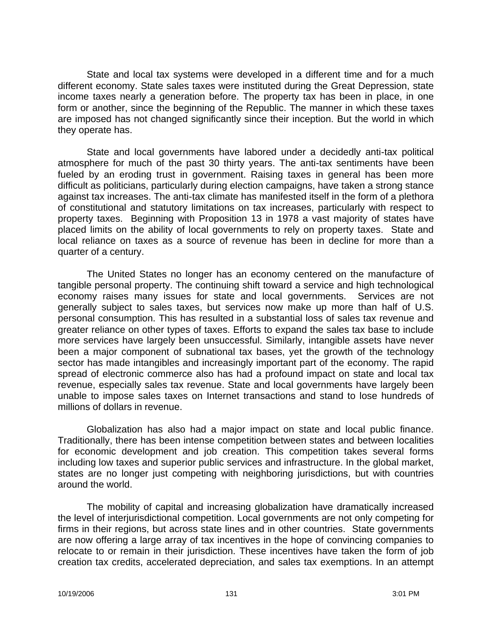State and local tax systems were developed in a different time and for a much different economy. State sales taxes were instituted during the Great Depression, state income taxes nearly a generation before. The property tax has been in place, in one form or another, since the beginning of the Republic. The manner in which these taxes are imposed has not changed significantly since their inception. But the world in which they operate has.

State and local governments have labored under a decidedly anti-tax political atmosphere for much of the past 30 thirty years. The anti-tax sentiments have been fueled by an eroding trust in government. Raising taxes in general has been more difficult as politicians, particularly during election campaigns, have taken a strong stance against tax increases. The anti-tax climate has manifested itself in the form of a plethora of constitutional and statutory limitations on tax increases, particularly with respect to property taxes. Beginning with Proposition 13 in 1978 a vast majority of states have placed limits on the ability of local governments to rely on property taxes. State and local reliance on taxes as a source of revenue has been in decline for more than a quarter of a century.

The United States no longer has an economy centered on the manufacture of tangible personal property. The continuing shift toward a service and high technological economy raises many issues for state and local governments. Services are not generally subject to sales taxes, but services now make up more than half of U.S. personal consumption. This has resulted in a substantial loss of sales tax revenue and greater reliance on other types of taxes. Efforts to expand the sales tax base to include more services have largely been unsuccessful. Similarly, intangible assets have never been a major component of subnational tax bases, yet the growth of the technology sector has made intangibles and increasingly important part of the economy. The rapid spread of electronic commerce also has had a profound impact on state and local tax revenue, especially sales tax revenue. State and local governments have largely been unable to impose sales taxes on Internet transactions and stand to lose hundreds of millions of dollars in revenue.

Globalization has also had a major impact on state and local public finance. Traditionally, there has been intense competition between states and between localities for economic development and job creation. This competition takes several forms including low taxes and superior public services and infrastructure. In the global market, states are no longer just competing with neighboring jurisdictions, but with countries around the world.

The mobility of capital and increasing globalization have dramatically increased the level of interjurisdictional competition. Local governments are not only competing for firms in their regions, but across state lines and in other countries. State governments are now offering a large array of tax incentives in the hope of convincing companies to relocate to or remain in their jurisdiction. These incentives have taken the form of job creation tax credits, accelerated depreciation, and sales tax exemptions. In an attempt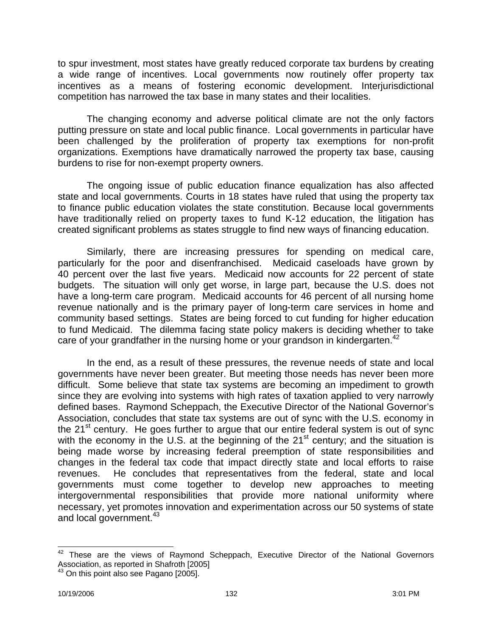to spur investment, most states have greatly reduced corporate tax burdens by creating a wide range of incentives. Local governments now routinely offer property tax incentives as a means of fostering economic development. Interjurisdictional competition has narrowed the tax base in many states and their localities.

The changing economy and adverse political climate are not the only factors putting pressure on state and local public finance. Local governments in particular have been challenged by the proliferation of property tax exemptions for non-profit organizations. Exemptions have dramatically narrowed the property tax base, causing burdens to rise for non-exempt property owners.

The ongoing issue of public education finance equalization has also affected state and local governments. Courts in 18 states have ruled that using the property tax to finance public education violates the state constitution. Because local governments have traditionally relied on property taxes to fund K-12 education, the litigation has created significant problems as states struggle to find new ways of financing education.

Similarly, there are increasing pressures for spending on medical care, particularly for the poor and disenfranchised. Medicaid caseloads have grown by 40 percent over the last five years. Medicaid now accounts for 22 percent of state budgets. The situation will only get worse, in large part, because the U.S. does not have a long-term care program. Medicaid accounts for 46 percent of all nursing home revenue nationally and is the primary payer of long-term care services in home and community based settings. States are being forced to cut funding for higher education to fund Medicaid. The dilemma facing state policy makers is deciding whether to take care of your grandfather in the nursing home or your grandson in kindergarten.<sup>42</sup>

In the end, as a result of these pressures, the revenue needs of state and local governments have never been greater. But meeting those needs has never been more difficult. Some believe that state tax systems are becoming an impediment to growth since they are evolving into systems with high rates of taxation applied to very narrowly defined bases. Raymond Scheppach, the Executive Director of the National Governor's Association, concludes that state tax systems are out of sync with the U.S. economy in the  $21^{st}$  century. He goes further to argue that our entire federal system is out of sync with the economy in the U.S. at the beginning of the  $21<sup>st</sup>$  century; and the situation is being made worse by increasing federal preemption of state responsibilities and changes in the federal tax code that impact directly state and local efforts to raise revenues. He concludes that representatives from the federal, state and local governments must come together to develop new approaches to meeting intergovernmental responsibilities that provide more national uniformity where necessary, yet promotes innovation and experimentation across our 50 systems of state and local government.<sup>43</sup>

 $\overline{a}$  $42$  These are the views of Raymond Scheppach, Executive Director of the National Governors Association, as reported in Shafroth [2005]

 $43$  On this point also see Pagano [2005].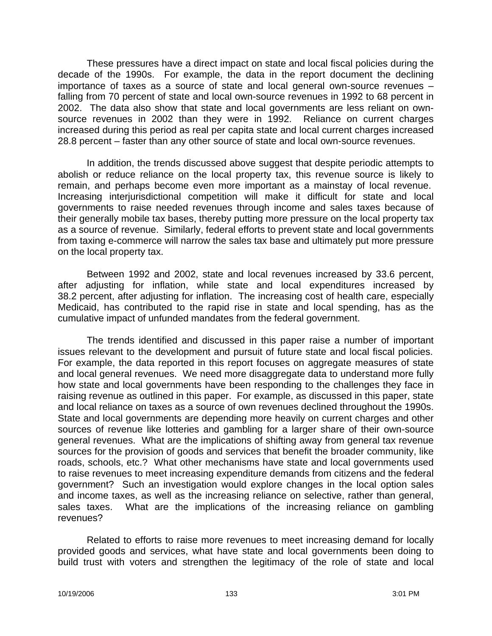These pressures have a direct impact on state and local fiscal policies during the decade of the 1990s. For example, the data in the report document the declining importance of taxes as a source of state and local general own-source revenues – falling from 70 percent of state and local own-source revenues in 1992 to 68 percent in 2002. The data also show that state and local governments are less reliant on ownsource revenues in 2002 than they were in 1992. Reliance on current charges increased during this period as real per capita state and local current charges increased 28.8 percent – faster than any other source of state and local own-source revenues.

In addition, the trends discussed above suggest that despite periodic attempts to abolish or reduce reliance on the local property tax, this revenue source is likely to remain, and perhaps become even more important as a mainstay of local revenue. Increasing interjurisdictional competition will make it difficult for state and local governments to raise needed revenues through income and sales taxes because of their generally mobile tax bases, thereby putting more pressure on the local property tax as a source of revenue. Similarly, federal efforts to prevent state and local governments from taxing e-commerce will narrow the sales tax base and ultimately put more pressure on the local property tax.

Between 1992 and 2002, state and local revenues increased by 33.6 percent, after adjusting for inflation, while state and local expenditures increased by 38.2 percent, after adjusting for inflation. The increasing cost of health care, especially Medicaid, has contributed to the rapid rise in state and local spending, has as the cumulative impact of unfunded mandates from the federal government.

The trends identified and discussed in this paper raise a number of important issues relevant to the development and pursuit of future state and local fiscal policies. For example, the data reported in this report focuses on aggregate measures of state and local general revenues. We need more disaggregate data to understand more fully how state and local governments have been responding to the challenges they face in raising revenue as outlined in this paper. For example, as discussed in this paper, state and local reliance on taxes as a source of own revenues declined throughout the 1990s. State and local governments are depending more heavily on current charges and other sources of revenue like lotteries and gambling for a larger share of their own-source general revenues. What are the implications of shifting away from general tax revenue sources for the provision of goods and services that benefit the broader community, like roads, schools, etc.? What other mechanisms have state and local governments used to raise revenues to meet increasing expenditure demands from citizens and the federal government? Such an investigation would explore changes in the local option sales and income taxes, as well as the increasing reliance on selective, rather than general, sales taxes. What are the implications of the increasing reliance on gambling revenues?

Related to efforts to raise more revenues to meet increasing demand for locally provided goods and services, what have state and local governments been doing to build trust with voters and strengthen the legitimacy of the role of state and local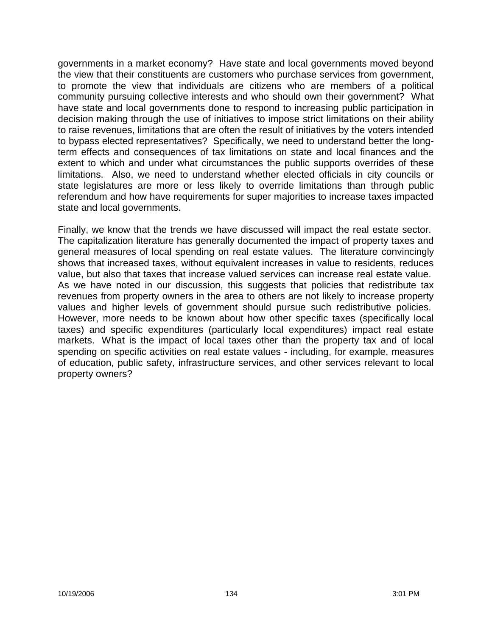governments in a market economy? Have state and local governments moved beyond the view that their constituents are customers who purchase services from government, to promote the view that individuals are citizens who are members of a political community pursuing collective interests and who should own their government? What have state and local governments done to respond to increasing public participation in decision making through the use of initiatives to impose strict limitations on their ability to raise revenues, limitations that are often the result of initiatives by the voters intended to bypass elected representatives? Specifically, we need to understand better the longterm effects and consequences of tax limitations on state and local finances and the extent to which and under what circumstances the public supports overrides of these limitations. Also, we need to understand whether elected officials in city councils or state legislatures are more or less likely to override limitations than through public referendum and how have requirements for super majorities to increase taxes impacted state and local governments.

Finally, we know that the trends we have discussed will impact the real estate sector. The capitalization literature has generally documented the impact of property taxes and general measures of local spending on real estate values. The literature convincingly shows that increased taxes, without equivalent increases in value to residents, reduces value, but also that taxes that increase valued services can increase real estate value. As we have noted in our discussion, this suggests that policies that redistribute tax revenues from property owners in the area to others are not likely to increase property values and higher levels of government should pursue such redistributive policies. However, more needs to be known about how other specific taxes (specifically local taxes) and specific expenditures (particularly local expenditures) impact real estate markets. What is the impact of local taxes other than the property tax and of local spending on specific activities on real estate values - including, for example, measures of education, public safety, infrastructure services, and other services relevant to local property owners?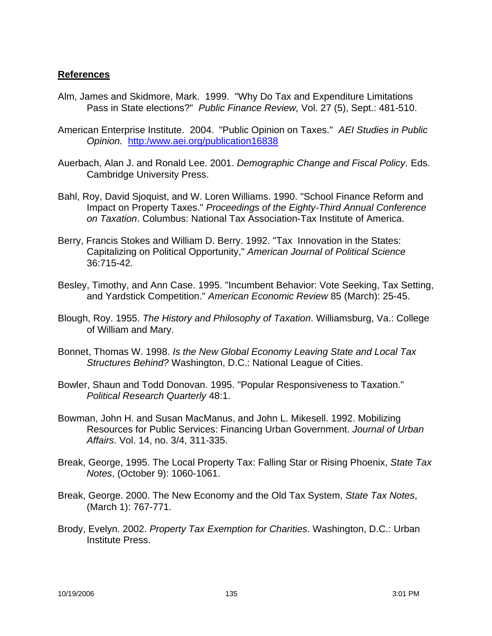#### **References**

- Alm, James and Skidmore, Mark. 1999. "Why Do Tax and Expenditure Limitations Pass in State elections?" *Public Finance Review,* Vol. 27 (5), Sept.: 481-510.
- American Enterprise Institute. 2004. "Public Opinion on Taxes." *AEI Studies in Public Opinion.* http:/www.aei.org/publication16838
- Auerbach, Alan J. and Ronald Lee. 2001. *Demographic Change and Fiscal Policy*. Eds. Cambridge University Press.
- Bahl, Roy, David Sjoquist, and W. Loren Williams. 1990. "School Finance Reform and Impact on Property Taxes." *Proceedings of the Eighty-Third Annual Conference on Taxation*. Columbus: National Tax Association-Tax Institute of America.
- Berry, Francis Stokes and William D. Berry. 1992. "Tax Innovation in the States: Capitalizing on Political Opportunity," *American Journal of Political Science* 36:715-42.
- Besley, Timothy, and Ann Case. 1995. "Incumbent Behavior: Vote Seeking, Tax Setting, and Yardstick Competition." *American Economic Review* 85 (March): 25-45.
- Blough, Roy. 1955. *The History and Philosophy of Taxation*. Williamsburg, Va.: College of William and Mary.
- Bonnet, Thomas W. 1998. *Is the New Global Economy Leaving State and Local Tax Structures Behind?* Washington, D.C.: National League of Cities.
- Bowler, Shaun and Todd Donovan. 1995. "Popular Responsiveness to Taxation." *Political Research Quarterly* 48:1.
- Bowman, John H. and Susan MacManus, and John L. Mikesell. 1992. Mobilizing Resources for Public Services: Financing Urban Government. *Journal of Urban Affairs*. Vol. 14, no. 3/4, 311-335.
- Break, George, 1995. The Local Property Tax: Falling Star or Rising Phoenix, *State Tax Notes*, (October 9): 1060-1061.
- Break, George. 2000. The New Economy and the Old Tax System, *State Tax Notes*, (March 1): 767-771.
- Brody, Evelyn. 2002. *Property Tax Exemption for Charities*. Washington, D.C.: Urban Institute Press.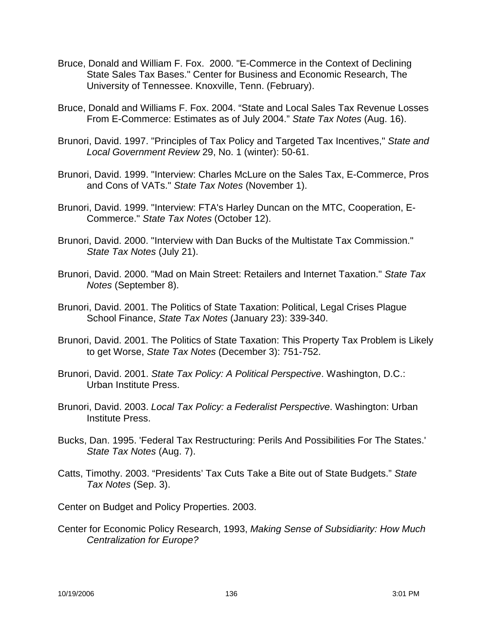- Bruce, Donald and William F. Fox. 2000. "E-Commerce in the Context of Declining State Sales Tax Bases." Center for Business and Economic Research, The University of Tennessee. Knoxville, Tenn. (February).
- Bruce, Donald and Williams F. Fox. 2004. "State and Local Sales Tax Revenue Losses From E-Commerce: Estimates as of July 2004." *State Tax Notes* (Aug. 16).
- Brunori, David. 1997. "Principles of Tax Policy and Targeted Tax Incentives," *State and Local Government Review* 29, No. 1 (winter): 50-61.
- Brunori, David. 1999. "Interview: Charles McLure on the Sales Tax, E-Commerce, Pros and Cons of VATs." *State Tax Notes* (November 1).
- Brunori, David. 1999. "Interview: FTA's Harley Duncan on the MTC, Cooperation, E-Commerce." *State Tax Notes* (October 12).
- Brunori, David. 2000. "Interview with Dan Bucks of the Multistate Tax Commission." *State Tax Notes* (July 21).
- Brunori, David. 2000. "Mad on Main Street: Retailers and Internet Taxation." *State Tax Notes* (September 8).
- Brunori, David. 2001. The Politics of State Taxation: Political, Legal Crises Plague School Finance, *State Tax Notes* (January 23): 339-340.
- Brunori, David. 2001. The Politics of State Taxation: This Property Tax Problem is Likely to get Worse, *State Tax Notes* (December 3): 751-752.
- Brunori, David. 2001. *State Tax Policy: A Political Perspective*. Washington, D.C.: Urban Institute Press.
- Brunori, David. 2003. *Local Tax Policy: a Federalist Perspective*. Washington: Urban Institute Press.
- Bucks, Dan. 1995. 'Federal Tax Restructuring: Perils And Possibilities For The States.' *State Tax Notes* (Aug. 7).
- Catts, Timothy. 2003. "Presidents' Tax Cuts Take a Bite out of State Budgets." *State Tax Notes* (Sep. 3).

Center on Budget and Policy Properties. 2003.

Center for Economic Policy Research, 1993, *Making Sense of Subsidiarity: How Much Centralization for Europe?*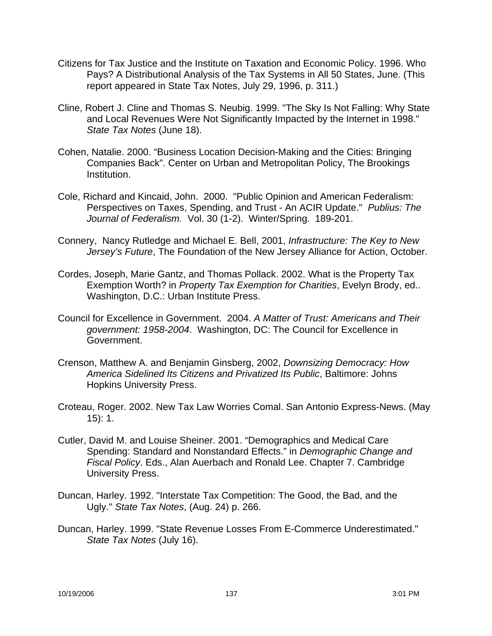- Citizens for Tax Justice and the Institute on Taxation and Economic Policy. 1996. Who Pays? A Distributional Analysis of the Tax Systems in All 50 States, June. (This report appeared in State Tax Notes, July 29, 1996, p. 311.)
- Cline, Robert J. Cline and Thomas S. Neubig. 1999. "The Sky Is Not Falling: Why State and Local Revenues Were Not Significantly Impacted by the Internet in 1998." *State Tax Notes* (June 18).
- Cohen, Natalie. 2000. "Business Location Decision-Making and the Cities: Bringing Companies Back". Center on Urban and Metropolitan Policy, The Brookings Institution.
- Cole, Richard and Kincaid, John. 2000. "Public Opinion and American Federalism: Perspectives on Taxes, Spending, and Trust - An ACIR Update." *Publius: The Journal of Federalism.* Vol. 30 (1-2). Winter/Spring. 189-201.
- Connery, Nancy Rutledge and Michael E. Bell, 2001, *Infrastructure: The Key to New Jersey's Future*, The Foundation of the New Jersey Alliance for Action, October.
- Cordes, Joseph, Marie Gantz, and Thomas Pollack. 2002. What is the Property Tax Exemption Worth? in *Property Tax Exemption for Charities*, Evelyn Brody, ed.. Washington, D.C.: Urban Institute Press.
- Council for Excellence in Government. 2004. *A Matter of Trust: Americans and Their government: 1958-2004*. Washington, DC: The Council for Excellence in Government.
- Crenson, Matthew A. and Benjamin Ginsberg, 2002, *Downsizing Democracy: How America Sidelined Its Citizens and Privatized Its Public*, Baltimore: Johns Hopkins University Press.
- Croteau, Roger. 2002. New Tax Law Worries Comal. San Antonio Express-News. (May 15): 1.
- Cutler, David M. and Louise Sheiner. 2001. "Demographics and Medical Care Spending: Standard and Nonstandard Effects." in *Demographic Change and Fiscal Policy*. Eds., Alan Auerbach and Ronald Lee. Chapter 7. Cambridge University Press.
- Duncan, Harley. 1992. "Interstate Tax Competition: The Good, the Bad, and the Ugly." *State Tax Notes*, (Aug. 24) p. 266.
- Duncan, Harley. 1999. "State Revenue Losses From E-Commerce Underestimated." *State Tax Notes* (July 16).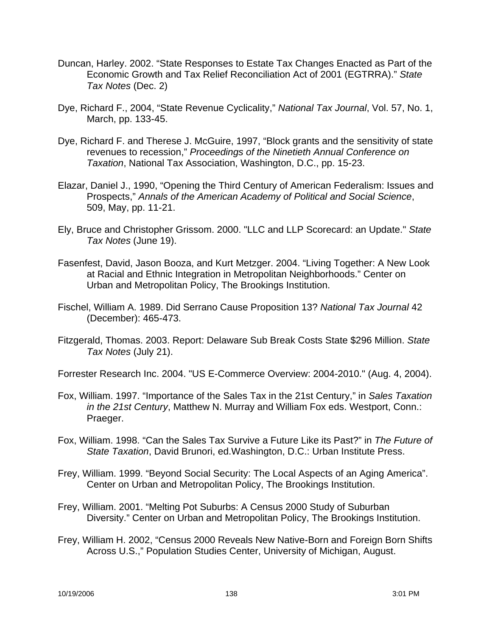- Duncan, Harley. 2002. "State Responses to Estate Tax Changes Enacted as Part of the Economic Growth and Tax Relief Reconciliation Act of 2001 (EGTRRA)." *State Tax Notes* (Dec. 2)
- Dye, Richard F., 2004, "State Revenue Cyclicality," *National Tax Journal*, Vol. 57, No. 1, March, pp. 133-45.
- Dye, Richard F. and Therese J. McGuire, 1997, "Block grants and the sensitivity of state revenues to recession," *Proceedings of the Ninetieth Annual Conference on Taxation*, National Tax Association, Washington, D.C., pp. 15-23.
- Elazar, Daniel J., 1990, "Opening the Third Century of American Federalism: Issues and Prospects," *Annals of the American Academy of Political and Social Science*, 509, May, pp. 11-21.
- Ely, Bruce and Christopher Grissom. 2000. "LLC and LLP Scorecard: an Update." *State Tax Notes* (June 19).
- Fasenfest, David, Jason Booza, and Kurt Metzger. 2004. "Living Together: A New Look at Racial and Ethnic Integration in Metropolitan Neighborhoods." Center on Urban and Metropolitan Policy, The Brookings Institution.
- Fischel, William A. 1989. Did Serrano Cause Proposition 13? *National Tax Journal* 42 (December): 465-473.
- Fitzgerald, Thomas. 2003. Report: Delaware Sub Break Costs State \$296 Million. *State Tax Notes* (July 21).

Forrester Research Inc. 2004. "US E-Commerce Overview: 2004-2010." (Aug. 4, 2004).

- Fox, William. 1997. "Importance of the Sales Tax in the 21st Century," in *Sales Taxation in the 21st Century*, Matthew N. Murray and William Fox eds. Westport, Conn.: Praeger.
- Fox, William. 1998. "Can the Sales Tax Survive a Future Like its Past?" in *The Future of State Taxation*, David Brunori, ed.Washington, D.C.: Urban Institute Press.
- Frey, William. 1999. "Beyond Social Security: The Local Aspects of an Aging America". Center on Urban and Metropolitan Policy, The Brookings Institution.
- Frey, William. 2001. "Melting Pot Suburbs: A Census 2000 Study of Suburban Diversity." Center on Urban and Metropolitan Policy, The Brookings Institution.
- Frey, William H. 2002, "Census 2000 Reveals New Native-Born and Foreign Born Shifts Across U.S.," Population Studies Center, University of Michigan, August.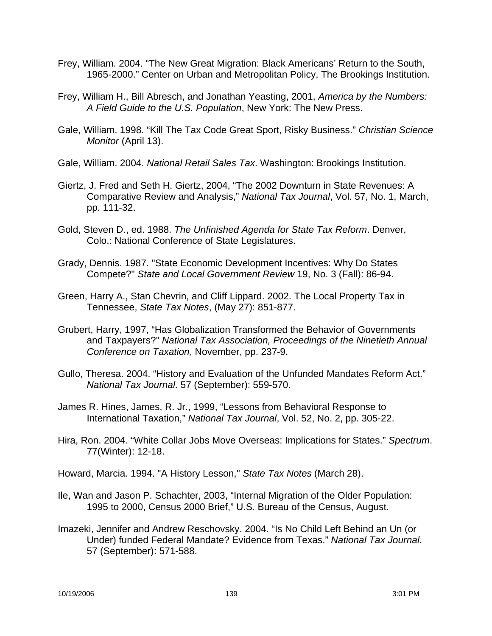- Frey, William. 2004. "The New Great Migration: Black Americans' Return to the South, 1965-2000." Center on Urban and Metropolitan Policy, The Brookings Institution.
- Frey, William H., Bill Abresch, and Jonathan Yeasting, 2001, *America by the Numbers: A Field Guide to the U.S. Population*, New York: The New Press.
- Gale, William. 1998. "Kill The Tax Code Great Sport, Risky Business." *Christian Science Monitor* (April 13).
- Gale, William. 2004. *National Retail Sales Tax*. Washington: Brookings Institution.
- Giertz, J. Fred and Seth H. Giertz, 2004, "The 2002 Downturn in State Revenues: A Comparative Review and Analysis," *National Tax Journal*, Vol. 57, No. 1, March, pp. 111-32.
- Gold, Steven D., ed. 1988. *The Unfinished Agenda for State Tax Reform*. Denver, Colo.: National Conference of State Legislatures.
- Grady, Dennis. 1987. "State Economic Development Incentives: Why Do States Compete?" *State and Local Government Review* 19, No. 3 (Fall): 86-94.
- Green, Harry A., Stan Chevrin, and Cliff Lippard. 2002. The Local Property Tax in Tennessee, *State Tax Notes*, (May 27): 851-877.
- Grubert, Harry, 1997, "Has Globalization Transformed the Behavior of Governments and Taxpayers?" *National Tax Association, Proceedings of the Ninetieth Annual Conference on Taxation*, November, pp. 237-9.
- Gullo, Theresa. 2004. "History and Evaluation of the Unfunded Mandates Reform Act." *National Tax Journal*. 57 (September): 559-570.
- James R. Hines, James, R. Jr., 1999, "Lessons from Behavioral Response to International Taxation," *National Tax Journal*, Vol. 52, No. 2, pp. 305-22.
- Hira, Ron. 2004. "White Collar Jobs Move Overseas: Implications for States." *Spectrum*. 77(Winter): 12-18.
- Howard, Marcia. 1994. "A History Lesson," *State Tax Notes* (March 28).
- Ile, Wan and Jason P. Schachter, 2003, "Internal Migration of the Older Population: 1995 to 2000, Census 2000 Brief," U.S. Bureau of the Census, August.
- Imazeki, Jennifer and Andrew Reschovsky. 2004. "Is No Child Left Behind an Un (or Under) funded Federal Mandate? Evidence from Texas." *National Tax Journal*. 57 (September): 571-588.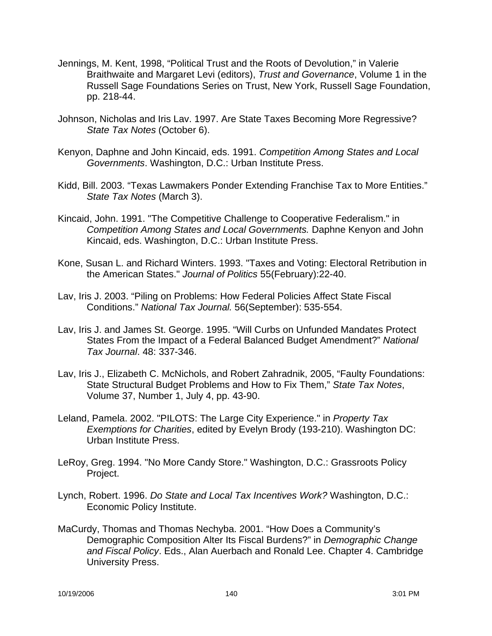- Jennings, M. Kent, 1998, "Political Trust and the Roots of Devolution," in Valerie Braithwaite and Margaret Levi (editors), *Trust and Governance*, Volume 1 in the Russell Sage Foundations Series on Trust, New York, Russell Sage Foundation, pp. 218-44.
- Johnson, Nicholas and Iris Lav. 1997. Are State Taxes Becoming More Regressive? *State Tax Notes* (October 6).
- Kenyon, Daphne and John Kincaid, eds. 1991. *Competition Among States and Local Governments*. Washington, D.C.: Urban Institute Press.
- Kidd, Bill. 2003. "Texas Lawmakers Ponder Extending Franchise Tax to More Entities." *State Tax Notes* (March 3).
- Kincaid, John. 1991. "The Competitive Challenge to Cooperative Federalism." in *Competition Among States and Local Governments.* Daphne Kenyon and John Kincaid, eds. Washington, D.C.: Urban Institute Press.
- Kone, Susan L. and Richard Winters. 1993. "Taxes and Voting: Electoral Retribution in the American States." *Journal of Politics* 55(February):22-40.
- Lav, Iris J. 2003. "Piling on Problems: How Federal Policies Affect State Fiscal Conditions." *National Tax Journal.* 56(September): 535-554.
- Lav, Iris J. and James St. George. 1995. "Will Curbs on Unfunded Mandates Protect States From the Impact of a Federal Balanced Budget Amendment?" *National Tax Journal*. 48: 337-346.
- Lav, Iris J., Elizabeth C. McNichols, and Robert Zahradnik, 2005, "Faulty Foundations: State Structural Budget Problems and How to Fix Them," *State Tax Notes*, Volume 37, Number 1, July 4, pp. 43-90.
- Leland, Pamela. 2002. "PILOTS: The Large City Experience." in *Property Tax Exemptions for Charities*, edited by Evelyn Brody (193-210). Washington DC: Urban Institute Press.
- LeRoy, Greg. 1994. "No More Candy Store." Washington, D.C.: Grassroots Policy Project.
- Lynch, Robert. 1996. *Do State and Local Tax Incentives Work?* Washington, D.C.: Economic Policy Institute.
- MaCurdy, Thomas and Thomas Nechyba. 2001. "How Does a Community's Demographic Composition Alter Its Fiscal Burdens?" in *Demographic Change and Fiscal Policy*. Eds., Alan Auerbach and Ronald Lee. Chapter 4. Cambridge University Press.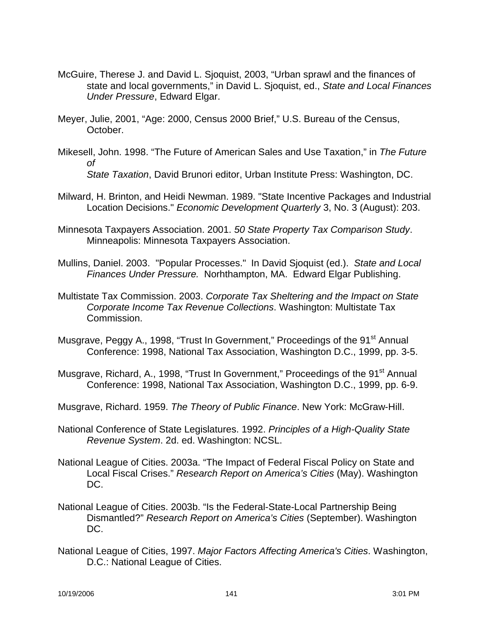- McGuire, Therese J. and David L. Sjoquist, 2003, "Urban sprawl and the finances of state and local governments," in David L. Sjoquist, ed., *State and Local Finances Under Pressure*, Edward Elgar.
- Meyer, Julie, 2001, "Age: 2000, Census 2000 Brief," U.S. Bureau of the Census, October.
- Mikesell, John. 1998. "The Future of American Sales and Use Taxation," in *The Future of State Taxation*, David Brunori editor, Urban Institute Press: Washington, DC.
	-
- Milward, H. Brinton, and Heidi Newman. 1989. "State Incentive Packages and Industrial Location Decisions." *Economic Development Quarterly* 3, No. 3 (August): 203.
- Minnesota Taxpayers Association. 2001. *50 State Property Tax Comparison Study*. Minneapolis: Minnesota Taxpayers Association.
- Mullins, Daniel. 2003. "Popular Processes." In David Sjoquist (ed.). *State and Local Finances Under Pressure.* Norhthampton, MA. Edward Elgar Publishing.
- Multistate Tax Commission. 2003. *Corporate Tax Sheltering and the Impact on State Corporate Income Tax Revenue Collections*. Washington: Multistate Tax Commission.
- Musgrave, Peggy A., 1998, "Trust In Government," Proceedings of the 91<sup>st</sup> Annual Conference: 1998, National Tax Association, Washington D.C., 1999, pp. 3-5.
- Musgrave, Richard, A., 1998, "Trust In Government," Proceedings of the 91<sup>st</sup> Annual Conference: 1998, National Tax Association, Washington D.C., 1999, pp. 6-9.
- Musgrave, Richard. 1959. *The Theory of Public Finance*. New York: McGraw-Hill.
- National Conference of State Legislatures. 1992. *Principles of a High-Quality State Revenue System*. 2d. ed. Washington: NCSL.
- National League of Cities. 2003a. "The Impact of Federal Fiscal Policy on State and Local Fiscal Crises." *Research Report on America's Cities* (May). Washington DC.
- National League of Cities. 2003b. "Is the Federal-State-Local Partnership Being Dismantled?" *Research Report on America's Cities* (September). Washington DC.
- National League of Cities, 1997. *Major Factors Affecting America's Cities*. Washington, D.C.: National League of Cities.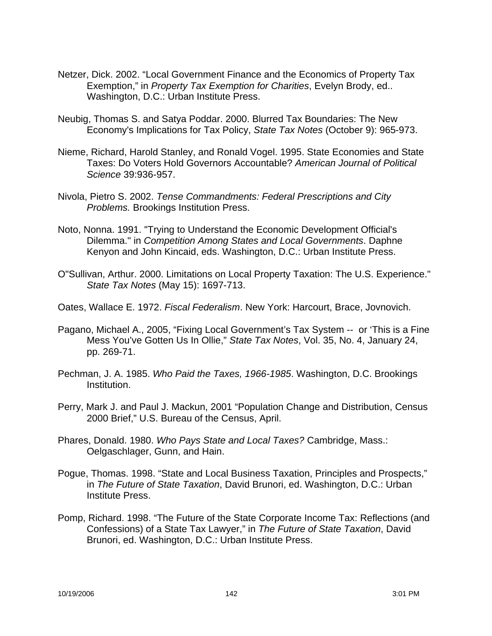- Netzer, Dick. 2002. "Local Government Finance and the Economics of Property Tax Exemption," in *Property Tax Exemption for Charities*, Evelyn Brody, ed.. Washington, D.C.: Urban Institute Press.
- Neubig, Thomas S. and Satya Poddar. 2000. Blurred Tax Boundaries: The New Economy's Implications for Tax Policy, *State Tax Notes* (October 9): 965-973.
- Nieme, Richard, Harold Stanley, and Ronald Vogel. 1995. State Economies and State Taxes: Do Voters Hold Governors Accountable? *American Journal of Political Science* 39:936-957.
- Nivola, Pietro S. 2002. *Tense Commandments: Federal Prescriptions and City Problems.* Brookings Institution Press.
- Noto, Nonna. 1991. "Trying to Understand the Economic Development Official's Dilemma." in *Competition Among States and Local Governments*. Daphne Kenyon and John Kincaid, eds. Washington, D.C.: Urban Institute Press.
- O"Sullivan, Arthur. 2000. Limitations on Local Property Taxation: The U.S. Experience." *State Tax Notes* (May 15): 1697-713.
- Oates, Wallace E. 1972. *Fiscal Federalism*. New York: Harcourt, Brace, Jovnovich.
- Pagano, Michael A., 2005, "Fixing Local Government's Tax System -- or 'This is a Fine Mess You've Gotten Us In Ollie," *State Tax Notes*, Vol. 35, No. 4, January 24, pp. 269-71.
- Pechman, J. A. 1985. *Who Paid the Taxes, 1966-1985*. Washington, D.C. Brookings Institution.
- Perry, Mark J. and Paul J. Mackun, 2001 "Population Change and Distribution, Census 2000 Brief," U.S. Bureau of the Census, April.
- Phares, Donald. 1980. *Who Pays State and Local Taxes?* Cambridge, Mass.: Oelgaschlager, Gunn, and Hain.
- Pogue, Thomas. 1998. "State and Local Business Taxation, Principles and Prospects," in *The Future of State Taxation*, David Brunori, ed. Washington, D.C.: Urban Institute Press.
- Pomp, Richard. 1998. "The Future of the State Corporate Income Tax: Reflections (and Confessions) of a State Tax Lawyer," in *The Future of State Taxation*, David Brunori, ed. Washington, D.C.: Urban Institute Press.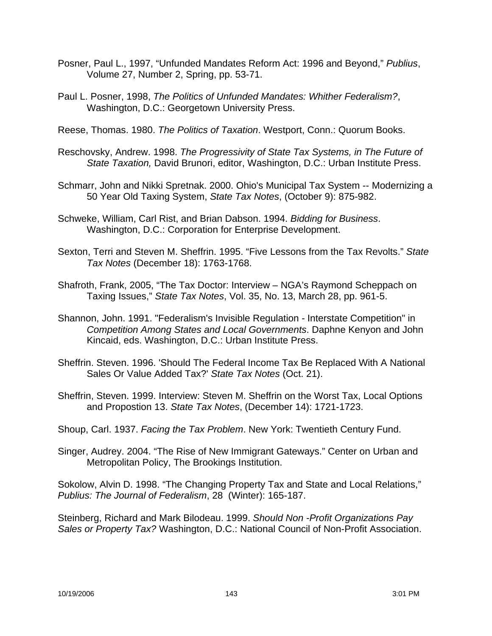- Posner, Paul L., 1997, "Unfunded Mandates Reform Act: 1996 and Beyond," *Publius*, Volume 27, Number 2, Spring, pp. 53-71.
- Paul L. Posner, 1998, *The Politics of Unfunded Mandates: Whither Federalism?*, Washington, D.C.: Georgetown University Press.

Reese, Thomas. 1980. *The Politics of Taxation*. Westport, Conn.: Quorum Books.

- Reschovsky, Andrew. 1998. *The Progressivity of State Tax Systems, in The Future of State Taxation,* David Brunori, editor, Washington, D.C.: Urban Institute Press.
- Schmarr, John and Nikki Spretnak. 2000. Ohio's Municipal Tax System -- Modernizing a 50 Year Old Taxing System, *State Tax Notes*, (October 9): 875-982.
- Schweke, William, Carl Rist, and Brian Dabson. 1994. *Bidding for Business*. Washington, D.C.: Corporation for Enterprise Development.
- Sexton, Terri and Steven M. Sheffrin. 1995. "Five Lessons from the Tax Revolts." *State Tax Notes* (December 18): 1763-1768.
- Shafroth, Frank, 2005, "The Tax Doctor: Interview NGA's Raymond Scheppach on Taxing Issues," *State Tax Notes*, Vol. 35, No. 13, March 28, pp. 961-5.
- Shannon, John. 1991. "Federalism's Invisible Regulation Interstate Competition" in *Competition Among States and Local Governments*. Daphne Kenyon and John Kincaid, eds. Washington, D.C.: Urban Institute Press.
- Sheffrin. Steven. 1996. 'Should The Federal Income Tax Be Replaced With A National Sales Or Value Added Tax?' *State Tax Notes* (Oct. 21).
- Sheffrin, Steven. 1999. Interview: Steven M. Sheffrin on the Worst Tax, Local Options and Propostion 13. *State Tax Notes*, (December 14): 1721-1723.

Shoup, Carl. 1937. *Facing the Tax Problem*. New York: Twentieth Century Fund.

Singer, Audrey. 2004. "The Rise of New Immigrant Gateways." Center on Urban and Metropolitan Policy, The Brookings Institution.

Sokolow, Alvin D. 1998. "The Changing Property Tax and State and Local Relations," *Publius: The Journal of Federalism*, 28 (Winter): 165-187.

Steinberg, Richard and Mark Bilodeau. 1999. *Should Non -Profit Organizations Pay Sales or Property Tax?* Washington, D.C.: National Council of Non-Profit Association.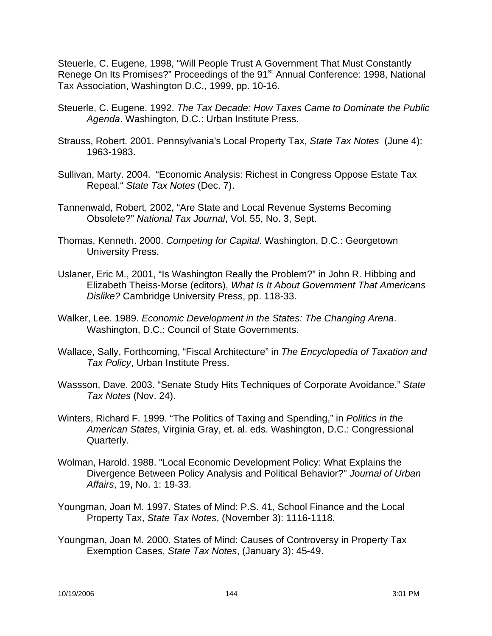Steuerle, C. Eugene, 1998, "Will People Trust A Government That Must Constantly Renege On Its Promises?" Proceedings of the 91<sup>st</sup> Annual Conference: 1998, National Tax Association, Washington D.C., 1999, pp. 10-16.

- Steuerle, C. Eugene. 1992. *The Tax Decade: How Taxes Came to Dominate the Public Agenda*. Washington, D.C.: Urban Institute Press.
- Strauss, Robert. 2001. Pennsylvania's Local Property Tax, *State Tax Notes* (June 4): 1963-1983.
- Sullivan, Marty. 2004. "Economic Analysis: Richest in Congress Oppose Estate Tax Repeal." *State Tax Notes* (Dec. 7).
- Tannenwald, Robert, 2002, "Are State and Local Revenue Systems Becoming Obsolete?" *National Tax Journal*, Vol. 55, No. 3, Sept.
- Thomas, Kenneth. 2000. *Competing for Capital*. Washington, D.C.: Georgetown University Press.
- Uslaner, Eric M., 2001, "Is Washington Really the Problem?" in John R. Hibbing and Elizabeth Theiss-Morse (editors), *What Is It About Government That Americans Dislike?* Cambridge University Press, pp. 118-33.
- Walker, Lee. 1989. *Economic Development in the States: The Changing Arena*. Washington, D.C.: Council of State Governments.
- Wallace, Sally, Forthcoming, "Fiscal Architecture" in *The Encyclopedia of Taxation and Tax Policy*, Urban Institute Press.
- Wassson, Dave. 2003. "Senate Study Hits Techniques of Corporate Avoidance." *State Tax Notes* (Nov. 24).
- Winters, Richard F. 1999. "The Politics of Taxing and Spending," in *Politics in the American States*, Virginia Gray, et. al. eds. Washington, D.C.: Congressional Quarterly.
- Wolman, Harold. 1988. "Local Economic Development Policy: What Explains the Divergence Between Policy Analysis and Political Behavior?" *Journal of Urban Affairs*, 19, No. 1: 19-33.
- Youngman, Joan M. 1997. States of Mind: P.S. 41, School Finance and the Local Property Tax, *State Tax Notes*, (November 3): 1116-1118.
- Youngman, Joan M. 2000. States of Mind: Causes of Controversy in Property Tax Exemption Cases, *State Tax Notes*, (January 3): 45-49.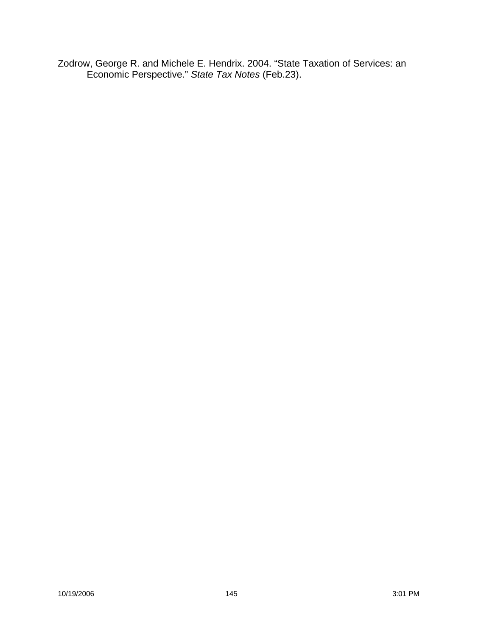Zodrow, George R. and Michele E. Hendrix. 2004. "State Taxation of Services: an Economic Perspective." *State Tax Notes* (Feb.23).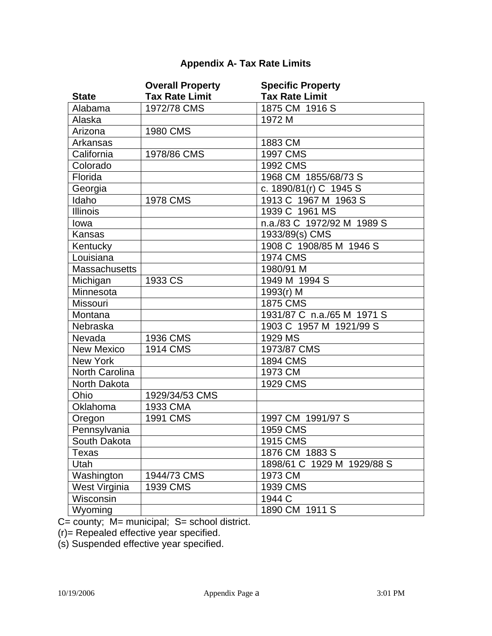# **Appendix A- Tax Rate Limits**

|                      | <b>Overall Property</b> | <b>Specific Property</b>   |
|----------------------|-------------------------|----------------------------|
| <b>State</b>         | <b>Tax Rate Limit</b>   | <b>Tax Rate Limit</b>      |
| Alabama              | 1972/78 CMS             | 1875 CM 1916 S             |
| Alaska               |                         | 1972 M                     |
| Arizona              | 1980 CMS                |                            |
| Arkansas             |                         | 1883 CM                    |
| California           | 1978/86 CMS             | 1997 CMS                   |
| Colorado             |                         | 1992 CMS                   |
| Florida              |                         | 1968 CM 1855/68/73 S       |
| Georgia              |                         | c. 1890/81(r) C 1945 S     |
| Idaho                | 1978 CMS                | 1913 C 1967 M 1963 S       |
| <b>Illinois</b>      |                         | 1939 C 1961 MS             |
| lowa                 |                         | n.a./83 C 1972/92 M 1989 S |
| Kansas               |                         | 1933/89(s) CMS             |
| Kentucky             |                         | 1908 C 1908/85 M 1946 S    |
| Louisiana            |                         | <b>1974 CMS</b>            |
| <b>Massachusetts</b> |                         | 1980/91 M                  |
| Michigan             | 1933 CS                 | 1949 M 1994 S              |
| Minnesota            |                         | 1993 $(r)$ M               |
| Missouri             |                         | 1875 CMS                   |
| Montana              |                         | 1931/87 C n.a./65 M 1971 S |
| Nebraska             |                         | 1903 C 1957 M 1921/99 S    |
| Nevada               | 1936 CMS                | 1929 MS                    |
| <b>New Mexico</b>    | 1914 CMS                | 1973/87 CMS                |
| <b>New York</b>      |                         | 1894 CMS                   |
| North Carolina       |                         | 1973 CM                    |
| North Dakota         |                         | 1929 CMS                   |
| Ohio                 | 1929/34/53 CMS          |                            |
| Oklahoma             | 1933 CMA                |                            |
| Oregon               | 1991 CMS                | 1997 CM 1991/97 S          |
| Pennsylvania         |                         | 1959 CMS                   |
| South Dakota         |                         | 1915 CMS                   |
| Texas                |                         | 1876 CM 1883 S             |
| Utah                 |                         | 1898/61 C 1929 M 1929/88 S |
| Washington           | 1944/73 CMS             | 1973 CM                    |
| West Virginia        | 1939 CMS                | 1939 CMS                   |
| Wisconsin            |                         | 1944 C                     |
| Wyoming              |                         | 1890 CM 1911 S             |

C= county; M= municipal; S= school district.

(r)= Repealed effective year specified.

(s) Suspended effective year specified.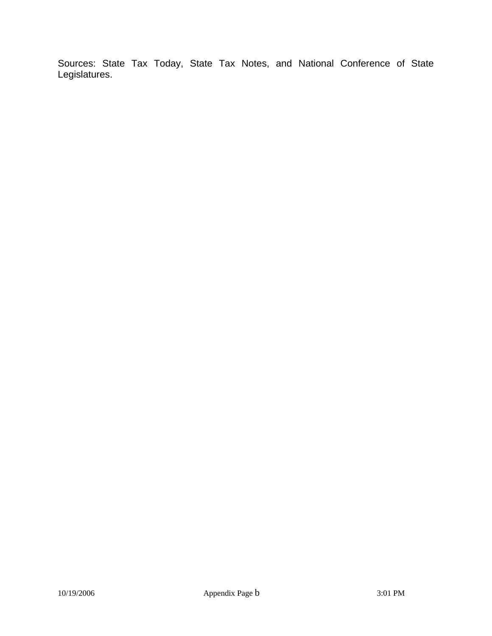Sources: State Tax Today, State Tax Notes, and National Conference of State Legislatures.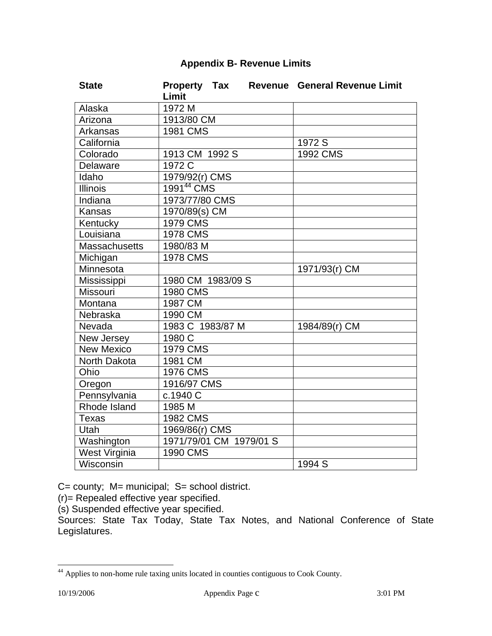## **Appendix B- Revenue Limits**

| <b>State</b>         | <b>Property Tax</b>     |  | <b>Revenue General Revenue Limit</b> |
|----------------------|-------------------------|--|--------------------------------------|
|                      | Limit                   |  |                                      |
| Alaska               | 1972 M                  |  |                                      |
| Arizona              | 1913/80 CM              |  |                                      |
| Arkansas             | <b>1981 CMS</b>         |  |                                      |
| California           |                         |  | 1972 S                               |
| Colorado             | 1913 CM 1992 S          |  | 1992 CMS                             |
| Delaware             | 1972 C                  |  |                                      |
| Idaho                | 1979/92(r) CMS          |  |                                      |
| <b>Illinois</b>      | 199144 CMS              |  |                                      |
| Indiana              | 1973/77/80 CMS          |  |                                      |
| Kansas               | 1970/89(s) CM           |  |                                      |
| Kentucky             | <b>1979 CMS</b>         |  |                                      |
| Louisiana            | <b>1978 CMS</b>         |  |                                      |
| <b>Massachusetts</b> | 1980/83 M               |  |                                      |
| Michigan             | <b>1978 CMS</b>         |  |                                      |
| Minnesota            |                         |  | 1971/93(r) CM                        |
| Mississippi          | 1980 CM 1983/09 S       |  |                                      |
| Missouri             | <b>1980 CMS</b>         |  |                                      |
| Montana              | 1987 CM                 |  |                                      |
| Nebraska             | 1990 CM                 |  |                                      |
| Nevada               | 1983 C 1983/87 M        |  | 1984/89(r) CM                        |
| New Jersey           | 1980 C                  |  |                                      |
| <b>New Mexico</b>    | <b>1979 CMS</b>         |  |                                      |
| North Dakota         | 1981 CM                 |  |                                      |
| Ohio                 | <b>1976 CMS</b>         |  |                                      |
| Oregon               | 1916/97 CMS             |  |                                      |
| Pennsylvania         | c.1940 C                |  |                                      |
| Rhode Island         | 1985 M                  |  |                                      |
| <b>Texas</b>         | <b>1982 CMS</b>         |  |                                      |
| <b>Utah</b>          | 1969/86(r) CMS          |  |                                      |
| Washington           | 1971/79/01 CM 1979/01 S |  |                                      |
| West Virginia        | 1990 CMS                |  |                                      |
| Wisconsin            |                         |  | 1994 S                               |

C= county; M= municipal; S= school district.

(r)= Repealed effective year specified.

(s) Suspended effective year specified.

Sources: State Tax Today, State Tax Notes, and National Conference of State Legislatures.

 $\overline{a}$ 

<sup>&</sup>lt;sup>44</sup> Applies to non-home rule taxing units located in counties contiguous to Cook County.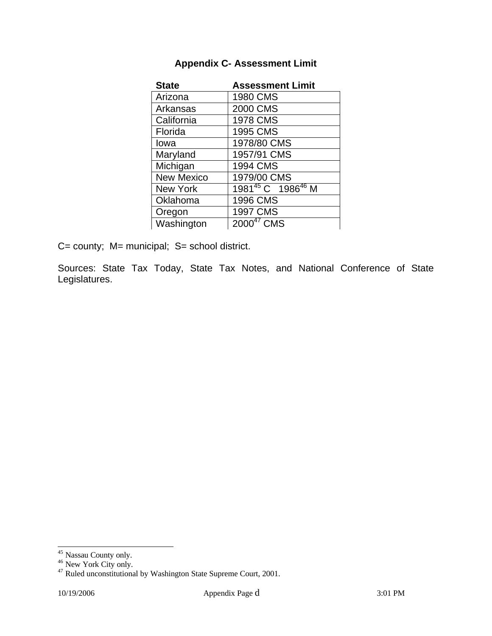| <b>Appendix C- Assessment Limit</b> |  |
|-------------------------------------|--|
|-------------------------------------|--|

| <b>State</b>      | <b>Assessment Limit</b>                   |
|-------------------|-------------------------------------------|
| Arizona           | 1980 CMS                                  |
| Arkansas          | 2000 CMS                                  |
| California        | 1978 CMS                                  |
| Florida           | 1995 CMS                                  |
| Iowa              | 1978/80 CMS                               |
| Maryland          | 1957/91 CMS                               |
| Michigan          | 1994 CMS                                  |
| <b>New Mexico</b> | 1979/00 CMS                               |
| <b>New York</b>   | 1981 <sup>45</sup> C 1986 <sup>46</sup> M |
| Oklahoma          | 1996 CMS                                  |
| Oregon            | 1997 CMS                                  |
| Washington        | $2000^{47}$ CMS                           |

C= county; M= municipal; S= school district.

Sources: State Tax Today, State Tax Notes, and National Conference of State Legislatures.

 $\overline{a}$ 

<sup>&</sup>lt;sup>45</sup> Nassau County only.

<sup>&</sup>lt;sup>46</sup> New York City only.

 $47$  Ruled unconstitutional by Washington State Supreme Court, 2001.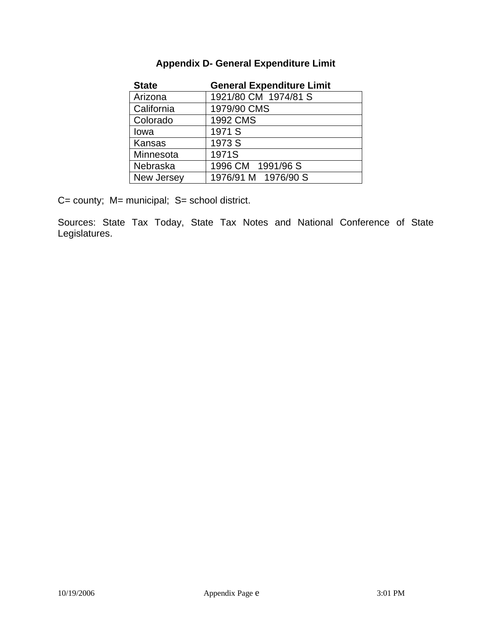| <b>State</b> | <b>General Expenditure Limit</b> |
|--------------|----------------------------------|
| Arizona      | 1921/80 CM 1974/81 S             |
| California   | 1979/90 CMS                      |
| Colorado     | 1992 CMS                         |
| lowa         | 1971 S                           |
| Kansas       | 1973 S                           |
| Minnesota    | 1971S                            |
| Nebraska     | 1996 CM 1991/96 S                |
| New Jersey   | 1976/91 M 1976/90 S              |

### **Appendix D- General Expenditure Limit**

C= county; M= municipal; S= school district.

Sources: State Tax Today, State Tax Notes and National Conference of State Legislatures.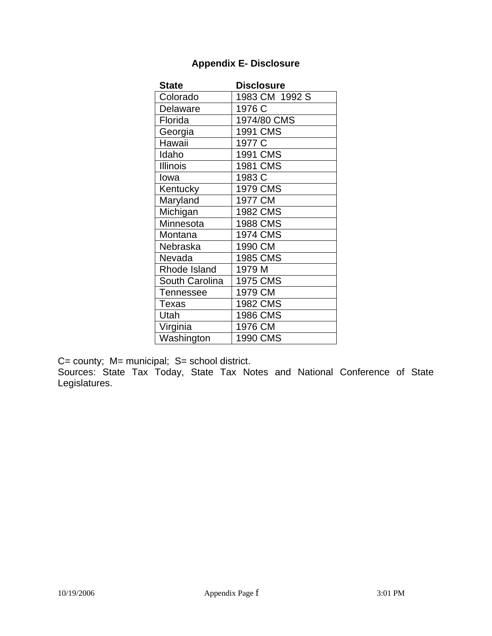| <b>State</b>     | <b>Disclosure</b> |
|------------------|-------------------|
| Colorado         | 1983 CM 1992 S    |
| Delaware         | 1976 C            |
| Florida          | 1974/80 CMS       |
| Georgia          | 1991 CMS          |
| Hawaii           | 1977 C            |
| Idaho            | 1991 CMS          |
| <b>Illinois</b>  | 1981 CMS          |
| Iowa             | 1983 C            |
| Kentucky         | 1979 CMS          |
| Maryland         | 1977 CM           |
| Michigan         | 1982 CMS          |
| Minnesota        | 1988 CMS          |
| Montana          | 1974 CMS          |
| Nebraska         | 1990 CM           |
| Nevada           | 1985 CMS          |
| Rhode Island     | 1979 M            |
| South Carolina   | 1975 CMS          |
| <b>Tennessee</b> | 1979 CM           |
| <b>Texas</b>     | 1982 CMS          |
| Utah             | 1986 CMS          |
| Virginia         | 1976 CM           |
| Washington       | 1990 CMS          |

# **Appendix E- Disclosure**

C= county; M= municipal; S= school district.

Sources: State Tax Today, State Tax Notes and National Conference of State Legislatures.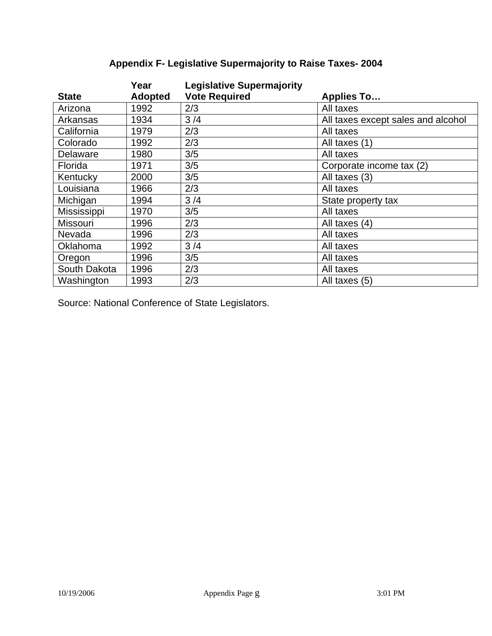|                 | Year           | <b>Legislative Supermajority</b> |                                    |
|-----------------|----------------|----------------------------------|------------------------------------|
| <b>State</b>    | <b>Adopted</b> | <b>Vote Required</b>             | <b>Applies To</b>                  |
| Arizona         | 1992           | 2/3                              | All taxes                          |
| Arkansas        | 1934           | 3/4                              | All taxes except sales and alcohol |
| California      | 1979           | 2/3                              | All taxes                          |
| Colorado        | 1992           | 2/3                              | All taxes (1)                      |
| Delaware        | 1980           | 3/5                              | All taxes                          |
| Florida         | 1971           | 3/5                              | Corporate income tax (2)           |
| Kentucky        | 2000           | 3/5                              | All taxes (3)                      |
| Louisiana       | 1966           | 2/3                              | All taxes                          |
| Michigan        | 1994           | 3/4                              | State property tax                 |
| Mississippi     | 1970           | 3/5                              | All taxes                          |
| <b>Missouri</b> | 1996           | 2/3                              | All taxes (4)                      |
| Nevada          | 1996           | 2/3                              | All taxes                          |
| Oklahoma        | 1992           | 3/4                              | All taxes                          |
| Oregon          | 1996           | 3/5                              | All taxes                          |
| South Dakota    | 1996           | 2/3                              | All taxes                          |
| Washington      | 1993           | 2/3                              | All taxes (5)                      |

# **Appendix F- Legislative Supermajority to Raise Taxes- 2004**

Source: National Conference of State Legislators.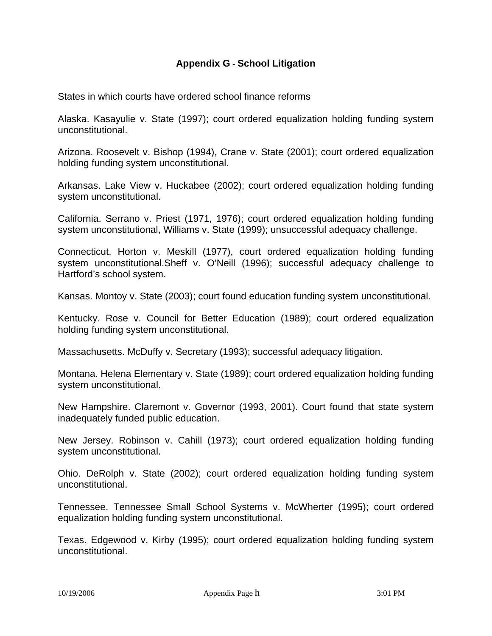#### **Appendix G - School Litigation**

States in which courts have ordered school finance reforms

Alaska. Kasayulie v. State (1997); court ordered equalization holding funding system unconstitutional.

Arizona. Roosevelt v. Bishop (1994), Crane v. State (2001); court ordered equalization holding funding system unconstitutional.

Arkansas. Lake View v. Huckabee (2002); court ordered equalization holding funding system unconstitutional.

California. Serrano v. Priest (1971, 1976); court ordered equalization holding funding system unconstitutional, Williams v. State (1999); unsuccessful adequacy challenge.

Connecticut. Horton v. Meskill (1977), court ordered equalization holding funding system unconstitutional.Sheff v. O'Neill (1996); successful adequacy challenge to Hartford's school system.

Kansas. Montoy v. State (2003); court found education funding system unconstitutional.

Kentucky. Rose v. Council for Better Education (1989); court ordered equalization holding funding system unconstitutional.

Massachusetts. McDuffy v. Secretary (1993); successful adequacy litigation.

Montana. Helena Elementary v. State (1989); court ordered equalization holding funding system unconstitutional.

New Hampshire. Claremont v. Governor (1993, 2001). Court found that state system inadequately funded public education.

New Jersey. Robinson v. Cahill (1973); court ordered equalization holding funding system unconstitutional.

Ohio. DeRolph v. State (2002); court ordered equalization holding funding system unconstitutional.

Tennessee. Tennessee Small School Systems v. McWherter (1995); court ordered equalization holding funding system unconstitutional.

Texas. Edgewood v. Kirby (1995); court ordered equalization holding funding system unconstitutional.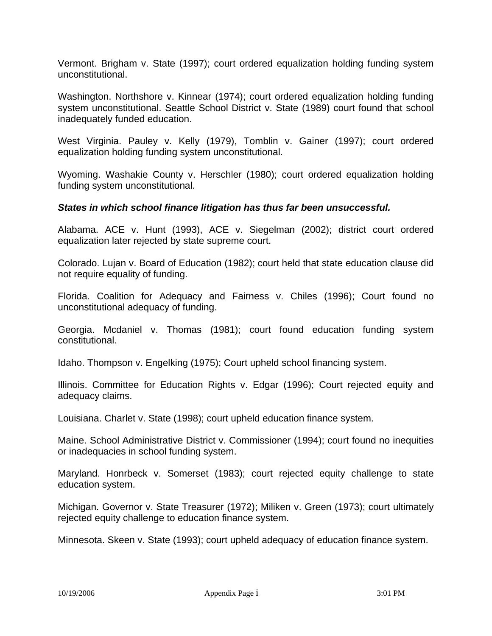Vermont. Brigham v. State (1997); court ordered equalization holding funding system unconstitutional.

Washington. Northshore v. Kinnear (1974); court ordered equalization holding funding system unconstitutional. Seattle School District v. State (1989) court found that school inadequately funded education.

West Virginia. Pauley v. Kelly (1979), Tomblin v. Gainer (1997); court ordered equalization holding funding system unconstitutional.

Wyoming. Washakie County v. Herschler (1980); court ordered equalization holding funding system unconstitutional.

#### *States in which school finance litigation has thus far been unsuccessful.*

Alabama. ACE v. Hunt (1993), ACE v. Siegelman (2002); district court ordered equalization later rejected by state supreme court.

Colorado. Lujan v. Board of Education (1982); court held that state education clause did not require equality of funding.

Florida. Coalition for Adequacy and Fairness v. Chiles (1996); Court found no unconstitutional adequacy of funding.

Georgia. Mcdaniel v. Thomas (1981); court found education funding system constitutional.

Idaho. Thompson v. Engelking (1975); Court upheld school financing system.

Illinois. Committee for Education Rights v. Edgar (1996); Court rejected equity and adequacy claims.

Louisiana. Charlet v. State (1998); court upheld education finance system.

Maine. School Administrative District v. Commissioner (1994); court found no inequities or inadequacies in school funding system.

Maryland. Honrbeck v. Somerset (1983); court rejected equity challenge to state education system.

Michigan. Governor v. State Treasurer (1972); Miliken v. Green (1973); court ultimately rejected equity challenge to education finance system.

Minnesota. Skeen v. State (1993); court upheld adequacy of education finance system.